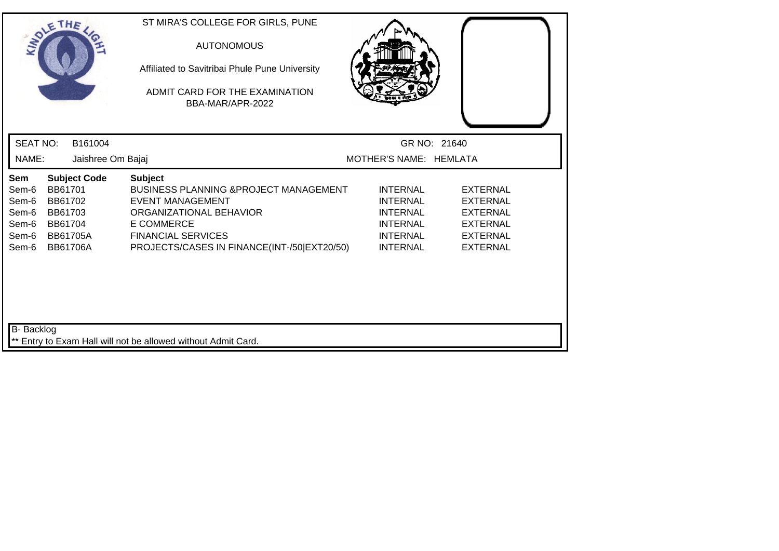| SOLE THE                                                  |                                                                                |                     | ST MIRA'S COLLEGE FOR GIRLS, PUNE<br><b>AUTONOMOUS</b><br>Affiliated to Savitribai Phule Pune University<br>ADMIT CARD FOR THE EXAMINATION<br>BBA-MAR/APR-2022                                                  |                                                                                                                |                                                                                                                |  |
|-----------------------------------------------------------|--------------------------------------------------------------------------------|---------------------|-----------------------------------------------------------------------------------------------------------------------------------------------------------------------------------------------------------------|----------------------------------------------------------------------------------------------------------------|----------------------------------------------------------------------------------------------------------------|--|
| <b>SEAT NO:</b>                                           |                                                                                | B161004             |                                                                                                                                                                                                                 |                                                                                                                | GR NO: 21640                                                                                                   |  |
| NAME:                                                     |                                                                                | Jaishree Om Bajaj   |                                                                                                                                                                                                                 | MOTHER'S NAME: HEMLATA                                                                                         |                                                                                                                |  |
| Sem<br>Sem-6<br>Sem-6<br>Sem-6<br>Sem-6<br>Sem-6<br>Sem-6 | BB61701<br>BB61702<br>BB61703<br>BB61704<br><b>BB61705A</b><br><b>BB61706A</b> | <b>Subject Code</b> | <b>Subject</b><br>BUSINESS PLANNING & PROJECT MANAGEMENT<br><b>EVENT MANAGEMENT</b><br>ORGANIZATIONAL BEHAVIOR<br><b>E COMMERCE</b><br><b>FINANCIAL SERVICES</b><br>PROJECTS/CASES IN FINANCE(INT-/50 EXT20/50) | <b>INTERNAL</b><br><b>INTERNAL</b><br><b>INTERNAL</b><br><b>INTERNAL</b><br><b>INTERNAL</b><br><b>INTERNAL</b> | <b>EXTERNAL</b><br><b>EXTERNAL</b><br><b>EXTERNAL</b><br><b>EXTERNAL</b><br><b>EXTERNAL</b><br><b>EXTERNAL</b> |  |
| B- Backlog                                                |                                                                                |                     | ** Entry to Exam Hall will not be allowed without Admit Card.                                                                                                                                                   |                                                                                                                |                                                                                                                |  |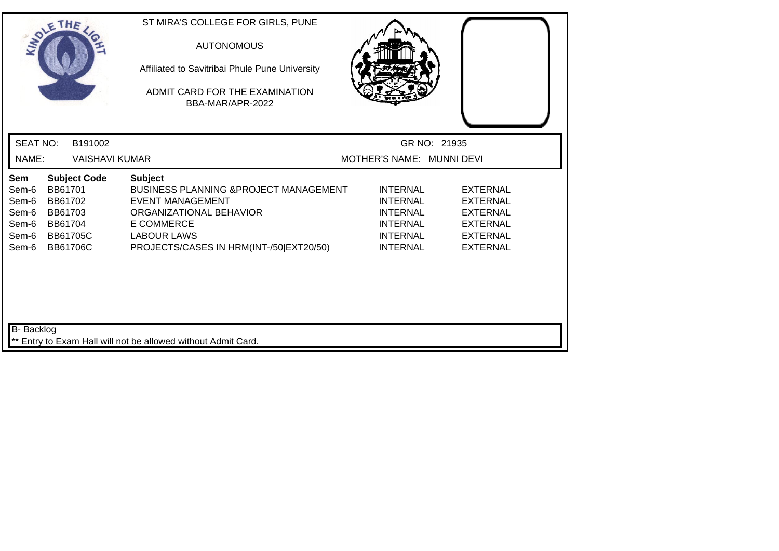| SOLE THE                                                  |                                                                                                       | ST MIRA'S COLLEGE FOR GIRLS, PUNE<br><b>AUTONOMOUS</b><br>Affiliated to Savitribai Phule Pune University<br>ADMIT CARD FOR THE EXAMINATION<br>BBA-MAR/APR-2022                                                  |                                                                                                                |                                                                                                                |
|-----------------------------------------------------------|-------------------------------------------------------------------------------------------------------|-----------------------------------------------------------------------------------------------------------------------------------------------------------------------------------------------------------------|----------------------------------------------------------------------------------------------------------------|----------------------------------------------------------------------------------------------------------------|
| <b>SEAT NO:</b>                                           | B191002                                                                                               |                                                                                                                                                                                                                 | GR NO: 21935                                                                                                   |                                                                                                                |
| NAME:                                                     | <b>VAISHAVI KUMAR</b>                                                                                 |                                                                                                                                                                                                                 | MOTHER'S NAME: MUNNI DEVI                                                                                      |                                                                                                                |
| Sem<br>Sem-6<br>Sem-6<br>Sem-6<br>Sem-6<br>Sem-6<br>Sem-6 | <b>Subject Code</b><br>BB61701<br>BB61702<br>BB61703<br>BB61704<br><b>BB61705C</b><br><b>BB61706C</b> | <b>Subject</b><br><b>BUSINESS PLANNING &amp; PROJECT MANAGEMENT</b><br><b>EVENT MANAGEMENT</b><br>ORGANIZATIONAL BEHAVIOR<br><b>E COMMERCE</b><br><b>LABOUR LAWS</b><br>PROJECTS/CASES IN HRM(INT-/50 EXT20/50) | <b>INTERNAL</b><br><b>INTERNAL</b><br><b>INTERNAL</b><br><b>INTERNAL</b><br><b>INTERNAL</b><br><b>INTERNAL</b> | <b>EXTERNAL</b><br><b>EXTERNAL</b><br><b>EXTERNAL</b><br><b>EXTERNAL</b><br><b>EXTERNAL</b><br><b>EXTERNAL</b> |
| B- Backlog                                                |                                                                                                       | ** Entry to Exam Hall will not be allowed without Admit Card.                                                                                                                                                   |                                                                                                                |                                                                                                                |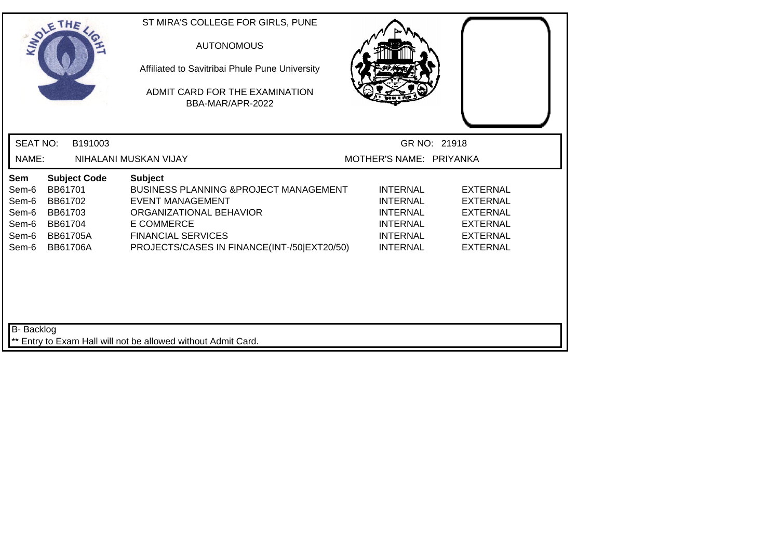| SOLE THE                                                  |                                                                                |                     | ST MIRA'S COLLEGE FOR GIRLS, PUNE<br><b>AUTONOMOUS</b><br>Affiliated to Savitribai Phule Pune University<br>ADMIT CARD FOR THE EXAMINATION<br>BBA-MAR/APR-2022                                                             |                                                                                                                |                                                                                                                |  |
|-----------------------------------------------------------|--------------------------------------------------------------------------------|---------------------|----------------------------------------------------------------------------------------------------------------------------------------------------------------------------------------------------------------------------|----------------------------------------------------------------------------------------------------------------|----------------------------------------------------------------------------------------------------------------|--|
| <b>SEAT NO:</b>                                           |                                                                                | B191003             |                                                                                                                                                                                                                            |                                                                                                                | GR NO: 21918                                                                                                   |  |
| NAME:                                                     |                                                                                |                     | NIHALANI MUSKAN VIJAY                                                                                                                                                                                                      | MOTHER'S NAME: PRIYANKA                                                                                        |                                                                                                                |  |
| Sem<br>Sem-6<br>Sem-6<br>Sem-6<br>Sem-6<br>Sem-6<br>Sem-6 | BB61701<br>BB61702<br>BB61703<br>BB61704<br><b>BB61705A</b><br><b>BB61706A</b> | <b>Subject Code</b> | <b>Subject</b><br><b>BUSINESS PLANNING &amp; PROJECT MANAGEMENT</b><br><b>EVENT MANAGEMENT</b><br>ORGANIZATIONAL BEHAVIOR<br><b>E COMMERCE</b><br><b>FINANCIAL SERVICES</b><br>PROJECTS/CASES IN FINANCE(INT-/50 EXT20/50) | <b>INTERNAL</b><br><b>INTERNAL</b><br><b>INTERNAL</b><br><b>INTERNAL</b><br><b>INTERNAL</b><br><b>INTERNAL</b> | <b>EXTERNAL</b><br><b>EXTERNAL</b><br><b>EXTERNAL</b><br><b>EXTERNAL</b><br><b>EXTERNAL</b><br><b>EXTERNAL</b> |  |
| <b>B-</b> Backlog                                         |                                                                                |                     | ** Entry to Exam Hall will not be allowed without Admit Card.                                                                                                                                                              |                                                                                                                |                                                                                                                |  |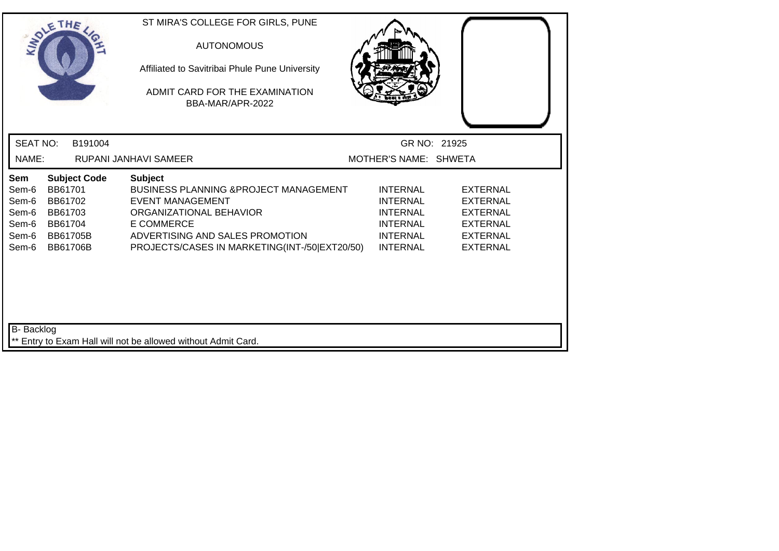| SOLE THE                                                  |                                                                                                | ST MIRA'S COLLEGE FOR GIRLS, PUNE<br><b>AUTONOMOUS</b><br>Affiliated to Savitribai Phule Pune University<br>ADMIT CARD FOR THE EXAMINATION<br>BBA-MAR/APR-2022                                                          |                                                                                                                |                                                                                                                |  |
|-----------------------------------------------------------|------------------------------------------------------------------------------------------------|-------------------------------------------------------------------------------------------------------------------------------------------------------------------------------------------------------------------------|----------------------------------------------------------------------------------------------------------------|----------------------------------------------------------------------------------------------------------------|--|
| <b>SEAT NO:</b>                                           | B191004                                                                                        |                                                                                                                                                                                                                         | GR NO: 21925                                                                                                   |                                                                                                                |  |
| NAME:                                                     |                                                                                                | RUPANI JANHAVI SAMEER                                                                                                                                                                                                   | MOTHER'S NAME: SHWETA                                                                                          |                                                                                                                |  |
| Sem<br>Sem-6<br>Sem-6<br>Sem-6<br>Sem-6<br>Sem-6<br>Sem-6 | <b>Subject Code</b><br>BB61701<br>BB61702<br>BB61703<br>BB61704<br><b>BB61705B</b><br>BB61706B | <b>Subject</b><br>BUSINESS PLANNING & PROJECT MANAGEMENT<br><b>EVENT MANAGEMENT</b><br>ORGANIZATIONAL BEHAVIOR<br><b>E COMMERCE</b><br>ADVERTISING AND SALES PROMOTION<br>PROJECTS/CASES IN MARKETING(INT-/50 EXT20/50) | <b>INTERNAL</b><br><b>INTERNAL</b><br><b>INTERNAL</b><br><b>INTERNAL</b><br><b>INTERNAL</b><br><b>INTERNAL</b> | <b>EXTERNAL</b><br><b>EXTERNAL</b><br><b>EXTERNAL</b><br><b>EXTERNAL</b><br><b>EXTERNAL</b><br><b>EXTERNAL</b> |  |
| <b>B-</b> Backlog                                         |                                                                                                | ** Entry to Exam Hall will not be allowed without Admit Card.                                                                                                                                                           |                                                                                                                |                                                                                                                |  |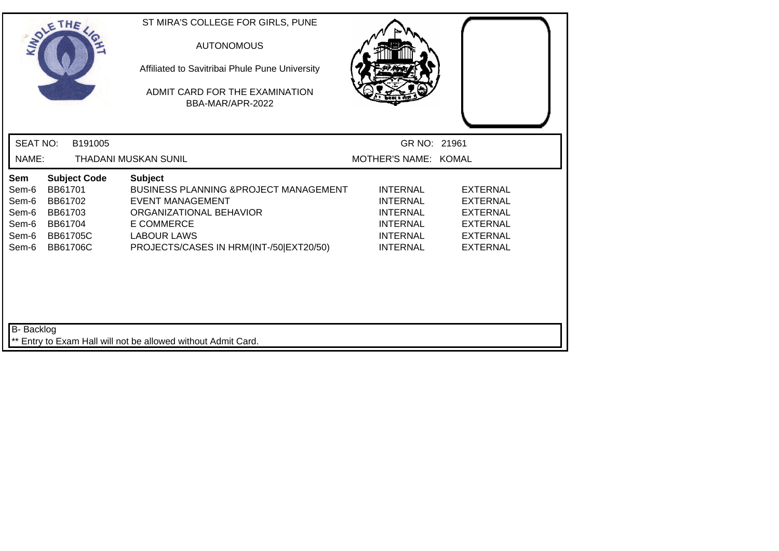|                                                           | SOLETHE                                                                        |                     | ST MIRA'S COLLEGE FOR GIRLS, PUNE<br><b>AUTONOMOUS</b><br>Affiliated to Savitribai Phule Pune University<br>ADMIT CARD FOR THE EXAMINATION<br>BBA-MAR/APR-2022                                                  |                                                                                                                |                                                                                                                |  |
|-----------------------------------------------------------|--------------------------------------------------------------------------------|---------------------|-----------------------------------------------------------------------------------------------------------------------------------------------------------------------------------------------------------------|----------------------------------------------------------------------------------------------------------------|----------------------------------------------------------------------------------------------------------------|--|
| <b>SEAT NO:</b>                                           |                                                                                | B191005             |                                                                                                                                                                                                                 | GR NO: 21961                                                                                                   |                                                                                                                |  |
| NAME:                                                     |                                                                                |                     | <b>THADANI MUSKAN SUNIL</b>                                                                                                                                                                                     | MOTHER'S NAME: KOMAL                                                                                           |                                                                                                                |  |
| Sem<br>Sem-6<br>Sem-6<br>Sem-6<br>Sem-6<br>Sem-6<br>Sem-6 | BB61701<br>BB61702<br>BB61703<br>BB61704<br><b>BB61705C</b><br><b>BB61706C</b> | <b>Subject Code</b> | <b>Subject</b><br><b>BUSINESS PLANNING &amp; PROJECT MANAGEMENT</b><br><b>EVENT MANAGEMENT</b><br>ORGANIZATIONAL BEHAVIOR<br><b>E COMMERCE</b><br><b>LABOUR LAWS</b><br>PROJECTS/CASES IN HRM(INT-/50 EXT20/50) | <b>INTERNAL</b><br><b>INTERNAL</b><br><b>INTERNAL</b><br><b>INTERNAL</b><br><b>INTERNAL</b><br><b>INTERNAL</b> | <b>EXTERNAL</b><br><b>EXTERNAL</b><br><b>EXTERNAL</b><br><b>EXTERNAL</b><br><b>EXTERNAL</b><br><b>EXTERNAL</b> |  |
| B- Backlog                                                |                                                                                |                     | ** Entry to Exam Hall will not be allowed without Admit Card.                                                                                                                                                   |                                                                                                                |                                                                                                                |  |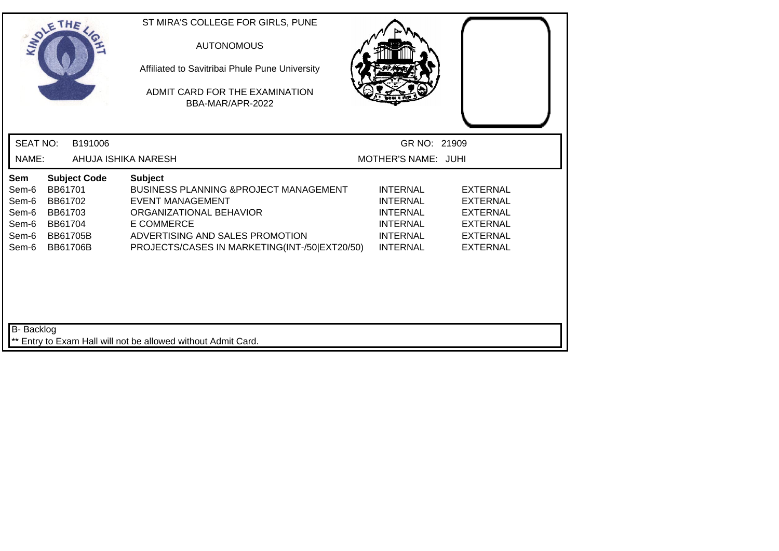| SOLE THE                                                                                              |                                                           | ST MIRA'S COLLEGE FOR GIRLS, PUNE<br><b>AUTONOMOUS</b><br>Affiliated to Savitribai Phule Pune University<br>ADMIT CARD FOR THE EXAMINATION<br>BBA-MAR/APR-2022                                                              |                                                                                                                |                                                                                                                |
|-------------------------------------------------------------------------------------------------------|-----------------------------------------------------------|-----------------------------------------------------------------------------------------------------------------------------------------------------------------------------------------------------------------------------|----------------------------------------------------------------------------------------------------------------|----------------------------------------------------------------------------------------------------------------|
| <b>SEAT NO:</b>                                                                                       | B191006                                                   |                                                                                                                                                                                                                             | GR NO: 21909                                                                                                   |                                                                                                                |
| NAME:                                                                                                 |                                                           | AHUJA ISHIKA NARESH                                                                                                                                                                                                         | MOTHER'S NAME: JUHI                                                                                            |                                                                                                                |
| Sem<br>BB61701<br>Sem-6<br>Sem-6<br>BB61702<br>Sem-6<br>BB61703<br>Sem-6<br>BB61704<br>Sem-6<br>Sem-6 | <b>Subject Code</b><br><b>BB61705B</b><br><b>BB61706B</b> | <b>Subject</b><br><b>BUSINESS PLANNING &amp; PROJECT MANAGEMENT</b><br><b>EVENT MANAGEMENT</b><br>ORGANIZATIONAL BEHAVIOR<br>E COMMERCE<br>ADVERTISING AND SALES PROMOTION<br>PROJECTS/CASES IN MARKETING(INT-/50 EXT20/50) | <b>INTERNAL</b><br><b>INTERNAL</b><br><b>INTERNAL</b><br><b>INTERNAL</b><br><b>INTERNAL</b><br><b>INTERNAL</b> | <b>EXTERNAL</b><br><b>EXTERNAL</b><br><b>EXTERNAL</b><br><b>EXTERNAL</b><br><b>EXTERNAL</b><br><b>EXTERNAL</b> |
| B- Backlog                                                                                            |                                                           | ** Entry to Exam Hall will not be allowed without Admit Card.                                                                                                                                                               |                                                                                                                |                                                                                                                |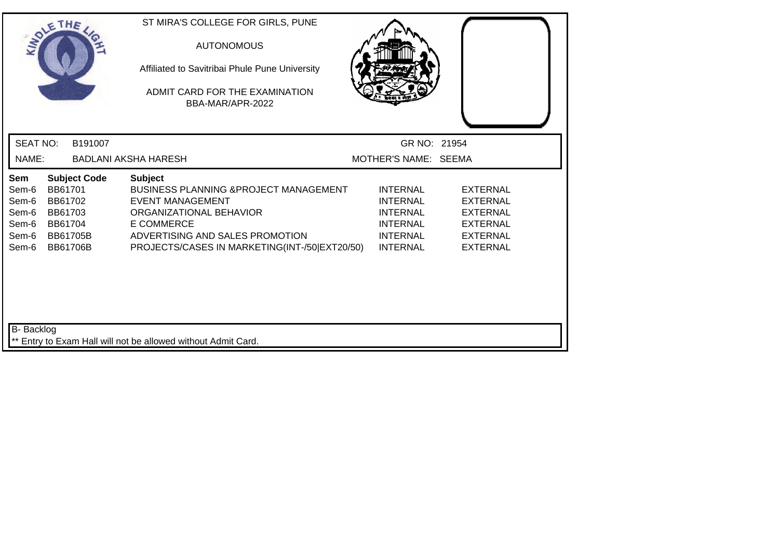|                                                           | SOLETHE                                                                                               | ST MIRA'S COLLEGE FOR GIRLS, PUNE<br><b>AUTONOMOUS</b><br>Affiliated to Savitribai Phule Pune University<br>ADMIT CARD FOR THE EXAMINATION<br>BBA-MAR/APR-2022                                                                                                                                                                                       |                                                                                                                |
|-----------------------------------------------------------|-------------------------------------------------------------------------------------------------------|------------------------------------------------------------------------------------------------------------------------------------------------------------------------------------------------------------------------------------------------------------------------------------------------------------------------------------------------------|----------------------------------------------------------------------------------------------------------------|
| <b>SEAT NO:</b>                                           | B191007                                                                                               | GR NO: 21954                                                                                                                                                                                                                                                                                                                                         |                                                                                                                |
| NAME:                                                     |                                                                                                       | MOTHER'S NAME: SEEMA<br><b>BADLANI AKSHA HARESH</b>                                                                                                                                                                                                                                                                                                  |                                                                                                                |
| Sem<br>Sem-6<br>Sem-6<br>Sem-6<br>Sem-6<br>Sem-6<br>Sem-6 | <b>Subject Code</b><br>BB61701<br>BB61702<br>BB61703<br>BB61704<br><b>BB61705B</b><br><b>BB61706B</b> | <b>Subject</b><br><b>BUSINESS PLANNING &amp; PROJECT MANAGEMENT</b><br><b>INTERNAL</b><br><b>EVENT MANAGEMENT</b><br><b>INTERNAL</b><br>ORGANIZATIONAL BEHAVIOR<br><b>INTERNAL</b><br><b>E COMMERCE</b><br><b>INTERNAL</b><br>ADVERTISING AND SALES PROMOTION<br><b>INTERNAL</b><br>PROJECTS/CASES IN MARKETING(INT-/50 EXT20/50)<br><b>INTERNAL</b> | <b>EXTERNAL</b><br><b>EXTERNAL</b><br><b>EXTERNAL</b><br><b>EXTERNAL</b><br><b>EXTERNAL</b><br><b>EXTERNAL</b> |
| B- Backlog                                                |                                                                                                       | ** Entry to Exam Hall will not be allowed without Admit Card.                                                                                                                                                                                                                                                                                        |                                                                                                                |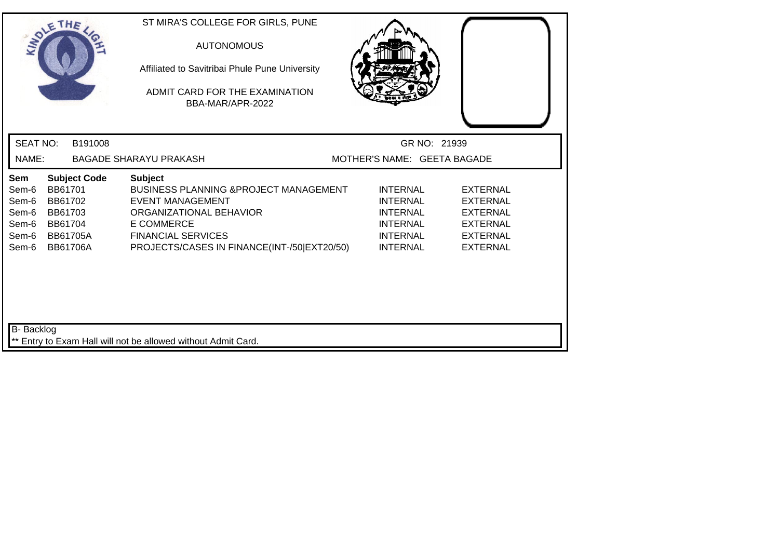| SOLETHE                                                   |                                                                         |                     | ST MIRA'S COLLEGE FOR GIRLS, PUNE<br><b>AUTONOMOUS</b><br>Affiliated to Savitribai Phule Pune University<br>ADMIT CARD FOR THE EXAMINATION<br>BBA-MAR/APR-2022                                                  |                                                                                                                |                                                                                                                |  |
|-----------------------------------------------------------|-------------------------------------------------------------------------|---------------------|-----------------------------------------------------------------------------------------------------------------------------------------------------------------------------------------------------------------|----------------------------------------------------------------------------------------------------------------|----------------------------------------------------------------------------------------------------------------|--|
| <b>SEAT NO:</b>                                           |                                                                         | B191008             |                                                                                                                                                                                                                 | GR NO: 21939                                                                                                   |                                                                                                                |  |
| NAME:                                                     |                                                                         |                     | <b>BAGADE SHARAYU PRAKASH</b>                                                                                                                                                                                   | MOTHER'S NAME: GEETA BAGADE                                                                                    |                                                                                                                |  |
| Sem<br>Sem-6<br>Sem-6<br>Sem-6<br>Sem-6<br>Sem-6<br>Sem-6 | BB61701<br>BB61702<br>BB61703<br>BB61704<br><b>BB61705A</b><br>BB61706A | <b>Subject Code</b> | <b>Subject</b><br>BUSINESS PLANNING & PROJECT MANAGEMENT<br><b>EVENT MANAGEMENT</b><br>ORGANIZATIONAL BEHAVIOR<br><b>E COMMERCE</b><br><b>FINANCIAL SERVICES</b><br>PROJECTS/CASES IN FINANCE(INT-/50 EXT20/50) | <b>INTERNAL</b><br><b>INTERNAL</b><br><b>INTERNAL</b><br><b>INTERNAL</b><br><b>INTERNAL</b><br><b>INTERNAL</b> | <b>EXTERNAL</b><br><b>EXTERNAL</b><br><b>EXTERNAL</b><br><b>EXTERNAL</b><br><b>EXTERNAL</b><br><b>EXTERNAL</b> |  |
| <b>B-</b> Backlog                                         |                                                                         |                     | ** Entry to Exam Hall will not be allowed without Admit Card.                                                                                                                                                   |                                                                                                                |                                                                                                                |  |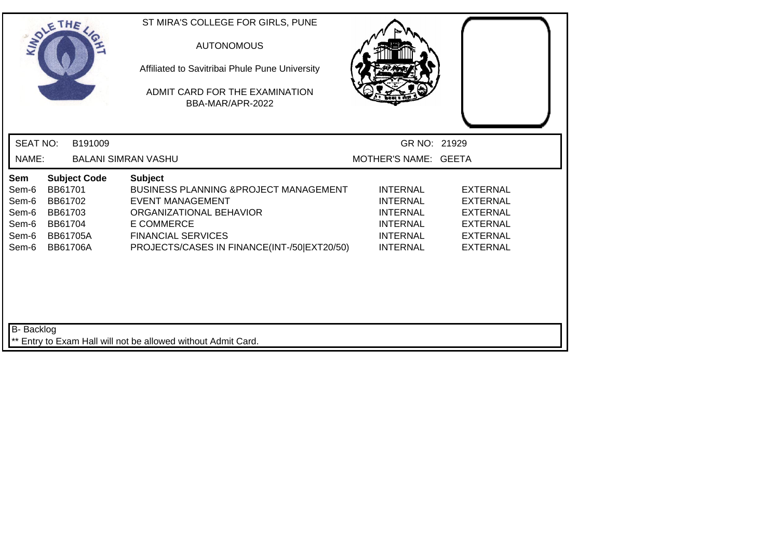| SOLETHE .                                                 |                                                                                |                     | ST MIRA'S COLLEGE FOR GIRLS, PUNE<br><b>AUTONOMOUS</b><br>Affiliated to Savitribai Phule Pune University<br>ADMIT CARD FOR THE EXAMINATION<br>BBA-MAR/APR-2022                                                  |                                                                                                                |                                                                                                                |  |
|-----------------------------------------------------------|--------------------------------------------------------------------------------|---------------------|-----------------------------------------------------------------------------------------------------------------------------------------------------------------------------------------------------------------|----------------------------------------------------------------------------------------------------------------|----------------------------------------------------------------------------------------------------------------|--|
| <b>SEAT NO:</b>                                           |                                                                                | B191009             |                                                                                                                                                                                                                 | GR NO: 21929                                                                                                   |                                                                                                                |  |
| NAME:                                                     |                                                                                |                     | <b>BALANI SIMRAN VASHU</b>                                                                                                                                                                                      | MOTHER'S NAME: GEETA                                                                                           |                                                                                                                |  |
| Sem<br>Sem-6<br>Sem-6<br>Sem-6<br>Sem-6<br>Sem-6<br>Sem-6 | BB61701<br>BB61702<br>BB61703<br>BB61704<br><b>BB61705A</b><br><b>BB61706A</b> | <b>Subject Code</b> | <b>Subject</b><br>BUSINESS PLANNING & PROJECT MANAGEMENT<br><b>EVENT MANAGEMENT</b><br>ORGANIZATIONAL BEHAVIOR<br><b>E COMMERCE</b><br><b>FINANCIAL SERVICES</b><br>PROJECTS/CASES IN FINANCE(INT-/50 EXT20/50) | <b>INTERNAL</b><br><b>INTERNAL</b><br><b>INTERNAL</b><br><b>INTERNAL</b><br><b>INTERNAL</b><br><b>INTERNAL</b> | <b>EXTERNAL</b><br><b>EXTERNAL</b><br><b>EXTERNAL</b><br><b>EXTERNAL</b><br><b>EXTERNAL</b><br><b>EXTERNAL</b> |  |
| B- Backlog                                                |                                                                                |                     | ** Entry to Exam Hall will not be allowed without Admit Card.                                                                                                                                                   |                                                                                                                |                                                                                                                |  |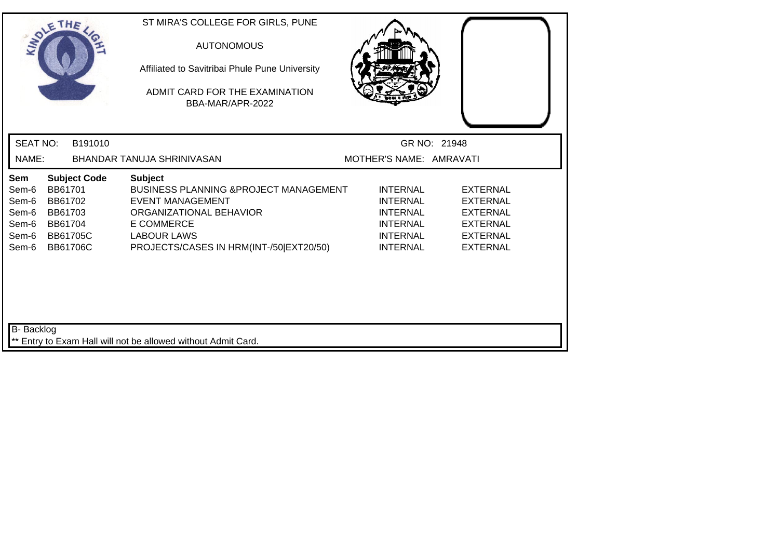| SOLE THE                                                  |                                          |                                                           | ST MIRA'S COLLEGE FOR GIRLS, PUNE<br><b>AUTONOMOUS</b><br>Affiliated to Savitribai Phule Pune University<br>ADMIT CARD FOR THE EXAMINATION<br>BBA-MAR/APR-2022                                                  |                                                                                                                |                                                                                                                |
|-----------------------------------------------------------|------------------------------------------|-----------------------------------------------------------|-----------------------------------------------------------------------------------------------------------------------------------------------------------------------------------------------------------------|----------------------------------------------------------------------------------------------------------------|----------------------------------------------------------------------------------------------------------------|
| <b>SEAT NO:</b>                                           |                                          | B191010                                                   |                                                                                                                                                                                                                 |                                                                                                                | GR NO: 21948                                                                                                   |
| NAME:                                                     |                                          |                                                           | BHANDAR TANUJA SHRINIVASAN                                                                                                                                                                                      | MOTHER'S NAME: AMRAVATI                                                                                        |                                                                                                                |
| Sem<br>Sem-6<br>Sem-6<br>Sem-6<br>Sem-6<br>Sem-6<br>Sem-6 | BB61701<br>BB61702<br>BB61703<br>BB61704 | <b>Subject Code</b><br><b>BB61705C</b><br><b>BB61706C</b> | <b>Subject</b><br><b>BUSINESS PLANNING &amp; PROJECT MANAGEMENT</b><br><b>EVENT MANAGEMENT</b><br>ORGANIZATIONAL BEHAVIOR<br><b>E COMMERCE</b><br><b>LABOUR LAWS</b><br>PROJECTS/CASES IN HRM(INT-/50 EXT20/50) | <b>INTERNAL</b><br><b>INTERNAL</b><br><b>INTERNAL</b><br><b>INTERNAL</b><br><b>INTERNAL</b><br><b>INTERNAL</b> | <b>EXTERNAL</b><br><b>EXTERNAL</b><br><b>EXTERNAL</b><br><b>EXTERNAL</b><br><b>EXTERNAL</b><br><b>EXTERNAL</b> |
| B- Backlog                                                |                                          |                                                           | ** Entry to Exam Hall will not be allowed without Admit Card.                                                                                                                                                   |                                                                                                                |                                                                                                                |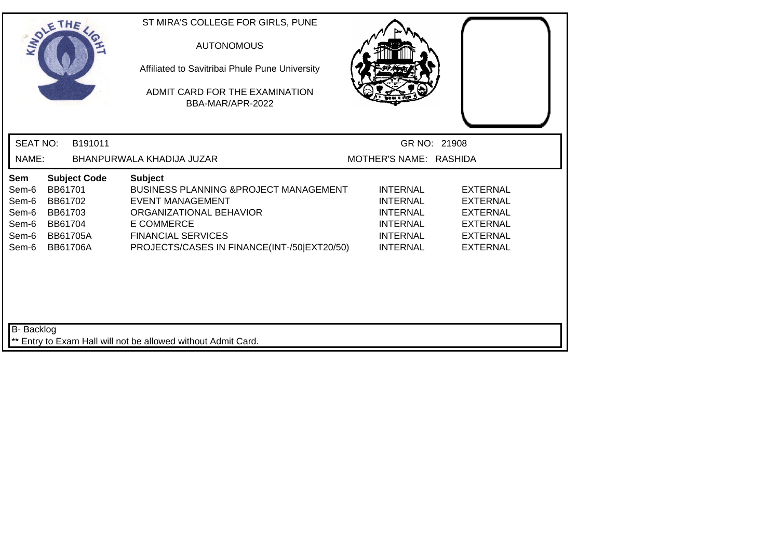| SOLETHE                                                   |                                                             |                                        | ST MIRA'S COLLEGE FOR GIRLS, PUNE<br><b>AUTONOMOUS</b><br>Affiliated to Savitribai Phule Pune University<br>ADMIT CARD FOR THE EXAMINATION<br>BBA-MAR/APR-2022                                                             |                                                                                                                |                                                                                                                |  |
|-----------------------------------------------------------|-------------------------------------------------------------|----------------------------------------|----------------------------------------------------------------------------------------------------------------------------------------------------------------------------------------------------------------------------|----------------------------------------------------------------------------------------------------------------|----------------------------------------------------------------------------------------------------------------|--|
| <b>SEAT NO:</b>                                           |                                                             | B191011                                |                                                                                                                                                                                                                            |                                                                                                                | GR NO: 21908                                                                                                   |  |
| NAME:                                                     |                                                             |                                        | BHANPURWALA KHADIJA JUZAR                                                                                                                                                                                                  | MOTHER'S NAME: RASHIDA                                                                                         |                                                                                                                |  |
| Sem<br>Sem-6<br>Sem-6<br>Sem-6<br>Sem-6<br>Sem-6<br>Sem-6 | BB61701<br>BB61702<br>BB61703<br>BB61704<br><b>BB61706A</b> | <b>Subject Code</b><br><b>BB61705A</b> | <b>Subject</b><br><b>BUSINESS PLANNING &amp; PROJECT MANAGEMENT</b><br><b>EVENT MANAGEMENT</b><br>ORGANIZATIONAL BEHAVIOR<br><b>E COMMERCE</b><br><b>FINANCIAL SERVICES</b><br>PROJECTS/CASES IN FINANCE(INT-/50 EXT20/50) | <b>INTERNAL</b><br><b>INTERNAL</b><br><b>INTERNAL</b><br><b>INTERNAL</b><br><b>INTERNAL</b><br><b>INTERNAL</b> | <b>EXTERNAL</b><br><b>EXTERNAL</b><br><b>EXTERNAL</b><br><b>EXTERNAL</b><br><b>EXTERNAL</b><br><b>EXTERNAL</b> |  |
| <b>B-</b> Backlog                                         |                                                             |                                        | ** Entry to Exam Hall will not be allowed without Admit Card.                                                                                                                                                              |                                                                                                                |                                                                                                                |  |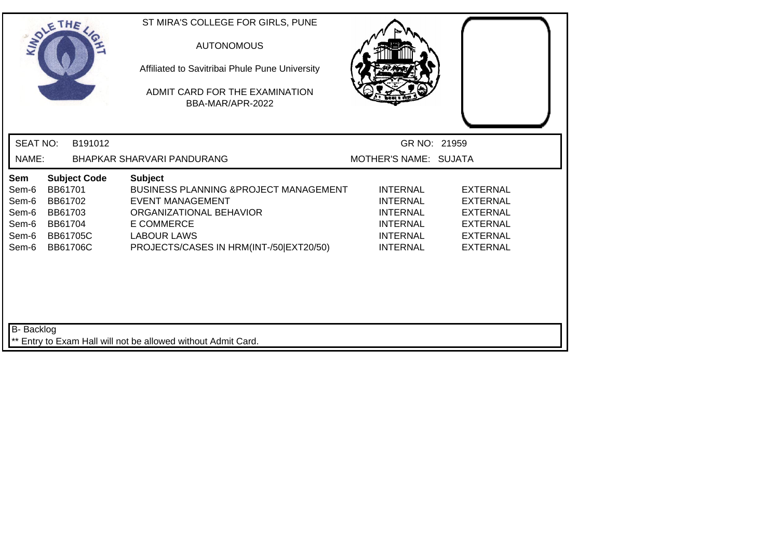| SOLE THE                                                  |                                                             |                                        | ST MIRA'S COLLEGE FOR GIRLS, PUNE<br><b>AUTONOMOUS</b><br>Affiliated to Savitribai Phule Pune University<br>ADMIT CARD FOR THE EXAMINATION<br>BBA-MAR/APR-2022                                                  |                                                                                                                |                                                                                                                |
|-----------------------------------------------------------|-------------------------------------------------------------|----------------------------------------|-----------------------------------------------------------------------------------------------------------------------------------------------------------------------------------------------------------------|----------------------------------------------------------------------------------------------------------------|----------------------------------------------------------------------------------------------------------------|
| <b>SEAT NO:</b>                                           |                                                             | B191012                                |                                                                                                                                                                                                                 | GR NO: 21959                                                                                                   |                                                                                                                |
| NAME:                                                     |                                                             |                                        | BHAPKAR SHARVARI PANDURANG                                                                                                                                                                                      | MOTHER'S NAME: SUJATA                                                                                          |                                                                                                                |
| Sem<br>Sem-6<br>Sem-6<br>Sem-6<br>Sem-6<br>Sem-6<br>Sem-6 | BB61701<br>BB61702<br>BB61703<br>BB61704<br><b>BB61706C</b> | <b>Subject Code</b><br><b>BB61705C</b> | <b>Subject</b><br><b>BUSINESS PLANNING &amp; PROJECT MANAGEMENT</b><br><b>EVENT MANAGEMENT</b><br>ORGANIZATIONAL BEHAVIOR<br><b>E COMMERCE</b><br><b>LABOUR LAWS</b><br>PROJECTS/CASES IN HRM(INT-/50 EXT20/50) | <b>INTERNAL</b><br><b>INTERNAL</b><br><b>INTERNAL</b><br><b>INTERNAL</b><br><b>INTERNAL</b><br><b>INTERNAL</b> | <b>EXTERNAL</b><br><b>EXTERNAL</b><br><b>EXTERNAL</b><br><b>EXTERNAL</b><br><b>EXTERNAL</b><br><b>EXTERNAL</b> |
| <b>B-</b> Backlog                                         |                                                             |                                        | Entry to Exam Hall will not be allowed without Admit Card.                                                                                                                                                      |                                                                                                                |                                                                                                                |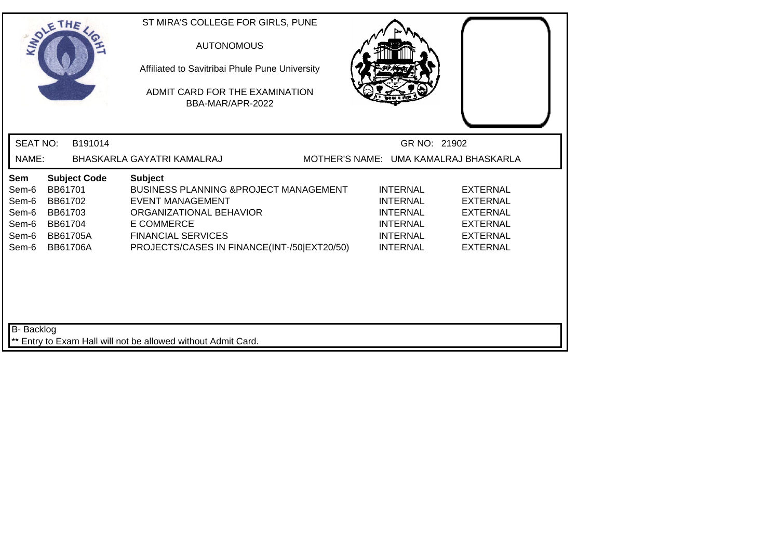| SOLE THE                                                  |                                                                                |                     | ST MIRA'S COLLEGE FOR GIRLS, PUNE<br><b>AUTONOMOUS</b><br>Affiliated to Savitribai Phule Pune University<br>ADMIT CARD FOR THE EXAMINATION<br>BBA-MAR/APR-2022                                                             |  |                                                                                                                |                                                                                                                |
|-----------------------------------------------------------|--------------------------------------------------------------------------------|---------------------|----------------------------------------------------------------------------------------------------------------------------------------------------------------------------------------------------------------------------|--|----------------------------------------------------------------------------------------------------------------|----------------------------------------------------------------------------------------------------------------|
| <b>SEAT NO:</b>                                           |                                                                                | B191014             |                                                                                                                                                                                                                            |  | GR NO: 21902                                                                                                   |                                                                                                                |
| NAME:                                                     |                                                                                |                     | BHASKARLA GAYATRI KAMALRAJ                                                                                                                                                                                                 |  |                                                                                                                | MOTHER'S NAME: UMA KAMALRAJ BHASKARLA                                                                          |
| Sem<br>Sem-6<br>Sem-6<br>Sem-6<br>Sem-6<br>Sem-6<br>Sem-6 | BB61701<br>BB61702<br>BB61703<br>BB61704<br><b>BB61705A</b><br><b>BB61706A</b> | <b>Subject Code</b> | <b>Subject</b><br><b>BUSINESS PLANNING &amp; PROJECT MANAGEMENT</b><br><b>EVENT MANAGEMENT</b><br>ORGANIZATIONAL BEHAVIOR<br><b>E COMMERCE</b><br><b>FINANCIAL SERVICES</b><br>PROJECTS/CASES IN FINANCE(INT-/50 EXT20/50) |  | <b>INTERNAL</b><br><b>INTERNAL</b><br><b>INTERNAL</b><br><b>INTERNAL</b><br><b>INTERNAL</b><br><b>INTERNAL</b> | <b>EXTERNAL</b><br><b>EXTERNAL</b><br><b>EXTERNAL</b><br><b>EXTERNAL</b><br><b>EXTERNAL</b><br><b>EXTERNAL</b> |
| <b>B-</b> Backlog                                         |                                                                                |                     | ** Entry to Exam Hall will not be allowed without Admit Card.                                                                                                                                                              |  |                                                                                                                |                                                                                                                |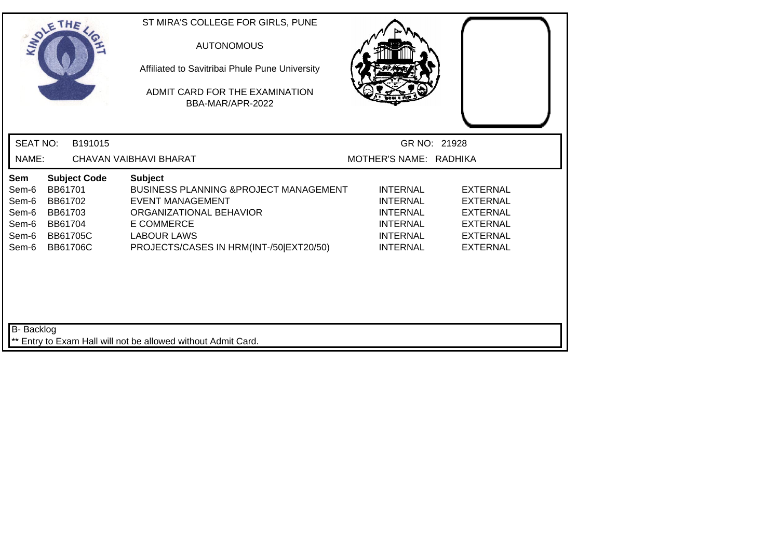| SOLE THE                                                  |                                                                                                       | ST MIRA'S COLLEGE FOR GIRLS, PUNE<br><b>AUTONOMOUS</b><br>Affiliated to Savitribai Phule Pune University<br>ADMIT CARD FOR THE EXAMINATION<br>BBA-MAR/APR-2022                                                  |                                                                                                                |                                                                                                                |  |
|-----------------------------------------------------------|-------------------------------------------------------------------------------------------------------|-----------------------------------------------------------------------------------------------------------------------------------------------------------------------------------------------------------------|----------------------------------------------------------------------------------------------------------------|----------------------------------------------------------------------------------------------------------------|--|
| <b>SEAT NO:</b>                                           | B191015                                                                                               |                                                                                                                                                                                                                 |                                                                                                                | GR NO: 21928                                                                                                   |  |
| NAME:                                                     |                                                                                                       | CHAVAN VAIBHAVI BHARAT                                                                                                                                                                                          | MOTHER'S NAME: RADHIKA                                                                                         |                                                                                                                |  |
| Sem<br>Sem-6<br>Sem-6<br>Sem-6<br>Sem-6<br>Sem-6<br>Sem-6 | <b>Subject Code</b><br>BB61701<br>BB61702<br>BB61703<br>BB61704<br><b>BB61705C</b><br><b>BB61706C</b> | <b>Subject</b><br><b>BUSINESS PLANNING &amp; PROJECT MANAGEMENT</b><br><b>EVENT MANAGEMENT</b><br>ORGANIZATIONAL BEHAVIOR<br><b>E COMMERCE</b><br><b>LABOUR LAWS</b><br>PROJECTS/CASES IN HRM(INT-/50 EXT20/50) | <b>INTERNAL</b><br><b>INTERNAL</b><br><b>INTERNAL</b><br><b>INTERNAL</b><br><b>INTERNAL</b><br><b>INTERNAL</b> | <b>EXTERNAL</b><br><b>EXTERNAL</b><br><b>EXTERNAL</b><br><b>EXTERNAL</b><br><b>EXTERNAL</b><br><b>EXTERNAL</b> |  |
| <b>B-</b> Backlog                                         |                                                                                                       | ** Entry to Exam Hall will not be allowed without Admit Card.                                                                                                                                                   |                                                                                                                |                                                                                                                |  |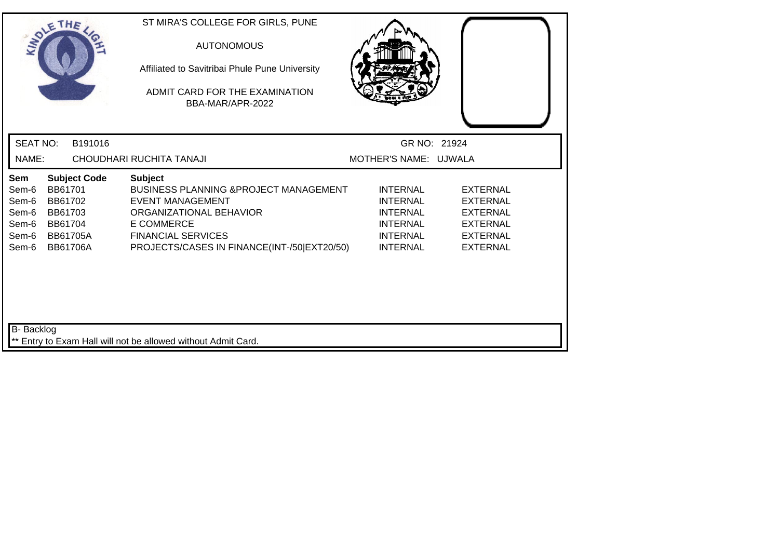| SOLE THE                                                  |                                                                                                       | ST MIRA'S COLLEGE FOR GIRLS, PUNE<br><b>AUTONOMOUS</b><br>Affiliated to Savitribai Phule Pune University<br>ADMIT CARD FOR THE EXAMINATION<br>BBA-MAR/APR-2022                                                             |                                                                                                                |                                                                                                                |  |
|-----------------------------------------------------------|-------------------------------------------------------------------------------------------------------|----------------------------------------------------------------------------------------------------------------------------------------------------------------------------------------------------------------------------|----------------------------------------------------------------------------------------------------------------|----------------------------------------------------------------------------------------------------------------|--|
| <b>SEAT NO:</b>                                           | B191016                                                                                               |                                                                                                                                                                                                                            | GR NO: 21924                                                                                                   |                                                                                                                |  |
| NAME:                                                     |                                                                                                       | CHOUDHARI RUCHITA TANAJI                                                                                                                                                                                                   | MOTHER'S NAME: UJWALA                                                                                          |                                                                                                                |  |
| Sem<br>Sem-6<br>Sem-6<br>Sem-6<br>Sem-6<br>Sem-6<br>Sem-6 | <b>Subject Code</b><br>BB61701<br>BB61702<br>BB61703<br>BB61704<br><b>BB61705A</b><br><b>BB61706A</b> | <b>Subject</b><br><b>BUSINESS PLANNING &amp; PROJECT MANAGEMENT</b><br><b>EVENT MANAGEMENT</b><br>ORGANIZATIONAL BEHAVIOR<br><b>E COMMERCE</b><br><b>FINANCIAL SERVICES</b><br>PROJECTS/CASES IN FINANCE(INT-/50 EXT20/50) | <b>INTERNAL</b><br><b>INTERNAL</b><br><b>INTERNAL</b><br><b>INTERNAL</b><br><b>INTERNAL</b><br><b>INTERNAL</b> | <b>EXTERNAL</b><br><b>EXTERNAL</b><br><b>EXTERNAL</b><br><b>EXTERNAL</b><br><b>EXTERNAL</b><br><b>EXTERNAL</b> |  |
| <b>B-</b> Backlog                                         |                                                                                                       |                                                                                                                                                                                                                            |                                                                                                                |                                                                                                                |  |
|                                                           |                                                                                                       | ** Entry to Exam Hall will not be allowed without Admit Card.                                                                                                                                                              |                                                                                                                |                                                                                                                |  |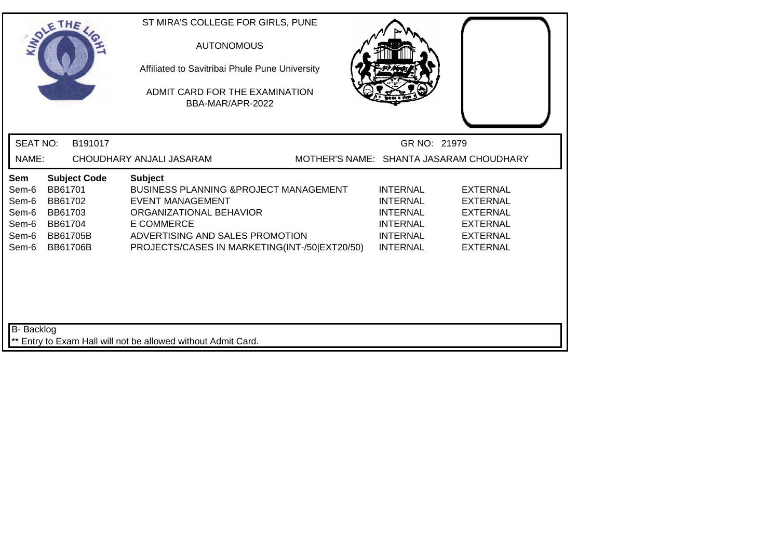| SOLE THE                                                  |                                                                                |                     | ST MIRA'S COLLEGE FOR GIRLS, PUNE<br><b>AUTONOMOUS</b><br>Affiliated to Savitribai Phule Pune University<br>ADMIT CARD FOR THE EXAMINATION<br>BBA-MAR/APR-2022                                                              |                                         |                                                                                                                |                                                                                                                |
|-----------------------------------------------------------|--------------------------------------------------------------------------------|---------------------|-----------------------------------------------------------------------------------------------------------------------------------------------------------------------------------------------------------------------------|-----------------------------------------|----------------------------------------------------------------------------------------------------------------|----------------------------------------------------------------------------------------------------------------|
| <b>SEAT NO:</b>                                           |                                                                                | B191017             |                                                                                                                                                                                                                             |                                         | GR NO: 21979                                                                                                   |                                                                                                                |
| NAME:                                                     |                                                                                |                     | CHOUDHARY ANJALI JASARAM                                                                                                                                                                                                    | MOTHER'S NAME: SHANTA JASARAM CHOUDHARY |                                                                                                                |                                                                                                                |
| Sem<br>Sem-6<br>Sem-6<br>Sem-6<br>Sem-6<br>Sem-6<br>Sem-6 | BB61701<br>BB61702<br>BB61703<br>BB61704<br><b>BB61705B</b><br><b>BB61706B</b> | <b>Subject Code</b> | <b>Subject</b><br><b>BUSINESS PLANNING &amp; PROJECT MANAGEMENT</b><br>EVENT MANAGEMENT<br>ORGANIZATIONAL BEHAVIOR<br><b>E COMMERCE</b><br>ADVERTISING AND SALES PROMOTION<br>PROJECTS/CASES IN MARKETING(INT-/50 EXT20/50) |                                         | <b>INTERNAL</b><br><b>INTERNAL</b><br><b>INTERNAL</b><br><b>INTERNAL</b><br><b>INTERNAL</b><br><b>INTERNAL</b> | <b>EXTERNAL</b><br><b>EXTERNAL</b><br><b>EXTERNAL</b><br><b>EXTERNAL</b><br><b>EXTERNAL</b><br><b>EXTERNAL</b> |
| B- Backlog                                                |                                                                                |                     | ** Entry to Exam Hall will not be allowed without Admit Card.                                                                                                                                                               |                                         |                                                                                                                |                                                                                                                |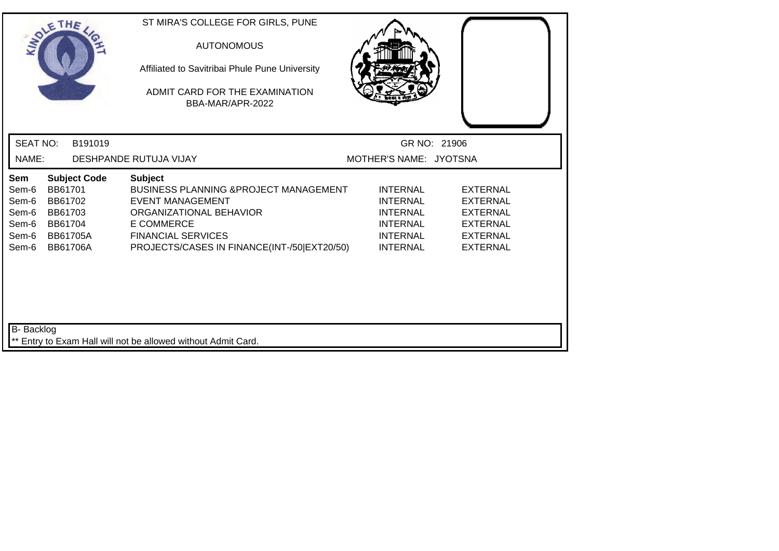|                                                           | SOLETHE                                                                        |                     | ST MIRA'S COLLEGE FOR GIRLS, PUNE<br><b>AUTONOMOUS</b><br>Affiliated to Savitribai Phule Pune University<br>ADMIT CARD FOR THE EXAMINATION<br>BBA-MAR/APR-2022                                                             |                                                                                                                |                                                                                                                |  |
|-----------------------------------------------------------|--------------------------------------------------------------------------------|---------------------|----------------------------------------------------------------------------------------------------------------------------------------------------------------------------------------------------------------------------|----------------------------------------------------------------------------------------------------------------|----------------------------------------------------------------------------------------------------------------|--|
| <b>SEAT NO:</b>                                           |                                                                                | B191019             |                                                                                                                                                                                                                            |                                                                                                                | GR NO: 21906                                                                                                   |  |
| NAME:                                                     |                                                                                |                     | DESHPANDE RUTUJA VIJAY                                                                                                                                                                                                     | MOTHER'S NAME: JYOTSNA                                                                                         |                                                                                                                |  |
| Sem<br>Sem-6<br>Sem-6<br>Sem-6<br>Sem-6<br>Sem-6<br>Sem-6 | BB61701<br>BB61702<br>BB61703<br>BB61704<br><b>BB61705A</b><br><b>BB61706A</b> | <b>Subject Code</b> | <b>Subject</b><br><b>BUSINESS PLANNING &amp; PROJECT MANAGEMENT</b><br><b>EVENT MANAGEMENT</b><br>ORGANIZATIONAL BEHAVIOR<br><b>E COMMERCE</b><br><b>FINANCIAL SERVICES</b><br>PROJECTS/CASES IN FINANCE(INT-/50 EXT20/50) | <b>INTERNAL</b><br><b>INTERNAL</b><br><b>INTERNAL</b><br><b>INTERNAL</b><br><b>INTERNAL</b><br><b>INTERNAL</b> | <b>EXTERNAL</b><br><b>EXTERNAL</b><br><b>EXTERNAL</b><br><b>EXTERNAL</b><br><b>EXTERNAL</b><br><b>EXTERNAL</b> |  |
| B- Backlog                                                |                                                                                |                     | Entry to Exam Hall will not be allowed without Admit Card.                                                                                                                                                                 |                                                                                                                |                                                                                                                |  |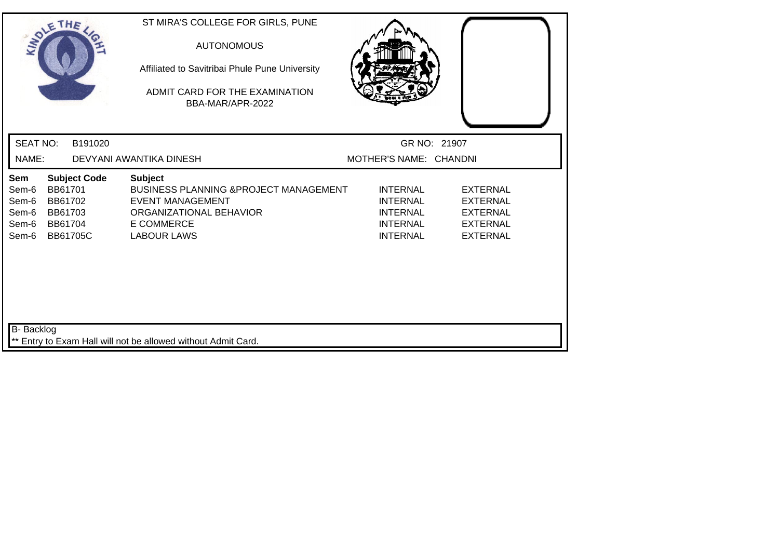| SOLE THE                                         |                                          |                                        | ST MIRA'S COLLEGE FOR GIRLS, PUNE<br><b>AUTONOMOUS</b><br>Affiliated to Savitribai Phule Pune University<br>ADMIT CARD FOR THE EXAMINATION<br>BBA-MAR/APR-2022 |                                                                                             |                                                                                             |  |
|--------------------------------------------------|------------------------------------------|----------------------------------------|----------------------------------------------------------------------------------------------------------------------------------------------------------------|---------------------------------------------------------------------------------------------|---------------------------------------------------------------------------------------------|--|
| <b>SEAT NO:</b>                                  |                                          | B191020                                |                                                                                                                                                                |                                                                                             | GR NO: 21907                                                                                |  |
| NAME:                                            |                                          |                                        | DEVYANI AWANTIKA DINESH                                                                                                                                        | MOTHER'S NAME: CHANDNI                                                                      |                                                                                             |  |
| Sem<br>Sem-6<br>Sem-6<br>Sem-6<br>Sem-6<br>Sem-6 | BB61701<br>BB61702<br>BB61703<br>BB61704 | <b>Subject Code</b><br><b>BB61705C</b> | <b>Subject</b><br>BUSINESS PLANNING & PROJECT MANAGEMENT<br><b>EVENT MANAGEMENT</b><br>ORGANIZATIONAL BEHAVIOR<br><b>E COMMERCE</b><br><b>LABOUR LAWS</b>      | <b>INTERNAL</b><br><b>INTERNAL</b><br><b>INTERNAL</b><br><b>INTERNAL</b><br><b>INTERNAL</b> | <b>EXTERNAL</b><br><b>EXTERNAL</b><br><b>EXTERNAL</b><br><b>EXTERNAL</b><br><b>EXTERNAL</b> |  |
| B- Backlog                                       |                                          |                                        | ** Entry to Exam Hall will not be allowed without Admit Card.                                                                                                  |                                                                                             |                                                                                             |  |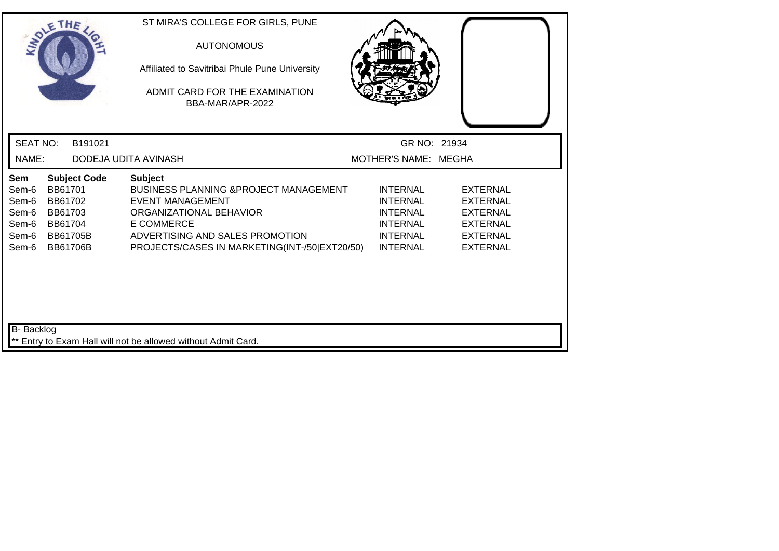| SOLETHE                                                   |                                                                                                | ST MIRA'S COLLEGE FOR GIRLS, PUNE<br><b>AUTONOMOUS</b><br>Affiliated to Savitribai Phule Pune University<br>ADMIT CARD FOR THE EXAMINATION<br>BBA-MAR/APR-2022                                                                    |                                                                                                                |                                                                                                                |  |
|-----------------------------------------------------------|------------------------------------------------------------------------------------------------|-----------------------------------------------------------------------------------------------------------------------------------------------------------------------------------------------------------------------------------|----------------------------------------------------------------------------------------------------------------|----------------------------------------------------------------------------------------------------------------|--|
| <b>SEAT NO:</b>                                           | B191021                                                                                        |                                                                                                                                                                                                                                   | GR NO: 21934                                                                                                   |                                                                                                                |  |
| NAME:                                                     |                                                                                                | DODEJA UDITA AVINASH                                                                                                                                                                                                              | MOTHER'S NAME: MEGHA                                                                                           |                                                                                                                |  |
| Sem<br>Sem-6<br>Sem-6<br>Sem-6<br>Sem-6<br>Sem-6<br>Sem-6 | <b>Subject Code</b><br>BB61701<br>BB61702<br>BB61703<br>BB61704<br>BB61705B<br><b>BB61706B</b> | <b>Subject</b><br><b>BUSINESS PLANNING &amp;PROJECT MANAGEMENT</b><br><b>EVENT MANAGEMENT</b><br>ORGANIZATIONAL BEHAVIOR<br><b>E COMMERCE</b><br>ADVERTISING AND SALES PROMOTION<br>PROJECTS/CASES IN MARKETING(INT-/50 EXT20/50) | <b>INTERNAL</b><br><b>INTERNAL</b><br><b>INTERNAL</b><br><b>INTERNAL</b><br><b>INTERNAL</b><br><b>INTERNAL</b> | <b>EXTERNAL</b><br><b>EXTERNAL</b><br><b>EXTERNAL</b><br><b>EXTERNAL</b><br><b>EXTERNAL</b><br><b>EXTERNAL</b> |  |
| B- Backlog                                                |                                                                                                | ** Entry to Exam Hall will not be allowed without Admit Card.                                                                                                                                                                     |                                                                                                                |                                                                                                                |  |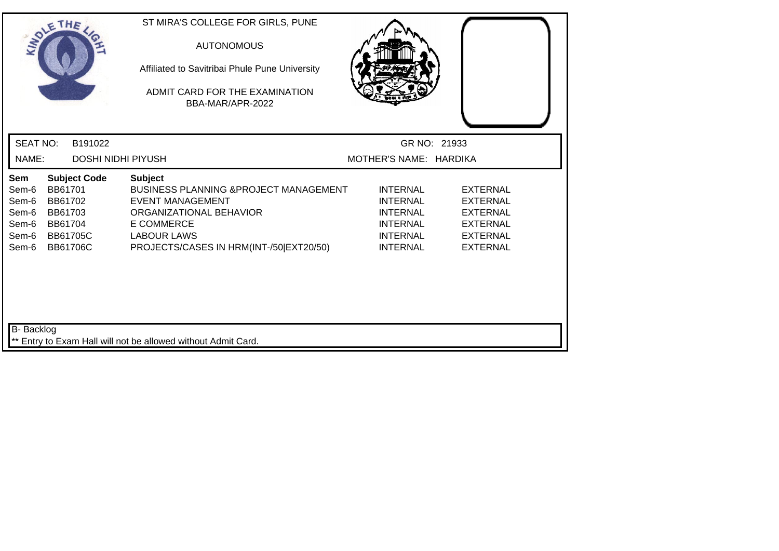| SOLE THE                                                  |                                                                                |                           | ST MIRA'S COLLEGE FOR GIRLS, PUNE<br><b>AUTONOMOUS</b><br>Affiliated to Savitribai Phule Pune University<br>ADMIT CARD FOR THE EXAMINATION<br>BBA-MAR/APR-2022                                                  |                                                                                                                |                                                                                                                |
|-----------------------------------------------------------|--------------------------------------------------------------------------------|---------------------------|-----------------------------------------------------------------------------------------------------------------------------------------------------------------------------------------------------------------|----------------------------------------------------------------------------------------------------------------|----------------------------------------------------------------------------------------------------------------|
| <b>SEAT NO:</b>                                           |                                                                                | B191022                   |                                                                                                                                                                                                                 |                                                                                                                | GR NO: 21933                                                                                                   |
| NAME:                                                     |                                                                                | <b>DOSHI NIDHI PIYUSH</b> |                                                                                                                                                                                                                 | MOTHER'S NAME: HARDIKA                                                                                         |                                                                                                                |
| Sem<br>Sem-6<br>Sem-6<br>Sem-6<br>Sem-6<br>Sem-6<br>Sem-6 | BB61701<br>BB61702<br>BB61703<br>BB61704<br><b>BB61705C</b><br><b>BB61706C</b> | <b>Subject Code</b>       | <b>Subject</b><br><b>BUSINESS PLANNING &amp; PROJECT MANAGEMENT</b><br><b>EVENT MANAGEMENT</b><br>ORGANIZATIONAL BEHAVIOR<br><b>E COMMERCE</b><br><b>LABOUR LAWS</b><br>PROJECTS/CASES IN HRM(INT-/50 EXT20/50) | <b>INTERNAL</b><br><b>INTERNAL</b><br><b>INTERNAL</b><br><b>INTERNAL</b><br><b>INTERNAL</b><br><b>INTERNAL</b> | <b>EXTERNAL</b><br><b>EXTERNAL</b><br><b>EXTERNAL</b><br><b>EXTERNAL</b><br><b>EXTERNAL</b><br><b>EXTERNAL</b> |
| B- Backlog                                                |                                                                                |                           | ** Entry to Exam Hall will not be allowed without Admit Card.                                                                                                                                                   |                                                                                                                |                                                                                                                |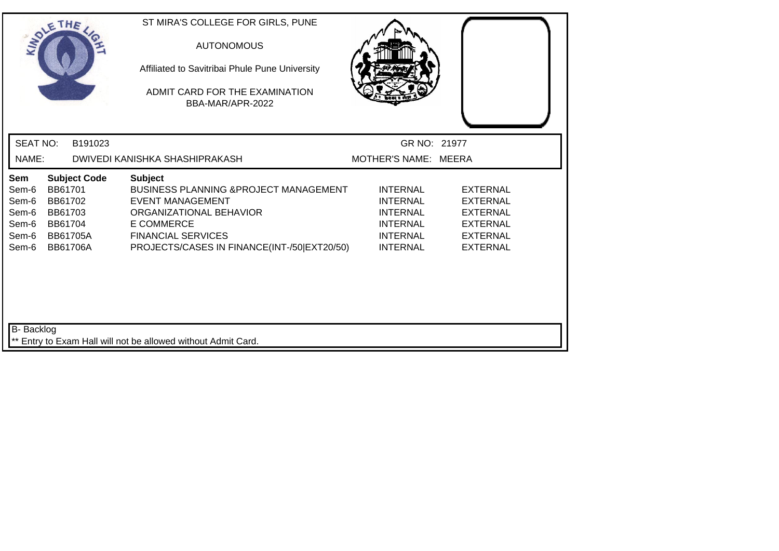| SOLETHE .                                                 |                                                                                |                     | ST MIRA'S COLLEGE FOR GIRLS, PUNE<br><b>AUTONOMOUS</b><br>Affiliated to Savitribai Phule Pune University<br>ADMIT CARD FOR THE EXAMINATION<br>BBA-MAR/APR-2022                                                             |                                                                                                                |                                                                                                                |
|-----------------------------------------------------------|--------------------------------------------------------------------------------|---------------------|----------------------------------------------------------------------------------------------------------------------------------------------------------------------------------------------------------------------------|----------------------------------------------------------------------------------------------------------------|----------------------------------------------------------------------------------------------------------------|
| <b>SEAT NO:</b>                                           |                                                                                | B191023             |                                                                                                                                                                                                                            | GR NO: 21977                                                                                                   |                                                                                                                |
| NAME:                                                     |                                                                                |                     | DWIVEDI KANISHKA SHASHIPRAKASH                                                                                                                                                                                             | MOTHER'S NAME: MEERA                                                                                           |                                                                                                                |
| Sem<br>Sem-6<br>Sem-6<br>Sem-6<br>Sem-6<br>Sem-6<br>Sem-6 | BB61701<br>BB61702<br>BB61703<br>BB61704<br><b>BB61705A</b><br><b>BB61706A</b> | <b>Subject Code</b> | <b>Subject</b><br><b>BUSINESS PLANNING &amp; PROJECT MANAGEMENT</b><br><b>EVENT MANAGEMENT</b><br>ORGANIZATIONAL BEHAVIOR<br><b>E COMMERCE</b><br><b>FINANCIAL SERVICES</b><br>PROJECTS/CASES IN FINANCE(INT-/50 EXT20/50) | <b>INTERNAL</b><br><b>INTERNAL</b><br><b>INTERNAL</b><br><b>INTERNAL</b><br><b>INTERNAL</b><br><b>INTERNAL</b> | <b>EXTERNAL</b><br><b>EXTERNAL</b><br><b>EXTERNAL</b><br><b>EXTERNAL</b><br><b>EXTERNAL</b><br><b>EXTERNAL</b> |
| <b>B-</b> Backlog                                         |                                                                                |                     | ** Entry to Exam Hall will not be allowed without Admit Card.                                                                                                                                                              |                                                                                                                |                                                                                                                |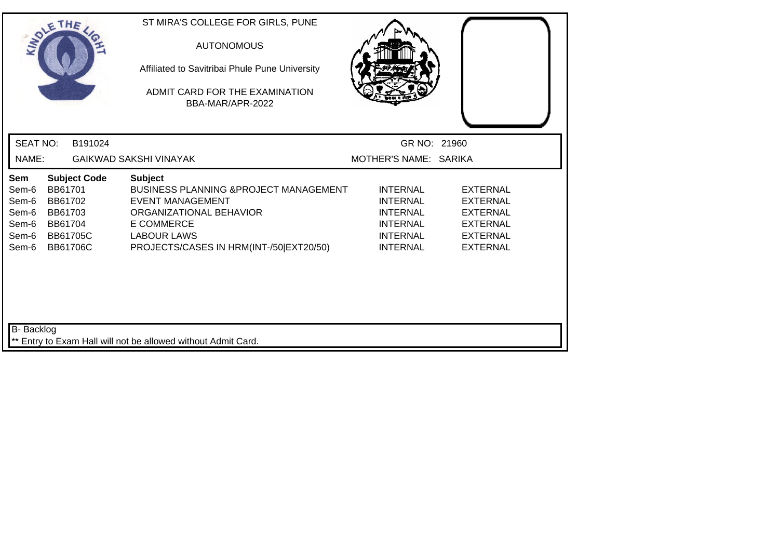| SOLETHE .                                                                                                                                                          | ST MIRA'S COLLEGE FOR GIRLS, PUNE<br><b>AUTONOMOUS</b><br>Affiliated to Savitribai Phule Pune University<br>ADMIT CARD FOR THE EXAMINATION<br>BBA-MAR/APR-2022                                                 |                                                                                                                |                                                                                                                |  |
|--------------------------------------------------------------------------------------------------------------------------------------------------------------------|----------------------------------------------------------------------------------------------------------------------------------------------------------------------------------------------------------------|----------------------------------------------------------------------------------------------------------------|----------------------------------------------------------------------------------------------------------------|--|
| <b>SEAT NO:</b><br>B191024                                                                                                                                         |                                                                                                                                                                                                                | GR NO: 21960                                                                                                   |                                                                                                                |  |
| NAME:                                                                                                                                                              | <b>GAIKWAD SAKSHI VINAYAK</b>                                                                                                                                                                                  | MOTHER'S NAME: SARIKA                                                                                          |                                                                                                                |  |
| <b>Subject Code</b><br>Sem<br>BB61701<br>Sem-6<br>BB61702<br>Sem-6<br>Sem-6<br>BB61703<br>Sem-6<br>BB61704<br>Sem-6<br><b>BB61705C</b><br>Sem-6<br><b>BB61706C</b> | <b>Subject</b><br><b>BUSINESS PLANNING &amp;PROJECT MANAGEMENT</b><br><b>EVENT MANAGEMENT</b><br>ORGANIZATIONAL BEHAVIOR<br><b>E COMMERCE</b><br><b>LABOUR LAWS</b><br>PROJECTS/CASES IN HRM(INT-/50 EXT20/50) | <b>INTERNAL</b><br><b>INTERNAL</b><br><b>INTERNAL</b><br><b>INTERNAL</b><br><b>INTERNAL</b><br><b>INTERNAL</b> | <b>EXTERNAL</b><br><b>EXTERNAL</b><br><b>EXTERNAL</b><br><b>EXTERNAL</b><br><b>EXTERNAL</b><br><b>EXTERNAL</b> |  |
| <b>B-</b> Backlog                                                                                                                                                  | ** Entry to Exam Hall will not be allowed without Admit Card.                                                                                                                                                  |                                                                                                                |                                                                                                                |  |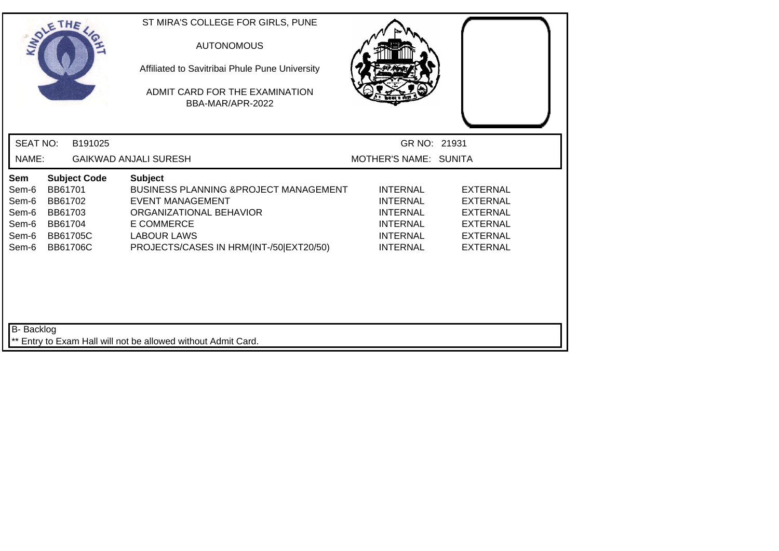| SOLETHE .                                                 |                                                                                |                     | ST MIRA'S COLLEGE FOR GIRLS, PUNE<br><b>AUTONOMOUS</b><br>Affiliated to Savitribai Phule Pune University<br>ADMIT CARD FOR THE EXAMINATION<br>BBA-MAR/APR-2022                                       |                                                                                                                |                                                                                                                |  |
|-----------------------------------------------------------|--------------------------------------------------------------------------------|---------------------|------------------------------------------------------------------------------------------------------------------------------------------------------------------------------------------------------|----------------------------------------------------------------------------------------------------------------|----------------------------------------------------------------------------------------------------------------|--|
| <b>SEAT NO:</b>                                           |                                                                                | B191025             |                                                                                                                                                                                                      | GR NO: 21931                                                                                                   |                                                                                                                |  |
| NAME:                                                     |                                                                                |                     | <b>GAIKWAD ANJALI SURESH</b>                                                                                                                                                                         | MOTHER'S NAME: SUNITA                                                                                          |                                                                                                                |  |
| Sem<br>Sem-6<br>Sem-6<br>Sem-6<br>Sem-6<br>Sem-6<br>Sem-6 | BB61701<br>BB61702<br>BB61703<br>BB61704<br><b>BB61705C</b><br><b>BB61706C</b> | <b>Subject Code</b> | <b>Subject</b><br>BUSINESS PLANNING & PROJECT MANAGEMENT<br><b>EVENT MANAGEMENT</b><br>ORGANIZATIONAL BEHAVIOR<br><b>E COMMERCE</b><br><b>LABOUR LAWS</b><br>PROJECTS/CASES IN HRM(INT-/50 EXT20/50) | <b>INTERNAL</b><br><b>INTERNAL</b><br><b>INTERNAL</b><br><b>INTERNAL</b><br><b>INTERNAL</b><br><b>INTERNAL</b> | <b>EXTERNAL</b><br><b>EXTERNAL</b><br><b>EXTERNAL</b><br><b>EXTERNAL</b><br><b>EXTERNAL</b><br><b>EXTERNAL</b> |  |
| B- Backlog                                                |                                                                                |                     | ** Entry to Exam Hall will not be allowed without Admit Card.                                                                                                                                        |                                                                                                                |                                                                                                                |  |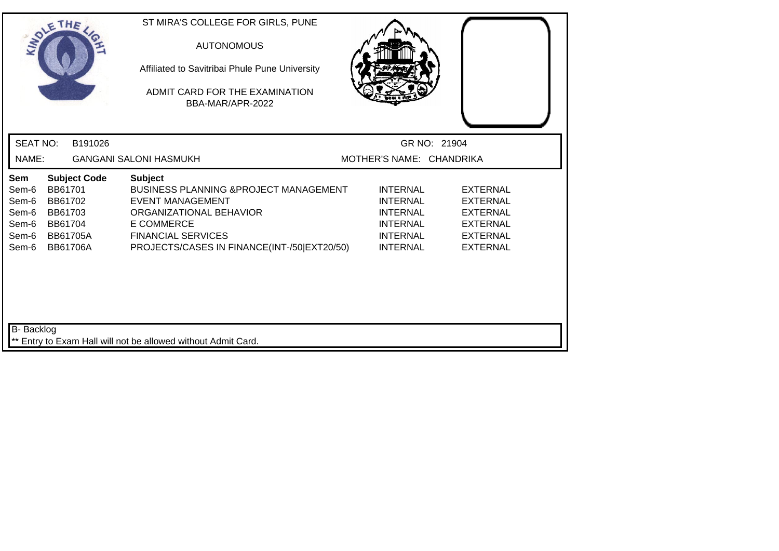|                                                           | SOLETHE                                                                                               | ST MIRA'S COLLEGE FOR GIRLS, PUNE<br><b>AUTONOMOUS</b><br>Affiliated to Savitribai Phule Pune University<br>ADMIT CARD FOR THE EXAMINATION<br>BBA-MAR/APR-2022                                                             |                                                                                                                |                                                                                                                |
|-----------------------------------------------------------|-------------------------------------------------------------------------------------------------------|----------------------------------------------------------------------------------------------------------------------------------------------------------------------------------------------------------------------------|----------------------------------------------------------------------------------------------------------------|----------------------------------------------------------------------------------------------------------------|
| <b>SEAT NO:</b>                                           | B191026                                                                                               |                                                                                                                                                                                                                            | GR NO: 21904                                                                                                   |                                                                                                                |
| NAME:                                                     |                                                                                                       | <b>GANGANI SALONI HASMUKH</b>                                                                                                                                                                                              | MOTHER'S NAME: CHANDRIKA                                                                                       |                                                                                                                |
| Sem<br>Sem-6<br>Sem-6<br>Sem-6<br>Sem-6<br>Sem-6<br>Sem-6 | <b>Subject Code</b><br>BB61701<br>BB61702<br>BB61703<br>BB61704<br><b>BB61705A</b><br><b>BB61706A</b> | <b>Subject</b><br><b>BUSINESS PLANNING &amp; PROJECT MANAGEMENT</b><br><b>EVENT MANAGEMENT</b><br>ORGANIZATIONAL BEHAVIOR<br><b>E COMMERCE</b><br><b>FINANCIAL SERVICES</b><br>PROJECTS/CASES IN FINANCE(INT-/50 EXT20/50) | <b>INTERNAL</b><br><b>INTERNAL</b><br><b>INTERNAL</b><br><b>INTERNAL</b><br><b>INTERNAL</b><br><b>INTERNAL</b> | <b>EXTERNAL</b><br><b>EXTERNAL</b><br><b>EXTERNAL</b><br><b>EXTERNAL</b><br><b>EXTERNAL</b><br><b>EXTERNAL</b> |
| B- Backlog                                                |                                                                                                       | ** Entry to Exam Hall will not be allowed without Admit Card.                                                                                                                                                              |                                                                                                                |                                                                                                                |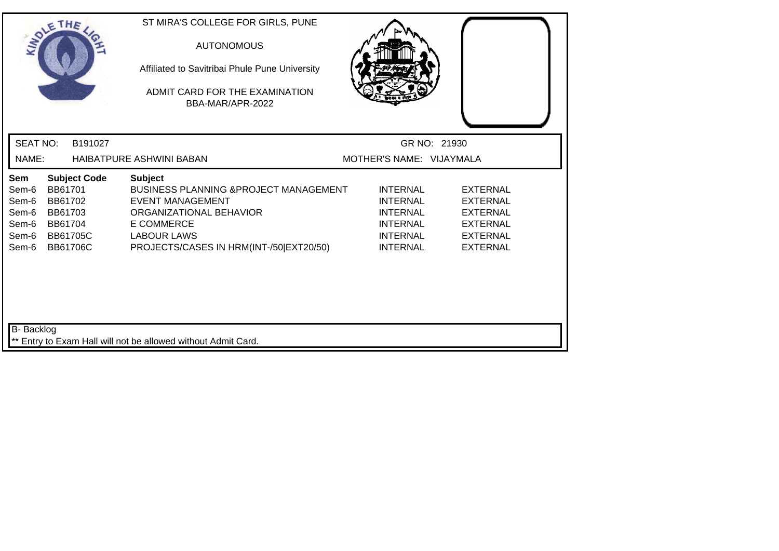| SOLE THE                                                  |                                                                                                       | ST MIRA'S COLLEGE FOR GIRLS, PUNE<br><b>AUTONOMOUS</b><br>Affiliated to Savitribai Phule Pune University<br>ADMIT CARD FOR THE EXAMINATION<br>BBA-MAR/APR-2022                                                  |                                                                                                                |                                                                                                                |  |
|-----------------------------------------------------------|-------------------------------------------------------------------------------------------------------|-----------------------------------------------------------------------------------------------------------------------------------------------------------------------------------------------------------------|----------------------------------------------------------------------------------------------------------------|----------------------------------------------------------------------------------------------------------------|--|
| <b>SEAT NO:</b>                                           | B191027                                                                                               |                                                                                                                                                                                                                 |                                                                                                                | GR NO: 21930                                                                                                   |  |
| NAME:                                                     |                                                                                                       | HAIBATPURE ASHWINI BABAN                                                                                                                                                                                        | MOTHER'S NAME: VIJAYMALA                                                                                       |                                                                                                                |  |
| Sem<br>Sem-6<br>Sem-6<br>Sem-6<br>Sem-6<br>Sem-6<br>Sem-6 | <b>Subject Code</b><br>BB61701<br>BB61702<br>BB61703<br>BB61704<br><b>BB61705C</b><br><b>BB61706C</b> | <b>Subject</b><br><b>BUSINESS PLANNING &amp; PROJECT MANAGEMENT</b><br><b>EVENT MANAGEMENT</b><br>ORGANIZATIONAL BEHAVIOR<br><b>E COMMERCE</b><br><b>LABOUR LAWS</b><br>PROJECTS/CASES IN HRM(INT-/50 EXT20/50) | <b>INTERNAL</b><br><b>INTERNAL</b><br><b>INTERNAL</b><br><b>INTERNAL</b><br><b>INTERNAL</b><br><b>INTERNAL</b> | <b>EXTERNAL</b><br><b>EXTERNAL</b><br><b>EXTERNAL</b><br><b>EXTERNAL</b><br><b>EXTERNAL</b><br><b>EXTERNAL</b> |  |
| B- Backlog                                                |                                                                                                       | ** Entry to Exam Hall will not be allowed without Admit Card.                                                                                                                                                   |                                                                                                                |                                                                                                                |  |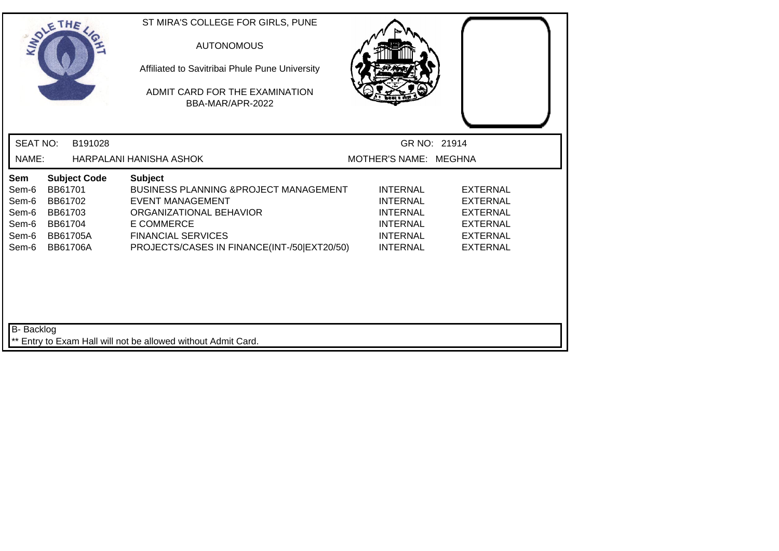| SOLE THE                                                                                                                                                           | ST MIRA'S COLLEGE FOR GIRLS, PUNE<br><b>AUTONOMOUS</b><br>Affiliated to Savitribai Phule Pune University<br>ADMIT CARD FOR THE EXAMINATION<br>BBA-MAR/APR-2022                                                             |                                                                                                                |                                                                                                                |  |
|--------------------------------------------------------------------------------------------------------------------------------------------------------------------|----------------------------------------------------------------------------------------------------------------------------------------------------------------------------------------------------------------------------|----------------------------------------------------------------------------------------------------------------|----------------------------------------------------------------------------------------------------------------|--|
| <b>SEAT NO:</b><br>B191028                                                                                                                                         |                                                                                                                                                                                                                            | GR NO: 21914                                                                                                   |                                                                                                                |  |
| NAME:                                                                                                                                                              | HARPALANI HANISHA ASHOK                                                                                                                                                                                                    | MOTHER'S NAME: MEGHNA                                                                                          |                                                                                                                |  |
| Sem<br><b>Subject Code</b><br>Sem-6<br>BB61701<br>Sem-6<br>BB61702<br>BB61703<br>Sem-6<br>Sem-6<br>BB61704<br>Sem-6<br><b>BB61705A</b><br>Sem-6<br><b>BB61706A</b> | <b>Subject</b><br><b>BUSINESS PLANNING &amp; PROJECT MANAGEMENT</b><br><b>EVENT MANAGEMENT</b><br>ORGANIZATIONAL BEHAVIOR<br><b>E COMMERCE</b><br><b>FINANCIAL SERVICES</b><br>PROJECTS/CASES IN FINANCE(INT-/50 EXT20/50) | <b>INTERNAL</b><br><b>INTERNAL</b><br><b>INTERNAL</b><br><b>INTERNAL</b><br><b>INTERNAL</b><br><b>INTERNAL</b> | <b>EXTERNAL</b><br><b>EXTERNAL</b><br><b>EXTERNAL</b><br><b>EXTERNAL</b><br><b>EXTERNAL</b><br><b>EXTERNAL</b> |  |
| <b>B-</b> Backlog                                                                                                                                                  | Entry to Exam Hall will not be allowed without Admit Card.                                                                                                                                                                 |                                                                                                                |                                                                                                                |  |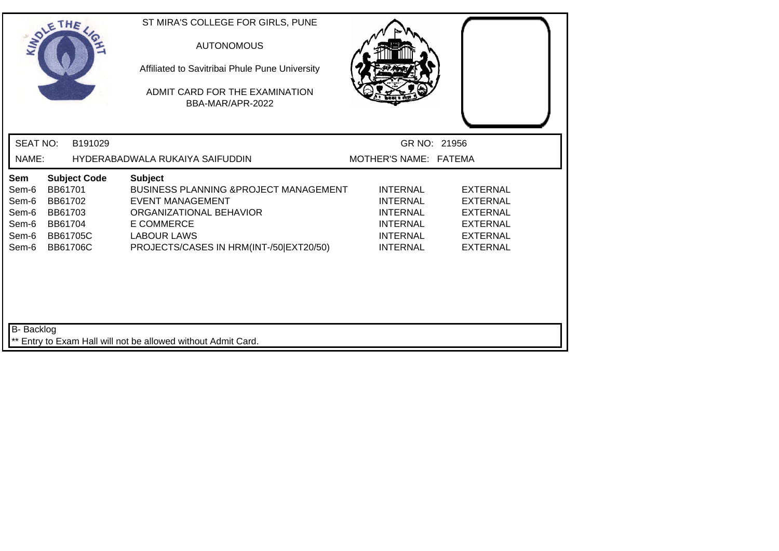| SOLETHE                                                   |                                                                                |                     | ST MIRA'S COLLEGE FOR GIRLS, PUNE<br><b>AUTONOMOUS</b><br>Affiliated to Savitribai Phule Pune University<br>ADMIT CARD FOR THE EXAMINATION<br>BBA-MAR/APR-2022                                       |                                                                                                                |                                                                                                                |  |
|-----------------------------------------------------------|--------------------------------------------------------------------------------|---------------------|------------------------------------------------------------------------------------------------------------------------------------------------------------------------------------------------------|----------------------------------------------------------------------------------------------------------------|----------------------------------------------------------------------------------------------------------------|--|
| <b>SEAT NO:</b>                                           |                                                                                | B191029             |                                                                                                                                                                                                      | GR NO: 21956                                                                                                   |                                                                                                                |  |
| NAME:                                                     |                                                                                |                     | HYDERABADWALA RUKAIYA SAIFUDDIN                                                                                                                                                                      | MOTHER'S NAME: FATEMA                                                                                          |                                                                                                                |  |
| Sem<br>Sem-6<br>Sem-6<br>Sem-6<br>Sem-6<br>Sem-6<br>Sem-6 | BB61701<br>BB61702<br>BB61703<br>BB61704<br><b>BB61705C</b><br><b>BB61706C</b> | <b>Subject Code</b> | <b>Subject</b><br>BUSINESS PLANNING & PROJECT MANAGEMENT<br><b>EVENT MANAGEMENT</b><br>ORGANIZATIONAL BEHAVIOR<br><b>E COMMERCE</b><br><b>LABOUR LAWS</b><br>PROJECTS/CASES IN HRM(INT-/50 EXT20/50) | <b>INTERNAL</b><br><b>INTERNAL</b><br><b>INTERNAL</b><br><b>INTERNAL</b><br><b>INTERNAL</b><br><b>INTERNAL</b> | <b>EXTERNAL</b><br><b>EXTERNAL</b><br><b>EXTERNAL</b><br><b>EXTERNAL</b><br><b>EXTERNAL</b><br><b>EXTERNAL</b> |  |
| <b>B-</b> Backlog                                         |                                                                                |                     | ** Entry to Exam Hall will not be allowed without Admit Card.                                                                                                                                        |                                                                                                                |                                                                                                                |  |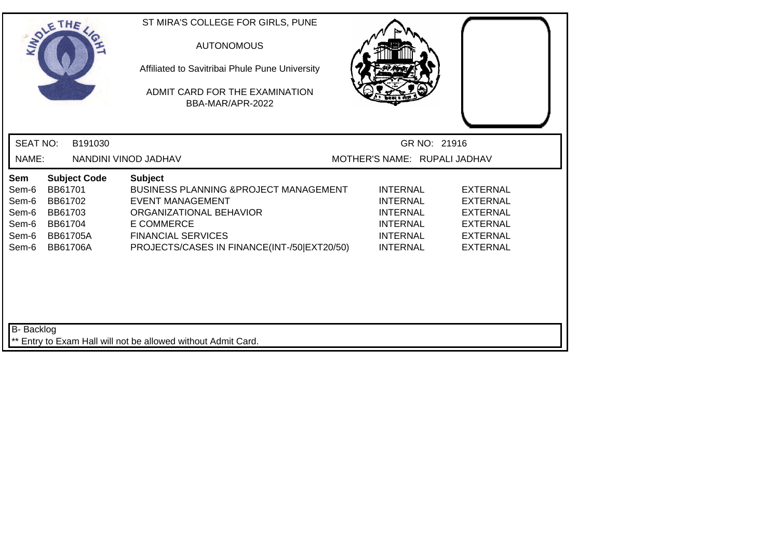| SOLE THE                                                  |                                                             |                                        | ST MIRA'S COLLEGE FOR GIRLS, PUNE<br><b>AUTONOMOUS</b><br>Affiliated to Savitribai Phule Pune University<br>ADMIT CARD FOR THE EXAMINATION<br>BBA-MAR/APR-2022                                                  |                                                                                                                |                                                                                                                |
|-----------------------------------------------------------|-------------------------------------------------------------|----------------------------------------|-----------------------------------------------------------------------------------------------------------------------------------------------------------------------------------------------------------------|----------------------------------------------------------------------------------------------------------------|----------------------------------------------------------------------------------------------------------------|
| <b>SEAT NO:</b>                                           |                                                             | B191030                                |                                                                                                                                                                                                                 | GR NO: 21916                                                                                                   |                                                                                                                |
| NAME:                                                     |                                                             |                                        | NANDINI VINOD JADHAV                                                                                                                                                                                            | MOTHER'S NAME: RUPALI JADHAV                                                                                   |                                                                                                                |
| Sem<br>Sem-6<br>Sem-6<br>Sem-6<br>Sem-6<br>Sem-6<br>Sem-6 | BB61701<br>BB61702<br>BB61703<br>BB61704<br><b>BB61706A</b> | <b>Subject Code</b><br><b>BB61705A</b> | <b>Subject</b><br>BUSINESS PLANNING & PROJECT MANAGEMENT<br><b>EVENT MANAGEMENT</b><br>ORGANIZATIONAL BEHAVIOR<br><b>E COMMERCE</b><br><b>FINANCIAL SERVICES</b><br>PROJECTS/CASES IN FINANCE(INT-/50 EXT20/50) | <b>INTERNAL</b><br><b>INTERNAL</b><br><b>INTERNAL</b><br><b>INTERNAL</b><br><b>INTERNAL</b><br><b>INTERNAL</b> | <b>EXTERNAL</b><br><b>EXTERNAL</b><br><b>EXTERNAL</b><br><b>EXTERNAL</b><br><b>EXTERNAL</b><br><b>EXTERNAL</b> |
| B- Backlog                                                |                                                             |                                        | ** Entry to Exam Hall will not be allowed without Admit Card.                                                                                                                                                   |                                                                                                                |                                                                                                                |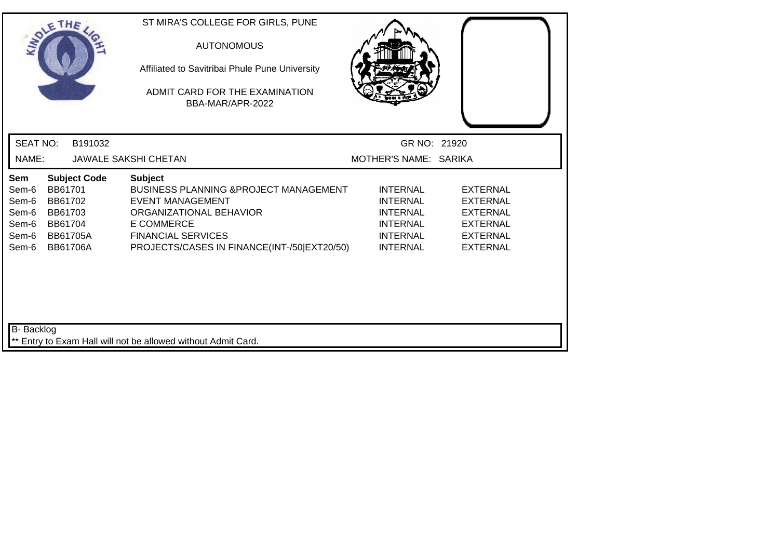| SOLE THE                                                  |                                                                                |                     | ST MIRA'S COLLEGE FOR GIRLS, PUNE<br><b>AUTONOMOUS</b><br>Affiliated to Savitribai Phule Pune University<br>ADMIT CARD FOR THE EXAMINATION<br>BBA-MAR/APR-2022                                                             |                                                                                                                |                                                                                                                |  |
|-----------------------------------------------------------|--------------------------------------------------------------------------------|---------------------|----------------------------------------------------------------------------------------------------------------------------------------------------------------------------------------------------------------------------|----------------------------------------------------------------------------------------------------------------|----------------------------------------------------------------------------------------------------------------|--|
| <b>SEAT NO:</b>                                           |                                                                                | B191032             |                                                                                                                                                                                                                            | GR NO: 21920                                                                                                   |                                                                                                                |  |
| NAME:                                                     |                                                                                |                     | <b>JAWALE SAKSHI CHETAN</b>                                                                                                                                                                                                | MOTHER'S NAME: SARIKA                                                                                          |                                                                                                                |  |
| Sem<br>Sem-6<br>Sem-6<br>Sem-6<br>Sem-6<br>Sem-6<br>Sem-6 | BB61701<br>BB61702<br>BB61703<br>BB61704<br><b>BB61705A</b><br><b>BB61706A</b> | <b>Subject Code</b> | <b>Subject</b><br><b>BUSINESS PLANNING &amp; PROJECT MANAGEMENT</b><br><b>EVENT MANAGEMENT</b><br>ORGANIZATIONAL BEHAVIOR<br><b>E COMMERCE</b><br><b>FINANCIAL SERVICES</b><br>PROJECTS/CASES IN FINANCE(INT-/50 EXT20/50) | <b>INTERNAL</b><br><b>INTERNAL</b><br><b>INTERNAL</b><br><b>INTERNAL</b><br><b>INTERNAL</b><br><b>INTERNAL</b> | <b>EXTERNAL</b><br><b>EXTERNAL</b><br><b>EXTERNAL</b><br><b>EXTERNAL</b><br><b>EXTERNAL</b><br><b>EXTERNAL</b> |  |
| <b>B-</b> Backlog                                         |                                                                                |                     |                                                                                                                                                                                                                            |                                                                                                                |                                                                                                                |  |
|                                                           |                                                                                |                     | ** Entry to Exam Hall will not be allowed without Admit Card.                                                                                                                                                              |                                                                                                                |                                                                                                                |  |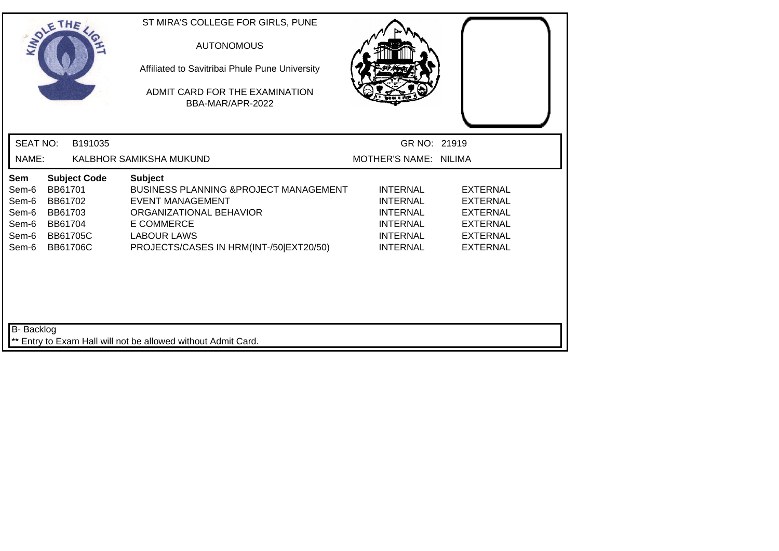| SOLETHE                                                   |                                                                                |                     | ST MIRA'S COLLEGE FOR GIRLS, PUNE<br><b>AUTONOMOUS</b><br>Affiliated to Savitribai Phule Pune University<br>ADMIT CARD FOR THE EXAMINATION<br>BBA-MAR/APR-2022                                                  |                                                                                                                |                                                                                                                |  |
|-----------------------------------------------------------|--------------------------------------------------------------------------------|---------------------|-----------------------------------------------------------------------------------------------------------------------------------------------------------------------------------------------------------------|----------------------------------------------------------------------------------------------------------------|----------------------------------------------------------------------------------------------------------------|--|
| <b>SEAT NO:</b>                                           |                                                                                | B191035             |                                                                                                                                                                                                                 | GR NO: 21919                                                                                                   |                                                                                                                |  |
| NAME:                                                     |                                                                                |                     | KALBHOR SAMIKSHA MUKUND                                                                                                                                                                                         | MOTHER'S NAME: NILIMA                                                                                          |                                                                                                                |  |
| Sem<br>Sem-6<br>Sem-6<br>Sem-6<br>Sem-6<br>Sem-6<br>Sem-6 | BB61701<br>BB61702<br>BB61703<br>BB61704<br><b>BB61705C</b><br><b>BB61706C</b> | <b>Subject Code</b> | <b>Subject</b><br><b>BUSINESS PLANNING &amp; PROJECT MANAGEMENT</b><br><b>EVENT MANAGEMENT</b><br>ORGANIZATIONAL BEHAVIOR<br><b>E COMMERCE</b><br><b>LABOUR LAWS</b><br>PROJECTS/CASES IN HRM(INT-/50 EXT20/50) | <b>INTERNAL</b><br><b>INTERNAL</b><br><b>INTERNAL</b><br><b>INTERNAL</b><br><b>INTERNAL</b><br><b>INTERNAL</b> | <b>EXTERNAL</b><br><b>EXTERNAL</b><br><b>EXTERNAL</b><br><b>EXTERNAL</b><br><b>EXTERNAL</b><br><b>EXTERNAL</b> |  |
| <b>B-</b> Backlog                                         |                                                                                |                     | ** Entry to Exam Hall will not be allowed without Admit Card.                                                                                                                                                   |                                                                                                                |                                                                                                                |  |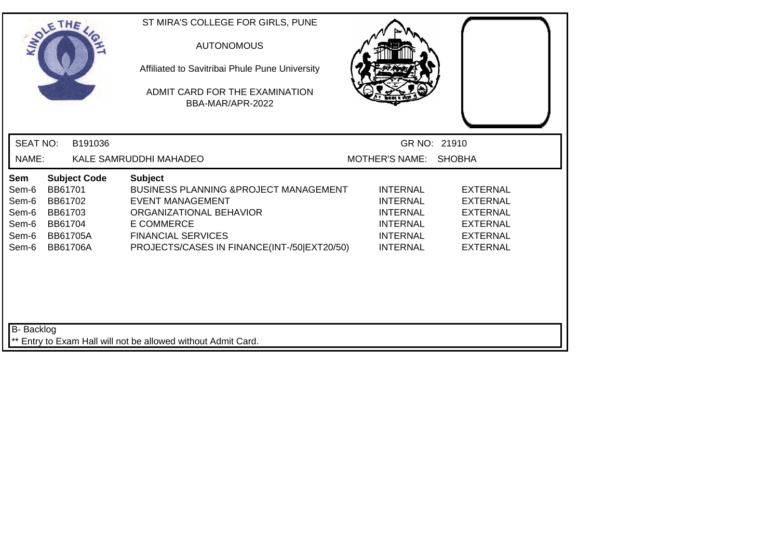| SOLETHE                                                                                                                                                            | ST MIRA'S COLLEGE FOR GIRLS, PUNE<br><b>AUTONOMOUS</b><br>Affiliated to Savitribai Phule Pune University<br>ADMIT CARD FOR THE EXAMINATION<br>BBA-MAR/APR-2022                                                             |                                                                                                                |                                                                                                                |  |
|--------------------------------------------------------------------------------------------------------------------------------------------------------------------|----------------------------------------------------------------------------------------------------------------------------------------------------------------------------------------------------------------------------|----------------------------------------------------------------------------------------------------------------|----------------------------------------------------------------------------------------------------------------|--|
| <b>SEAT NO:</b><br>B191036                                                                                                                                         |                                                                                                                                                                                                                            | GR NO: 21910                                                                                                   |                                                                                                                |  |
| NAME:                                                                                                                                                              | KALE SAMRUDDHI MAHADEO                                                                                                                                                                                                     | MOTHER'S NAME: SHOBHA                                                                                          |                                                                                                                |  |
| Sem<br><b>Subject Code</b><br>BB61701<br>Sem-6<br>Sem-6<br>BB61702<br>BB61703<br>Sem-6<br>Sem-6<br>BB61704<br>Sem-6<br><b>BB61705A</b><br>Sem-6<br><b>BB61706A</b> | <b>Subject</b><br><b>BUSINESS PLANNING &amp; PROJECT MANAGEMENT</b><br><b>EVENT MANAGEMENT</b><br>ORGANIZATIONAL BEHAVIOR<br><b>E COMMERCE</b><br><b>FINANCIAL SERVICES</b><br>PROJECTS/CASES IN FINANCE(INT-/50 EXT20/50) | <b>INTERNAL</b><br><b>INTERNAL</b><br><b>INTERNAL</b><br><b>INTERNAL</b><br><b>INTERNAL</b><br><b>INTERNAL</b> | <b>EXTERNAL</b><br><b>EXTERNAL</b><br><b>EXTERNAL</b><br><b>EXTERNAL</b><br><b>EXTERNAL</b><br><b>EXTERNAL</b> |  |
| <b>B-</b> Backlog                                                                                                                                                  | ** Entry to Exam Hall will not be allowed without Admit Card.                                                                                                                                                              |                                                                                                                |                                                                                                                |  |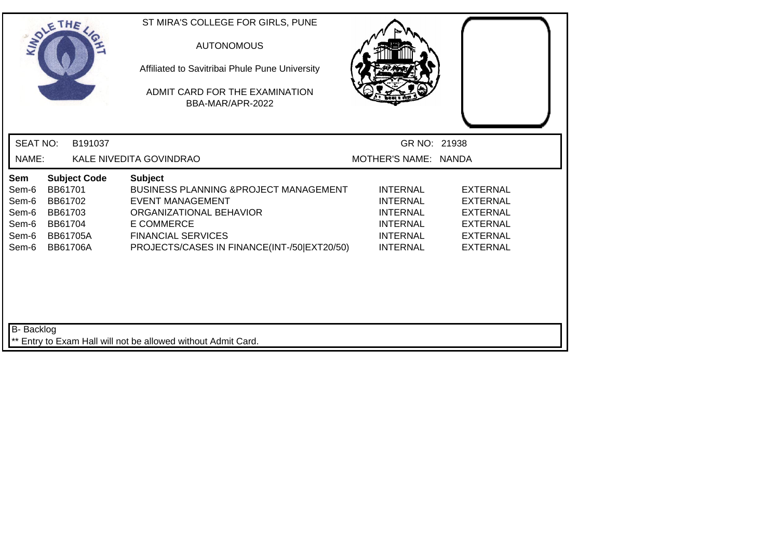| SOLE THE                                                  |                                                                                                       | ST MIRA'S COLLEGE FOR GIRLS, PUNE<br><b>AUTONOMOUS</b><br>Affiliated to Savitribai Phule Pune University<br>ADMIT CARD FOR THE EXAMINATION<br>BBA-MAR/APR-2022                                           |                                                                                                                |                                                                                                                |
|-----------------------------------------------------------|-------------------------------------------------------------------------------------------------------|----------------------------------------------------------------------------------------------------------------------------------------------------------------------------------------------------------|----------------------------------------------------------------------------------------------------------------|----------------------------------------------------------------------------------------------------------------|
| <b>SEAT NO:</b>                                           | B191037                                                                                               |                                                                                                                                                                                                          | GR NO: 21938                                                                                                   |                                                                                                                |
| NAME:                                                     |                                                                                                       | KALE NIVEDITA GOVINDRAO                                                                                                                                                                                  | MOTHER'S NAME: NANDA                                                                                           |                                                                                                                |
| Sem<br>Sem-6<br>Sem-6<br>Sem-6<br>Sem-6<br>Sem-6<br>Sem-6 | <b>Subject Code</b><br>BB61701<br>BB61702<br>BB61703<br>BB61704<br><b>BB61705A</b><br><b>BB61706A</b> | <b>Subject</b><br>BUSINESS PLANNING & PROJECT MANAGEMENT<br>EVENT MANAGEMENT<br>ORGANIZATIONAL BEHAVIOR<br><b>E COMMERCE</b><br><b>FINANCIAL SERVICES</b><br>PROJECTS/CASES IN FINANCE(INT-/50 EXT20/50) | <b>INTERNAL</b><br><b>INTERNAL</b><br><b>INTERNAL</b><br><b>INTERNAL</b><br><b>INTERNAL</b><br><b>INTERNAL</b> | <b>EXTERNAL</b><br><b>EXTERNAL</b><br><b>EXTERNAL</b><br><b>EXTERNAL</b><br><b>EXTERNAL</b><br><b>EXTERNAL</b> |
| <b>B-</b> Backlog                                         |                                                                                                       | ** Entry to Exam Hall will not be allowed without Admit Card.                                                                                                                                            |                                                                                                                |                                                                                                                |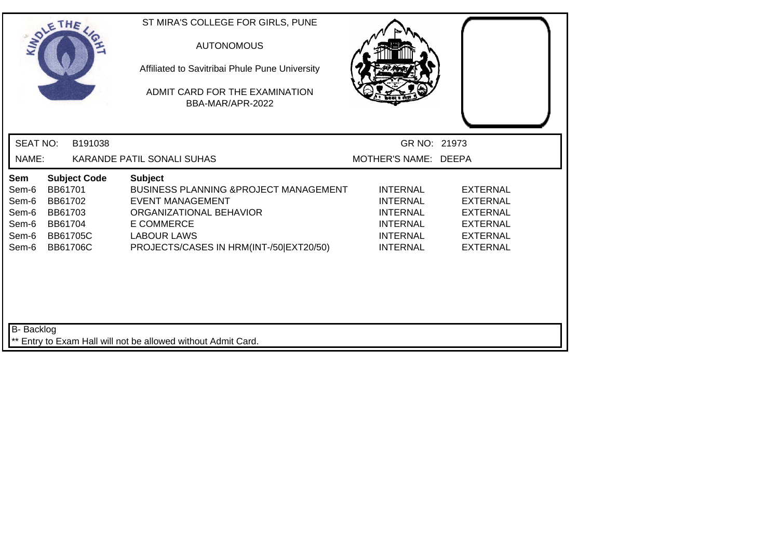| SOLE THE                                                  |                                                                                |                     | ST MIRA'S COLLEGE FOR GIRLS, PUNE<br><b>AUTONOMOUS</b><br>Affiliated to Savitribai Phule Pune University<br>ADMIT CARD FOR THE EXAMINATION<br>BBA-MAR/APR-2022                                                  |                                                                                                                |                                                                                                                |
|-----------------------------------------------------------|--------------------------------------------------------------------------------|---------------------|-----------------------------------------------------------------------------------------------------------------------------------------------------------------------------------------------------------------|----------------------------------------------------------------------------------------------------------------|----------------------------------------------------------------------------------------------------------------|
| <b>SEAT NO:</b>                                           |                                                                                | B191038             |                                                                                                                                                                                                                 | GR NO: 21973                                                                                                   |                                                                                                                |
| NAME:                                                     |                                                                                |                     | KARANDE PATIL SONALI SUHAS                                                                                                                                                                                      | MOTHER'S NAME: DEEPA                                                                                           |                                                                                                                |
| Sem<br>Sem-6<br>Sem-6<br>Sem-6<br>Sem-6<br>Sem-6<br>Sem-6 | BB61701<br>BB61702<br>BB61703<br>BB61704<br><b>BB61705C</b><br><b>BB61706C</b> | <b>Subject Code</b> | <b>Subject</b><br><b>BUSINESS PLANNING &amp; PROJECT MANAGEMENT</b><br><b>EVENT MANAGEMENT</b><br>ORGANIZATIONAL BEHAVIOR<br><b>E COMMERCE</b><br><b>LABOUR LAWS</b><br>PROJECTS/CASES IN HRM(INT-/50 EXT20/50) | <b>INTERNAL</b><br><b>INTERNAL</b><br><b>INTERNAL</b><br><b>INTERNAL</b><br><b>INTERNAL</b><br><b>INTERNAL</b> | <b>EXTERNAL</b><br><b>EXTERNAL</b><br><b>EXTERNAL</b><br><b>EXTERNAL</b><br><b>EXTERNAL</b><br><b>EXTERNAL</b> |
| <b>B-</b> Backlog                                         |                                                                                |                     | ** Entry to Exam Hall will not be allowed without Admit Card.                                                                                                                                                   |                                                                                                                |                                                                                                                |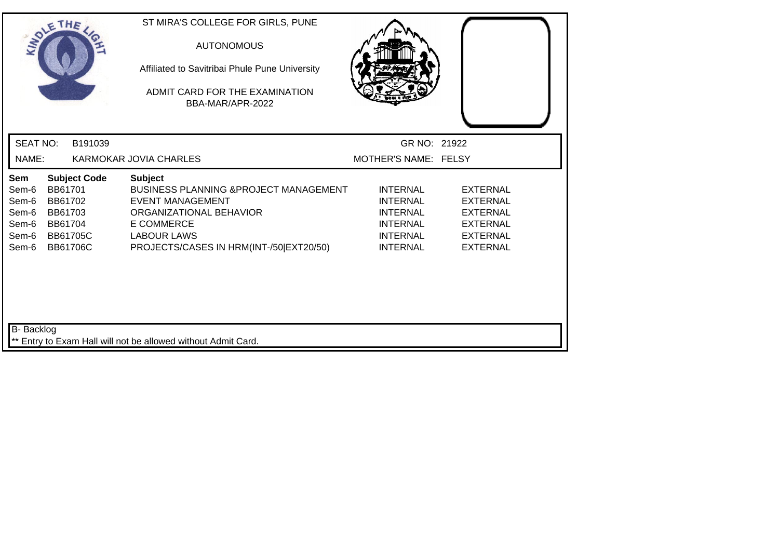| SOLETHE .                                                 |                                                                                |                     | ST MIRA'S COLLEGE FOR GIRLS, PUNE<br><b>AUTONOMOUS</b><br>Affiliated to Savitribai Phule Pune University<br>ADMIT CARD FOR THE EXAMINATION<br>BBA-MAR/APR-2022                                                  |                                                                                                                |                                                                                                                |
|-----------------------------------------------------------|--------------------------------------------------------------------------------|---------------------|-----------------------------------------------------------------------------------------------------------------------------------------------------------------------------------------------------------------|----------------------------------------------------------------------------------------------------------------|----------------------------------------------------------------------------------------------------------------|
| <b>SEAT NO:</b>                                           |                                                                                | B191039             |                                                                                                                                                                                                                 | GR NO: 21922                                                                                                   |                                                                                                                |
| NAME:                                                     |                                                                                |                     | KARMOKAR JOVIA CHARLES                                                                                                                                                                                          | MOTHER'S NAME: FELSY                                                                                           |                                                                                                                |
| Sem<br>Sem-6<br>Sem-6<br>Sem-6<br>Sem-6<br>Sem-6<br>Sem-6 | BB61701<br>BB61702<br>BB61703<br>BB61704<br><b>BB61705C</b><br><b>BB61706C</b> | <b>Subject Code</b> | <b>Subject</b><br><b>BUSINESS PLANNING &amp; PROJECT MANAGEMENT</b><br><b>EVENT MANAGEMENT</b><br>ORGANIZATIONAL BEHAVIOR<br><b>E COMMERCE</b><br><b>LABOUR LAWS</b><br>PROJECTS/CASES IN HRM(INT-/50 EXT20/50) | <b>INTERNAL</b><br><b>INTERNAL</b><br><b>INTERNAL</b><br><b>INTERNAL</b><br><b>INTERNAL</b><br><b>INTERNAL</b> | <b>EXTERNAL</b><br><b>EXTERNAL</b><br><b>EXTERNAL</b><br><b>EXTERNAL</b><br><b>EXTERNAL</b><br><b>EXTERNAL</b> |
| B- Backlog                                                |                                                                                |                     | ** Entry to Exam Hall will not be allowed without Admit Card.                                                                                                                                                   |                                                                                                                |                                                                                                                |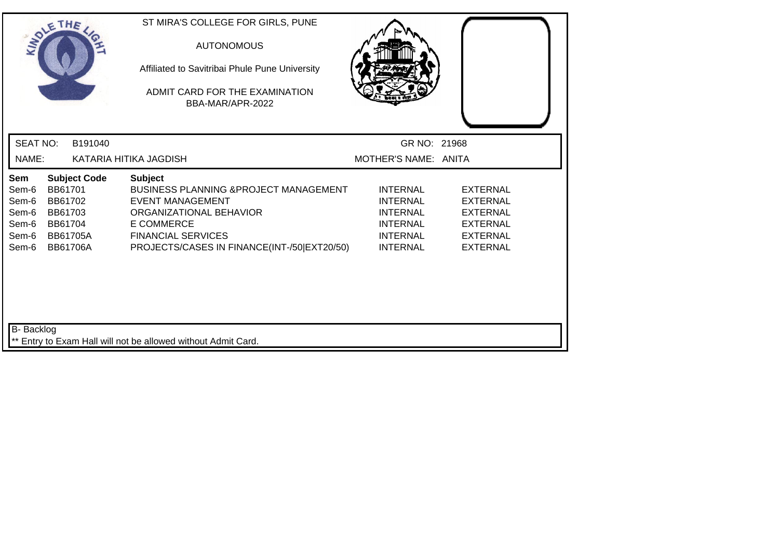| SOLE THE                                                                                                                                                           | ST MIRA'S COLLEGE FOR GIRLS, PUNE<br><b>AUTONOMOUS</b><br>Affiliated to Savitribai Phule Pune University<br>ADMIT CARD FOR THE EXAMINATION<br>BBA-MAR/APR-2022                                           |                                                                                                                |                                                                                                                |
|--------------------------------------------------------------------------------------------------------------------------------------------------------------------|----------------------------------------------------------------------------------------------------------------------------------------------------------------------------------------------------------|----------------------------------------------------------------------------------------------------------------|----------------------------------------------------------------------------------------------------------------|
| <b>SEAT NO:</b><br>B191040                                                                                                                                         |                                                                                                                                                                                                          | GR NO: 21968                                                                                                   |                                                                                                                |
| NAME:                                                                                                                                                              | KATARIA HITIKA JAGDISH                                                                                                                                                                                   | MOTHER'S NAME: ANITA                                                                                           |                                                                                                                |
| <b>Subject Code</b><br>Sem<br>BB61701<br>Sem-6<br>BB61702<br>Sem-6<br>Sem-6<br>BB61703<br>Sem-6<br>BB61704<br>Sem-6<br><b>BB61705A</b><br><b>BB61706A</b><br>Sem-6 | <b>Subject</b><br>BUSINESS PLANNING & PROJECT MANAGEMENT<br>EVENT MANAGEMENT<br>ORGANIZATIONAL BEHAVIOR<br><b>E COMMERCE</b><br><b>FINANCIAL SERVICES</b><br>PROJECTS/CASES IN FINANCE(INT-/50 EXT20/50) | <b>INTERNAL</b><br><b>INTERNAL</b><br><b>INTERNAL</b><br><b>INTERNAL</b><br><b>INTERNAL</b><br><b>INTERNAL</b> | <b>EXTERNAL</b><br><b>EXTERNAL</b><br><b>EXTERNAL</b><br><b>EXTERNAL</b><br><b>EXTERNAL</b><br><b>EXTERNAL</b> |
| <b>B-</b> Backlog                                                                                                                                                  | ** Entry to Exam Hall will not be allowed without Admit Card.                                                                                                                                            |                                                                                                                |                                                                                                                |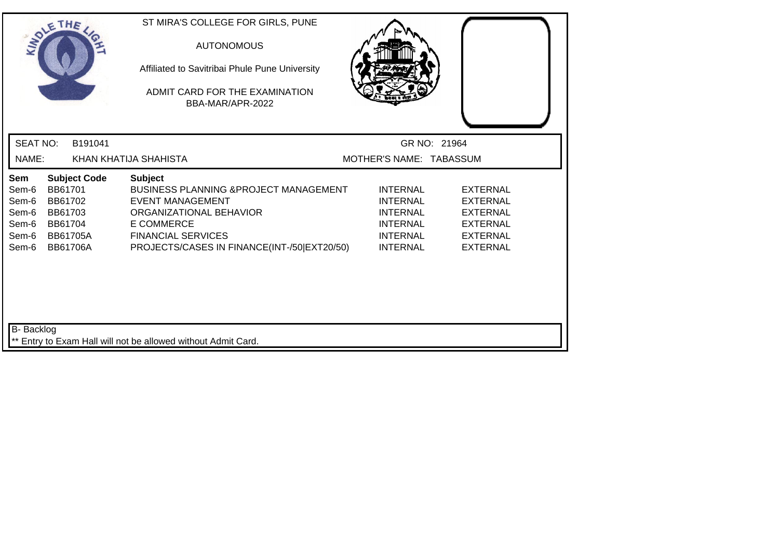| SOLE THE                                                  |                                                                                                       | ST MIRA'S COLLEGE FOR GIRLS, PUNE<br><b>AUTONOMOUS</b><br>Affiliated to Savitribai Phule Pune University<br>ADMIT CARD FOR THE EXAMINATION<br>BBA-MAR/APR-2022                                                             |                                                                                                                |                                                                                                                |
|-----------------------------------------------------------|-------------------------------------------------------------------------------------------------------|----------------------------------------------------------------------------------------------------------------------------------------------------------------------------------------------------------------------------|----------------------------------------------------------------------------------------------------------------|----------------------------------------------------------------------------------------------------------------|
| <b>SEAT NO:</b>                                           | B191041                                                                                               |                                                                                                                                                                                                                            | GR NO: 21964                                                                                                   |                                                                                                                |
| NAME:                                                     |                                                                                                       | KHAN KHATIJA SHAHISTA                                                                                                                                                                                                      | MOTHER'S NAME: TABASSUM                                                                                        |                                                                                                                |
| Sem<br>Sem-6<br>Sem-6<br>Sem-6<br>Sem-6<br>Sem-6<br>Sem-6 | <b>Subject Code</b><br>BB61701<br>BB61702<br>BB61703<br>BB61704<br><b>BB61705A</b><br><b>BB61706A</b> | <b>Subject</b><br><b>BUSINESS PLANNING &amp; PROJECT MANAGEMENT</b><br><b>EVENT MANAGEMENT</b><br>ORGANIZATIONAL BEHAVIOR<br><b>E COMMERCE</b><br><b>FINANCIAL SERVICES</b><br>PROJECTS/CASES IN FINANCE(INT-/50 EXT20/50) | <b>INTERNAL</b><br><b>INTERNAL</b><br><b>INTERNAL</b><br><b>INTERNAL</b><br><b>INTERNAL</b><br><b>INTERNAL</b> | <b>EXTERNAL</b><br><b>EXTERNAL</b><br><b>EXTERNAL</b><br><b>EXTERNAL</b><br><b>EXTERNAL</b><br><b>EXTERNAL</b> |
| <b>B-</b> Backlog                                         |                                                                                                       | ** Entry to Exam Hall will not be allowed without Admit Card.                                                                                                                                                              |                                                                                                                |                                                                                                                |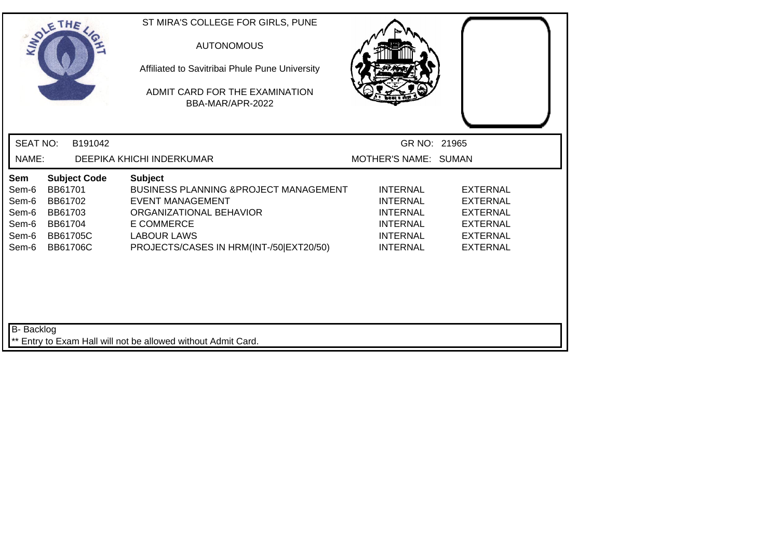|                                                           | SOLE THE                                                                                              | ST MIRA'S COLLEGE FOR GIRLS, PUNE<br><b>AUTONOMOUS</b><br>Affiliated to Savitribai Phule Pune University<br>ADMIT CARD FOR THE EXAMINATION<br>BBA-MAR/APR-2022                                           |                                                                                                                |                                                                                                                |
|-----------------------------------------------------------|-------------------------------------------------------------------------------------------------------|----------------------------------------------------------------------------------------------------------------------------------------------------------------------------------------------------------|----------------------------------------------------------------------------------------------------------------|----------------------------------------------------------------------------------------------------------------|
| <b>SEAT NO:</b>                                           | B191042                                                                                               |                                                                                                                                                                                                          | GR NO: 21965                                                                                                   |                                                                                                                |
| NAME:                                                     |                                                                                                       | DEEPIKA KHICHI INDERKUMAR                                                                                                                                                                                | MOTHER'S NAME: SUMAN                                                                                           |                                                                                                                |
| Sem<br>Sem-6<br>Sem-6<br>Sem-6<br>Sem-6<br>Sem-6<br>Sem-6 | <b>Subject Code</b><br>BB61701<br>BB61702<br>BB61703<br>BB61704<br><b>BB61705C</b><br><b>BB61706C</b> | <b>Subject</b><br><b>BUSINESS PLANNING &amp; PROJECT MANAGEMENT</b><br><b>EVENT MANAGEMENT</b><br>ORGANIZATIONAL BEHAVIOR<br>E COMMERCE<br><b>LABOUR LAWS</b><br>PROJECTS/CASES IN HRM(INT-/50 EXT20/50) | <b>INTERNAL</b><br><b>INTERNAL</b><br><b>INTERNAL</b><br><b>INTERNAL</b><br><b>INTERNAL</b><br><b>INTERNAL</b> | <b>EXTERNAL</b><br><b>EXTERNAL</b><br><b>EXTERNAL</b><br><b>EXTERNAL</b><br><b>EXTERNAL</b><br><b>EXTERNAL</b> |
| B- Backlog                                                |                                                                                                       | ** Entry to Exam Hall will not be allowed without Admit Card.                                                                                                                                            |                                                                                                                |                                                                                                                |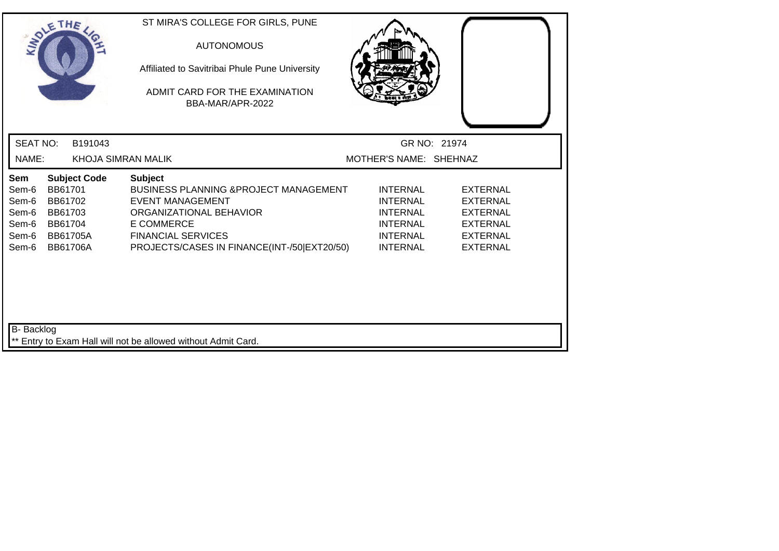| SOLE THE                                                  |                                                                                |                     | ST MIRA'S COLLEGE FOR GIRLS, PUNE<br><b>AUTONOMOUS</b><br>Affiliated to Savitribai Phule Pune University<br>ADMIT CARD FOR THE EXAMINATION<br>BBA-MAR/APR-2022                                                  |                                                                                                                |                                                                                                                |  |
|-----------------------------------------------------------|--------------------------------------------------------------------------------|---------------------|-----------------------------------------------------------------------------------------------------------------------------------------------------------------------------------------------------------------|----------------------------------------------------------------------------------------------------------------|----------------------------------------------------------------------------------------------------------------|--|
| <b>SEAT NO:</b>                                           |                                                                                | B191043             |                                                                                                                                                                                                                 |                                                                                                                | GR NO: 21974                                                                                                   |  |
| NAME:                                                     |                                                                                |                     | <b>KHOJA SIMRAN MALIK</b>                                                                                                                                                                                       | MOTHER'S NAME: SHEHNAZ                                                                                         |                                                                                                                |  |
| Sem<br>Sem-6<br>Sem-6<br>Sem-6<br>Sem-6<br>Sem-6<br>Sem-6 | BB61701<br>BB61702<br>BB61703<br>BB61704<br><b>BB61705A</b><br><b>BB61706A</b> | <b>Subject Code</b> | <b>Subject</b><br>BUSINESS PLANNING & PROJECT MANAGEMENT<br><b>EVENT MANAGEMENT</b><br>ORGANIZATIONAL BEHAVIOR<br><b>E COMMERCE</b><br><b>FINANCIAL SERVICES</b><br>PROJECTS/CASES IN FINANCE(INT-/50 EXT20/50) | <b>INTERNAL</b><br><b>INTERNAL</b><br><b>INTERNAL</b><br><b>INTERNAL</b><br><b>INTERNAL</b><br><b>INTERNAL</b> | <b>EXTERNAL</b><br><b>EXTERNAL</b><br><b>EXTERNAL</b><br><b>EXTERNAL</b><br><b>EXTERNAL</b><br><b>EXTERNAL</b> |  |
| B- Backlog                                                |                                                                                |                     | ** Entry to Exam Hall will not be allowed without Admit Card.                                                                                                                                                   |                                                                                                                |                                                                                                                |  |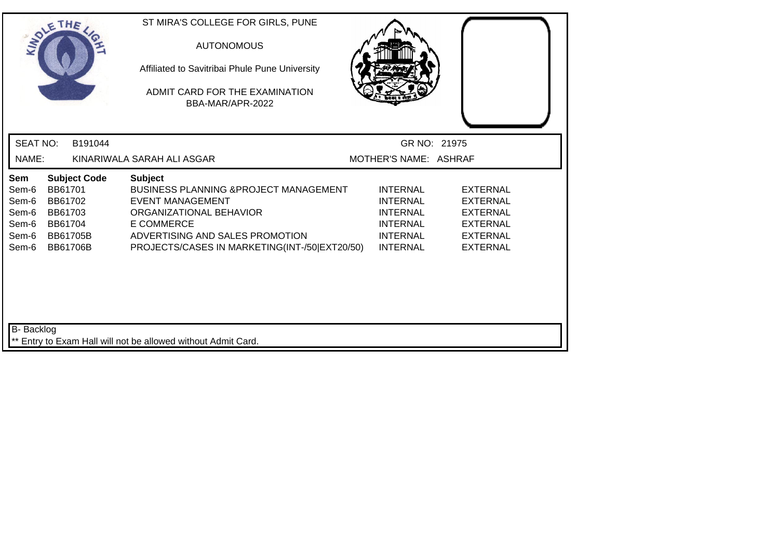| SOLE THE                                                  |                                                                                                       | ST MIRA'S COLLEGE FOR GIRLS, PUNE<br><b>AUTONOMOUS</b><br>Affiliated to Savitribai Phule Pune University<br>ADMIT CARD FOR THE EXAMINATION<br>BBA-MAR/APR-2022                                                              |                                                                                                                |                                                                                                                |  |
|-----------------------------------------------------------|-------------------------------------------------------------------------------------------------------|-----------------------------------------------------------------------------------------------------------------------------------------------------------------------------------------------------------------------------|----------------------------------------------------------------------------------------------------------------|----------------------------------------------------------------------------------------------------------------|--|
| <b>SEAT NO:</b>                                           | B191044                                                                                               |                                                                                                                                                                                                                             | GR NO: 21975                                                                                                   |                                                                                                                |  |
| NAME:                                                     |                                                                                                       | KINARIWALA SARAH ALI ASGAR                                                                                                                                                                                                  | MOTHER'S NAME: ASHRAF                                                                                          |                                                                                                                |  |
| Sem<br>Sem-6<br>Sem-6<br>Sem-6<br>Sem-6<br>Sem-6<br>Sem-6 | <b>Subject Code</b><br>BB61701<br>BB61702<br>BB61703<br>BB61704<br><b>BB61705B</b><br><b>BB61706B</b> | <b>Subject</b><br><b>BUSINESS PLANNING &amp; PROJECT MANAGEMENT</b><br><b>EVENT MANAGEMENT</b><br>ORGANIZATIONAL BEHAVIOR<br>E COMMERCE<br>ADVERTISING AND SALES PROMOTION<br>PROJECTS/CASES IN MARKETING(INT-/50 EXT20/50) | <b>INTERNAL</b><br><b>INTERNAL</b><br><b>INTERNAL</b><br><b>INTERNAL</b><br><b>INTERNAL</b><br><b>INTERNAL</b> | <b>EXTERNAL</b><br><b>EXTERNAL</b><br><b>EXTERNAL</b><br><b>EXTERNAL</b><br><b>EXTERNAL</b><br><b>EXTERNAL</b> |  |
| <b>B-</b> Backlog                                         |                                                                                                       | ** Entry to Exam Hall will not be allowed without Admit Card.                                                                                                                                                               |                                                                                                                |                                                                                                                |  |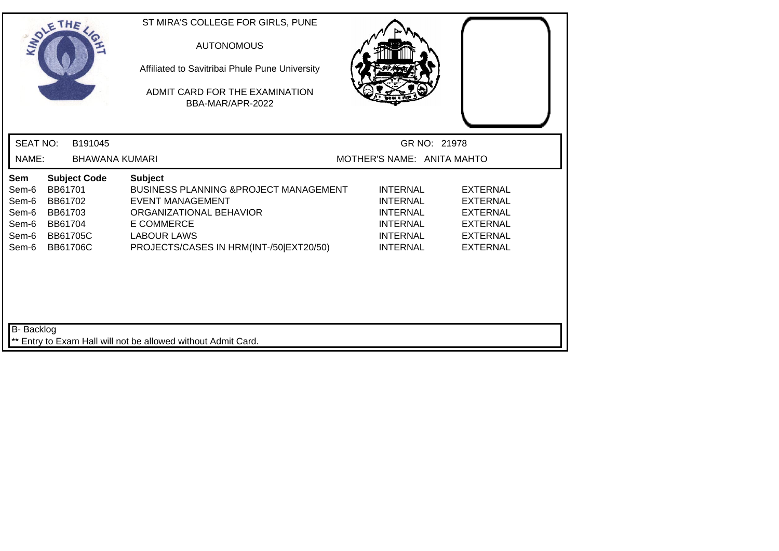| SOLE THE                                                  |                                                                                                       | ST MIRA'S COLLEGE FOR GIRLS, PUNE<br><b>AUTONOMOUS</b><br>Affiliated to Savitribai Phule Pune University<br>ADMIT CARD FOR THE EXAMINATION<br>BBA-MAR/APR-2022                                       |                                                                                                                |                                                                                                                |
|-----------------------------------------------------------|-------------------------------------------------------------------------------------------------------|------------------------------------------------------------------------------------------------------------------------------------------------------------------------------------------------------|----------------------------------------------------------------------------------------------------------------|----------------------------------------------------------------------------------------------------------------|
| <b>SEAT NO:</b>                                           | B191045                                                                                               |                                                                                                                                                                                                      | GR NO: 21978                                                                                                   |                                                                                                                |
| NAME:                                                     | <b>BHAWANA KUMARI</b>                                                                                 |                                                                                                                                                                                                      | MOTHER'S NAME: ANITA MAHTO                                                                                     |                                                                                                                |
| Sem<br>Sem-6<br>Sem-6<br>Sem-6<br>Sem-6<br>Sem-6<br>Sem-6 | <b>Subject Code</b><br>BB61701<br>BB61702<br>BB61703<br>BB61704<br><b>BB61705C</b><br><b>BB61706C</b> | <b>Subject</b><br>BUSINESS PLANNING & PROJECT MANAGEMENT<br><b>EVENT MANAGEMENT</b><br>ORGANIZATIONAL BEHAVIOR<br><b>E COMMERCE</b><br><b>LABOUR LAWS</b><br>PROJECTS/CASES IN HRM(INT-/50 EXT20/50) | <b>INTERNAL</b><br><b>INTERNAL</b><br><b>INTERNAL</b><br><b>INTERNAL</b><br><b>INTERNAL</b><br><b>INTERNAL</b> | <b>EXTERNAL</b><br><b>EXTERNAL</b><br><b>EXTERNAL</b><br><b>EXTERNAL</b><br><b>EXTERNAL</b><br><b>EXTERNAL</b> |
| B- Backlog                                                |                                                                                                       | ** Entry to Exam Hall will not be allowed without Admit Card.                                                                                                                                        |                                                                                                                |                                                                                                                |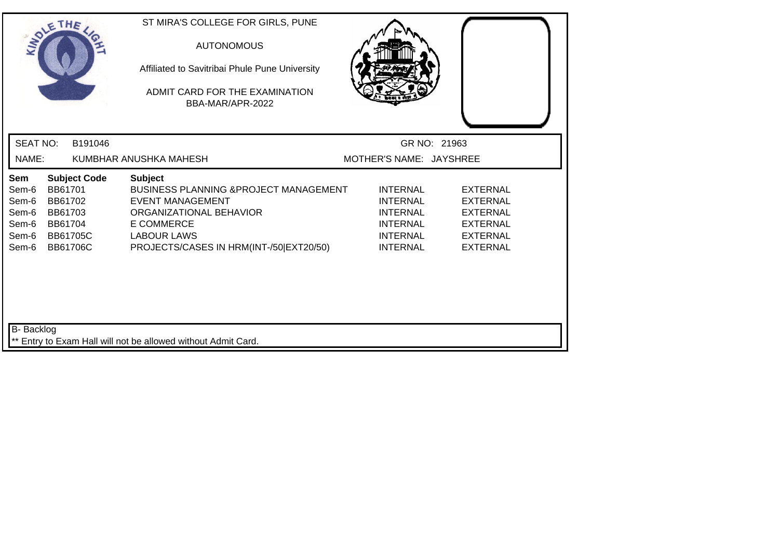| SOLETHE                                                   |                                                                                                       | ST MIRA'S COLLEGE FOR GIRLS, PUNE<br><b>AUTONOMOUS</b><br>Affiliated to Savitribai Phule Pune University<br>ADMIT CARD FOR THE EXAMINATION<br>BBA-MAR/APR-2022                                                  |                                                                                                                |                                                                                                                |  |
|-----------------------------------------------------------|-------------------------------------------------------------------------------------------------------|-----------------------------------------------------------------------------------------------------------------------------------------------------------------------------------------------------------------|----------------------------------------------------------------------------------------------------------------|----------------------------------------------------------------------------------------------------------------|--|
| <b>SEAT NO:</b>                                           | B191046                                                                                               |                                                                                                                                                                                                                 |                                                                                                                | GR NO: 21963                                                                                                   |  |
| NAME:                                                     |                                                                                                       | KUMBHAR ANUSHKA MAHESH                                                                                                                                                                                          | MOTHER'S NAME: JAYSHREE                                                                                        |                                                                                                                |  |
| Sem<br>Sem-6<br>Sem-6<br>Sem-6<br>Sem-6<br>Sem-6<br>Sem-6 | <b>Subject Code</b><br>BB61701<br>BB61702<br>BB61703<br>BB61704<br><b>BB61705C</b><br><b>BB61706C</b> | <b>Subject</b><br><b>BUSINESS PLANNING &amp; PROJECT MANAGEMENT</b><br><b>EVENT MANAGEMENT</b><br>ORGANIZATIONAL BEHAVIOR<br><b>E COMMERCE</b><br><b>LABOUR LAWS</b><br>PROJECTS/CASES IN HRM(INT-/50 EXT20/50) | <b>INTERNAL</b><br><b>INTERNAL</b><br><b>INTERNAL</b><br><b>INTERNAL</b><br><b>INTERNAL</b><br><b>INTERNAL</b> | <b>EXTERNAL</b><br><b>EXTERNAL</b><br><b>EXTERNAL</b><br><b>EXTERNAL</b><br><b>EXTERNAL</b><br><b>EXTERNAL</b> |  |
| <b>B-</b> Backlog                                         |                                                                                                       | ** Entry to Exam Hall will not be allowed without Admit Card.                                                                                                                                                   |                                                                                                                |                                                                                                                |  |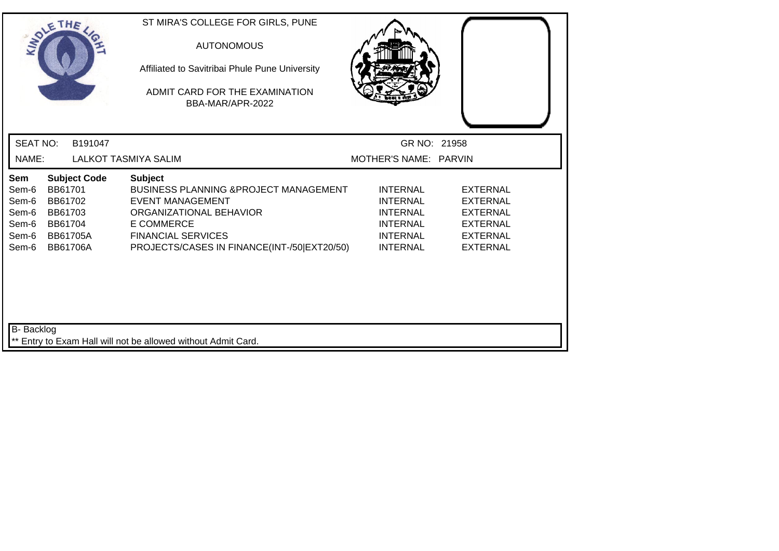|                                                           | SOLETHE .                                                                                             |         | ST MIRA'S COLLEGE FOR GIRLS, PUNE<br><b>AUTONOMOUS</b><br>Affiliated to Savitribai Phule Pune University<br>ADMIT CARD FOR THE EXAMINATION<br>BBA-MAR/APR-2022                                                             |                                                                                                                |                                                                                                                |  |
|-----------------------------------------------------------|-------------------------------------------------------------------------------------------------------|---------|----------------------------------------------------------------------------------------------------------------------------------------------------------------------------------------------------------------------------|----------------------------------------------------------------------------------------------------------------|----------------------------------------------------------------------------------------------------------------|--|
| <b>SEAT NO:</b>                                           |                                                                                                       | B191047 |                                                                                                                                                                                                                            | GR NO: 21958                                                                                                   |                                                                                                                |  |
| NAME:                                                     |                                                                                                       |         | <b>LALKOT TASMIYA SALIM</b>                                                                                                                                                                                                | MOTHER'S NAME: PARVIN                                                                                          |                                                                                                                |  |
| Sem<br>Sem-6<br>Sem-6<br>Sem-6<br>Sem-6<br>Sem-6<br>Sem-6 | <b>Subject Code</b><br>BB61701<br>BB61702<br>BB61703<br>BB61704<br><b>BB61705A</b><br><b>BB61706A</b> |         | <b>Subject</b><br><b>BUSINESS PLANNING &amp; PROJECT MANAGEMENT</b><br><b>EVENT MANAGEMENT</b><br>ORGANIZATIONAL BEHAVIOR<br><b>E COMMERCE</b><br><b>FINANCIAL SERVICES</b><br>PROJECTS/CASES IN FINANCE(INT-/50 EXT20/50) | <b>INTERNAL</b><br><b>INTERNAL</b><br><b>INTERNAL</b><br><b>INTERNAL</b><br><b>INTERNAL</b><br><b>INTERNAL</b> | <b>EXTERNAL</b><br><b>EXTERNAL</b><br><b>EXTERNAL</b><br><b>EXTERNAL</b><br><b>EXTERNAL</b><br><b>EXTERNAL</b> |  |
| <b>B-</b> Backlog                                         |                                                                                                       |         | ** Entry to Exam Hall will not be allowed without Admit Card.                                                                                                                                                              |                                                                                                                |                                                                                                                |  |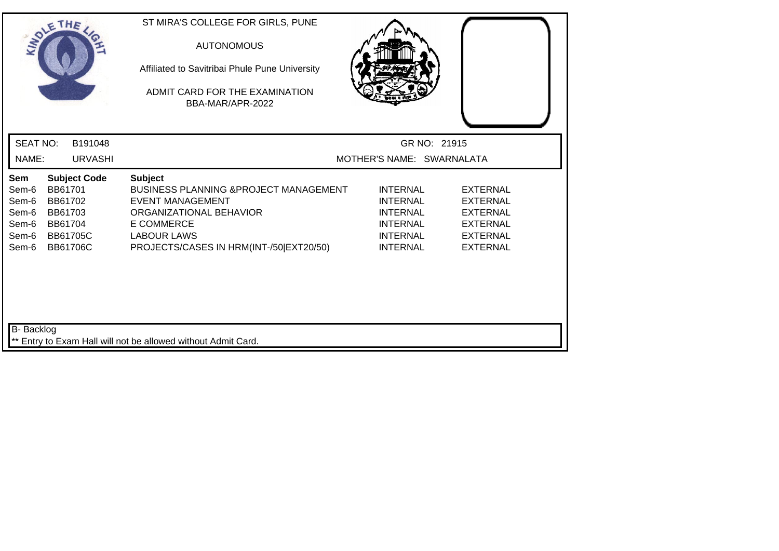| SOLE THE                                                                                                                                                           | ST MIRA'S COLLEGE FOR GIRLS, PUNE<br><b>AUTONOMOUS</b><br>Affiliated to Savitribai Phule Pune University<br>ADMIT CARD FOR THE EXAMINATION<br>BBA-MAR/APR-2022                                           |                                                                                                                |                                                                                                                |  |
|--------------------------------------------------------------------------------------------------------------------------------------------------------------------|----------------------------------------------------------------------------------------------------------------------------------------------------------------------------------------------------------|----------------------------------------------------------------------------------------------------------------|----------------------------------------------------------------------------------------------------------------|--|
| <b>SEAT NO:</b><br>B191048                                                                                                                                         |                                                                                                                                                                                                          | GR NO: 21915                                                                                                   |                                                                                                                |  |
| NAME:<br><b>URVASHI</b>                                                                                                                                            |                                                                                                                                                                                                          | MOTHER'S NAME: SWARNALATA                                                                                      |                                                                                                                |  |
| <b>Subject Code</b><br>Sem<br>Sem-6<br>BB61701<br>Sem-6<br>BB61702<br>Sem-6<br>BB61703<br>Sem-6<br>BB61704<br><b>BB61705C</b><br>Sem-6<br>Sem-6<br><b>BB61706C</b> | Subject<br><b>BUSINESS PLANNING &amp; PROJECT MANAGEMENT</b><br><b>EVENT MANAGEMENT</b><br>ORGANIZATIONAL BEHAVIOR<br><b>E COMMERCE</b><br><b>LABOUR LAWS</b><br>PROJECTS/CASES IN HRM(INT-/50 EXT20/50) | <b>INTERNAL</b><br><b>INTERNAL</b><br><b>INTERNAL</b><br><b>INTERNAL</b><br><b>INTERNAL</b><br><b>INTERNAL</b> | <b>EXTERNAL</b><br><b>EXTERNAL</b><br><b>EXTERNAL</b><br><b>EXTERNAL</b><br><b>EXTERNAL</b><br><b>EXTERNAL</b> |  |
| <b>B-</b> Backlog                                                                                                                                                  | ** Entry to Exam Hall will not be allowed without Admit Card.                                                                                                                                            |                                                                                                                |                                                                                                                |  |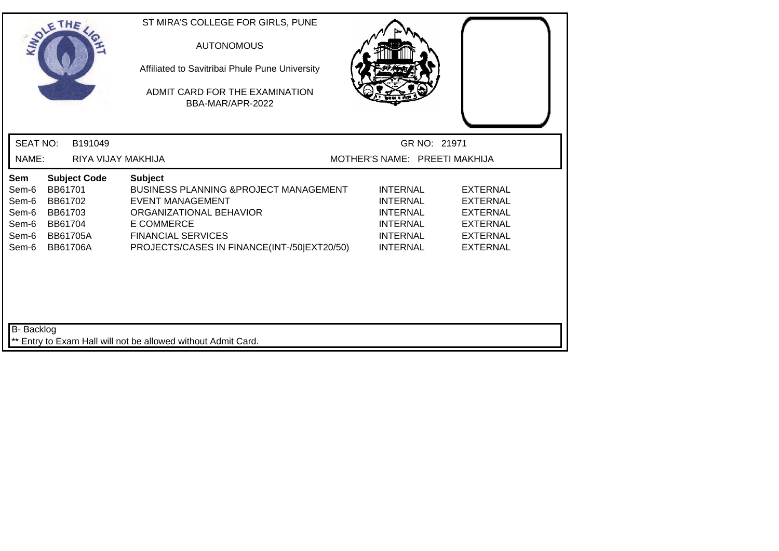| SOLETHE .                                                 |                                          |                                                           | ST MIRA'S COLLEGE FOR GIRLS, PUNE<br><b>AUTONOMOUS</b><br>Affiliated to Savitribai Phule Pune University<br>ADMIT CARD FOR THE EXAMINATION<br>BBA-MAR/APR-2022                                                             |                                                                                                                |                                                                                                                |
|-----------------------------------------------------------|------------------------------------------|-----------------------------------------------------------|----------------------------------------------------------------------------------------------------------------------------------------------------------------------------------------------------------------------------|----------------------------------------------------------------------------------------------------------------|----------------------------------------------------------------------------------------------------------------|
| <b>SEAT NO:</b>                                           |                                          | B191049                                                   |                                                                                                                                                                                                                            | GR NO: 21971                                                                                                   |                                                                                                                |
| NAME:                                                     |                                          | RIYA VIJAY MAKHIJA                                        |                                                                                                                                                                                                                            | MOTHER'S NAME: PREETI MAKHIJA                                                                                  |                                                                                                                |
| Sem<br>Sem-6<br>Sem-6<br>Sem-6<br>Sem-6<br>Sem-6<br>Sem-6 | BB61701<br>BB61702<br>BB61703<br>BB61704 | <b>Subject Code</b><br><b>BB61705A</b><br><b>BB61706A</b> | <b>Subject</b><br><b>BUSINESS PLANNING &amp; PROJECT MANAGEMENT</b><br><b>EVENT MANAGEMENT</b><br>ORGANIZATIONAL BEHAVIOR<br><b>E COMMERCE</b><br><b>FINANCIAL SERVICES</b><br>PROJECTS/CASES IN FINANCE(INT-/50 EXT20/50) | <b>INTERNAL</b><br><b>INTERNAL</b><br><b>INTERNAL</b><br><b>INTERNAL</b><br><b>INTERNAL</b><br><b>INTERNAL</b> | <b>EXTERNAL</b><br><b>EXTERNAL</b><br><b>EXTERNAL</b><br><b>EXTERNAL</b><br><b>EXTERNAL</b><br><b>EXTERNAL</b> |
| B- Backlog                                                |                                          |                                                           | ** Entry to Exam Hall will not be allowed without Admit Card.                                                                                                                                                              |                                                                                                                |                                                                                                                |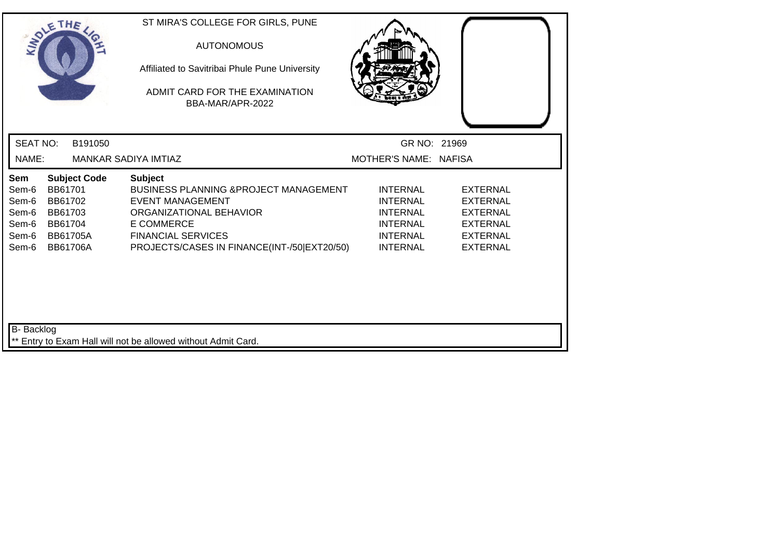| SOLETHE .                                                 |                                                                                |                     | ST MIRA'S COLLEGE FOR GIRLS, PUNE<br><b>AUTONOMOUS</b><br>Affiliated to Savitribai Phule Pune University<br>ADMIT CARD FOR THE EXAMINATION<br>BBA-MAR/APR-2022                                                            |                                                                                                                |                                                                                                                |  |
|-----------------------------------------------------------|--------------------------------------------------------------------------------|---------------------|---------------------------------------------------------------------------------------------------------------------------------------------------------------------------------------------------------------------------|----------------------------------------------------------------------------------------------------------------|----------------------------------------------------------------------------------------------------------------|--|
| <b>SEAT NO:</b>                                           |                                                                                | B191050             |                                                                                                                                                                                                                           | GR NO: 21969                                                                                                   |                                                                                                                |  |
| NAME:                                                     |                                                                                |                     | MANKAR SADIYA IMTIAZ                                                                                                                                                                                                      | MOTHER'S NAME: NAFISA                                                                                          |                                                                                                                |  |
| Sem<br>Sem-6<br>Sem-6<br>Sem-6<br>Sem-6<br>Sem-6<br>Sem-6 | BB61701<br>BB61702<br>BB61703<br>BB61704<br><b>BB61705A</b><br><b>BB61706A</b> | <b>Subject Code</b> | <b>Subject</b><br><b>BUSINESS PLANNING &amp;PROJECT MANAGEMENT</b><br><b>EVENT MANAGEMENT</b><br>ORGANIZATIONAL BEHAVIOR<br><b>E COMMERCE</b><br><b>FINANCIAL SERVICES</b><br>PROJECTS/CASES IN FINANCE(INT-/50 EXT20/50) | <b>INTERNAL</b><br><b>INTERNAL</b><br><b>INTERNAL</b><br><b>INTERNAL</b><br><b>INTERNAL</b><br><b>INTERNAL</b> | <b>EXTERNAL</b><br><b>EXTERNAL</b><br><b>EXTERNAL</b><br><b>EXTERNAL</b><br><b>EXTERNAL</b><br><b>EXTERNAL</b> |  |
| B- Backlog                                                |                                                                                |                     | ** Entry to Exam Hall will not be allowed without Admit Card.                                                                                                                                                             |                                                                                                                |                                                                                                                |  |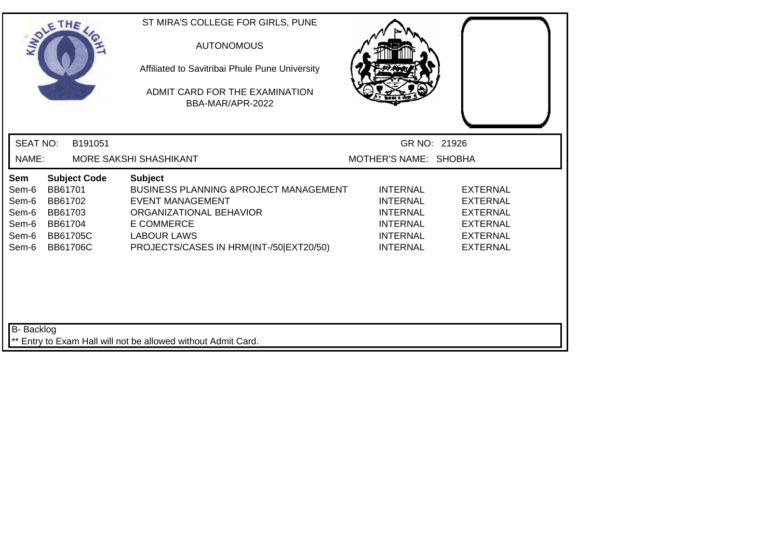| SOLETHE .                                                 |                                                                                |                     | ST MIRA'S COLLEGE FOR GIRLS, PUNE<br><b>AUTONOMOUS</b><br>Affiliated to Savitribai Phule Pune University<br>ADMIT CARD FOR THE EXAMINATION<br>BBA-MAR/APR-2022                                                  |                                                                                                                |                                                                                                                |  |
|-----------------------------------------------------------|--------------------------------------------------------------------------------|---------------------|-----------------------------------------------------------------------------------------------------------------------------------------------------------------------------------------------------------------|----------------------------------------------------------------------------------------------------------------|----------------------------------------------------------------------------------------------------------------|--|
| <b>SEAT NO:</b>                                           |                                                                                | B191051             |                                                                                                                                                                                                                 |                                                                                                                | GR NO: 21926                                                                                                   |  |
| NAME:                                                     |                                                                                |                     | MORE SAKSHI SHASHIKANT                                                                                                                                                                                          | MOTHER'S NAME: SHOBHA                                                                                          |                                                                                                                |  |
| Sem<br>Sem-6<br>Sem-6<br>Sem-6<br>Sem-6<br>Sem-6<br>Sem-6 | BB61701<br>BB61702<br>BB61703<br>BB61704<br><b>BB61705C</b><br><b>BB61706C</b> | <b>Subject Code</b> | <b>Subject</b><br><b>BUSINESS PLANNING &amp; PROJECT MANAGEMENT</b><br><b>EVENT MANAGEMENT</b><br>ORGANIZATIONAL BEHAVIOR<br><b>E COMMERCE</b><br><b>LABOUR LAWS</b><br>PROJECTS/CASES IN HRM(INT-/50 EXT20/50) | <b>INTERNAL</b><br><b>INTERNAL</b><br><b>INTERNAL</b><br><b>INTERNAL</b><br><b>INTERNAL</b><br><b>INTERNAL</b> | <b>EXTERNAL</b><br><b>EXTERNAL</b><br><b>EXTERNAL</b><br><b>EXTERNAL</b><br><b>EXTERNAL</b><br><b>EXTERNAL</b> |  |
| B- Backlog                                                |                                                                                |                     | ** Entry to Exam Hall will not be allowed without Admit Card.                                                                                                                                                   |                                                                                                                |                                                                                                                |  |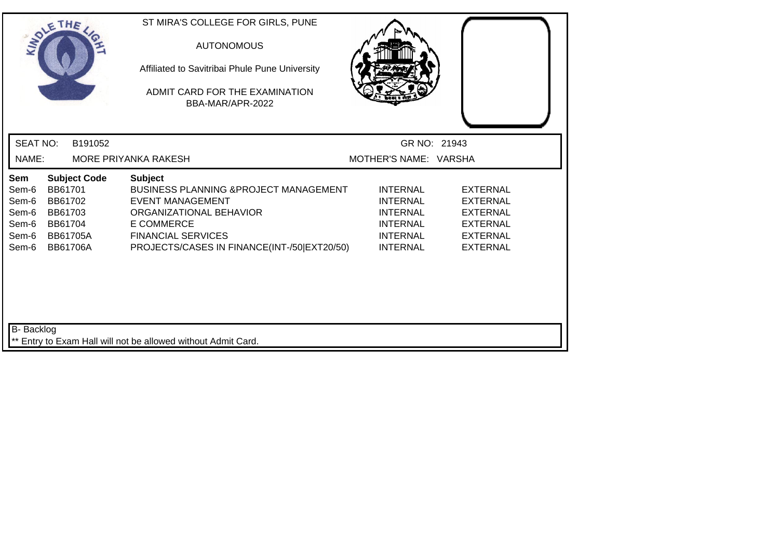|                                                           | SOLE THE                                                                                              |         | ST MIRA'S COLLEGE FOR GIRLS, PUNE<br><b>AUTONOMOUS</b><br>Affiliated to Savitribai Phule Pune University<br>ADMIT CARD FOR THE EXAMINATION<br>BBA-MAR/APR-2022                                                  |                                                                                                                |                                                                                                                |  |
|-----------------------------------------------------------|-------------------------------------------------------------------------------------------------------|---------|-----------------------------------------------------------------------------------------------------------------------------------------------------------------------------------------------------------------|----------------------------------------------------------------------------------------------------------------|----------------------------------------------------------------------------------------------------------------|--|
| <b>SEAT NO:</b>                                           |                                                                                                       | B191052 |                                                                                                                                                                                                                 | GR NO: 21943                                                                                                   |                                                                                                                |  |
| NAME:                                                     |                                                                                                       |         | MORE PRIYANKA RAKESH                                                                                                                                                                                            | MOTHER'S NAME: VARSHA                                                                                          |                                                                                                                |  |
| Sem<br>Sem-6<br>Sem-6<br>Sem-6<br>Sem-6<br>Sem-6<br>Sem-6 | <b>Subject Code</b><br>BB61701<br>BB61702<br>BB61703<br>BB61704<br><b>BB61705A</b><br><b>BB61706A</b> |         | <b>Subject</b><br>BUSINESS PLANNING & PROJECT MANAGEMENT<br><b>EVENT MANAGEMENT</b><br>ORGANIZATIONAL BEHAVIOR<br><b>E COMMERCE</b><br><b>FINANCIAL SERVICES</b><br>PROJECTS/CASES IN FINANCE(INT-/50 EXT20/50) | <b>INTERNAL</b><br><b>INTERNAL</b><br><b>INTERNAL</b><br><b>INTERNAL</b><br><b>INTERNAL</b><br><b>INTERNAL</b> | <b>EXTERNAL</b><br><b>EXTERNAL</b><br><b>EXTERNAL</b><br><b>EXTERNAL</b><br><b>EXTERNAL</b><br><b>EXTERNAL</b> |  |
| B- Backlog                                                |                                                                                                       |         | ** Entry to Exam Hall will not be allowed without Admit Card.                                                                                                                                                   |                                                                                                                |                                                                                                                |  |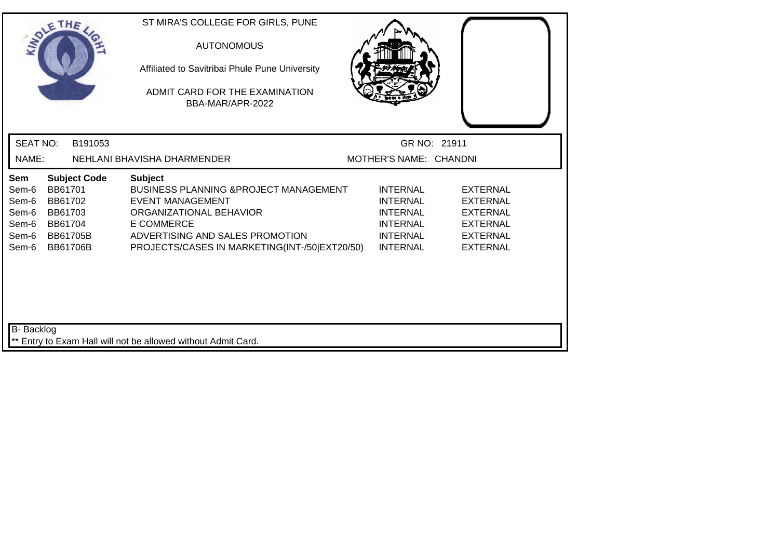|                                                           | SOLETHE .                                                                                             | ST MIRA'S COLLEGE FOR GIRLS, PUNE<br><b>AUTONOMOUS</b><br>Affiliated to Savitribai Phule Pune University<br>ADMIT CARD FOR THE EXAMINATION<br>BBA-MAR/APR-2022                                                                     |                                                                                                                |                                                                                                                |  |
|-----------------------------------------------------------|-------------------------------------------------------------------------------------------------------|------------------------------------------------------------------------------------------------------------------------------------------------------------------------------------------------------------------------------------|----------------------------------------------------------------------------------------------------------------|----------------------------------------------------------------------------------------------------------------|--|
| <b>SEAT NO:</b>                                           | B191053                                                                                               |                                                                                                                                                                                                                                    |                                                                                                                | GR NO: 21911                                                                                                   |  |
| NAME:                                                     |                                                                                                       | NEHLANI BHAVISHA DHARMENDER                                                                                                                                                                                                        | MOTHER'S NAME: CHANDNI                                                                                         |                                                                                                                |  |
| Sem<br>Sem-6<br>Sem-6<br>Sem-6<br>Sem-6<br>Sem-6<br>Sem-6 | <b>Subject Code</b><br>BB61701<br>BB61702<br>BB61703<br>BB61704<br><b>BB61705B</b><br><b>BB61706B</b> | <b>Subject</b><br><b>BUSINESS PLANNING &amp; PROJECT MANAGEMENT</b><br><b>EVENT MANAGEMENT</b><br>ORGANIZATIONAL BEHAVIOR<br><b>E COMMERCE</b><br>ADVERTISING AND SALES PROMOTION<br>PROJECTS/CASES IN MARKETING(INT-/50 EXT20/50) | <b>INTERNAL</b><br><b>INTERNAL</b><br><b>INTERNAL</b><br><b>INTERNAL</b><br><b>INTERNAL</b><br><b>INTERNAL</b> | <b>EXTERNAL</b><br><b>EXTERNAL</b><br><b>EXTERNAL</b><br><b>EXTERNAL</b><br><b>EXTERNAL</b><br><b>EXTERNAL</b> |  |
| B- Backlog                                                |                                                                                                       | ** Entry to Exam Hall will not be allowed without Admit Card.                                                                                                                                                                      |                                                                                                                |                                                                                                                |  |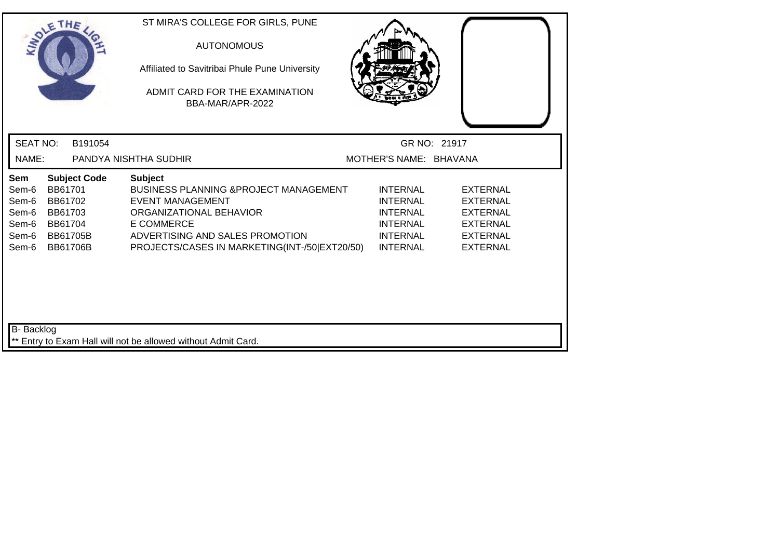| SOLE THE                                                  |                                                                                |                     | ST MIRA'S COLLEGE FOR GIRLS, PUNE<br><b>AUTONOMOUS</b><br>Affiliated to Savitribai Phule Pune University<br>ADMIT CARD FOR THE EXAMINATION<br>BBA-MAR/APR-2022                                                                     |                                                                                                                |                                                                                                                |  |
|-----------------------------------------------------------|--------------------------------------------------------------------------------|---------------------|------------------------------------------------------------------------------------------------------------------------------------------------------------------------------------------------------------------------------------|----------------------------------------------------------------------------------------------------------------|----------------------------------------------------------------------------------------------------------------|--|
| <b>SEAT NO:</b>                                           |                                                                                | B191054             |                                                                                                                                                                                                                                    |                                                                                                                | GR NO: 21917                                                                                                   |  |
| NAME:                                                     |                                                                                |                     | PANDYA NISHTHA SUDHIR                                                                                                                                                                                                              | MOTHER'S NAME: BHAVANA                                                                                         |                                                                                                                |  |
| Sem<br>Sem-6<br>Sem-6<br>Sem-6<br>Sem-6<br>Sem-6<br>Sem-6 | BB61701<br>BB61702<br>BB61703<br>BB61704<br><b>BB61705B</b><br><b>BB61706B</b> | <b>Subject Code</b> | <b>Subject</b><br><b>BUSINESS PLANNING &amp; PROJECT MANAGEMENT</b><br><b>EVENT MANAGEMENT</b><br>ORGANIZATIONAL BEHAVIOR<br><b>E COMMERCE</b><br>ADVERTISING AND SALES PROMOTION<br>PROJECTS/CASES IN MARKETING(INT-/50 EXT20/50) | <b>INTERNAL</b><br><b>INTERNAL</b><br><b>INTERNAL</b><br><b>INTERNAL</b><br><b>INTERNAL</b><br><b>INTERNAL</b> | <b>EXTERNAL</b><br><b>EXTERNAL</b><br><b>EXTERNAL</b><br><b>EXTERNAL</b><br><b>EXTERNAL</b><br><b>EXTERNAL</b> |  |
| B- Backlog                                                |                                                                                |                     | ** Entry to Exam Hall will not be allowed without Admit Card.                                                                                                                                                                      |                                                                                                                |                                                                                                                |  |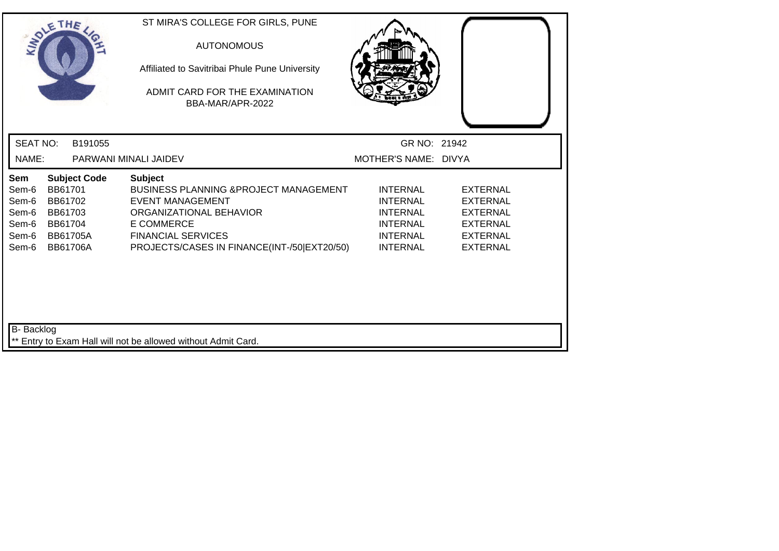| SOLETHE .                                                 |                                                                                                       | ST MIRA'S COLLEGE FOR GIRLS, PUNE<br><b>AUTONOMOUS</b><br>Affiliated to Savitribai Phule Pune University<br>ADMIT CARD FOR THE EXAMINATION<br>BBA-MAR/APR-2022                                                             |                                                                                                                |                                                                                                                |
|-----------------------------------------------------------|-------------------------------------------------------------------------------------------------------|----------------------------------------------------------------------------------------------------------------------------------------------------------------------------------------------------------------------------|----------------------------------------------------------------------------------------------------------------|----------------------------------------------------------------------------------------------------------------|
| <b>SEAT NO:</b>                                           | B191055                                                                                               |                                                                                                                                                                                                                            | GR NO: 21942                                                                                                   |                                                                                                                |
| NAME:                                                     |                                                                                                       | PARWANI MINALI JAIDEV                                                                                                                                                                                                      | MOTHER'S NAME: DIVYA                                                                                           |                                                                                                                |
| Sem<br>Sem-6<br>Sem-6<br>Sem-6<br>Sem-6<br>Sem-6<br>Sem-6 | <b>Subject Code</b><br>BB61701<br>BB61702<br>BB61703<br>BB61704<br><b>BB61705A</b><br><b>BB61706A</b> | <b>Subject</b><br><b>BUSINESS PLANNING &amp; PROJECT MANAGEMENT</b><br><b>EVENT MANAGEMENT</b><br>ORGANIZATIONAL BEHAVIOR<br><b>E COMMERCE</b><br><b>FINANCIAL SERVICES</b><br>PROJECTS/CASES IN FINANCE(INT-/50 EXT20/50) | <b>INTERNAL</b><br><b>INTERNAL</b><br><b>INTERNAL</b><br><b>INTERNAL</b><br><b>INTERNAL</b><br><b>INTERNAL</b> | <b>EXTERNAL</b><br><b>EXTERNAL</b><br><b>EXTERNAL</b><br><b>EXTERNAL</b><br><b>EXTERNAL</b><br><b>EXTERNAL</b> |
| <b>B-</b> Backlog                                         |                                                                                                       | ** Entry to Exam Hall will not be allowed without Admit Card.                                                                                                                                                              |                                                                                                                |                                                                                                                |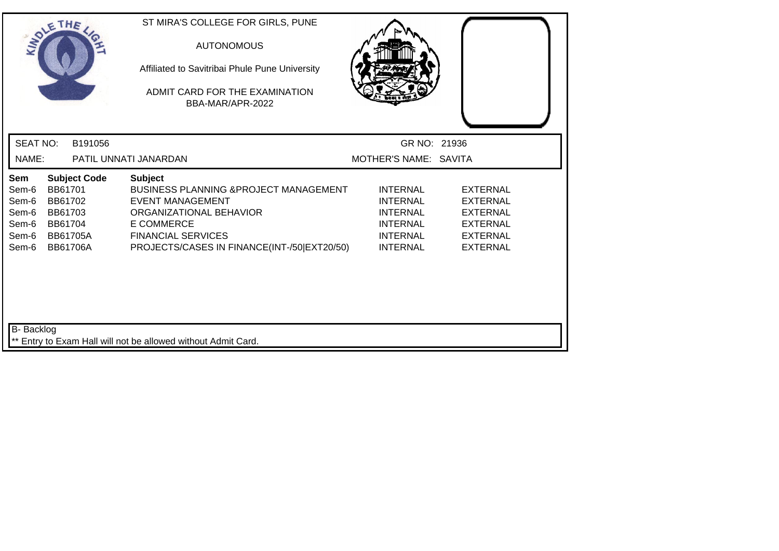| SOLETHE .                                                                                                                                                          | ST MIRA'S COLLEGE FOR GIRLS, PUNE<br><b>AUTONOMOUS</b><br>Affiliated to Savitribai Phule Pune University<br>ADMIT CARD FOR THE EXAMINATION<br>BBA-MAR/APR-2022                                                             |                                                                                                                |                                                                                                                |  |
|--------------------------------------------------------------------------------------------------------------------------------------------------------------------|----------------------------------------------------------------------------------------------------------------------------------------------------------------------------------------------------------------------------|----------------------------------------------------------------------------------------------------------------|----------------------------------------------------------------------------------------------------------------|--|
| <b>SEAT NO:</b><br>B191056                                                                                                                                         |                                                                                                                                                                                                                            | GR NO: 21936                                                                                                   |                                                                                                                |  |
| NAME:                                                                                                                                                              | PATIL UNNATI JANARDAN                                                                                                                                                                                                      | MOTHER'S NAME: SAVITA                                                                                          |                                                                                                                |  |
| Sem<br><b>Subject Code</b><br>Sem-6<br>BB61701<br>BB61702<br>Sem-6<br>Sem-6<br>BB61703<br>Sem-6<br>BB61704<br>Sem-6<br><b>BB61705A</b><br>Sem-6<br><b>BB61706A</b> | <b>Subject</b><br><b>BUSINESS PLANNING &amp; PROJECT MANAGEMENT</b><br><b>EVENT MANAGEMENT</b><br>ORGANIZATIONAL BEHAVIOR<br><b>E COMMERCE</b><br><b>FINANCIAL SERVICES</b><br>PROJECTS/CASES IN FINANCE(INT-/50 EXT20/50) | <b>INTERNAL</b><br><b>INTERNAL</b><br><b>INTERNAL</b><br><b>INTERNAL</b><br><b>INTERNAL</b><br><b>INTERNAL</b> | <b>EXTERNAL</b><br><b>EXTERNAL</b><br><b>EXTERNAL</b><br><b>EXTERNAL</b><br><b>EXTERNAL</b><br><b>EXTERNAL</b> |  |
| B- Backlog                                                                                                                                                         | ** Entry to Exam Hall will not be allowed without Admit Card.                                                                                                                                                              |                                                                                                                |                                                                                                                |  |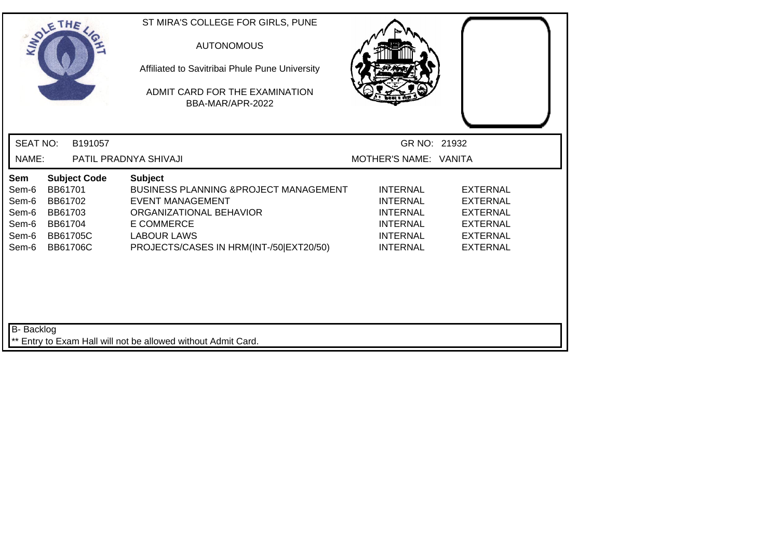| SOLETHE .                                                 |                                          |                                                    | ST MIRA'S COLLEGE FOR GIRLS, PUNE<br><b>AUTONOMOUS</b><br>Affiliated to Savitribai Phule Pune University<br>ADMIT CARD FOR THE EXAMINATION<br>BBA-MAR/APR-2022                                                  |                                                                                                                |                                                                                                                |
|-----------------------------------------------------------|------------------------------------------|----------------------------------------------------|-----------------------------------------------------------------------------------------------------------------------------------------------------------------------------------------------------------------|----------------------------------------------------------------------------------------------------------------|----------------------------------------------------------------------------------------------------------------|
| <b>SEAT NO:</b>                                           |                                          | B191057                                            |                                                                                                                                                                                                                 | GR NO: 21932                                                                                                   |                                                                                                                |
| NAME:                                                     |                                          |                                                    | PATIL PRADNYA SHIVAJI                                                                                                                                                                                           | MOTHER'S NAME: VANITA                                                                                          |                                                                                                                |
| Sem<br>Sem-6<br>Sem-6<br>Sem-6<br>Sem-6<br>Sem-6<br>Sem-6 | BB61701<br>BB61702<br>BB61703<br>BB61704 | <b>Subject Code</b><br><b>BB61705C</b><br>BB61706C | <b>Subject</b><br><b>BUSINESS PLANNING &amp; PROJECT MANAGEMENT</b><br><b>EVENT MANAGEMENT</b><br>ORGANIZATIONAL BEHAVIOR<br><b>E COMMERCE</b><br><b>LABOUR LAWS</b><br>PROJECTS/CASES IN HRM(INT-/50 EXT20/50) | <b>INTERNAL</b><br><b>INTERNAL</b><br><b>INTERNAL</b><br><b>INTERNAL</b><br><b>INTERNAL</b><br><b>INTERNAL</b> | <b>EXTERNAL</b><br><b>EXTERNAL</b><br><b>EXTERNAL</b><br><b>EXTERNAL</b><br><b>EXTERNAL</b><br><b>EXTERNAL</b> |
| B- Backlog                                                |                                          |                                                    | ** Entry to Exam Hall will not be allowed without Admit Card.                                                                                                                                                   |                                                                                                                |                                                                                                                |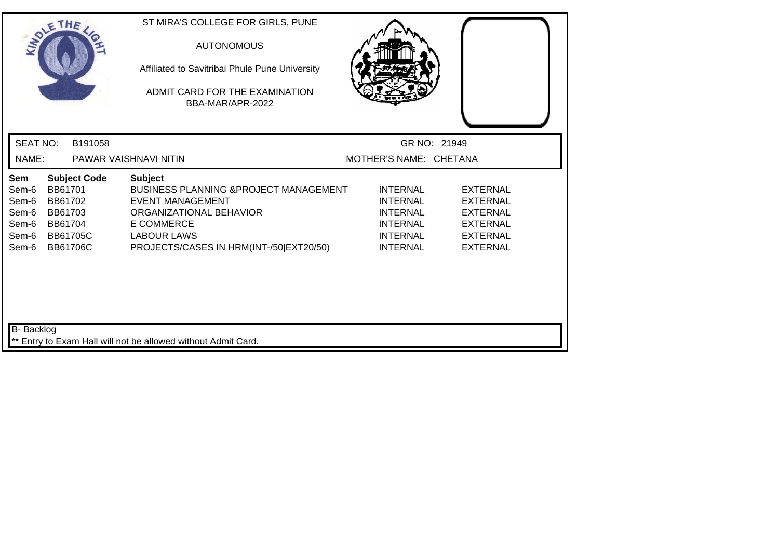| SOLE THE                                                  |                                                             |                                        | ST MIRA'S COLLEGE FOR GIRLS, PUNE<br><b>AUTONOMOUS</b><br>Affiliated to Savitribai Phule Pune University<br>ADMIT CARD FOR THE EXAMINATION<br>BBA-MAR/APR-2022                                                  |                                                                                                                |                                                                                                                |  |
|-----------------------------------------------------------|-------------------------------------------------------------|----------------------------------------|-----------------------------------------------------------------------------------------------------------------------------------------------------------------------------------------------------------------|----------------------------------------------------------------------------------------------------------------|----------------------------------------------------------------------------------------------------------------|--|
| <b>SEAT NO:</b>                                           |                                                             | B191058                                |                                                                                                                                                                                                                 |                                                                                                                | GR NO: 21949                                                                                                   |  |
| NAME:                                                     |                                                             |                                        | PAWAR VAISHNAVI NITIN                                                                                                                                                                                           | MOTHER'S NAME: CHETANA                                                                                         |                                                                                                                |  |
| Sem<br>Sem-6<br>Sem-6<br>Sem-6<br>Sem-6<br>Sem-6<br>Sem-6 | BB61701<br>BB61702<br>BB61703<br>BB61704<br><b>BB61706C</b> | <b>Subject Code</b><br><b>BB61705C</b> | <b>Subject</b><br><b>BUSINESS PLANNING &amp; PROJECT MANAGEMENT</b><br><b>EVENT MANAGEMENT</b><br>ORGANIZATIONAL BEHAVIOR<br><b>E COMMERCE</b><br><b>LABOUR LAWS</b><br>PROJECTS/CASES IN HRM(INT-/50 EXT20/50) | <b>INTERNAL</b><br><b>INTERNAL</b><br><b>INTERNAL</b><br><b>INTERNAL</b><br><b>INTERNAL</b><br><b>INTERNAL</b> | <b>EXTERNAL</b><br><b>EXTERNAL</b><br><b>EXTERNAL</b><br><b>EXTERNAL</b><br><b>EXTERNAL</b><br><b>EXTERNAL</b> |  |
| B- Backlog                                                |                                                             |                                        | ** Entry to Exam Hall will not be allowed without Admit Card.                                                                                                                                                   |                                                                                                                |                                                                                                                |  |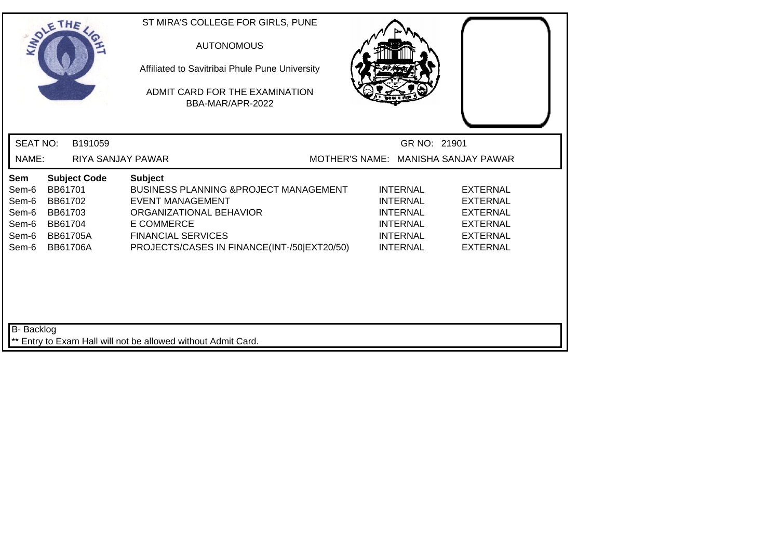| SOLE THE                                                  |                                                                         |                     | ST MIRA'S COLLEGE FOR GIRLS, PUNE<br>Affiliated to Savitribai Phule Pune University<br>ADMIT CARD FOR THE EXAMINATION                                                                                               | <b>AUTONOMOUS</b><br>BBA-MAR/APR-2022 |  |                                                                                                                |                                                                                                                |  |
|-----------------------------------------------------------|-------------------------------------------------------------------------|---------------------|---------------------------------------------------------------------------------------------------------------------------------------------------------------------------------------------------------------------|---------------------------------------|--|----------------------------------------------------------------------------------------------------------------|----------------------------------------------------------------------------------------------------------------|--|
| <b>SEAT NO:</b>                                           |                                                                         | B191059             |                                                                                                                                                                                                                     |                                       |  | GR NO: 21901                                                                                                   |                                                                                                                |  |
| NAME:                                                     |                                                                         |                     | RIYA SANJAY PAWAR                                                                                                                                                                                                   |                                       |  |                                                                                                                | MOTHER'S NAME: MANISHA SANJAY PAWAR                                                                            |  |
| Sem<br>Sem-6<br>Sem-6<br>Sem-6<br>Sem-6<br>Sem-6<br>Sem-6 | BB61701<br>BB61702<br>BB61703<br>BB61704<br>BB61705A<br><b>BB61706A</b> | <b>Subject Code</b> | <b>Subject</b><br><b>BUSINESS PLANNING &amp; PROJECT MANAGEMENT</b><br>EVENT MANAGEMENT<br>ORGANIZATIONAL BEHAVIOR<br><b>E COMMERCE</b><br><b>FINANCIAL SERVICES</b><br>PROJECTS/CASES IN FINANCE(INT-/50 EXT20/50) |                                       |  | <b>INTERNAL</b><br><b>INTERNAL</b><br><b>INTERNAL</b><br><b>INTERNAL</b><br><b>INTERNAL</b><br><b>INTERNAL</b> | <b>EXTERNAL</b><br><b>EXTERNAL</b><br><b>EXTERNAL</b><br><b>EXTERNAL</b><br><b>EXTERNAL</b><br><b>EXTERNAL</b> |  |
| B- Backlog                                                |                                                                         |                     | ** Entry to Exam Hall will not be allowed without Admit Card.                                                                                                                                                       |                                       |  |                                                                                                                |                                                                                                                |  |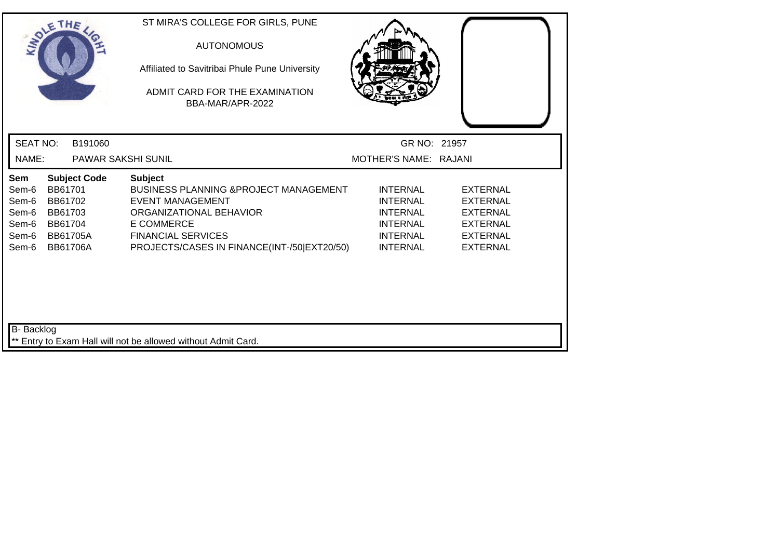| SOLETHE                                                   |                                                                                |                     | ST MIRA'S COLLEGE FOR GIRLS, PUNE<br><b>AUTONOMOUS</b><br>Affiliated to Savitribai Phule Pune University<br>ADMIT CARD FOR THE EXAMINATION<br>BBA-MAR/APR-2022                                                             |                                                                                                                |                                                                                                                |  |
|-----------------------------------------------------------|--------------------------------------------------------------------------------|---------------------|----------------------------------------------------------------------------------------------------------------------------------------------------------------------------------------------------------------------------|----------------------------------------------------------------------------------------------------------------|----------------------------------------------------------------------------------------------------------------|--|
| <b>SEAT NO:</b>                                           |                                                                                | B191060             |                                                                                                                                                                                                                            | GR NO: 21957                                                                                                   |                                                                                                                |  |
| NAME:                                                     |                                                                                |                     | PAWAR SAKSHI SUNIL                                                                                                                                                                                                         | MOTHER'S NAME: RAJANI                                                                                          |                                                                                                                |  |
| Sem<br>Sem-6<br>Sem-6<br>Sem-6<br>Sem-6<br>Sem-6<br>Sem-6 | BB61701<br>BB61702<br>BB61703<br>BB61704<br><b>BB61705A</b><br><b>BB61706A</b> | <b>Subject Code</b> | <b>Subject</b><br><b>BUSINESS PLANNING &amp; PROJECT MANAGEMENT</b><br><b>EVENT MANAGEMENT</b><br>ORGANIZATIONAL BEHAVIOR<br><b>E COMMERCE</b><br><b>FINANCIAL SERVICES</b><br>PROJECTS/CASES IN FINANCE(INT-/50 EXT20/50) | <b>INTERNAL</b><br><b>INTERNAL</b><br><b>INTERNAL</b><br><b>INTERNAL</b><br><b>INTERNAL</b><br><b>INTERNAL</b> | <b>EXTERNAL</b><br><b>EXTERNAL</b><br><b>EXTERNAL</b><br><b>EXTERNAL</b><br><b>EXTERNAL</b><br><b>EXTERNAL</b> |  |
| B- Backlog                                                |                                                                                |                     | ** Entry to Exam Hall will not be allowed without Admit Card.                                                                                                                                                              |                                                                                                                |                                                                                                                |  |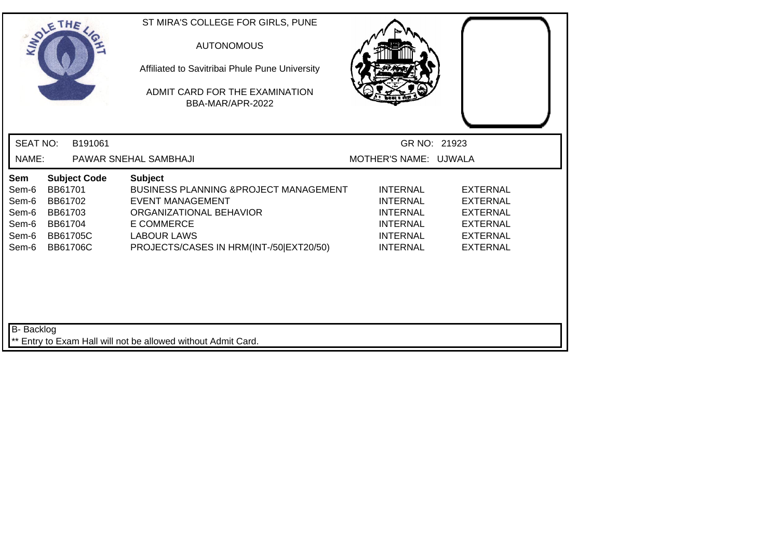| SOLETHE .                                                 |                                                                                |                     | ST MIRA'S COLLEGE FOR GIRLS, PUNE<br><b>AUTONOMOUS</b><br>Affiliated to Savitribai Phule Pune University<br>ADMIT CARD FOR THE EXAMINATION<br>BBA-MAR/APR-2022                                                  |                                                                                                                |                                                                                                                |  |
|-----------------------------------------------------------|--------------------------------------------------------------------------------|---------------------|-----------------------------------------------------------------------------------------------------------------------------------------------------------------------------------------------------------------|----------------------------------------------------------------------------------------------------------------|----------------------------------------------------------------------------------------------------------------|--|
| <b>SEAT NO:</b>                                           |                                                                                | B191061             |                                                                                                                                                                                                                 | GR NO: 21923                                                                                                   |                                                                                                                |  |
| NAME:                                                     |                                                                                |                     | PAWAR SNEHAL SAMBHAJI                                                                                                                                                                                           | MOTHER'S NAME: UJWALA                                                                                          |                                                                                                                |  |
| Sem<br>Sem-6<br>Sem-6<br>Sem-6<br>Sem-6<br>Sem-6<br>Sem-6 | BB61701<br>BB61702<br>BB61703<br>BB61704<br><b>BB61705C</b><br><b>BB61706C</b> | <b>Subject Code</b> | <b>Subject</b><br><b>BUSINESS PLANNING &amp; PROJECT MANAGEMENT</b><br><b>EVENT MANAGEMENT</b><br>ORGANIZATIONAL BEHAVIOR<br><b>E COMMERCE</b><br><b>LABOUR LAWS</b><br>PROJECTS/CASES IN HRM(INT-/50 EXT20/50) | <b>INTERNAL</b><br><b>INTERNAL</b><br><b>INTERNAL</b><br><b>INTERNAL</b><br><b>INTERNAL</b><br><b>INTERNAL</b> | <b>EXTERNAL</b><br><b>EXTERNAL</b><br><b>EXTERNAL</b><br><b>EXTERNAL</b><br><b>EXTERNAL</b><br><b>EXTERNAL</b> |  |
| <b>B-</b> Backlog                                         |                                                                                |                     | ** Entry to Exam Hall will not be allowed without Admit Card.                                                                                                                                                   |                                                                                                                |                                                                                                                |  |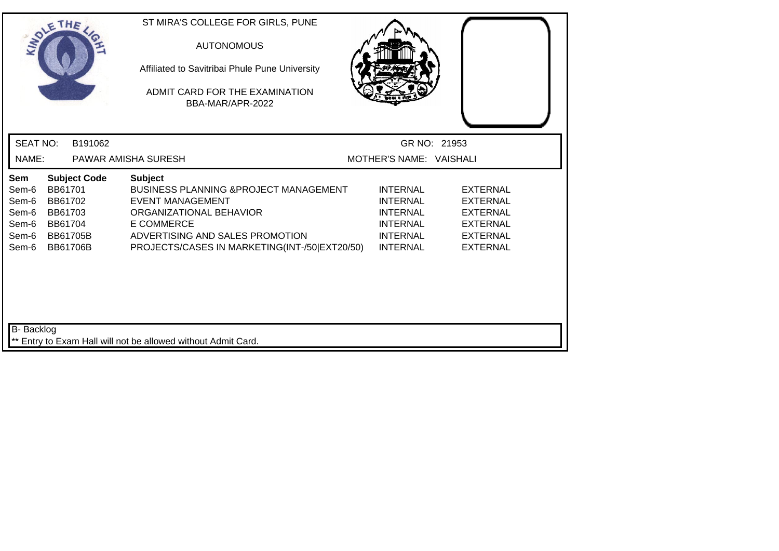| SOLETHE .                                                 |                                                                                                       | ST MIRA'S COLLEGE FOR GIRLS, PUNE<br><b>AUTONOMOUS</b><br>Affiliated to Savitribai Phule Pune University<br>ADMIT CARD FOR THE EXAMINATION<br>BBA-MAR/APR-2022                                                          |                                                                                                                |                                                                                                                |  |
|-----------------------------------------------------------|-------------------------------------------------------------------------------------------------------|-------------------------------------------------------------------------------------------------------------------------------------------------------------------------------------------------------------------------|----------------------------------------------------------------------------------------------------------------|----------------------------------------------------------------------------------------------------------------|--|
| <b>SEAT NO:</b>                                           | B191062                                                                                               |                                                                                                                                                                                                                         | GR NO: 21953                                                                                                   |                                                                                                                |  |
| NAME:                                                     |                                                                                                       | PAWAR AMISHA SURESH                                                                                                                                                                                                     | MOTHER'S NAME: VAISHALI                                                                                        |                                                                                                                |  |
| Sem<br>Sem-6<br>Sem-6<br>Sem-6<br>Sem-6<br>Sem-6<br>Sem-6 | <b>Subject Code</b><br>BB61701<br>BB61702<br>BB61703<br>BB61704<br><b>BB61705B</b><br><b>BB61706B</b> | <b>Subject</b><br>BUSINESS PLANNING & PROJECT MANAGEMENT<br><b>EVENT MANAGEMENT</b><br>ORGANIZATIONAL BEHAVIOR<br><b>E COMMERCE</b><br>ADVERTISING AND SALES PROMOTION<br>PROJECTS/CASES IN MARKETING(INT-/50 EXT20/50) | <b>INTERNAL</b><br><b>INTERNAL</b><br><b>INTERNAL</b><br><b>INTERNAL</b><br><b>INTERNAL</b><br><b>INTERNAL</b> | <b>EXTERNAL</b><br><b>EXTERNAL</b><br><b>EXTERNAL</b><br><b>EXTERNAL</b><br><b>EXTERNAL</b><br><b>EXTERNAL</b> |  |
| B- Backlog                                                |                                                                                                       | ** Entry to Exam Hall will not be allowed without Admit Card.                                                                                                                                                           |                                                                                                                |                                                                                                                |  |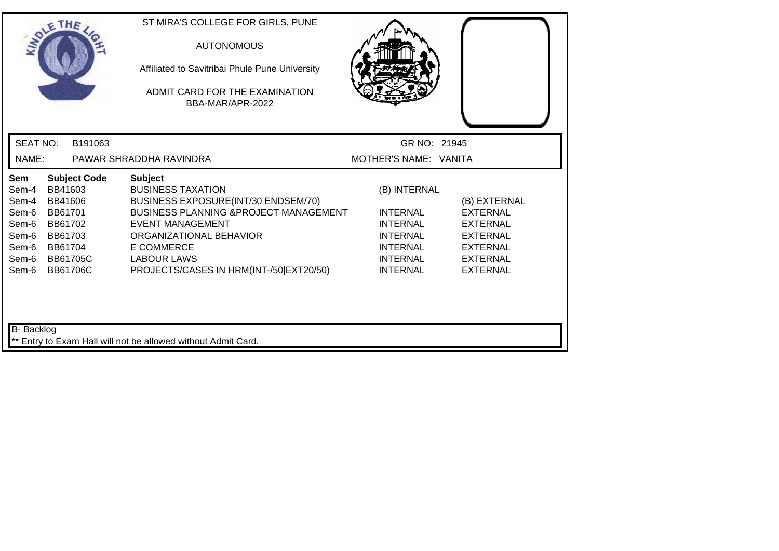| SOLE THE                                                                                                                                                                                                   | ST MIRA'S COLLEGE FOR GIRLS, PUNE<br><b>AUTONOMOUS</b><br>Affiliated to Savitribai Phule Pune University<br>ADMIT CARD FOR THE EXAMINATION<br>BBA-MAR/APR-2022                                                                                                              |                                                                                                                                |                                                                                                                  |
|------------------------------------------------------------------------------------------------------------------------------------------------------------------------------------------------------------|-----------------------------------------------------------------------------------------------------------------------------------------------------------------------------------------------------------------------------------------------------------------------------|--------------------------------------------------------------------------------------------------------------------------------|------------------------------------------------------------------------------------------------------------------|
| <b>SEAT NO:</b><br>B191063<br>NAME:                                                                                                                                                                        | PAWAR SHRADDHA RAVINDRA                                                                                                                                                                                                                                                     | GR NO: 21945<br>MOTHER'S NAME: VANITA                                                                                          |                                                                                                                  |
| <b>Subject Code</b><br>Sem<br>BB41603<br>Sem-4<br>Sem-4<br>BB41606<br>Sem-6<br>BB61701<br>Sem-6<br>BB61702<br>Sem-6<br>BB61703<br>Sem-6<br>BB61704<br><b>BB61705C</b><br>Sem-6<br>Sem-6<br><b>BB61706C</b> | <b>Subject</b><br><b>BUSINESS TAXATION</b><br>BUSINESS EXPOSURE(INT/30 ENDSEM/70)<br><b>BUSINESS PLANNING &amp; PROJECT MANAGEMENT</b><br><b>EVENT MANAGEMENT</b><br>ORGANIZATIONAL BEHAVIOR<br>E COMMERCE<br><b>LABOUR LAWS</b><br>PROJECTS/CASES IN HRM(INT-/50 EXT20/50) | (B) INTERNAL<br><b>INTERNAL</b><br><b>INTERNAL</b><br><b>INTERNAL</b><br><b>INTERNAL</b><br><b>INTERNAL</b><br><b>INTERNAL</b> | (B) EXTERNAL<br><b>EXTERNAL</b><br><b>EXTERNAL</b><br>EXTERNAL<br>EXTERNAL<br><b>EXTERNAL</b><br><b>EXTERNAL</b> |

\*\* Entry to Exam Hall will not be allowed without Admit Card.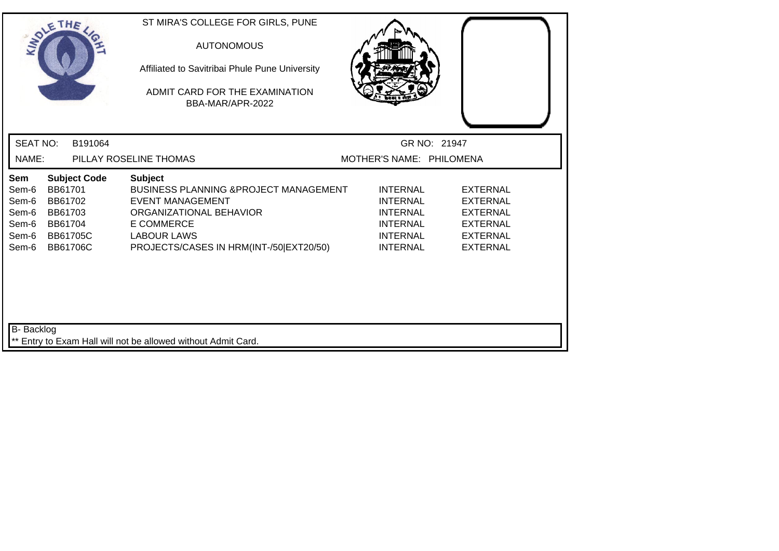| SOLE THE                                                  |                                                                                                       | ST MIRA'S COLLEGE FOR GIRLS, PUNE<br><b>AUTONOMOUS</b><br>Affiliated to Savitribai Phule Pune University<br>ADMIT CARD FOR THE EXAMINATION<br>BBA-MAR/APR-2022                                                  |                                                                                                                |                                                                                                                |  |
|-----------------------------------------------------------|-------------------------------------------------------------------------------------------------------|-----------------------------------------------------------------------------------------------------------------------------------------------------------------------------------------------------------------|----------------------------------------------------------------------------------------------------------------|----------------------------------------------------------------------------------------------------------------|--|
| <b>SEAT NO:</b>                                           | B191064                                                                                               |                                                                                                                                                                                                                 | GR NO: 21947                                                                                                   |                                                                                                                |  |
| NAME:                                                     |                                                                                                       | PILLAY ROSELINE THOMAS                                                                                                                                                                                          | MOTHER'S NAME: PHILOMENA                                                                                       |                                                                                                                |  |
| Sem<br>Sem-6<br>Sem-6<br>Sem-6<br>Sem-6<br>Sem-6<br>Sem-6 | <b>Subject Code</b><br>BB61701<br>BB61702<br>BB61703<br>BB61704<br><b>BB61705C</b><br><b>BB61706C</b> | <b>Subject</b><br><b>BUSINESS PLANNING &amp; PROJECT MANAGEMENT</b><br><b>EVENT MANAGEMENT</b><br>ORGANIZATIONAL BEHAVIOR<br><b>E COMMERCE</b><br><b>LABOUR LAWS</b><br>PROJECTS/CASES IN HRM(INT-/50 EXT20/50) | <b>INTERNAL</b><br><b>INTERNAL</b><br><b>INTERNAL</b><br><b>INTERNAL</b><br><b>INTERNAL</b><br><b>INTERNAL</b> | <b>EXTERNAL</b><br><b>EXTERNAL</b><br><b>EXTERNAL</b><br><b>EXTERNAL</b><br><b>EXTERNAL</b><br><b>EXTERNAL</b> |  |
| B- Backlog                                                |                                                                                                       | ** Entry to Exam Hall will not be allowed without Admit Card.                                                                                                                                                   |                                                                                                                |                                                                                                                |  |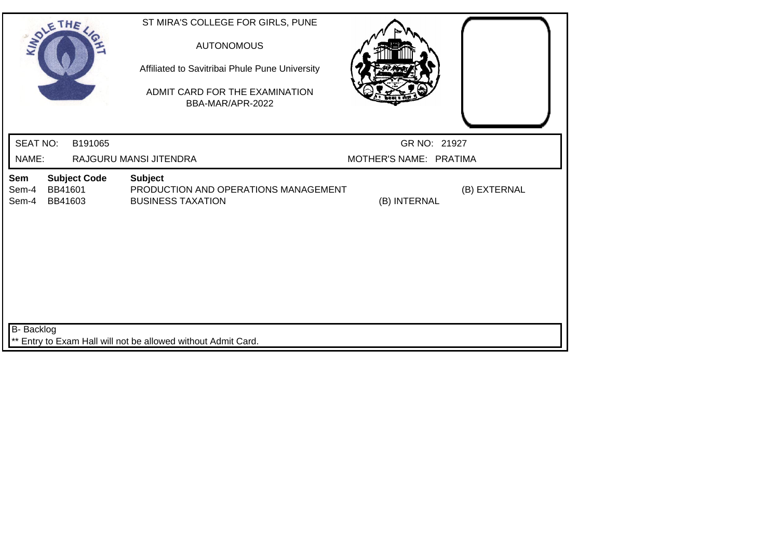| SOLE THE                                                           | ST MIRA'S COLLEGE FOR GIRLS, PUNE<br><b>AUTONOMOUS</b><br>Affiliated to Savitribai Phule Pune University<br>ADMIT CARD FOR THE EXAMINATION<br>BBA-MAR/APR-2022 |                        |              |
|--------------------------------------------------------------------|----------------------------------------------------------------------------------------------------------------------------------------------------------------|------------------------|--------------|
| <b>SEAT NO:</b><br>B191065                                         |                                                                                                                                                                | GR NO: 21927           |              |
| NAME:                                                              | RAJGURU MANSI JITENDRA                                                                                                                                         | MOTHER'S NAME: PRATIMA |              |
| <b>Subject Code</b><br>Sem<br>BB41601<br>Sem-4<br>Sem-4<br>BB41603 | <b>Subject</b><br>PRODUCTION AND OPERATIONS MANAGEMENT<br><b>BUSINESS TAXATION</b>                                                                             | (B) INTERNAL           | (B) EXTERNAL |
| <b>B-</b> Backlog                                                  | ** Entry to Exam Hall will not be allowed without Admit Card.                                                                                                  |                        |              |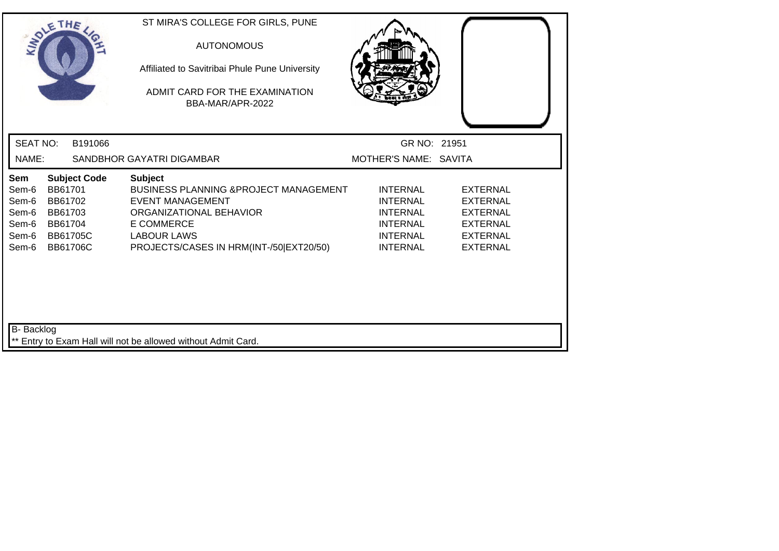| SOLE THE                                                  |                                                                                |                     | ST MIRA'S COLLEGE FOR GIRLS, PUNE<br><b>AUTONOMOUS</b><br>Affiliated to Savitribai Phule Pune University<br>ADMIT CARD FOR THE EXAMINATION<br>BBA-MAR/APR-2022                                                  |                                                                                                                |                                                                                                                |
|-----------------------------------------------------------|--------------------------------------------------------------------------------|---------------------|-----------------------------------------------------------------------------------------------------------------------------------------------------------------------------------------------------------------|----------------------------------------------------------------------------------------------------------------|----------------------------------------------------------------------------------------------------------------|
| <b>SEAT NO:</b>                                           |                                                                                | B191066             |                                                                                                                                                                                                                 | GR NO: 21951                                                                                                   |                                                                                                                |
| NAME:                                                     |                                                                                |                     | SANDBHOR GAYATRI DIGAMBAR                                                                                                                                                                                       | MOTHER'S NAME: SAVITA                                                                                          |                                                                                                                |
| Sem<br>Sem-6<br>Sem-6<br>Sem-6<br>Sem-6<br>Sem-6<br>Sem-6 | BB61701<br>BB61702<br>BB61703<br>BB61704<br><b>BB61705C</b><br><b>BB61706C</b> | <b>Subject Code</b> | <b>Subject</b><br><b>BUSINESS PLANNING &amp; PROJECT MANAGEMENT</b><br><b>EVENT MANAGEMENT</b><br>ORGANIZATIONAL BEHAVIOR<br><b>E COMMERCE</b><br><b>LABOUR LAWS</b><br>PROJECTS/CASES IN HRM(INT-/50 EXT20/50) | <b>INTERNAL</b><br><b>INTERNAL</b><br><b>INTERNAL</b><br><b>INTERNAL</b><br><b>INTERNAL</b><br><b>INTERNAL</b> | <b>EXTERNAL</b><br><b>EXTERNAL</b><br><b>EXTERNAL</b><br><b>EXTERNAL</b><br><b>EXTERNAL</b><br><b>EXTERNAL</b> |
| B- Backlog                                                |                                                                                |                     | ** Entry to Exam Hall will not be allowed without Admit Card.                                                                                                                                                   |                                                                                                                |                                                                                                                |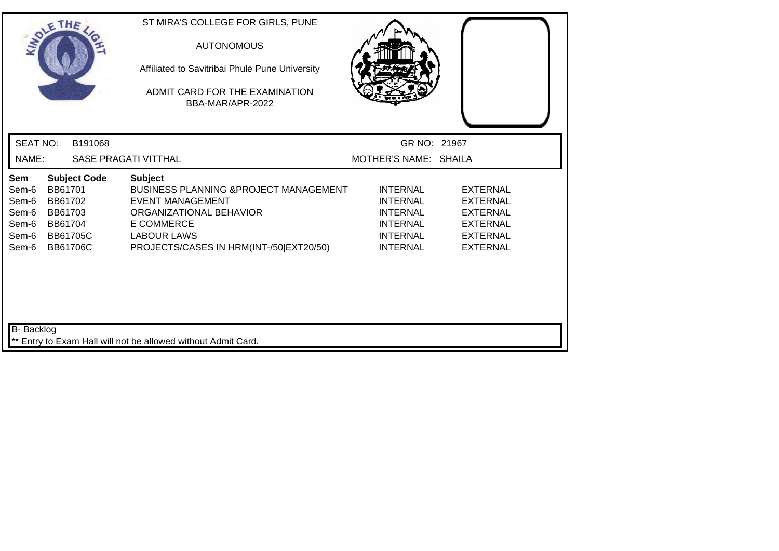| SOLETHE .                                                 |                                                                                |                     | ST MIRA'S COLLEGE FOR GIRLS, PUNE<br><b>AUTONOMOUS</b><br>Affiliated to Savitribai Phule Pune University<br>ADMIT CARD FOR THE EXAMINATION<br>BBA-MAR/APR-2022                                                  |                                                                                                                |                                                                                                                |
|-----------------------------------------------------------|--------------------------------------------------------------------------------|---------------------|-----------------------------------------------------------------------------------------------------------------------------------------------------------------------------------------------------------------|----------------------------------------------------------------------------------------------------------------|----------------------------------------------------------------------------------------------------------------|
| <b>SEAT NO:</b>                                           |                                                                                | B191068             |                                                                                                                                                                                                                 | GR NO: 21967                                                                                                   |                                                                                                                |
| NAME:                                                     |                                                                                |                     | <b>SASE PRAGATI VITTHAL</b>                                                                                                                                                                                     | MOTHER'S NAME: SHAILA                                                                                          |                                                                                                                |
| Sem<br>Sem-6<br>Sem-6<br>Sem-6<br>Sem-6<br>Sem-6<br>Sem-6 | BB61701<br>BB61702<br>BB61703<br>BB61704<br><b>BB61705C</b><br><b>BB61706C</b> | <b>Subject Code</b> | <b>Subject</b><br><b>BUSINESS PLANNING &amp; PROJECT MANAGEMENT</b><br><b>EVENT MANAGEMENT</b><br>ORGANIZATIONAL BEHAVIOR<br><b>E COMMERCE</b><br><b>LABOUR LAWS</b><br>PROJECTS/CASES IN HRM(INT-/50 EXT20/50) | <b>INTERNAL</b><br><b>INTERNAL</b><br><b>INTERNAL</b><br><b>INTERNAL</b><br><b>INTERNAL</b><br><b>INTERNAL</b> | <b>EXTERNAL</b><br><b>EXTERNAL</b><br><b>EXTERNAL</b><br><b>EXTERNAL</b><br><b>EXTERNAL</b><br><b>EXTERNAL</b> |
| <b>B-</b> Backlog                                         |                                                                                |                     | ** Entry to Exam Hall will not be allowed without Admit Card.                                                                                                                                                   |                                                                                                                |                                                                                                                |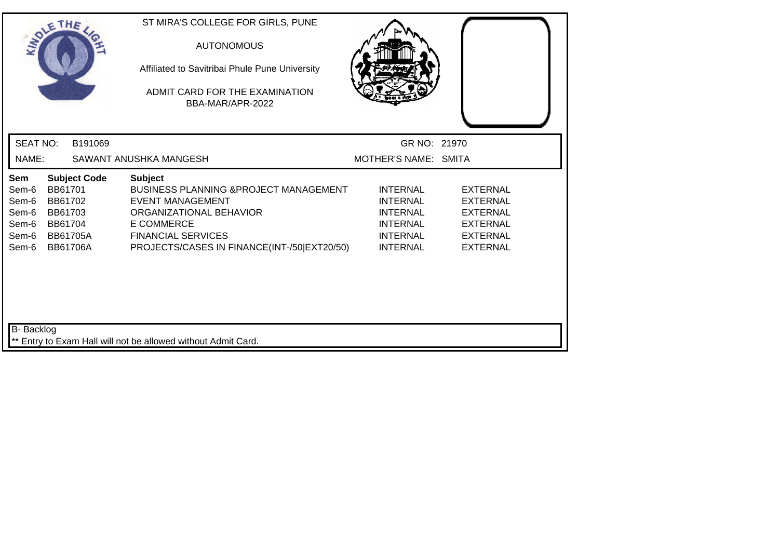| GR NO: 21970                                                                                                   |                                                                                                                |
|----------------------------------------------------------------------------------------------------------------|----------------------------------------------------------------------------------------------------------------|
| MOTHER'S NAME: SMITA                                                                                           |                                                                                                                |
| <b>INTERNAL</b><br><b>INTERNAL</b><br><b>INTERNAL</b><br><b>INTERNAL</b><br><b>INTERNAL</b><br><b>INTERNAL</b> | <b>EXTERNAL</b><br><b>EXTERNAL</b><br><b>EXTERNAL</b><br><b>EXTERNAL</b><br><b>EXTERNAL</b><br><b>EXTERNAL</b> |
|                                                                                                                |                                                                                                                |
|                                                                                                                | <b>BUSINESS PLANNING &amp; PROJECT MANAGEMENT</b><br>PROJECTS/CASES IN FINANCE(INT-/50 EXT20/50)               |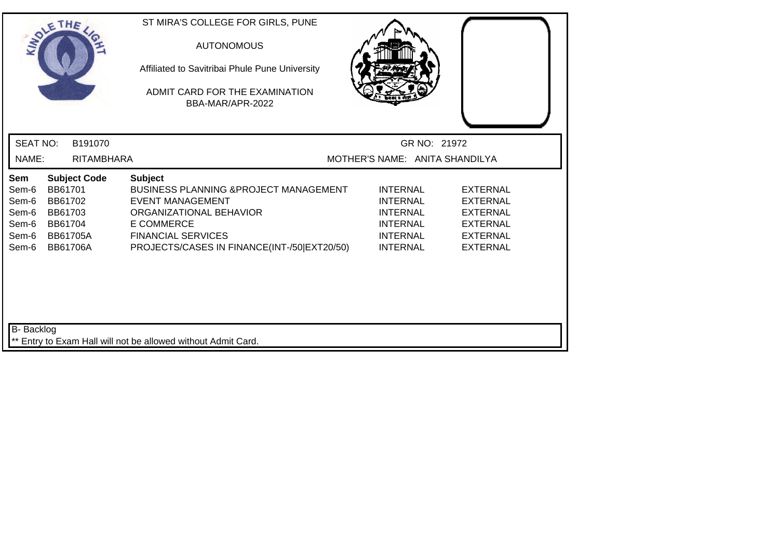| SOLETHE .                                                                                                                                                   | ST MIRA'S COLLEGE FOR GIRLS, PUNE<br><b>AUTONOMOUS</b><br>Affiliated to Savitribai Phule Pune University<br>ADMIT CARD FOR THE EXAMINATION<br>BBA-MAR/APR-2022                                                      |                                                                                                                |                                                                                                                |  |
|-------------------------------------------------------------------------------------------------------------------------------------------------------------|---------------------------------------------------------------------------------------------------------------------------------------------------------------------------------------------------------------------|----------------------------------------------------------------------------------------------------------------|----------------------------------------------------------------------------------------------------------------|--|
| <b>SEAT NO:</b><br>B191070                                                                                                                                  |                                                                                                                                                                                                                     | GR NO: 21972                                                                                                   |                                                                                                                |  |
| NAME:<br><b>RITAMBHARA</b>                                                                                                                                  |                                                                                                                                                                                                                     | MOTHER'S NAME: ANITA SHANDILYA                                                                                 |                                                                                                                |  |
| <b>Subject Code</b><br>Sem<br>BB61701<br>Sem-6<br>Sem-6<br>BB61702<br>Sem-6<br>BB61703<br>Sem-6<br>BB61704<br>Sem-6<br>BB61705A<br>Sem-6<br><b>BB61706A</b> | <b>Subject</b><br><b>BUSINESS PLANNING &amp; PROJECT MANAGEMENT</b><br>EVENT MANAGEMENT<br>ORGANIZATIONAL BEHAVIOR<br><b>E COMMERCE</b><br><b>FINANCIAL SERVICES</b><br>PROJECTS/CASES IN FINANCE(INT-/50 EXT20/50) | <b>INTERNAL</b><br><b>INTERNAL</b><br><b>INTERNAL</b><br><b>INTERNAL</b><br><b>INTERNAL</b><br><b>INTERNAL</b> | <b>EXTERNAL</b><br><b>EXTERNAL</b><br><b>EXTERNAL</b><br><b>EXTERNAL</b><br><b>EXTERNAL</b><br><b>EXTERNAL</b> |  |
| <b>B-</b> Backlog                                                                                                                                           | ** Entry to Exam Hall will not be allowed without Admit Card.                                                                                                                                                       |                                                                                                                |                                                                                                                |  |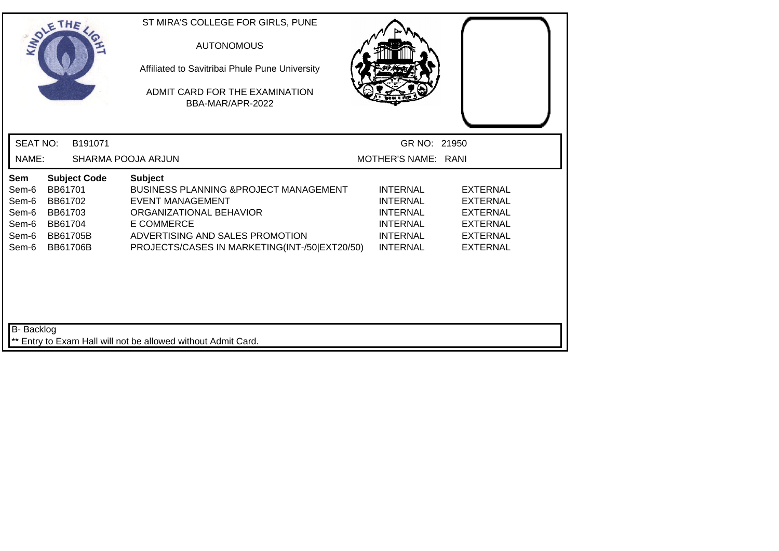| SOLETHE                                                   |                                                                                                       | ST MIRA'S COLLEGE FOR GIRLS, PUNE<br><b>AUTONOMOUS</b><br>Affiliated to Savitribai Phule Pune University<br>ADMIT CARD FOR THE EXAMINATION<br>BBA-MAR/APR-2022                                                                     |                                                                                                                |                                                                                                                |
|-----------------------------------------------------------|-------------------------------------------------------------------------------------------------------|------------------------------------------------------------------------------------------------------------------------------------------------------------------------------------------------------------------------------------|----------------------------------------------------------------------------------------------------------------|----------------------------------------------------------------------------------------------------------------|
| <b>SEAT NO:</b>                                           | B191071                                                                                               |                                                                                                                                                                                                                                    | GR NO: 21950                                                                                                   |                                                                                                                |
| NAME:                                                     |                                                                                                       | SHARMA POOJA ARJUN                                                                                                                                                                                                                 | MOTHER'S NAME: RANI                                                                                            |                                                                                                                |
| Sem<br>Sem-6<br>Sem-6<br>Sem-6<br>Sem-6<br>Sem-6<br>Sem-6 | <b>Subject Code</b><br>BB61701<br>BB61702<br>BB61703<br>BB61704<br><b>BB61705B</b><br><b>BB61706B</b> | <b>Subject</b><br><b>BUSINESS PLANNING &amp; PROJECT MANAGEMENT</b><br><b>EVENT MANAGEMENT</b><br>ORGANIZATIONAL BEHAVIOR<br><b>E COMMERCE</b><br>ADVERTISING AND SALES PROMOTION<br>PROJECTS/CASES IN MARKETING(INT-/50 EXT20/50) | <b>INTERNAL</b><br><b>INTERNAL</b><br><b>INTERNAL</b><br><b>INTERNAL</b><br><b>INTERNAL</b><br><b>INTERNAL</b> | <b>EXTERNAL</b><br><b>EXTERNAL</b><br><b>EXTERNAL</b><br><b>EXTERNAL</b><br><b>EXTERNAL</b><br><b>EXTERNAL</b> |
| B- Backlog                                                |                                                                                                       | ** Entry to Exam Hall will not be allowed without Admit Card.                                                                                                                                                                      |                                                                                                                |                                                                                                                |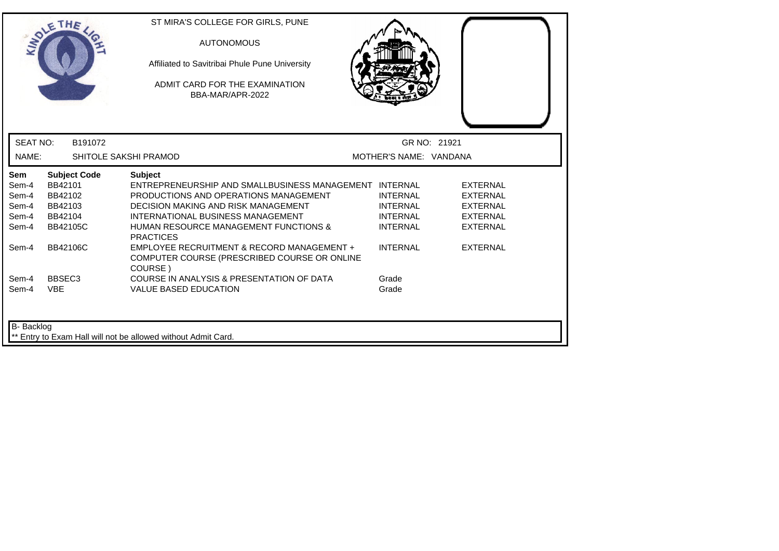| <b>INTO</b>                                      | THE                                                                                | ST MIRA'S COLLEGE FOR GIRLS, PUNE<br><b>AUTONOMOUS</b><br>Affiliated to Savitribai Phule Pune University<br>ADMIT CARD FOR THE EXAMINATION<br>BBA-MAR/APR-2022                                                                                                               |                                                                          |                                                                                             |
|--------------------------------------------------|------------------------------------------------------------------------------------|------------------------------------------------------------------------------------------------------------------------------------------------------------------------------------------------------------------------------------------------------------------------------|--------------------------------------------------------------------------|---------------------------------------------------------------------------------------------|
| <b>SEAT NO:</b>                                  | B191072                                                                            |                                                                                                                                                                                                                                                                              | GR NO: 21921                                                             |                                                                                             |
| NAME:                                            |                                                                                    | SHITOLE SAKSHI PRAMOD                                                                                                                                                                                                                                                        | MOTHER'S NAME: VANDANA                                                   |                                                                                             |
| Sem<br>Sem-4<br>Sem-4<br>Sem-4<br>Sem-4<br>Sem-4 | <b>Subject Code</b><br>BB42101<br>BB42102<br>BB42103<br>BB42104<br><b>BB42105C</b> | <b>Subject</b><br>ENTREPRENEURSHIP AND SMALLBUSINESS MANAGEMENT INTERNAL<br>PRODUCTIONS AND OPERATIONS MANAGEMENT<br><b>DECISION MAKING AND RISK MANAGEMENT</b><br>INTERNATIONAL BUSINESS MANAGEMENT<br><b>HUMAN RESOURCE MANAGEMENT FUNCTIONS &amp;</b><br><b>PRACTICES</b> | <b>INTERNAL</b><br><b>INTERNAL</b><br><b>INTERNAL</b><br><b>INTERNAL</b> | <b>EXTERNAL</b><br><b>EXTERNAL</b><br><b>EXTERNAL</b><br><b>EXTERNAL</b><br><b>EXTERNAL</b> |
| Sem-4                                            | <b>BB42106C</b>                                                                    | EMPLOYEE RECRUITMENT & RECORD MANAGEMENT +<br>COMPUTER COURSE (PRESCRIBED COURSE OR ONLINE<br>COURSE)                                                                                                                                                                        | <b>INTERNAL</b>                                                          | <b>EXTERNAL</b>                                                                             |
| Sem-4<br>Sem-4                                   | BBSEC <sub>3</sub><br><b>VBE</b>                                                   | COURSE IN ANALYSIS & PRESENTATION OF DATA<br><b>VALUE BASED EDUCATION</b>                                                                                                                                                                                                    | Grade<br>Grade                                                           |                                                                                             |
| B- Backlog                                       |                                                                                    | Entry to Exam Hall will not be allowed without Admit Card.                                                                                                                                                                                                                   |                                                                          |                                                                                             |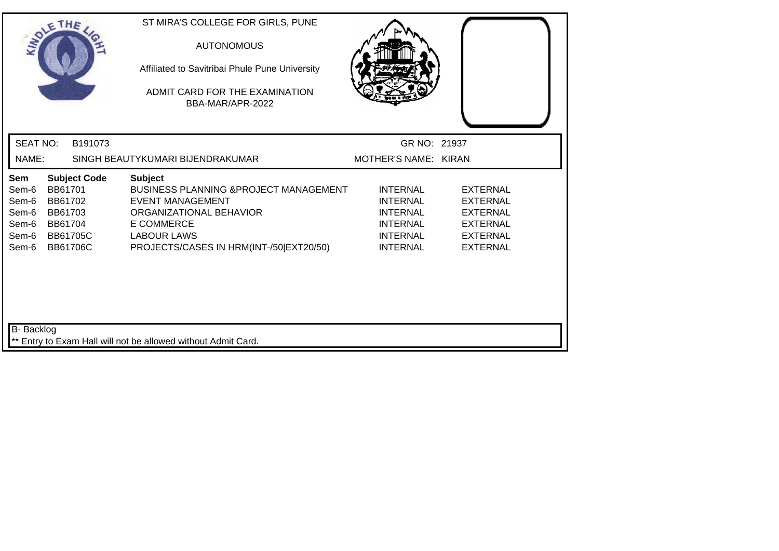| SOLETHE .                                                 |                                                                                                       |         | ST MIRA'S COLLEGE FOR GIRLS, PUNE<br><b>AUTONOMOUS</b><br>Affiliated to Savitribai Phule Pune University<br>ADMIT CARD FOR THE EXAMINATION<br>BBA-MAR/APR-2022                                       |                                                                                                                |                                                                                                                |
|-----------------------------------------------------------|-------------------------------------------------------------------------------------------------------|---------|------------------------------------------------------------------------------------------------------------------------------------------------------------------------------------------------------|----------------------------------------------------------------------------------------------------------------|----------------------------------------------------------------------------------------------------------------|
| <b>SEAT NO:</b>                                           |                                                                                                       | B191073 |                                                                                                                                                                                                      | GR NO: 21937                                                                                                   |                                                                                                                |
| NAME:                                                     |                                                                                                       |         | SINGH BEAUTYKUMARI BIJENDRAKUMAR                                                                                                                                                                     | MOTHER'S NAME: KIRAN                                                                                           |                                                                                                                |
| Sem<br>Sem-6<br>Sem-6<br>Sem-6<br>Sem-6<br>Sem-6<br>Sem-6 | <b>Subject Code</b><br>BB61701<br>BB61702<br>BB61703<br>BB61704<br><b>BB61705C</b><br><b>BB61706C</b> |         | <b>Subject</b><br>BUSINESS PLANNING & PROJECT MANAGEMENT<br><b>EVENT MANAGEMENT</b><br>ORGANIZATIONAL BEHAVIOR<br><b>E COMMERCE</b><br><b>LABOUR LAWS</b><br>PROJECTS/CASES IN HRM(INT-/50 EXT20/50) | <b>INTERNAL</b><br><b>INTERNAL</b><br><b>INTERNAL</b><br><b>INTERNAL</b><br><b>INTERNAL</b><br><b>INTERNAL</b> | <b>EXTERNAL</b><br><b>EXTERNAL</b><br><b>EXTERNAL</b><br><b>EXTERNAL</b><br><b>EXTERNAL</b><br><b>EXTERNAL</b> |
| B- Backlog                                                |                                                                                                       |         | ** Entry to Exam Hall will not be allowed without Admit Card.                                                                                                                                        |                                                                                                                |                                                                                                                |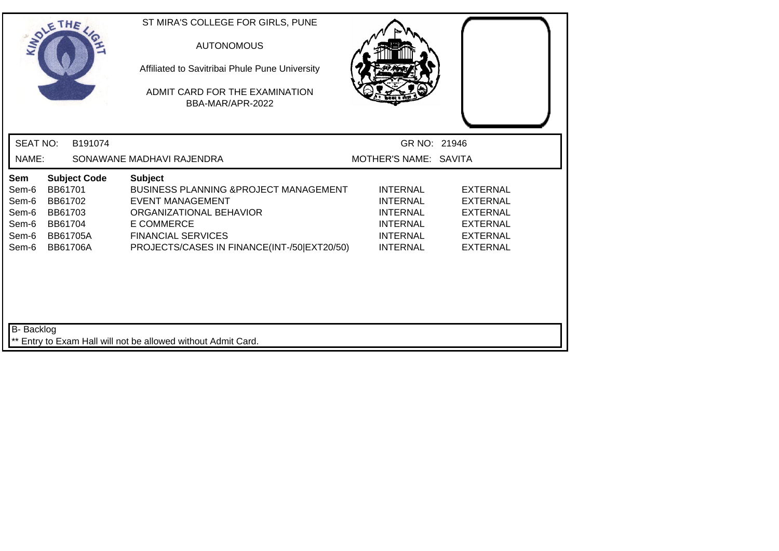| SOLETHE .                                                 |                                                                                |                     | ST MIRA'S COLLEGE FOR GIRLS, PUNE<br><b>AUTONOMOUS</b><br>Affiliated to Savitribai Phule Pune University<br>ADMIT CARD FOR THE EXAMINATION<br>BBA-MAR/APR-2022                                                             |                                                                                                                |                                                                                                                |
|-----------------------------------------------------------|--------------------------------------------------------------------------------|---------------------|----------------------------------------------------------------------------------------------------------------------------------------------------------------------------------------------------------------------------|----------------------------------------------------------------------------------------------------------------|----------------------------------------------------------------------------------------------------------------|
| <b>SEAT NO:</b>                                           |                                                                                | B191074             |                                                                                                                                                                                                                            | GR NO: 21946                                                                                                   |                                                                                                                |
| NAME:                                                     |                                                                                |                     | SONAWANE MADHAVI RAJENDRA                                                                                                                                                                                                  | MOTHER'S NAME: SAVITA                                                                                          |                                                                                                                |
| Sem<br>Sem-6<br>Sem-6<br>Sem-6<br>Sem-6<br>Sem-6<br>Sem-6 | BB61701<br>BB61702<br>BB61703<br>BB61704<br><b>BB61705A</b><br><b>BB61706A</b> | <b>Subject Code</b> | <b>Subject</b><br><b>BUSINESS PLANNING &amp; PROJECT MANAGEMENT</b><br><b>EVENT MANAGEMENT</b><br>ORGANIZATIONAL BEHAVIOR<br><b>E COMMERCE</b><br><b>FINANCIAL SERVICES</b><br>PROJECTS/CASES IN FINANCE(INT-/50 EXT20/50) | <b>INTERNAL</b><br><b>INTERNAL</b><br><b>INTERNAL</b><br><b>INTERNAL</b><br><b>INTERNAL</b><br><b>INTERNAL</b> | <b>EXTERNAL</b><br><b>EXTERNAL</b><br><b>EXTERNAL</b><br><b>EXTERNAL</b><br><b>EXTERNAL</b><br><b>EXTERNAL</b> |
| <b>B-</b> Backlog                                         |                                                                                |                     | ** Entry to Exam Hall will not be allowed without Admit Card.                                                                                                                                                              |                                                                                                                |                                                                                                                |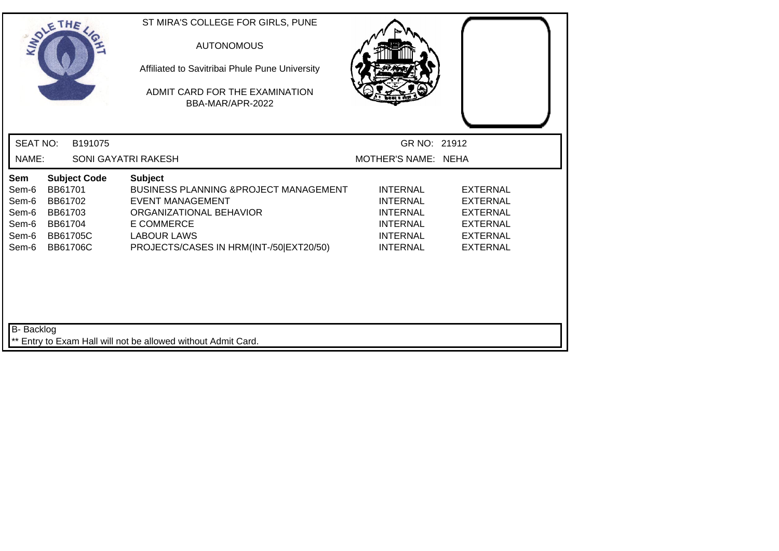| SOLETHE .                                                 |                                                                                |                     | ST MIRA'S COLLEGE FOR GIRLS, PUNE<br><b>AUTONOMOUS</b><br>Affiliated to Savitribai Phule Pune University<br>ADMIT CARD FOR THE EXAMINATION<br>BBA-MAR/APR-2022                                       |                                                                                                                |                                                                                                                |
|-----------------------------------------------------------|--------------------------------------------------------------------------------|---------------------|------------------------------------------------------------------------------------------------------------------------------------------------------------------------------------------------------|----------------------------------------------------------------------------------------------------------------|----------------------------------------------------------------------------------------------------------------|
| <b>SEAT NO:</b>                                           |                                                                                | B191075             |                                                                                                                                                                                                      | GR NO: 21912                                                                                                   |                                                                                                                |
| NAME:                                                     |                                                                                |                     | SONI GAYATRI RAKESH                                                                                                                                                                                  | MOTHER'S NAME: NEHA                                                                                            |                                                                                                                |
| Sem<br>Sem-6<br>Sem-6<br>Sem-6<br>Sem-6<br>Sem-6<br>Sem-6 | BB61701<br>BB61702<br>BB61703<br>BB61704<br><b>BB61705C</b><br><b>BB61706C</b> | <b>Subject Code</b> | <b>Subject</b><br>BUSINESS PLANNING & PROJECT MANAGEMENT<br><b>EVENT MANAGEMENT</b><br>ORGANIZATIONAL BEHAVIOR<br><b>E COMMERCE</b><br><b>LABOUR LAWS</b><br>PROJECTS/CASES IN HRM(INT-/50 EXT20/50) | <b>INTERNAL</b><br><b>INTERNAL</b><br><b>INTERNAL</b><br><b>INTERNAL</b><br><b>INTERNAL</b><br><b>INTERNAL</b> | <b>EXTERNAL</b><br><b>EXTERNAL</b><br><b>EXTERNAL</b><br><b>EXTERNAL</b><br><b>EXTERNAL</b><br><b>EXTERNAL</b> |
| B- Backlog                                                |                                                                                |                     | ** Entry to Exam Hall will not be allowed without Admit Card.                                                                                                                                        |                                                                                                                |                                                                                                                |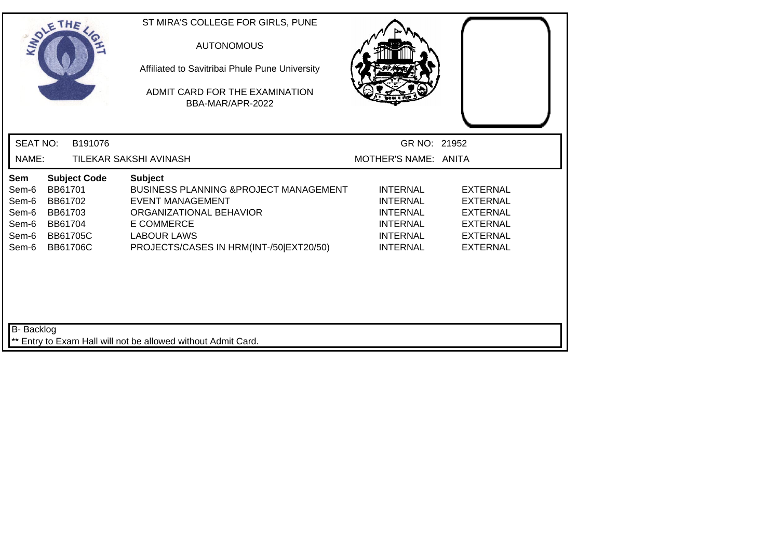|                                                           | SOLETHE .                                                                                             |         | ST MIRA'S COLLEGE FOR GIRLS, PUNE<br><b>AUTONOMOUS</b><br>Affiliated to Savitribai Phule Pune University<br>ADMIT CARD FOR THE EXAMINATION<br>BBA-MAR/APR-2022                                                 |                                                                                                                |                                                                                                                |
|-----------------------------------------------------------|-------------------------------------------------------------------------------------------------------|---------|----------------------------------------------------------------------------------------------------------------------------------------------------------------------------------------------------------------|----------------------------------------------------------------------------------------------------------------|----------------------------------------------------------------------------------------------------------------|
| <b>SEAT NO:</b>                                           |                                                                                                       | B191076 |                                                                                                                                                                                                                | GR NO: 21952                                                                                                   |                                                                                                                |
| NAME:                                                     |                                                                                                       |         | TILEKAR SAKSHI AVINASH                                                                                                                                                                                         | MOTHER'S NAME: ANITA                                                                                           |                                                                                                                |
| Sem<br>Sem-6<br>Sem-6<br>Sem-6<br>Sem-6<br>Sem-6<br>Sem-6 | <b>Subject Code</b><br>BB61701<br>BB61702<br>BB61703<br>BB61704<br><b>BB61705C</b><br><b>BB61706C</b> |         | <b>Subject</b><br><b>BUSINESS PLANNING &amp;PROJECT MANAGEMENT</b><br><b>EVENT MANAGEMENT</b><br>ORGANIZATIONAL BEHAVIOR<br><b>E COMMERCE</b><br><b>LABOUR LAWS</b><br>PROJECTS/CASES IN HRM(INT-/50 EXT20/50) | <b>INTERNAL</b><br><b>INTERNAL</b><br><b>INTERNAL</b><br><b>INTERNAL</b><br><b>INTERNAL</b><br><b>INTERNAL</b> | <b>EXTERNAL</b><br><b>EXTERNAL</b><br><b>EXTERNAL</b><br><b>EXTERNAL</b><br><b>EXTERNAL</b><br><b>EXTERNAL</b> |
| B- Backlog                                                |                                                                                                       |         | ** Entry to Exam Hall will not be allowed without Admit Card.                                                                                                                                                  |                                                                                                                |                                                                                                                |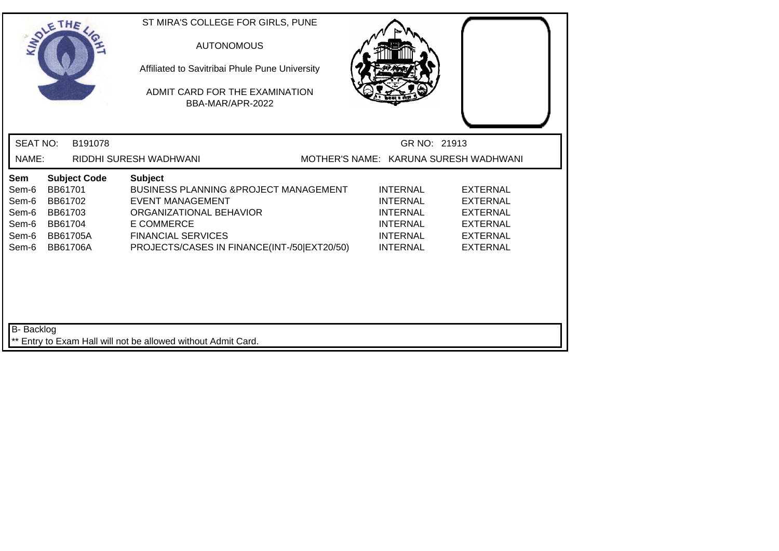| SOLE THE                                                  |                                                                                |                     | ST MIRA'S COLLEGE FOR GIRLS, PUNE<br><b>AUTONOMOUS</b><br>Affiliated to Savitribai Phule Pune University<br>ADMIT CARD FOR THE EXAMINATION<br>BBA-MAR/APR-2022                                                             |                                                                                                                |                                                                                                                |  |
|-----------------------------------------------------------|--------------------------------------------------------------------------------|---------------------|----------------------------------------------------------------------------------------------------------------------------------------------------------------------------------------------------------------------------|----------------------------------------------------------------------------------------------------------------|----------------------------------------------------------------------------------------------------------------|--|
| <b>SEAT NO:</b>                                           |                                                                                | B191078             |                                                                                                                                                                                                                            | GR NO: 21913                                                                                                   |                                                                                                                |  |
| NAME:                                                     |                                                                                |                     | RIDDHI SURESH WADHWANI                                                                                                                                                                                                     |                                                                                                                | MOTHER'S NAME: KARUNA SURESH WADHWANI                                                                          |  |
| Sem<br>Sem-6<br>Sem-6<br>Sem-6<br>Sem-6<br>Sem-6<br>Sem-6 | BB61701<br>BB61702<br>BB61703<br>BB61704<br><b>BB61705A</b><br><b>BB61706A</b> | <b>Subject Code</b> | <b>Subject</b><br><b>BUSINESS PLANNING &amp; PROJECT MANAGEMENT</b><br><b>EVENT MANAGEMENT</b><br>ORGANIZATIONAL BEHAVIOR<br><b>E COMMERCE</b><br><b>FINANCIAL SERVICES</b><br>PROJECTS/CASES IN FINANCE(INT-/50 EXT20/50) | <b>INTERNAL</b><br><b>INTERNAL</b><br><b>INTERNAL</b><br><b>INTERNAL</b><br><b>INTERNAL</b><br><b>INTERNAL</b> | <b>EXTERNAL</b><br><b>EXTERNAL</b><br><b>EXTERNAL</b><br><b>EXTERNAL</b><br><b>EXTERNAL</b><br><b>EXTERNAL</b> |  |
| B- Backlog                                                |                                                                                |                     | ** Entry to Exam Hall will not be allowed without Admit Card.                                                                                                                                                              |                                                                                                                |                                                                                                                |  |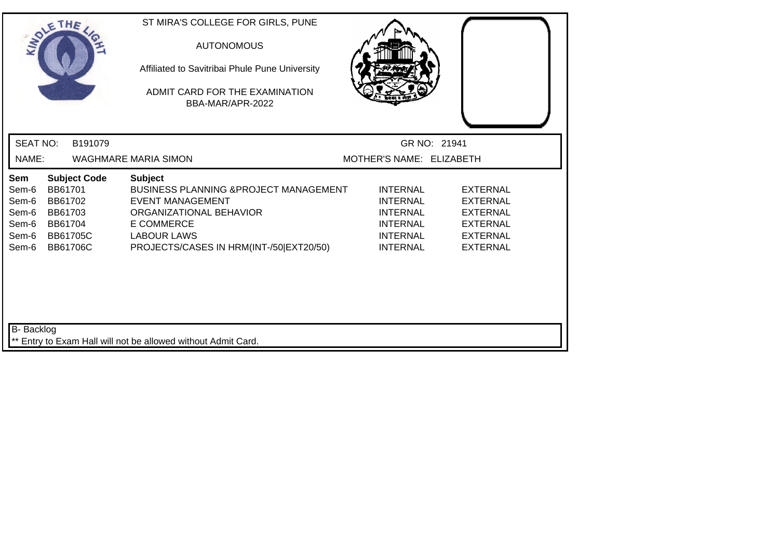|                                                           | SOLE THE                                                                                              | ST MIRA'S COLLEGE FOR GIRLS, PUNE<br><b>AUTONOMOUS</b><br>Affiliated to Savitribai Phule Pune University<br>ADMIT CARD FOR THE EXAMINATION<br>BBA-MAR/APR-2022                                                  |                                                                                                                |                                                                                                                |  |
|-----------------------------------------------------------|-------------------------------------------------------------------------------------------------------|-----------------------------------------------------------------------------------------------------------------------------------------------------------------------------------------------------------------|----------------------------------------------------------------------------------------------------------------|----------------------------------------------------------------------------------------------------------------|--|
| <b>SEAT NO:</b>                                           | B191079                                                                                               |                                                                                                                                                                                                                 | GR NO: 21941                                                                                                   |                                                                                                                |  |
| NAME:                                                     |                                                                                                       | <b>WAGHMARE MARIA SIMON</b>                                                                                                                                                                                     | MOTHER'S NAME: ELIZABETH                                                                                       |                                                                                                                |  |
| Sem<br>Sem-6<br>Sem-6<br>Sem-6<br>Sem-6<br>Sem-6<br>Sem-6 | <b>Subject Code</b><br>BB61701<br>BB61702<br>BB61703<br>BB61704<br><b>BB61705C</b><br><b>BB61706C</b> | <b>Subject</b><br><b>BUSINESS PLANNING &amp; PROJECT MANAGEMENT</b><br><b>EVENT MANAGEMENT</b><br>ORGANIZATIONAL BEHAVIOR<br><b>E COMMERCE</b><br><b>LABOUR LAWS</b><br>PROJECTS/CASES IN HRM(INT-/50 EXT20/50) | <b>INTERNAL</b><br><b>INTERNAL</b><br><b>INTERNAL</b><br><b>INTERNAL</b><br><b>INTERNAL</b><br><b>INTERNAL</b> | <b>EXTERNAL</b><br><b>EXTERNAL</b><br><b>EXTERNAL</b><br><b>EXTERNAL</b><br><b>EXTERNAL</b><br><b>EXTERNAL</b> |  |
| B- Backlog                                                |                                                                                                       | ** Entry to Exam Hall will not be allowed without Admit Card.                                                                                                                                                   |                                                                                                                |                                                                                                                |  |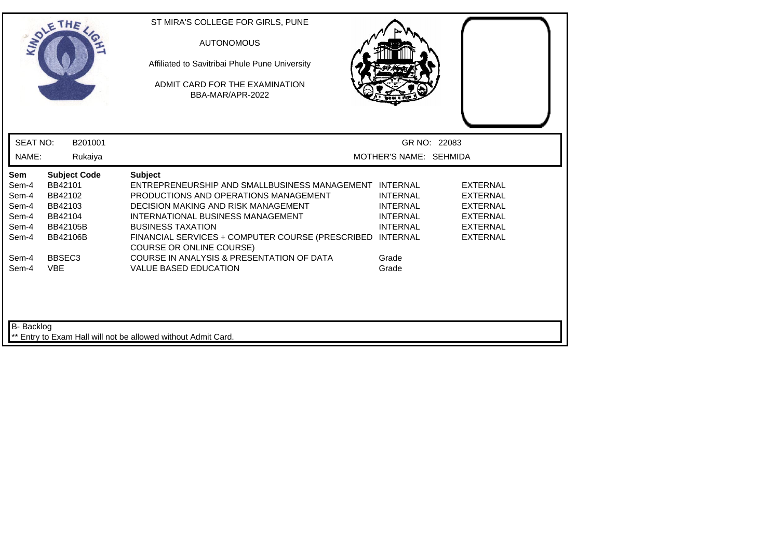| ADLE                                                      | THE                                                                                            | ST MIRA'S COLLEGE FOR GIRLS, PUNE<br><b>AUTONOMOUS</b><br>Affiliated to Savitribai Phule Pune University<br>ADMIT CARD FOR THE EXAMINATION<br>BBA-MAR/APR-2022                                                                                                                                                   |                                                                                             |                                                                                                                |  |
|-----------------------------------------------------------|------------------------------------------------------------------------------------------------|------------------------------------------------------------------------------------------------------------------------------------------------------------------------------------------------------------------------------------------------------------------------------------------------------------------|---------------------------------------------------------------------------------------------|----------------------------------------------------------------------------------------------------------------|--|
| <b>SEAT NO:</b>                                           | B201001                                                                                        |                                                                                                                                                                                                                                                                                                                  |                                                                                             | GR NO: 22083                                                                                                   |  |
| NAME:                                                     | Rukaiya                                                                                        |                                                                                                                                                                                                                                                                                                                  | MOTHER'S NAME: SEHMIDA                                                                      |                                                                                                                |  |
| Sem<br>Sem-4<br>Sem-4<br>Sem-4<br>Sem-4<br>Sem-4<br>Sem-4 | <b>Subject Code</b><br>BB42101<br>BB42102<br>BB42103<br>BB42104<br>BB42105B<br><b>BB42106B</b> | <b>Subject</b><br>ENTREPRENEURSHIP AND SMALLBUSINESS MANAGEMENT INTERNAL<br>PRODUCTIONS AND OPERATIONS MANAGEMENT<br>DECISION MAKING AND RISK MANAGEMENT<br>INTERNATIONAL BUSINESS MANAGEMENT<br><b>BUSINESS TAXATION</b><br>FINANCIAL SERVICES + COMPUTER COURSE (PRESCRIBED<br><b>COURSE OR ONLINE COURSE)</b> | <b>INTERNAL</b><br><b>INTERNAL</b><br><b>INTERNAL</b><br><b>INTERNAL</b><br><b>INTERNAL</b> | <b>EXTERNAL</b><br><b>EXTERNAL</b><br><b>EXTERNAL</b><br><b>EXTERNAL</b><br><b>EXTERNAL</b><br><b>EXTERNAL</b> |  |
| Sem-4<br>Sem-4                                            | BBSEC <sub>3</sub><br><b>VBE</b>                                                               | COURSE IN ANALYSIS & PRESENTATION OF DATA<br><b>VALUE BASED EDUCATION</b>                                                                                                                                                                                                                                        | Grade<br>Grade                                                                              |                                                                                                                |  |
| B- Backlog                                                |                                                                                                | ** Entry to Exam Hall will not be allowed without Admit Card.                                                                                                                                                                                                                                                    |                                                                                             |                                                                                                                |  |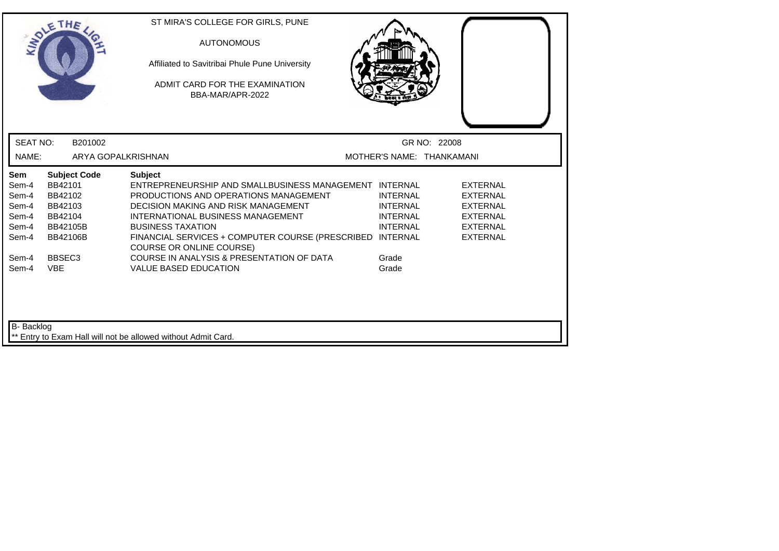|                                                           | THE                                                                                            | ST MIRA'S COLLEGE FOR GIRLS, PUNE<br><b>AUTONOMOUS</b><br>Affiliated to Savitribai Phule Pune University<br>ADMIT CARD FOR THE EXAMINATION<br>BBA-MAR/APR-2022                                                                                                                                                            |                                                                          |                                                                                                                |
|-----------------------------------------------------------|------------------------------------------------------------------------------------------------|---------------------------------------------------------------------------------------------------------------------------------------------------------------------------------------------------------------------------------------------------------------------------------------------------------------------------|--------------------------------------------------------------------------|----------------------------------------------------------------------------------------------------------------|
| <b>SEAT NO:</b>                                           | B201002                                                                                        |                                                                                                                                                                                                                                                                                                                           |                                                                          | GR NO: 22008                                                                                                   |
| NAME:                                                     | ARYA GOPALKRISHNAN                                                                             |                                                                                                                                                                                                                                                                                                                           |                                                                          | MOTHER'S NAME: THANKAMANI                                                                                      |
| Sem<br>Sem-4<br>Sem-4<br>Sem-4<br>Sem-4<br>Sem-4<br>Sem-4 | <b>Subject Code</b><br>BB42101<br>BB42102<br>BB42103<br>BB42104<br>BB42105B<br><b>BB42106B</b> | <b>Subject</b><br>ENTREPRENEURSHIP AND SMALLBUSINESS MANAGEMENT INTERNAL<br>PRODUCTIONS AND OPERATIONS MANAGEMENT<br>DECISION MAKING AND RISK MANAGEMENT<br>INTERNATIONAL BUSINESS MANAGEMENT<br><b>BUSINESS TAXATION</b><br>FINANCIAL SERVICES + COMPUTER COURSE (PRESCRIBED INTERNAL<br><b>COURSE OR ONLINE COURSE)</b> | <b>INTERNAL</b><br><b>INTERNAL</b><br><b>INTERNAL</b><br><b>INTERNAL</b> | <b>EXTERNAL</b><br><b>EXTERNAL</b><br><b>EXTERNAL</b><br><b>EXTERNAL</b><br><b>EXTERNAL</b><br><b>EXTERNAL</b> |
| Sem-4<br>Sem-4<br>B- Backlog                              | BBSEC <sub>3</sub><br><b>VBE</b>                                                               | COURSE IN ANALYSIS & PRESENTATION OF DATA<br><b>VALUE BASED EDUCATION</b>                                                                                                                                                                                                                                                 | Grade<br>Grade                                                           |                                                                                                                |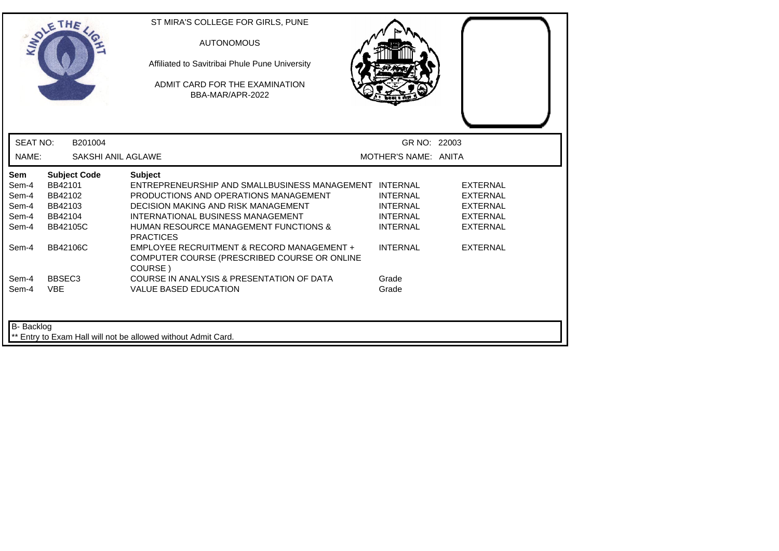| <b>INTI</b>                                             | THE                                                         |                           | ST MIRA'S COLLEGE FOR GIRLS, PUNE<br><b>AUTONOMOUS</b><br>Affiliated to Savitribai Phule Pune University<br>ADMIT CARD FOR THE EXAMINATION<br>BBA-MAR/APR-2022                                                                                                               |                                                                          |                                                                                      |
|---------------------------------------------------------|-------------------------------------------------------------|---------------------------|------------------------------------------------------------------------------------------------------------------------------------------------------------------------------------------------------------------------------------------------------------------------------|--------------------------------------------------------------------------|--------------------------------------------------------------------------------------|
| <b>SEAT NO:</b>                                         |                                                             | B201004                   |                                                                                                                                                                                                                                                                              | GR NO: 22003                                                             |                                                                                      |
| NAME:                                                   |                                                             | <b>SAKSHI ANIL AGLAWE</b> |                                                                                                                                                                                                                                                                              | MOTHER'S NAME: ANITA                                                     |                                                                                      |
| <b>Sem</b><br>Sem-4<br>Sem-4<br>Sem-4<br>Sem-4<br>Sem-4 | BB42101<br>BB42102<br>BB42103<br>BB42104<br><b>BB42105C</b> | <b>Subject Code</b>       | <b>Subject</b><br>ENTREPRENEURSHIP AND SMALLBUSINESS MANAGEMENT INTERNAL<br>PRODUCTIONS AND OPERATIONS MANAGEMENT<br><b>DECISION MAKING AND RISK MANAGEMENT</b><br>INTERNATIONAL BUSINESS MANAGEMENT<br><b>HUMAN RESOURCE MANAGEMENT FUNCTIONS &amp;</b><br><b>PRACTICES</b> | <b>INTERNAL</b><br><b>INTERNAL</b><br><b>INTERNAL</b><br><b>INTERNAL</b> | <b>EXTERNAL</b><br><b>EXTERNAL</b><br><b>EXTERNAL</b><br>EXTERNAL<br><b>EXTERNAL</b> |
| Sem-4                                                   | <b>BB42106C</b>                                             |                           | EMPLOYEE RECRUITMENT & RECORD MANAGEMENT +<br>COMPUTER COURSE (PRESCRIBED COURSE OR ONLINE<br>COURSE)                                                                                                                                                                        | <b>INTERNAL</b>                                                          | <b>EXTERNAL</b>                                                                      |
| Sem-4<br>Sem-4                                          | BBSEC <sub>3</sub><br><b>VBE</b>                            |                           | COURSE IN ANALYSIS & PRESENTATION OF DATA<br><b>VALUE BASED EDUCATION</b>                                                                                                                                                                                                    | Grade<br>Grade                                                           |                                                                                      |
| B- Backlog                                              |                                                             |                           | ** Entry to Exam Hall will not be allowed without Admit Card.                                                                                                                                                                                                                |                                                                          |                                                                                      |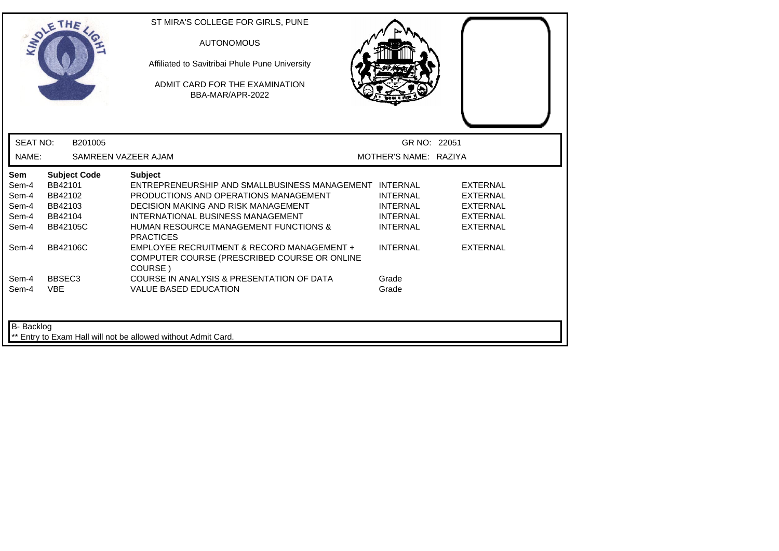|                                                                  | THE                                                                            |                     | ST MIRA'S COLLEGE FOR GIRLS, PUNE<br><b>AUTONOMOUS</b><br>Affiliated to Savitribai Phule Pune University<br>ADMIT CARD FOR THE EXAMINATION<br>BBA-MAR/APR-2022                                                                                                                                                             |                                                                                             |                                                                                                                |
|------------------------------------------------------------------|--------------------------------------------------------------------------------|---------------------|----------------------------------------------------------------------------------------------------------------------------------------------------------------------------------------------------------------------------------------------------------------------------------------------------------------------------|---------------------------------------------------------------------------------------------|----------------------------------------------------------------------------------------------------------------|
| <b>SEAT NO:</b>                                                  |                                                                                | B201005             |                                                                                                                                                                                                                                                                                                                            | GR NO: 22051                                                                                |                                                                                                                |
| NAME:                                                            |                                                                                | SAMREEN VAZEER AJAM |                                                                                                                                                                                                                                                                                                                            | MOTHER'S NAME: RAZIYA                                                                       |                                                                                                                |
| <b>Sem</b><br>Sem-4<br>Sem-4<br>Sem-4<br>Sem-4<br>Sem-4<br>Sem-4 | BB42101<br>BB42102<br>BB42103<br>BB42104<br><b>BB42105C</b><br><b>BB42106C</b> | <b>Subject Code</b> | <b>Subject</b><br>ENTREPRENEURSHIP AND SMALLBUSINESS MANAGEMENT INTERNAL<br>PRODUCTIONS AND OPERATIONS MANAGEMENT<br><b>DECISION MAKING AND RISK MANAGEMENT</b><br>INTERNATIONAL BUSINESS MANAGEMENT<br><b>HUMAN RESOURCE MANAGEMENT FUNCTIONS &amp;</b><br><b>PRACTICES</b><br>EMPLOYEE RECRUITMENT & RECORD MANAGEMENT + | <b>INTERNAL</b><br><b>INTERNAL</b><br><b>INTERNAL</b><br><b>INTERNAL</b><br><b>INTERNAL</b> | <b>EXTERNAL</b><br><b>EXTERNAL</b><br><b>EXTERNAL</b><br><b>EXTERNAL</b><br><b>EXTERNAL</b><br><b>EXTERNAL</b> |
|                                                                  |                                                                                |                     | COMPUTER COURSE (PRESCRIBED COURSE OR ONLINE<br>COURSE)                                                                                                                                                                                                                                                                    |                                                                                             |                                                                                                                |
| Sem-4<br>Sem-4                                                   | BBSEC <sub>3</sub><br><b>VBE</b>                                               |                     | COURSE IN ANALYSIS & PRESENTATION OF DATA<br><b>VALUE BASED EDUCATION</b>                                                                                                                                                                                                                                                  | Grade<br>Grade                                                                              |                                                                                                                |
| B- Backlog                                                       |                                                                                |                     | ** Entry to Exam Hall will not be allowed without Admit Card.                                                                                                                                                                                                                                                              |                                                                                             |                                                                                                                |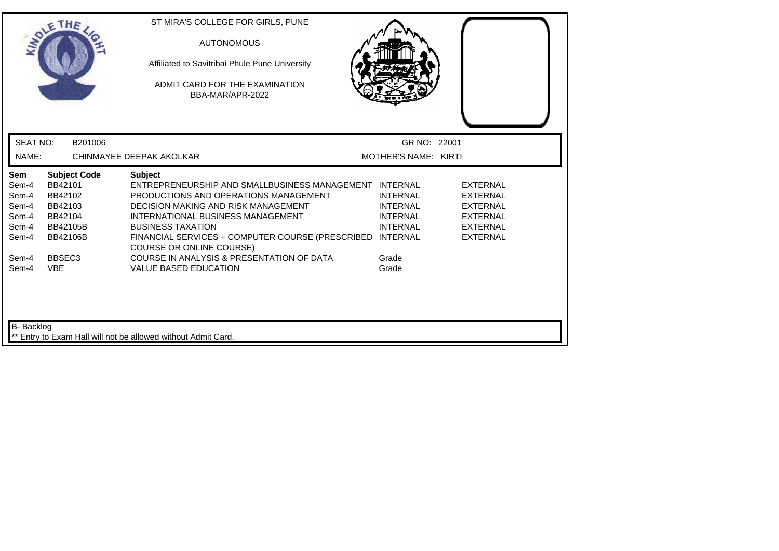|                                                                  | THE                                                                                            | ST MIRA'S COLLEGE FOR GIRLS, PUNE<br><b>AUTONOMOUS</b><br>Affiliated to Savitribai Phule Pune University<br>ADMIT CARD FOR THE EXAMINATION<br>BBA-MAR/APR-2022                                                                                                                                                            |                                                                          |                                                                                                                |
|------------------------------------------------------------------|------------------------------------------------------------------------------------------------|---------------------------------------------------------------------------------------------------------------------------------------------------------------------------------------------------------------------------------------------------------------------------------------------------------------------------|--------------------------------------------------------------------------|----------------------------------------------------------------------------------------------------------------|
| <b>SEAT NO:</b>                                                  | B201006                                                                                        |                                                                                                                                                                                                                                                                                                                           | GR NO: 22001                                                             |                                                                                                                |
| NAME:                                                            |                                                                                                | CHINMAYEE DEEPAK AKOLKAR                                                                                                                                                                                                                                                                                                  | MOTHER'S NAME: KIRTI                                                     |                                                                                                                |
| <b>Sem</b><br>Sem-4<br>Sem-4<br>Sem-4<br>Sem-4<br>Sem-4<br>Sem-4 | <b>Subject Code</b><br>BB42101<br>BB42102<br>BB42103<br>BB42104<br>BB42105B<br><b>BB42106B</b> | <b>Subject</b><br>ENTREPRENEURSHIP AND SMALLBUSINESS MANAGEMENT INTERNAL<br>PRODUCTIONS AND OPERATIONS MANAGEMENT<br>DECISION MAKING AND RISK MANAGEMENT<br>INTERNATIONAL BUSINESS MANAGEMENT<br><b>BUSINESS TAXATION</b><br>FINANCIAL SERVICES + COMPUTER COURSE (PRESCRIBED INTERNAL<br><b>COURSE OR ONLINE COURSE)</b> | <b>INTERNAL</b><br><b>INTERNAL</b><br><b>INTERNAL</b><br><b>INTERNAL</b> | <b>EXTERNAL</b><br><b>EXTERNAL</b><br><b>EXTERNAL</b><br><b>EXTERNAL</b><br><b>EXTERNAL</b><br><b>EXTERNAL</b> |
| Sem-4<br>Sem-4<br>B- Backlog                                     | BBSEC <sub>3</sub><br><b>VBE</b>                                                               | COURSE IN ANALYSIS & PRESENTATION OF DATA<br><b>VALUE BASED EDUCATION</b>                                                                                                                                                                                                                                                 | Grade<br>Grade                                                           |                                                                                                                |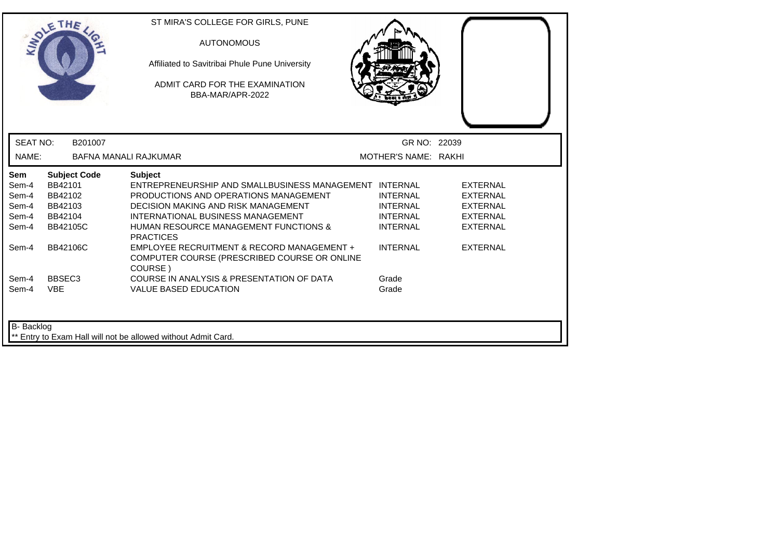|                 | THE                 | ST MIRA'S COLLEGE FOR GIRLS, PUNE<br><b>AUTONOMOUS</b><br>Affiliated to Savitribai Phule Pune University<br>ADMIT CARD FOR THE EXAMINATION<br>BBA-MAR/APR-2022 |                      |                 |
|-----------------|---------------------|----------------------------------------------------------------------------------------------------------------------------------------------------------------|----------------------|-----------------|
| <b>SEAT NO:</b> | B201007             |                                                                                                                                                                | GR NO: 22039         |                 |
| NAME:           |                     | BAFNA MANALI RAJKUMAR                                                                                                                                          | MOTHER'S NAME: RAKHI |                 |
| Sem             | <b>Subject Code</b> | <b>Subject</b>                                                                                                                                                 |                      |                 |
| Sem-4           | BB42101             | ENTREPRENEURSHIP AND SMALLBUSINESS MANAGEMENT INTERNAL                                                                                                         |                      | <b>EXTERNAL</b> |
| Sem-4           | BB42102             | PRODUCTIONS AND OPERATIONS MANAGEMENT                                                                                                                          | <b>INTERNAL</b>      | <b>EXTERNAL</b> |
| Sem-4           | BB42103             | <b>DECISION MAKING AND RISK MANAGEMENT</b>                                                                                                                     | <b>INTERNAL</b>      | <b>EXTERNAL</b> |
| Sem-4           | BB42104             | INTERNATIONAL BUSINESS MANAGEMENT                                                                                                                              | <b>INTERNAL</b>      | <b>EXTERNAL</b> |
| Sem-4           | <b>BB42105C</b>     | HUMAN RESOURCE MANAGEMENT FUNCTIONS &<br><b>PRACTICES</b>                                                                                                      | <b>INTERNAL</b>      | <b>EXTERNAL</b> |
| Sem-4           | <b>BB42106C</b>     | EMPLOYEE RECRUITMENT & RECORD MANAGEMENT +<br>COMPUTER COURSE (PRESCRIBED COURSE OR ONLINE<br>COURSE)                                                          | <b>INTERNAL</b>      | <b>EXTERNAL</b> |
| Sem-4           | BBSEC <sub>3</sub>  | COURSE IN ANALYSIS & PRESENTATION OF DATA                                                                                                                      | Grade                |                 |
| Sem-4           | <b>VBE</b>          | <b>VALUE BASED EDUCATION</b>                                                                                                                                   | Grade                |                 |
| B- Backlog      |                     | Entry to Exam Hall will not be allowed without Admit Card.                                                                                                     |                      |                 |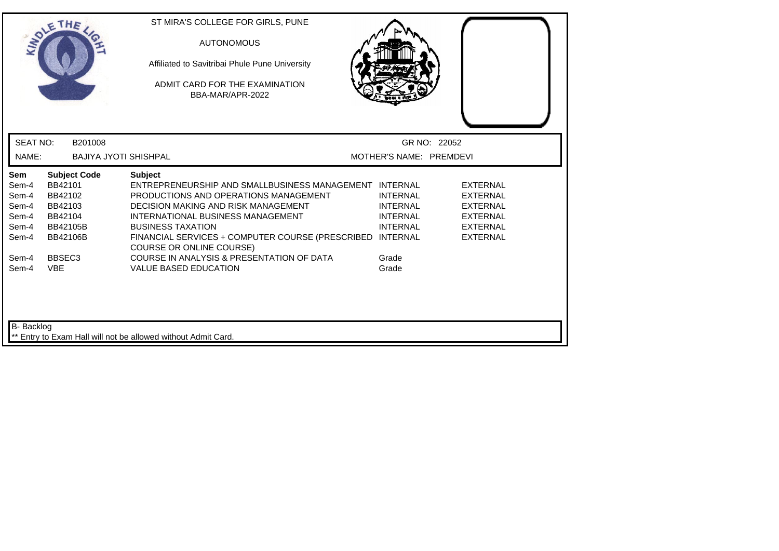| <b>MADY</b>                                               | THE                                                                                            | ST MIRA'S COLLEGE FOR GIRLS, PUNE<br><b>AUTONOMOUS</b><br>Affiliated to Savitribai Phule Pune University<br>ADMIT CARD FOR THE EXAMINATION<br>BBA-MAR/APR-2022                                                                                                                                                     |                                                                          |                                                                                                                |
|-----------------------------------------------------------|------------------------------------------------------------------------------------------------|--------------------------------------------------------------------------------------------------------------------------------------------------------------------------------------------------------------------------------------------------------------------------------------------------------------------|--------------------------------------------------------------------------|----------------------------------------------------------------------------------------------------------------|
| <b>SEAT NO:</b>                                           | B201008                                                                                        |                                                                                                                                                                                                                                                                                                                    |                                                                          | GR NO: 22052                                                                                                   |
| NAME:                                                     | <b>BAJIYA JYOTI SHISHPAL</b>                                                                   |                                                                                                                                                                                                                                                                                                                    | MOTHER'S NAME: PREMDEVI                                                  |                                                                                                                |
| Sem<br>Sem-4<br>Sem-4<br>Sem-4<br>Sem-4<br>Sem-4<br>Sem-4 | <b>Subject Code</b><br>BB42101<br>BB42102<br>BB42103<br>BB42104<br>BB42105B<br><b>BB42106B</b> | <b>Subject</b><br>ENTREPRENEURSHIP AND SMALLBUSINESS MANAGEMENT INTERNAL<br>PRODUCTIONS AND OPERATIONS MANAGEMENT<br>DECISION MAKING AND RISK MANAGEMENT<br>INTERNATIONAL BUSINESS MANAGEMENT<br><b>BUSINESS TAXATION</b><br>FINANCIAL SERVICES + COMPUTER COURSE (PRESCRIBED INTERNAL<br>COURSE OR ONLINE COURSE) | <b>INTERNAL</b><br><b>INTERNAL</b><br><b>INTERNAL</b><br><b>INTERNAL</b> | <b>EXTERNAL</b><br><b>EXTERNAL</b><br><b>EXTERNAL</b><br><b>EXTERNAL</b><br><b>EXTERNAL</b><br><b>EXTERNAL</b> |
| Sem-4<br>Sem-4<br>B- Backlog                              | BBSEC <sub>3</sub><br><b>VBE</b>                                                               | COURSE IN ANALYSIS & PRESENTATION OF DATA<br><b>VALUE BASED EDUCATION</b>                                                                                                                                                                                                                                          | Grade<br>Grade                                                           |                                                                                                                |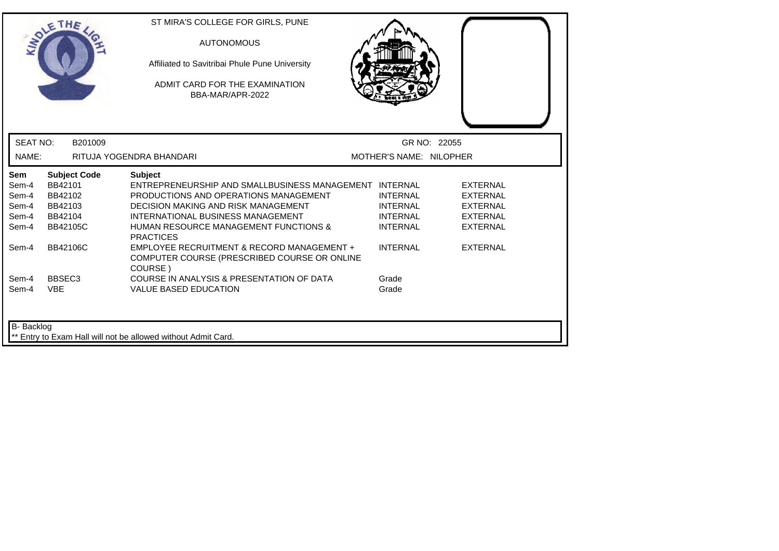| LADLE                                                   | THE                                                                         | ST MIRA'S COLLEGE FOR GIRLS, PUNE<br><b>AUTONOMOUS</b><br>Affiliated to Savitribai Phule Pune University<br>ADMIT CARD FOR THE EXAMINATION<br>BBA-MAR/APR-2022                                                                                                    |                                                                          |                                                                                             |
|---------------------------------------------------------|-----------------------------------------------------------------------------|-------------------------------------------------------------------------------------------------------------------------------------------------------------------------------------------------------------------------------------------------------------------|--------------------------------------------------------------------------|---------------------------------------------------------------------------------------------|
| <b>SEAT NO:</b>                                         | B201009                                                                     |                                                                                                                                                                                                                                                                   |                                                                          | GR NO: 22055                                                                                |
| NAME:                                                   |                                                                             | RITUJA YOGENDRA BHANDARI                                                                                                                                                                                                                                          | MOTHER'S NAME: NILOPHER                                                  |                                                                                             |
| <b>Sem</b><br>Sem-4<br>Sem-4<br>Sem-4<br>Sem-4<br>Sem-4 | <b>Subject Code</b><br>BB42101<br>BB42102<br>BB42103<br>BB42104<br>BB42105C | <b>Subject</b><br>ENTREPRENEURSHIP AND SMALLBUSINESS MANAGEMENT INTERNAL<br>PRODUCTIONS AND OPERATIONS MANAGEMENT<br><b>DECISION MAKING AND RISK MANAGEMENT</b><br>INTERNATIONAL BUSINESS MANAGEMENT<br>HUMAN RESOURCE MANAGEMENT FUNCTIONS &<br><b>PRACTICES</b> | <b>INTERNAL</b><br><b>INTERNAL</b><br><b>INTERNAL</b><br><b>INTERNAL</b> | <b>EXTERNAL</b><br><b>EXTERNAL</b><br><b>EXTERNAL</b><br><b>EXTERNAL</b><br><b>EXTERNAL</b> |
| Sem-4                                                   | <b>BB42106C</b>                                                             | EMPLOYEE RECRUITMENT & RECORD MANAGEMENT +<br>COMPUTER COURSE (PRESCRIBED COURSE OR ONLINE<br>COURSE)                                                                                                                                                             | <b>INTERNAL</b>                                                          | <b>EXTERNAL</b>                                                                             |
| Sem-4<br>Sem-4                                          | BBSEC <sub>3</sub><br><b>VBE</b>                                            | COURSE IN ANALYSIS & PRESENTATION OF DATA<br><b>VALUE BASED EDUCATION</b>                                                                                                                                                                                         | Grade<br>Grade                                                           |                                                                                             |
| <b>B-</b> Backlog                                       |                                                                             | ** Entry to Exam Hall will not be allowed without Admit Card.                                                                                                                                                                                                     |                                                                          |                                                                                             |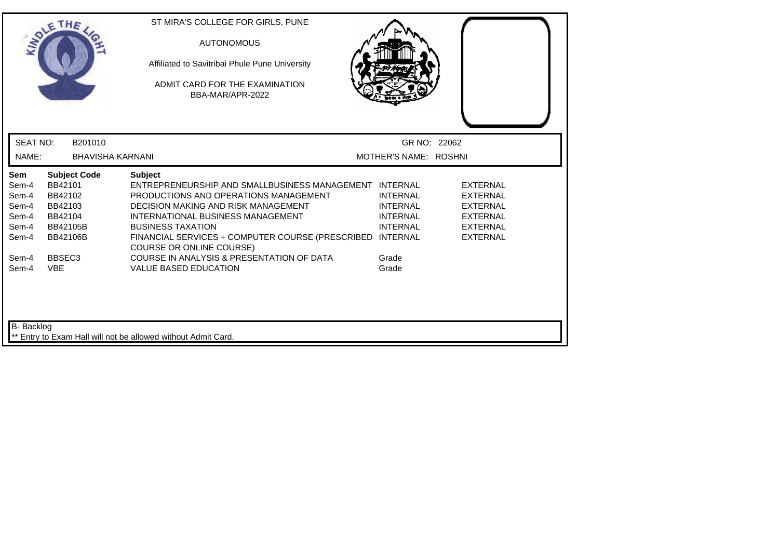|                                                           | THE                                                                                            | ST MIRA'S COLLEGE FOR GIRLS, PUNE<br><b>AUTONOMOUS</b><br>Affiliated to Savitribai Phule Pune University<br>ADMIT CARD FOR THE EXAMINATION<br>BBA-MAR/APR-2022                                                                                                                                                            |                                                                          |                                                                                                         |
|-----------------------------------------------------------|------------------------------------------------------------------------------------------------|---------------------------------------------------------------------------------------------------------------------------------------------------------------------------------------------------------------------------------------------------------------------------------------------------------------------------|--------------------------------------------------------------------------|---------------------------------------------------------------------------------------------------------|
| <b>SEAT NO:</b>                                           | B201010                                                                                        |                                                                                                                                                                                                                                                                                                                           | GR NO: 22062                                                             |                                                                                                         |
| NAME:                                                     | <b>BHAVISHA KARNANI</b>                                                                        |                                                                                                                                                                                                                                                                                                                           | MOTHER'S NAME: ROSHNI                                                    |                                                                                                         |
| Sem<br>Sem-4<br>Sem-4<br>Sem-4<br>Sem-4<br>Sem-4<br>Sem-4 | <b>Subject Code</b><br>BB42101<br>BB42102<br>BB42103<br>BB42104<br>BB42105B<br><b>BB42106B</b> | <b>Subject</b><br>ENTREPRENEURSHIP AND SMALLBUSINESS MANAGEMENT INTERNAL<br>PRODUCTIONS AND OPERATIONS MANAGEMENT<br>DECISION MAKING AND RISK MANAGEMENT<br>INTERNATIONAL BUSINESS MANAGEMENT<br><b>BUSINESS TAXATION</b><br>FINANCIAL SERVICES + COMPUTER COURSE (PRESCRIBED INTERNAL<br><b>COURSE OR ONLINE COURSE)</b> | <b>INTERNAL</b><br><b>INTERNAL</b><br><b>INTERNAL</b><br><b>INTERNAL</b> | <b>EXTERNAL</b><br>EXTERNAL<br><b>EXTERNAL</b><br><b>EXTERNAL</b><br><b>EXTERNAL</b><br><b>EXTERNAL</b> |
| Sem-4<br>Sem-4                                            | BBSEC <sub>3</sub><br><b>VBE</b>                                                               | COURSE IN ANALYSIS & PRESENTATION OF DATA<br><b>VALUE BASED EDUCATION</b>                                                                                                                                                                                                                                                 | Grade<br>Grade                                                           |                                                                                                         |
| <b>B-</b> Backlog                                         |                                                                                                | ** Entry to Exam Hall will not be allowed without Admit Card.                                                                                                                                                                                                                                                             |                                                                          |                                                                                                         |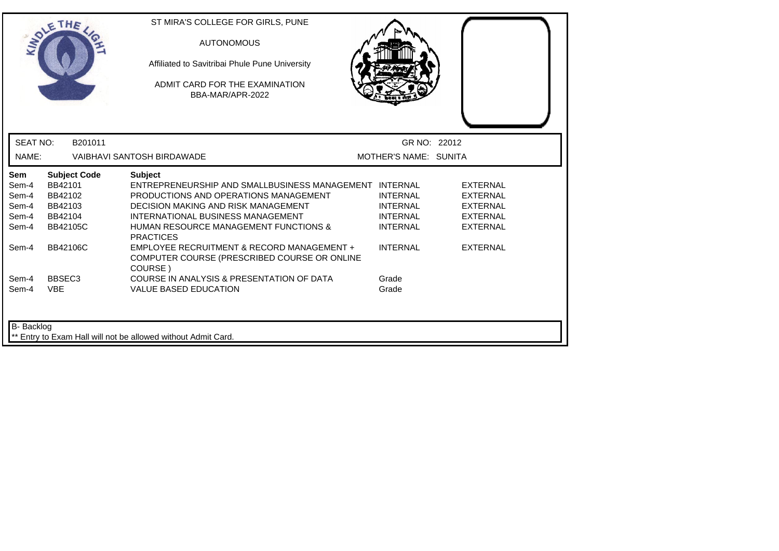|                                                         | THE                                                                                | ST MIRA'S COLLEGE FOR GIRLS, PUNE<br><b>AUTONOMOUS</b><br>Affiliated to Savitribai Phule Pune University<br>ADMIT CARD FOR THE EXAMINATION<br>BBA-MAR/APR-2022                                                                                                        |                                                                          |                                                                                             |
|---------------------------------------------------------|------------------------------------------------------------------------------------|-----------------------------------------------------------------------------------------------------------------------------------------------------------------------------------------------------------------------------------------------------------------------|--------------------------------------------------------------------------|---------------------------------------------------------------------------------------------|
| <b>SEAT NO:</b><br>NAME:                                | B201011                                                                            | <b>VAIBHAVI SANTOSH BIRDAWADE</b>                                                                                                                                                                                                                                     | GR NO: 22012<br>MOTHER'S NAME: SUNITA                                    |                                                                                             |
| <b>Sem</b><br>Sem-4<br>Sem-4<br>Sem-4<br>Sem-4<br>Sem-4 | <b>Subject Code</b><br>BB42101<br>BB42102<br>BB42103<br>BB42104<br><b>BB42105C</b> | <b>Subject</b><br>ENTREPRENEURSHIP AND SMALLBUSINESS MANAGEMENT INTERNAL<br>PRODUCTIONS AND OPERATIONS MANAGEMENT<br>DECISION MAKING AND RISK MANAGEMENT<br>INTERNATIONAL BUSINESS MANAGEMENT<br><b>HUMAN RESOURCE MANAGEMENT FUNCTIONS &amp;</b><br><b>PRACTICES</b> | <b>INTERNAL</b><br><b>INTERNAL</b><br><b>INTERNAL</b><br><b>INTERNAL</b> | <b>EXTERNAL</b><br><b>EXTERNAL</b><br><b>EXTERNAL</b><br><b>EXTERNAL</b><br><b>EXTERNAL</b> |
| Sem-4                                                   | <b>BB42106C</b>                                                                    | EMPLOYEE RECRUITMENT & RECORD MANAGEMENT +<br>COMPUTER COURSE (PRESCRIBED COURSE OR ONLINE<br>COURSE)                                                                                                                                                                 | <b>INTERNAL</b>                                                          | <b>EXTERNAL</b>                                                                             |
| Sem-4<br>Sem-4                                          | BBSEC <sub>3</sub><br><b>VBE</b>                                                   | COURSE IN ANALYSIS & PRESENTATION OF DATA<br><b>VALUE BASED EDUCATION</b>                                                                                                                                                                                             | Grade<br>Grade                                                           |                                                                                             |
| B- Backlog                                              |                                                                                    | ** Entry to Exam Hall will not be allowed without Admit Card.                                                                                                                                                                                                         |                                                                          |                                                                                             |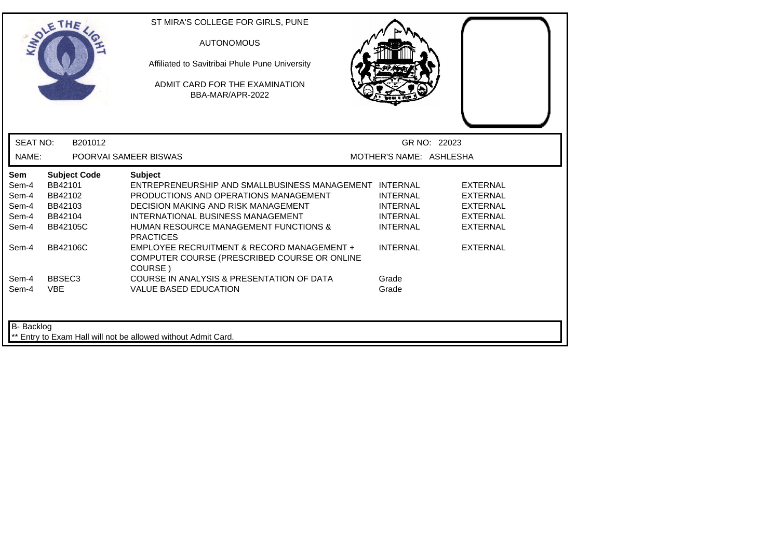|                                                  | THE                                                                                | ST MIRA'S COLLEGE FOR GIRLS, PUNE<br><b>AUTONOMOUS</b><br>Affiliated to Savitribai Phule Pune University<br>ADMIT CARD FOR THE EXAMINATION<br>BBA-MAR/APR-2022                                                                                                        |                                                                          |                                                                                             |  |
|--------------------------------------------------|------------------------------------------------------------------------------------|-----------------------------------------------------------------------------------------------------------------------------------------------------------------------------------------------------------------------------------------------------------------------|--------------------------------------------------------------------------|---------------------------------------------------------------------------------------------|--|
| <b>SEAT NO:</b>                                  | B201012                                                                            |                                                                                                                                                                                                                                                                       |                                                                          | GR NO: 22023                                                                                |  |
| NAME:                                            |                                                                                    | POORVAI SAMEER BISWAS                                                                                                                                                                                                                                                 | MOTHER'S NAME: ASHLESHA                                                  |                                                                                             |  |
| Sem<br>Sem-4<br>Sem-4<br>Sem-4<br>Sem-4<br>Sem-4 | <b>Subject Code</b><br>BB42101<br>BB42102<br>BB42103<br>BB42104<br><b>BB42105C</b> | <b>Subject</b><br>ENTREPRENEURSHIP AND SMALLBUSINESS MANAGEMENT INTERNAL<br>PRODUCTIONS AND OPERATIONS MANAGEMENT<br>DECISION MAKING AND RISK MANAGEMENT<br>INTERNATIONAL BUSINESS MANAGEMENT<br><b>HUMAN RESOURCE MANAGEMENT FUNCTIONS &amp;</b><br><b>PRACTICES</b> | <b>INTERNAL</b><br><b>INTERNAL</b><br><b>INTERNAL</b><br><b>INTERNAL</b> | <b>EXTERNAL</b><br><b>EXTERNAL</b><br><b>EXTERNAL</b><br><b>EXTERNAL</b><br><b>EXTERNAL</b> |  |
| Sem-4                                            | <b>BB42106C</b>                                                                    | EMPLOYEE RECRUITMENT & RECORD MANAGEMENT +<br>COMPUTER COURSE (PRESCRIBED COURSE OR ONLINE<br>COURSE)                                                                                                                                                                 | <b>INTERNAL</b>                                                          | <b>EXTERNAL</b>                                                                             |  |
| Sem-4<br>Sem-4                                   | BBSEC <sub>3</sub><br><b>VBE</b>                                                   | COURSE IN ANALYSIS & PRESENTATION OF DATA<br><b>VALUE BASED EDUCATION</b>                                                                                                                                                                                             | Grade<br>Grade                                                           |                                                                                             |  |
| B- Backlog                                       |                                                                                    | ** Entry to Exam Hall will not be allowed without Admit Card.                                                                                                                                                                                                         |                                                                          |                                                                                             |  |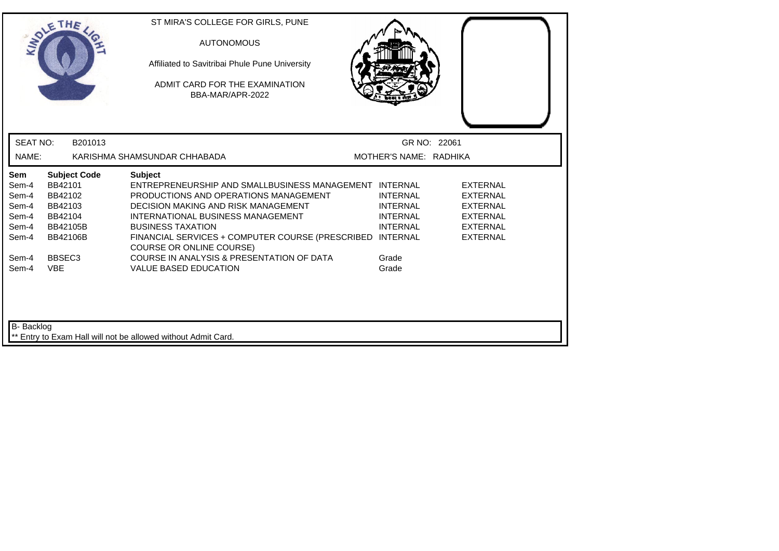|                                                           | THE                                                                                            | ST MIRA'S COLLEGE FOR GIRLS, PUNE<br><b>AUTONOMOUS</b><br>Affiliated to Savitribai Phule Pune University<br>ADMIT CARD FOR THE EXAMINATION<br>BBA-MAR/APR-2022                                                                                                                                                            |                                                                          |                                                                                                         |  |
|-----------------------------------------------------------|------------------------------------------------------------------------------------------------|---------------------------------------------------------------------------------------------------------------------------------------------------------------------------------------------------------------------------------------------------------------------------------------------------------------------------|--------------------------------------------------------------------------|---------------------------------------------------------------------------------------------------------|--|
| <b>SEAT NO:</b>                                           | B201013                                                                                        |                                                                                                                                                                                                                                                                                                                           | GR NO: 22061                                                             |                                                                                                         |  |
| NAME:                                                     |                                                                                                | KARISHMA SHAMSUNDAR CHHABADA                                                                                                                                                                                                                                                                                              | MOTHER'S NAME: RADHIKA                                                   |                                                                                                         |  |
| Sem<br>Sem-4<br>Sem-4<br>Sem-4<br>Sem-4<br>Sem-4<br>Sem-4 | <b>Subject Code</b><br>BB42101<br>BB42102<br>BB42103<br>BB42104<br>BB42105B<br><b>BB42106B</b> | <b>Subject</b><br>ENTREPRENEURSHIP AND SMALLBUSINESS MANAGEMENT INTERNAL<br>PRODUCTIONS AND OPERATIONS MANAGEMENT<br>DECISION MAKING AND RISK MANAGEMENT<br>INTERNATIONAL BUSINESS MANAGEMENT<br><b>BUSINESS TAXATION</b><br>FINANCIAL SERVICES + COMPUTER COURSE (PRESCRIBED INTERNAL<br><b>COURSE OR ONLINE COURSE)</b> | <b>INTERNAL</b><br><b>INTERNAL</b><br><b>INTERNAL</b><br><b>INTERNAL</b> | <b>EXTERNAL</b><br>EXTERNAL<br><b>EXTERNAL</b><br><b>EXTERNAL</b><br><b>EXTERNAL</b><br><b>EXTERNAL</b> |  |
| Sem-4<br>Sem-4<br><b>B-</b> Backlog                       | BBSEC <sub>3</sub><br><b>VBE</b>                                                               | COURSE IN ANALYSIS & PRESENTATION OF DATA<br><b>VALUE BASED EDUCATION</b>                                                                                                                                                                                                                                                 | Grade<br>Grade                                                           |                                                                                                         |  |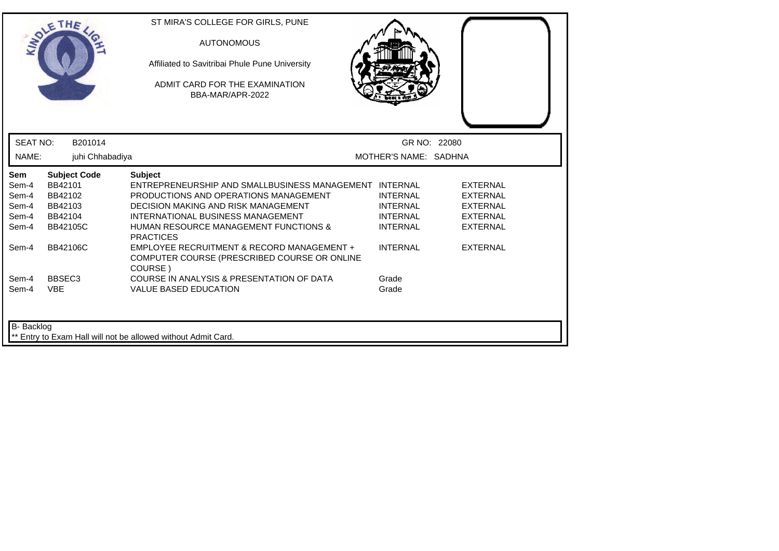| LADLE                                                   | THE                                                                                | ST MIRA'S COLLEGE FOR GIRLS, PUNE<br><b>AUTONOMOUS</b><br>Affiliated to Savitribai Phule Pune University<br>ADMIT CARD FOR THE EXAMINATION<br>BBA-MAR/APR-2022                                                                                           |                                                                          |                                                                                             |  |
|---------------------------------------------------------|------------------------------------------------------------------------------------|----------------------------------------------------------------------------------------------------------------------------------------------------------------------------------------------------------------------------------------------------------|--------------------------------------------------------------------------|---------------------------------------------------------------------------------------------|--|
| <b>SEAT NO:</b>                                         | B201014                                                                            |                                                                                                                                                                                                                                                          | GR NO: 22080                                                             |                                                                                             |  |
| NAME:                                                   | juhi Chhabadiya                                                                    |                                                                                                                                                                                                                                                          | MOTHER'S NAME: SADHNA                                                    |                                                                                             |  |
| <b>Sem</b><br>Sem-4<br>Sem-4<br>Sem-4<br>Sem-4<br>Sem-4 | <b>Subject Code</b><br>BB42101<br>BB42102<br>BB42103<br>BB42104<br><b>BB42105C</b> | <b>Subject</b><br>ENTREPRENEURSHIP AND SMALLBUSINESS MANAGEMENT INTERNAL<br>PRODUCTIONS AND OPERATIONS MANAGEMENT<br><b>DECISION MAKING AND RISK MANAGEMENT</b><br>INTERNATIONAL BUSINESS MANAGEMENT<br><b>HUMAN RESOURCE MANAGEMENT FUNCTIONS &amp;</b> | <b>INTERNAL</b><br><b>INTERNAL</b><br><b>INTERNAL</b><br><b>INTERNAL</b> | <b>EXTERNAL</b><br><b>EXTERNAL</b><br><b>EXTERNAL</b><br><b>EXTERNAL</b><br><b>EXTERNAL</b> |  |
| Sem-4                                                   | BB42106C                                                                           | <b>PRACTICES</b><br>EMPLOYEE RECRUITMENT & RECORD MANAGEMENT +<br>COMPUTER COURSE (PRESCRIBED COURSE OR ONLINE<br>COURSE)                                                                                                                                | <b>INTERNAL</b>                                                          | <b>EXTERNAL</b>                                                                             |  |
| Sem-4<br>Sem-4                                          | BBSEC <sub>3</sub><br><b>VBE</b>                                                   | COURSE IN ANALYSIS & PRESENTATION OF DATA<br><b>VALUE BASED EDUCATION</b>                                                                                                                                                                                | Grade<br>Grade                                                           |                                                                                             |  |
| B- Backlog                                              |                                                                                    | Entry to Exam Hall will not be allowed without Admit Card.                                                                                                                                                                                               |                                                                          |                                                                                             |  |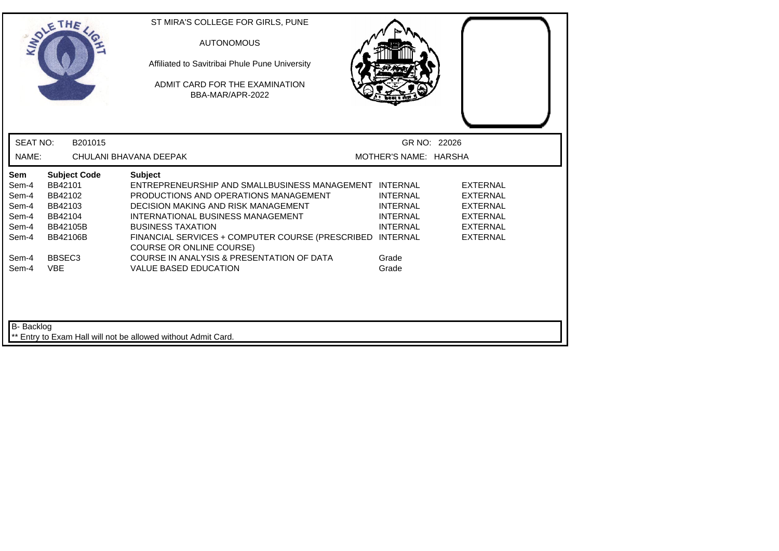|                                                           | THE                                                                                                   | ST MIRA'S COLLEGE FOR GIRLS, PUNE<br><b>AUTONOMOUS</b><br>Affiliated to Savitribai Phule Pune University<br>ADMIT CARD FOR THE EXAMINATION<br>BBA-MAR/APR-2022                                                                                                                                                   |                                                                                             |                                                                                                                |
|-----------------------------------------------------------|-------------------------------------------------------------------------------------------------------|------------------------------------------------------------------------------------------------------------------------------------------------------------------------------------------------------------------------------------------------------------------------------------------------------------------|---------------------------------------------------------------------------------------------|----------------------------------------------------------------------------------------------------------------|
| <b>SEAT NO:</b>                                           | B201015                                                                                               |                                                                                                                                                                                                                                                                                                                  | GR NO: 22026                                                                                |                                                                                                                |
| NAME:                                                     |                                                                                                       | CHULANI BHAVANA DEEPAK                                                                                                                                                                                                                                                                                           | MOTHER'S NAME: HARSHA                                                                       |                                                                                                                |
| Sem<br>Sem-4<br>Sem-4<br>Sem-4<br>Sem-4<br>Sem-4<br>Sem-4 | <b>Subject Code</b><br>BB42101<br>BB42102<br>BB42103<br>BB42104<br><b>BB42105B</b><br><b>BB42106B</b> | <b>Subject</b><br>ENTREPRENEURSHIP AND SMALLBUSINESS MANAGEMENT INTERNAL<br>PRODUCTIONS AND OPERATIONS MANAGEMENT<br>DECISION MAKING AND RISK MANAGEMENT<br>INTERNATIONAL BUSINESS MANAGEMENT<br><b>BUSINESS TAXATION</b><br>FINANCIAL SERVICES + COMPUTER COURSE (PRESCRIBED<br><b>COURSE OR ONLINE COURSE)</b> | <b>INTERNAL</b><br><b>INTERNAL</b><br><b>INTERNAL</b><br><b>INTERNAL</b><br><b>INTERNAL</b> | <b>EXTERNAL</b><br><b>EXTERNAL</b><br><b>EXTERNAL</b><br><b>EXTERNAL</b><br><b>EXTERNAL</b><br><b>EXTERNAL</b> |
| Sem-4<br>Sem-4<br><b>B-</b> Backlog                       | BBSEC <sub>3</sub><br><b>VBE</b>                                                                      | COURSE IN ANALYSIS & PRESENTATION OF DATA<br><b>VALUE BASED EDUCATION</b><br>** Entry to Exam Hall will not be allowed without Admit Card.                                                                                                                                                                       | Grade<br>Grade                                                                              |                                                                                                                |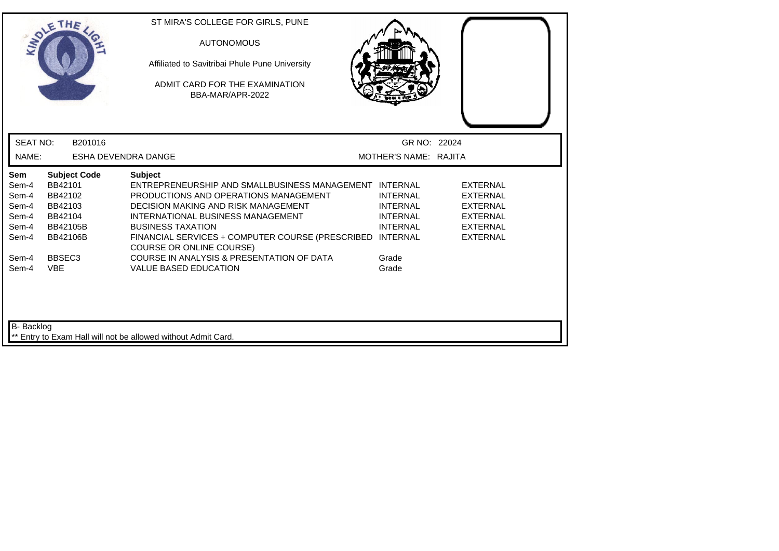|                                                                  | THE                                                                                                   | ST MIRA'S COLLEGE FOR GIRLS, PUNE<br><b>AUTONOMOUS</b><br>Affiliated to Savitribai Phule Pune University<br>ADMIT CARD FOR THE EXAMINATION<br>BBA-MAR/APR-2022                                                                                                                                                            |                                                                          |                                                                                                                |
|------------------------------------------------------------------|-------------------------------------------------------------------------------------------------------|---------------------------------------------------------------------------------------------------------------------------------------------------------------------------------------------------------------------------------------------------------------------------------------------------------------------------|--------------------------------------------------------------------------|----------------------------------------------------------------------------------------------------------------|
| <b>SEAT NO:</b>                                                  | B201016                                                                                               |                                                                                                                                                                                                                                                                                                                           | GR NO: 22024                                                             |                                                                                                                |
| NAME:                                                            | ESHA DEVENDRA DANGE                                                                                   |                                                                                                                                                                                                                                                                                                                           | MOTHER'S NAME: RAJITA                                                    |                                                                                                                |
| <b>Sem</b><br>Sem-4<br>Sem-4<br>Sem-4<br>Sem-4<br>Sem-4<br>Sem-4 | <b>Subject Code</b><br>BB42101<br>BB42102<br>BB42103<br>BB42104<br><b>BB42105B</b><br><b>BB42106B</b> | <b>Subject</b><br>ENTREPRENEURSHIP AND SMALLBUSINESS MANAGEMENT INTERNAL<br>PRODUCTIONS AND OPERATIONS MANAGEMENT<br>DECISION MAKING AND RISK MANAGEMENT<br>INTERNATIONAL BUSINESS MANAGEMENT<br><b>BUSINESS TAXATION</b><br>FINANCIAL SERVICES + COMPUTER COURSE (PRESCRIBED INTERNAL<br><b>COURSE OR ONLINE COURSE)</b> | <b>INTERNAL</b><br><b>INTERNAL</b><br><b>INTERNAL</b><br><b>INTERNAL</b> | <b>EXTERNAL</b><br><b>EXTERNAL</b><br><b>EXTERNAL</b><br><b>EXTERNAL</b><br><b>EXTERNAL</b><br><b>EXTERNAL</b> |
| Sem-4<br>Sem-4<br>B- Backlog                                     | BBSEC <sub>3</sub><br><b>VBE</b>                                                                      | COURSE IN ANALYSIS & PRESENTATION OF DATA<br><b>VALUE BASED EDUCATION</b>                                                                                                                                                                                                                                                 | Grade<br>Grade                                                           |                                                                                                                |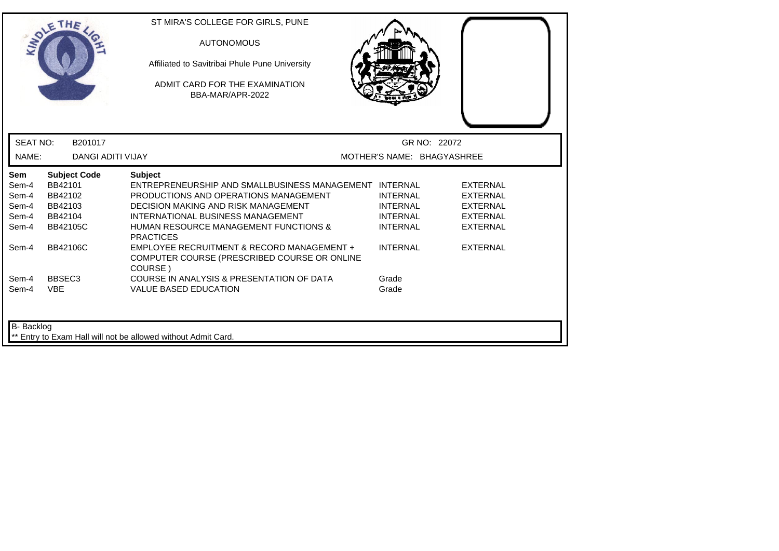| LADLE           | THE                      | ST MIRA'S COLLEGE FOR GIRLS, PUNE<br><b>AUTONOMOUS</b><br>Affiliated to Savitribai Phule Pune University<br>ADMIT CARD FOR THE EXAMINATION<br>BBA-MAR/APR-2022 |                            |                 |
|-----------------|--------------------------|----------------------------------------------------------------------------------------------------------------------------------------------------------------|----------------------------|-----------------|
| <b>SEAT NO:</b> | B201017                  |                                                                                                                                                                | GR NO: 22072               |                 |
| NAME:           | <b>DANGI ADITI VIJAY</b> |                                                                                                                                                                | MOTHER'S NAME: BHAGYASHREE |                 |
| <b>Sem</b>      | <b>Subject Code</b>      | <b>Subject</b>                                                                                                                                                 |                            |                 |
| Sem-4           | BB42101                  | ENTREPRENEURSHIP AND SMALLBUSINESS MANAGEMENT INTERNAL                                                                                                         |                            | <b>EXTERNAL</b> |
| Sem-4           | BB42102                  | PRODUCTIONS AND OPERATIONS MANAGEMENT                                                                                                                          | <b>INTERNAL</b>            | <b>EXTERNAL</b> |
| Sem-4           | BB42103                  | DECISION MAKING AND RISK MANAGEMENT                                                                                                                            | <b>INTERNAL</b>            | <b>EXTERNAL</b> |
| Sem-4           | BB42104                  | INTERNATIONAL BUSINESS MANAGEMENT                                                                                                                              | <b>INTERNAL</b>            | <b>EXTERNAL</b> |
| Sem-4           | <b>BB42105C</b>          | <b>HUMAN RESOURCE MANAGEMENT FUNCTIONS &amp;</b><br><b>PRACTICES</b>                                                                                           | <b>INTERNAL</b>            | <b>EXTERNAL</b> |
| Sem-4           | <b>BB42106C</b>          | EMPLOYEE RECRUITMENT & RECORD MANAGEMENT +<br>COMPUTER COURSE (PRESCRIBED COURSE OR ONLINE<br>COURSE)                                                          | <b>INTERNAL</b>            | <b>EXTERNAL</b> |
| Sem-4           | BBSEC <sub>3</sub>       | COURSE IN ANALYSIS & PRESENTATION OF DATA                                                                                                                      | Grade                      |                 |
| Sem-4           | <b>VBE</b>               | <b>VALUE BASED EDUCATION</b>                                                                                                                                   | Grade                      |                 |
| B- Backlog      |                          | Entry to Exam Hall will not be allowed without Admit Card.                                                                                                     |                            |                 |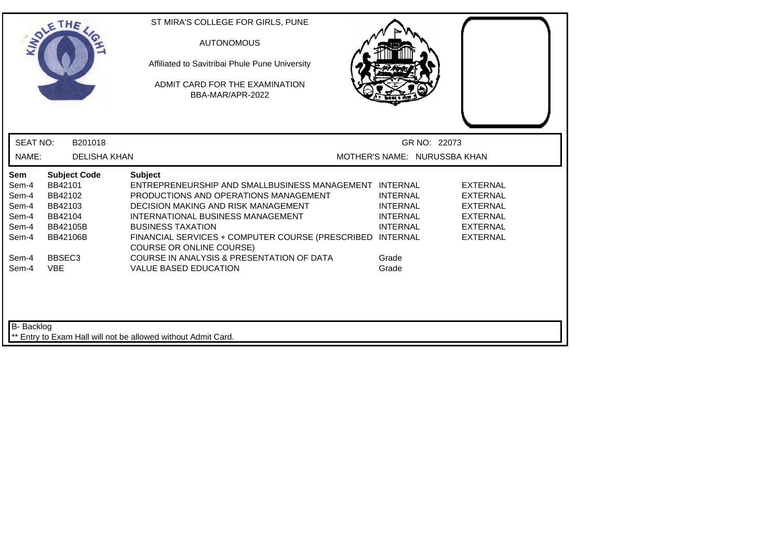| <b>INTER</b>                                                     | THE                                                                                                   | ST MIRA'S COLLEGE FOR GIRLS, PUNE<br><b>AUTONOMOUS</b><br>Affiliated to Savitribai Phule Pune University<br>ADMIT CARD FOR THE EXAMINATION<br>BBA-MAR/APR-2022                                                                                                                                                            |                                                                          |                                                                                                                |
|------------------------------------------------------------------|-------------------------------------------------------------------------------------------------------|---------------------------------------------------------------------------------------------------------------------------------------------------------------------------------------------------------------------------------------------------------------------------------------------------------------------------|--------------------------------------------------------------------------|----------------------------------------------------------------------------------------------------------------|
| <b>SEAT NO:</b>                                                  | B201018                                                                                               |                                                                                                                                                                                                                                                                                                                           | GR NO: 22073                                                             |                                                                                                                |
| NAME:                                                            | <b>DELISHA KHAN</b>                                                                                   |                                                                                                                                                                                                                                                                                                                           | MOTHER'S NAME: NURUSSBA KHAN                                             |                                                                                                                |
| <b>Sem</b><br>Sem-4<br>Sem-4<br>Sem-4<br>Sem-4<br>Sem-4<br>Sem-4 | <b>Subject Code</b><br>BB42101<br>BB42102<br>BB42103<br>BB42104<br><b>BB42105B</b><br><b>BB42106B</b> | <b>Subject</b><br>ENTREPRENEURSHIP AND SMALLBUSINESS MANAGEMENT INTERNAL<br>PRODUCTIONS AND OPERATIONS MANAGEMENT<br><b>DECISION MAKING AND RISK MANAGEMENT</b><br>INTERNATIONAL BUSINESS MANAGEMENT<br><b>BUSINESS TAXATION</b><br>FINANCIAL SERVICES + COMPUTER COURSE (PRESCRIBED INTERNAL<br>COURSE OR ONLINE COURSE) | <b>INTERNAL</b><br><b>INTERNAL</b><br><b>INTERNAL</b><br><b>INTERNAL</b> | <b>EXTERNAL</b><br><b>EXTERNAL</b><br><b>EXTERNAL</b><br><b>EXTERNAL</b><br><b>EXTERNAL</b><br><b>EXTERNAL</b> |
| Sem-4<br>Sem-4                                                   | BBSEC <sub>3</sub><br><b>VBE</b>                                                                      | COURSE IN ANALYSIS & PRESENTATION OF DATA<br><b>VALUE BASED EDUCATION</b>                                                                                                                                                                                                                                                 | Grade<br>Grade                                                           |                                                                                                                |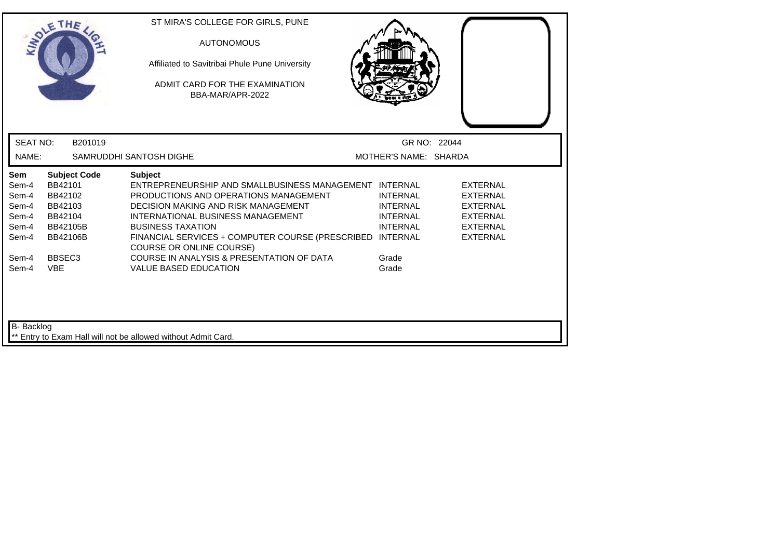| LADI                                                                               | THE                                                                                                                                | ST MIRA'S COLLEGE FOR GIRLS, PUNE<br><b>AUTONOMOUS</b><br>Affiliated to Savitribai Phule Pune University<br>ADMIT CARD FOR THE EXAMINATION<br>BBA-MAR/APR-2022                                                                                                                                                                                                                                         |                                                                                            |                                                                                                                |
|------------------------------------------------------------------------------------|------------------------------------------------------------------------------------------------------------------------------------|--------------------------------------------------------------------------------------------------------------------------------------------------------------------------------------------------------------------------------------------------------------------------------------------------------------------------------------------------------------------------------------------------------|--------------------------------------------------------------------------------------------|----------------------------------------------------------------------------------------------------------------|
| <b>SEAT NO:</b><br>NAME:                                                           | B201019                                                                                                                            | SAMRUDDHI SANTOSH DIGHE                                                                                                                                                                                                                                                                                                                                                                                | GR NO: 22044<br>MOTHER'S NAME: SHARDA                                                      |                                                                                                                |
| <b>Sem</b><br>Sem-4<br>Sem-4<br>Sem-4<br>Sem-4<br>Sem-4<br>Sem-4<br>Sem-4<br>Sem-4 | <b>Subject Code</b><br>BB42101<br>BB42102<br>BB42103<br>BB42104<br>BB42105B<br><b>BB42106B</b><br>BBSEC <sub>3</sub><br><b>VBE</b> | <b>Subject</b><br>ENTREPRENEURSHIP AND SMALLBUSINESS MANAGEMENT INTERNAL<br>PRODUCTIONS AND OPERATIONS MANAGEMENT<br>DECISION MAKING AND RISK MANAGEMENT<br>INTERNATIONAL BUSINESS MANAGEMENT<br><b>BUSINESS TAXATION</b><br>FINANCIAL SERVICES + COMPUTER COURSE (PRESCRIBED INTERNAL<br><b>COURSE OR ONLINE COURSE)</b><br>COURSE IN ANALYSIS & PRESENTATION OF DATA<br><b>VALUE BASED EDUCATION</b> | <b>INTERNAL</b><br><b>INTERNAL</b><br><b>INTERNAL</b><br><b>INTERNAL</b><br>Grade<br>Grade | <b>EXTERNAL</b><br><b>EXTERNAL</b><br><b>EXTERNAL</b><br><b>EXTERNAL</b><br><b>EXTERNAL</b><br><b>EXTERNAL</b> |
| <b>B-</b> Backlog                                                                  |                                                                                                                                    | ** Entry to Exam Hall will not be allowed without Admit Card.                                                                                                                                                                                                                                                                                                                                          |                                                                                            |                                                                                                                |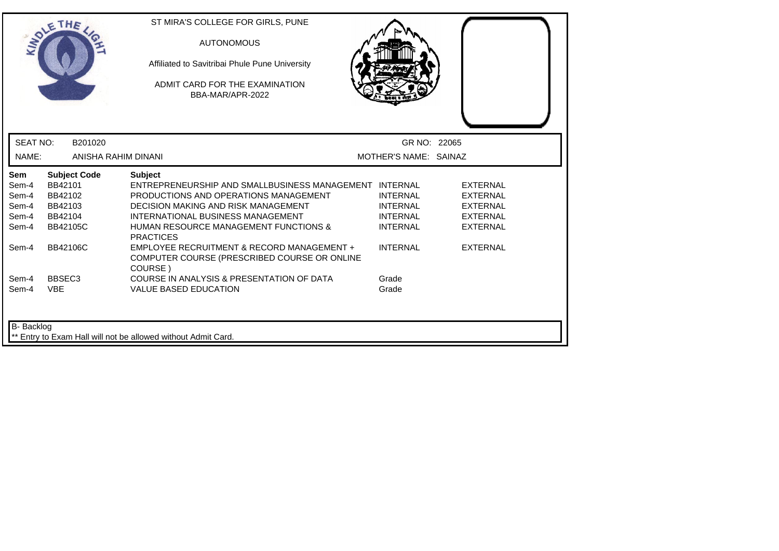|                          | THE                            | ST MIRA'S COLLEGE FOR GIRLS, PUNE<br><b>AUTONOMOUS</b><br>Affiliated to Savitribai Phule Pune University<br>ADMIT CARD FOR THE EXAMINATION |                                       |                 |
|--------------------------|--------------------------------|--------------------------------------------------------------------------------------------------------------------------------------------|---------------------------------------|-----------------|
| <b>SEAT NO:</b><br>NAME: | B201020<br>ANISHA RAHIM DINANI | BBA-MAR/APR-2022                                                                                                                           | GR NO: 22065<br>MOTHER'S NAME: SAINAZ |                 |
| <b>Sem</b>               | <b>Subject Code</b>            | <b>Subject</b>                                                                                                                             |                                       |                 |
| Sem-4                    | BB42101                        | ENTREPRENEURSHIP AND SMALLBUSINESS MANAGEMENT INTERNAL                                                                                     |                                       | <b>EXTERNAL</b> |
| Sem-4                    | BB42102                        | PRODUCTIONS AND OPERATIONS MANAGEMENT                                                                                                      | <b>INTERNAL</b>                       | <b>EXTERNAL</b> |
| Sem-4                    | BB42103                        | DECISION MAKING AND RISK MANAGEMENT                                                                                                        | <b>INTERNAL</b>                       | <b>EXTERNAL</b> |
| Sem-4                    | BB42104                        | INTERNATIONAL BUSINESS MANAGEMENT                                                                                                          | <b>INTERNAL</b>                       | <b>EXTERNAL</b> |
| Sem-4                    | <b>BB42105C</b>                | <b>HUMAN RESOURCE MANAGEMENT FUNCTIONS &amp;</b><br><b>PRACTICES</b>                                                                       | <b>INTERNAL</b>                       | <b>EXTERNAL</b> |
| Sem-4                    | <b>BB42106C</b>                | EMPLOYEE RECRUITMENT & RECORD MANAGEMENT +<br>COMPUTER COURSE (PRESCRIBED COURSE OR ONLINE<br>COURSE)                                      | <b>INTERNAL</b>                       | <b>EXTERNAL</b> |
| Sem-4                    | BBSEC <sub>3</sub>             | COURSE IN ANALYSIS & PRESENTATION OF DATA                                                                                                  | Grade                                 |                 |
| Sem-4                    | <b>VBE</b>                     | <b>VALUE BASED EDUCATION</b>                                                                                                               | Grade                                 |                 |
| B- Backlog               |                                | ** Entry to Exam Hall will not be allowed without Admit Card.                                                                              |                                       |                 |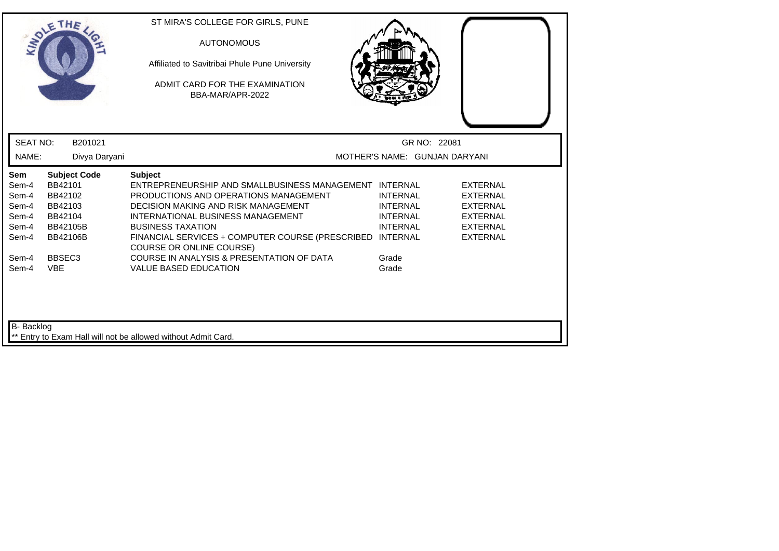|                                                           | THE                                                                                            |               | ST MIRA'S COLLEGE FOR GIRLS, PUNE<br><b>AUTONOMOUS</b><br>Affiliated to Savitribai Phule Pune University<br>ADMIT CARD FOR THE EXAMINATION<br>BBA-MAR/APR-2022                                                                                                                                            |                                                                                             |                                                                                                                |
|-----------------------------------------------------------|------------------------------------------------------------------------------------------------|---------------|-----------------------------------------------------------------------------------------------------------------------------------------------------------------------------------------------------------------------------------------------------------------------------------------------------------|---------------------------------------------------------------------------------------------|----------------------------------------------------------------------------------------------------------------|
| <b>SEAT NO:</b>                                           |                                                                                                | B201021       |                                                                                                                                                                                                                                                                                                           | GR NO: 22081                                                                                |                                                                                                                |
| NAME:                                                     |                                                                                                | Divya Daryani |                                                                                                                                                                                                                                                                                                           | MOTHER'S NAME: GUNJAN DARYANI                                                               |                                                                                                                |
| Sem<br>Sem-4<br>Sem-4<br>Sem-4<br>Sem-4<br>Sem-4<br>Sem-4 | <b>Subject Code</b><br>BB42101<br>BB42102<br>BB42103<br>BB42104<br>BB42105B<br><b>BB42106B</b> |               | <b>Subject</b><br>ENTREPRENEURSHIP AND SMALLBUSINESS MANAGEMENT INTERNAL<br>PRODUCTIONS AND OPERATIONS MANAGEMENT<br>DECISION MAKING AND RISK MANAGEMENT<br>INTERNATIONAL BUSINESS MANAGEMENT<br><b>BUSINESS TAXATION</b><br>FINANCIAL SERVICES + COMPUTER COURSE (PRESCRIBED<br>COURSE OR ONLINE COURSE) | <b>INTERNAL</b><br><b>INTERNAL</b><br><b>INTERNAL</b><br><b>INTERNAL</b><br><b>INTERNAL</b> | <b>EXTERNAL</b><br><b>EXTERNAL</b><br><b>EXTERNAL</b><br><b>EXTERNAL</b><br><b>EXTERNAL</b><br><b>EXTERNAL</b> |
| Sem-4<br>Sem-4<br>B- Backlog                              | BBSEC <sub>3</sub><br><b>VBE</b>                                                               |               | COURSE IN ANALYSIS & PRESENTATION OF DATA<br><b>VALUE BASED EDUCATION</b>                                                                                                                                                                                                                                 | Grade<br>Grade                                                                              |                                                                                                                |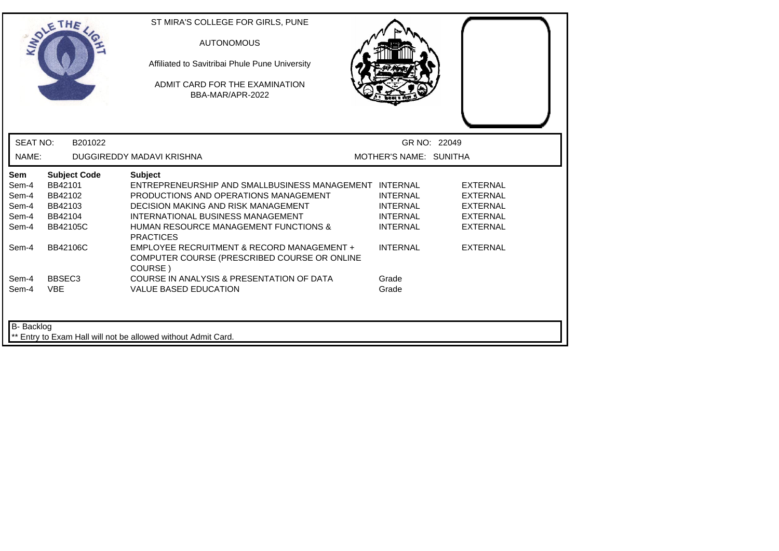| <b>INTO</b>                                      | THE                                                                                | ST MIRA'S COLLEGE FOR GIRLS, PUNE<br><b>AUTONOMOUS</b><br>Affiliated to Savitribai Phule Pune University<br>ADMIT CARD FOR THE EXAMINATION<br>BBA-MAR/APR-2022                                                                                                               |                                                                          |                                                                                             |  |
|--------------------------------------------------|------------------------------------------------------------------------------------|------------------------------------------------------------------------------------------------------------------------------------------------------------------------------------------------------------------------------------------------------------------------------|--------------------------------------------------------------------------|---------------------------------------------------------------------------------------------|--|
| <b>SEAT NO:</b>                                  | B201022                                                                            |                                                                                                                                                                                                                                                                              |                                                                          | GR NO: 22049                                                                                |  |
| NAME:                                            |                                                                                    | DUGGIREDDY MADAVI KRISHNA                                                                                                                                                                                                                                                    | MOTHER'S NAME: SUNITHA                                                   |                                                                                             |  |
| Sem<br>Sem-4<br>Sem-4<br>Sem-4<br>Sem-4<br>Sem-4 | <b>Subject Code</b><br>BB42101<br>BB42102<br>BB42103<br>BB42104<br><b>BB42105C</b> | <b>Subject</b><br>ENTREPRENEURSHIP AND SMALLBUSINESS MANAGEMENT INTERNAL<br>PRODUCTIONS AND OPERATIONS MANAGEMENT<br><b>DECISION MAKING AND RISK MANAGEMENT</b><br>INTERNATIONAL BUSINESS MANAGEMENT<br><b>HUMAN RESOURCE MANAGEMENT FUNCTIONS &amp;</b><br><b>PRACTICES</b> | <b>INTERNAL</b><br><b>INTERNAL</b><br><b>INTERNAL</b><br><b>INTERNAL</b> | <b>EXTERNAL</b><br><b>EXTERNAL</b><br><b>EXTERNAL</b><br><b>EXTERNAL</b><br><b>EXTERNAL</b> |  |
| Sem-4                                            | <b>BB42106C</b>                                                                    | EMPLOYEE RECRUITMENT & RECORD MANAGEMENT +<br>COMPUTER COURSE (PRESCRIBED COURSE OR ONLINE<br>COURSE)                                                                                                                                                                        | <b>INTERNAL</b>                                                          | <b>EXTERNAL</b>                                                                             |  |
| Sem-4<br>Sem-4                                   | BBSEC <sub>3</sub><br><b>VBE</b>                                                   | COURSE IN ANALYSIS & PRESENTATION OF DATA<br><b>VALUE BASED EDUCATION</b>                                                                                                                                                                                                    | Grade<br>Grade                                                           |                                                                                             |  |
| B- Backlog                                       |                                                                                    | Entry to Exam Hall will not be allowed without Admit Card.                                                                                                                                                                                                                   |                                                                          |                                                                                             |  |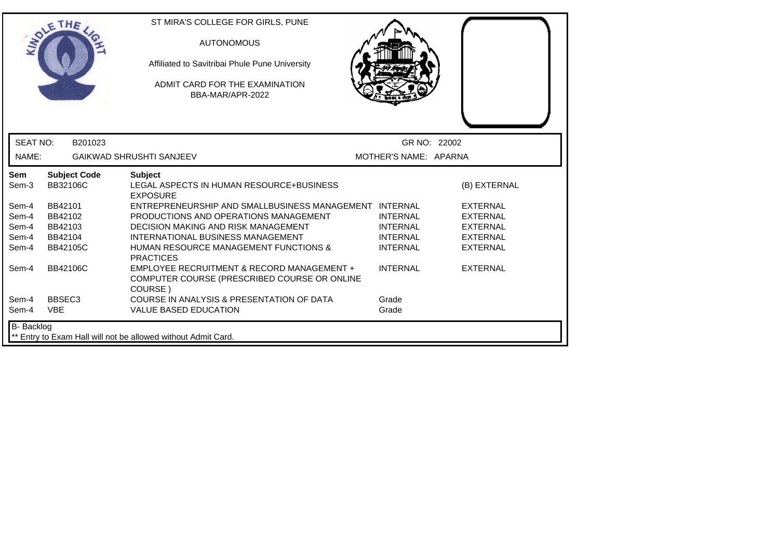| <b>MON</b>      | THE                             | ST MIRA'S COLLEGE FOR GIRLS, PUNE<br><b>AUTONOMOUS</b><br>Affiliated to Savitribai Phule Pune University<br>ADMIT CARD FOR THE EXAMINATION<br>BBA-MAR/APR-2022 |                                    |                                    |
|-----------------|---------------------------------|----------------------------------------------------------------------------------------------------------------------------------------------------------------|------------------------------------|------------------------------------|
| <b>SEAT NO:</b> | B201023                         |                                                                                                                                                                | GR NO: 22002                       |                                    |
| NAME:           |                                 | <b>GAIKWAD SHRUSHTI SANJEEV</b>                                                                                                                                | MOTHER'S NAME: APARNA              |                                    |
| Sem<br>Sem-3    | <b>Subject Code</b><br>BB32106C | <b>Subject</b><br>LEGAL ASPECTS IN HUMAN RESOURCE+BUSINESS<br><b>EXPOSURE</b>                                                                                  |                                    | (B) EXTERNAL                       |
| Sem-4           | BB42101                         | ENTREPRENEURSHIP AND SMALLBUSINESS MANAGEMENT INTERNAL                                                                                                         |                                    | <b>EXTERNAL</b>                    |
| Sem-4<br>Sem-4  | BB42102<br>BB42103              | PRODUCTIONS AND OPERATIONS MANAGEMENT<br><b>DECISION MAKING AND RISK MANAGEMENT</b>                                                                            | <b>INTERNAL</b><br><b>INTERNAL</b> | <b>EXTERNAL</b><br><b>EXTERNAL</b> |
| Sem-4           | BB42104                         | INTERNATIONAL BUSINESS MANAGEMENT                                                                                                                              | <b>INTERNAL</b>                    | <b>EXTERNAL</b>                    |
| Sem-4           | BB42105C                        | <b>HUMAN RESOURCE MANAGEMENT FUNCTIONS &amp;</b><br><b>PRACTICES</b>                                                                                           | <b>INTERNAL</b>                    | <b>EXTERNAL</b>                    |
| Sem-4           | <b>BB42106C</b>                 | EMPLOYEE RECRUITMENT & RECORD MANAGEMENT +<br>COMPUTER COURSE (PRESCRIBED COURSE OR ONLINE<br>COURSE)                                                          | <b>INTERNAL</b>                    | <b>EXTERNAL</b>                    |
| Sem-4           | BBSEC <sub>3</sub>              | COURSE IN ANALYSIS & PRESENTATION OF DATA                                                                                                                      | Grade                              |                                    |
| Sem-4           | <b>VBE</b>                      | <b>VALUE BASED EDUCATION</b>                                                                                                                                   | Grade                              |                                    |
| B- Backlog      |                                 | ** Entry to Exam Hall will not be allowed without Admit Card.                                                                                                  |                                    |                                    |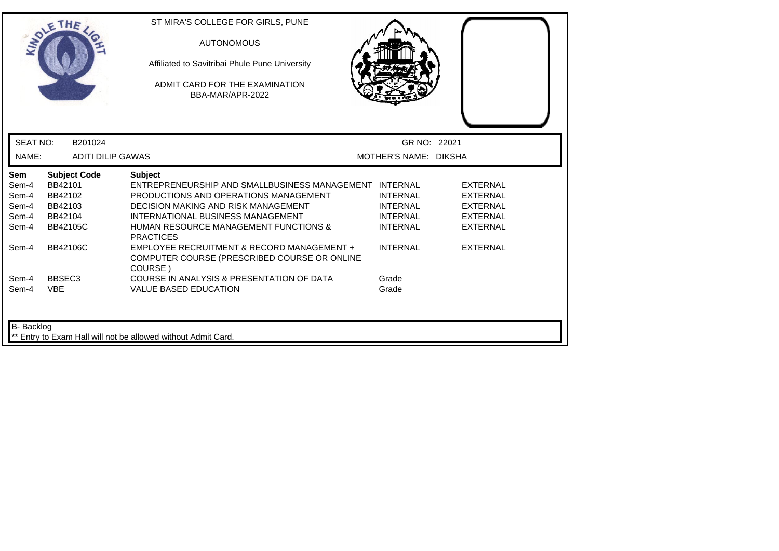| <b>MAY</b>               | THE                                 | ST MIRA'S COLLEGE FOR GIRLS, PUNE<br><b>AUTONOMOUS</b><br>Affiliated to Savitribai Phule Pune University<br>ADMIT CARD FOR THE EXAMINATION<br>BBA-MAR/APR-2022 |                                       |                                    |  |
|--------------------------|-------------------------------------|----------------------------------------------------------------------------------------------------------------------------------------------------------------|---------------------------------------|------------------------------------|--|
| <b>SEAT NO:</b><br>NAME: | B201024<br><b>ADITI DILIP GAWAS</b> |                                                                                                                                                                | GR NO: 22021<br>MOTHER'S NAME: DIKSHA |                                    |  |
| <b>Sem</b>               | <b>Subject Code</b>                 | <b>Subject</b>                                                                                                                                                 |                                       |                                    |  |
| Sem-4                    | BB42101                             | ENTREPRENEURSHIP AND SMALLBUSINESS MANAGEMENT INTERNAL                                                                                                         |                                       | <b>EXTERNAL</b>                    |  |
| Sem-4                    | BB42102<br>BB42103                  | PRODUCTIONS AND OPERATIONS MANAGEMENT<br><b>DECISION MAKING AND RISK MANAGEMENT</b>                                                                            | <b>INTERNAL</b><br><b>INTERNAL</b>    | <b>EXTERNAL</b><br><b>EXTERNAL</b> |  |
| Sem-4<br>Sem-4           | BB42104                             | INTERNATIONAL BUSINESS MANAGEMENT                                                                                                                              | <b>INTERNAL</b>                       | <b>EXTERNAL</b>                    |  |
| Sem-4                    | BB42105C                            | <b>HUMAN RESOURCE MANAGEMENT FUNCTIONS &amp;</b><br><b>PRACTICES</b>                                                                                           | <b>INTERNAL</b>                       | <b>EXTERNAL</b>                    |  |
| Sem-4                    | <b>BB42106C</b>                     | EMPLOYEE RECRUITMENT & RECORD MANAGEMENT +<br>COMPUTER COURSE (PRESCRIBED COURSE OR ONLINE<br>COURSE)                                                          | <b>INTERNAL</b>                       | <b>EXTERNAL</b>                    |  |
| Sem-4                    | BBSEC <sub>3</sub>                  | COURSE IN ANALYSIS & PRESENTATION OF DATA                                                                                                                      | Grade                                 |                                    |  |
| Sem-4                    | <b>VBE</b>                          | <b>VALUE BASED EDUCATION</b>                                                                                                                                   | Grade                                 |                                    |  |
| B- Backlog               |                                     | ** Entry to Exam Hall will not be allowed without Admit Card.                                                                                                  |                                       |                                    |  |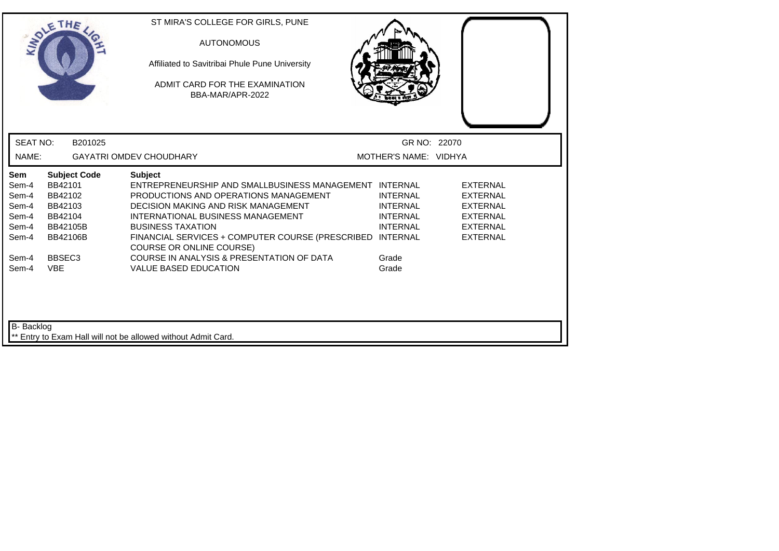|                                                                  | THE                                                                                            | ST MIRA'S COLLEGE FOR GIRLS, PUNE<br><b>AUTONOMOUS</b><br>Affiliated to Savitribai Phule Pune University<br>ADMIT CARD FOR THE EXAMINATION<br>BBA-MAR/APR-2022                                                                                                                                                            |                                                                          |                                                                                                                |
|------------------------------------------------------------------|------------------------------------------------------------------------------------------------|---------------------------------------------------------------------------------------------------------------------------------------------------------------------------------------------------------------------------------------------------------------------------------------------------------------------------|--------------------------------------------------------------------------|----------------------------------------------------------------------------------------------------------------|
| <b>SEAT NO:</b>                                                  | B201025                                                                                        |                                                                                                                                                                                                                                                                                                                           | GR NO: 22070                                                             |                                                                                                                |
| NAME:                                                            |                                                                                                | <b>GAYATRI OMDEV CHOUDHARY</b>                                                                                                                                                                                                                                                                                            | MOTHER'S NAME: VIDHYA                                                    |                                                                                                                |
| <b>Sem</b><br>Sem-4<br>Sem-4<br>Sem-4<br>Sem-4<br>Sem-4<br>Sem-4 | <b>Subject Code</b><br>BB42101<br>BB42102<br>BB42103<br>BB42104<br>BB42105B<br><b>BB42106B</b> | <b>Subject</b><br>ENTREPRENEURSHIP AND SMALLBUSINESS MANAGEMENT INTERNAL<br>PRODUCTIONS AND OPERATIONS MANAGEMENT<br>DECISION MAKING AND RISK MANAGEMENT<br>INTERNATIONAL BUSINESS MANAGEMENT<br><b>BUSINESS TAXATION</b><br>FINANCIAL SERVICES + COMPUTER COURSE (PRESCRIBED INTERNAL<br><b>COURSE OR ONLINE COURSE)</b> | <b>INTERNAL</b><br><b>INTERNAL</b><br><b>INTERNAL</b><br><b>INTERNAL</b> | <b>EXTERNAL</b><br><b>EXTERNAL</b><br><b>EXTERNAL</b><br><b>EXTERNAL</b><br><b>EXTERNAL</b><br><b>EXTERNAL</b> |
| Sem-4<br>Sem-4<br>B- Backlog                                     | BBSEC <sub>3</sub><br><b>VBE</b>                                                               | COURSE IN ANALYSIS & PRESENTATION OF DATA<br><b>VALUE BASED EDUCATION</b>                                                                                                                                                                                                                                                 | Grade<br>Grade                                                           |                                                                                                                |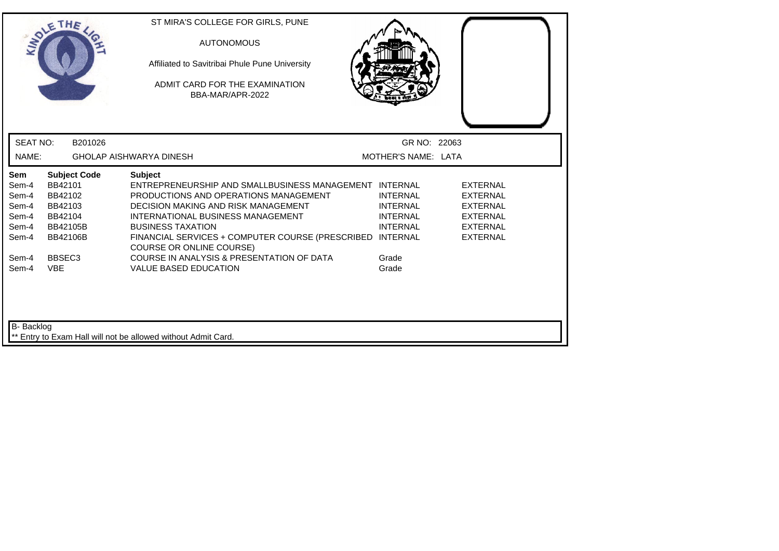|                                                           | THE                                                                                            | ST MIRA'S COLLEGE FOR GIRLS, PUNE<br><b>AUTONOMOUS</b><br>Affiliated to Savitribai Phule Pune University<br>ADMIT CARD FOR THE EXAMINATION<br>BBA-MAR/APR-2022                                                                                                                                                            |                                                                          |                                                                                                                |  |
|-----------------------------------------------------------|------------------------------------------------------------------------------------------------|---------------------------------------------------------------------------------------------------------------------------------------------------------------------------------------------------------------------------------------------------------------------------------------------------------------------------|--------------------------------------------------------------------------|----------------------------------------------------------------------------------------------------------------|--|
| <b>SEAT NO:</b>                                           | B201026                                                                                        |                                                                                                                                                                                                                                                                                                                           | GR NO: 22063                                                             |                                                                                                                |  |
| NAME:                                                     |                                                                                                | <b>GHOLAP AISHWARYA DINESH</b>                                                                                                                                                                                                                                                                                            | MOTHER'S NAME: LATA                                                      |                                                                                                                |  |
| Sem<br>Sem-4<br>Sem-4<br>Sem-4<br>Sem-4<br>Sem-4<br>Sem-4 | <b>Subject Code</b><br>BB42101<br>BB42102<br>BB42103<br>BB42104<br>BB42105B<br><b>BB42106B</b> | <b>Subject</b><br>ENTREPRENEURSHIP AND SMALLBUSINESS MANAGEMENT INTERNAL<br>PRODUCTIONS AND OPERATIONS MANAGEMENT<br>DECISION MAKING AND RISK MANAGEMENT<br>INTERNATIONAL BUSINESS MANAGEMENT<br><b>BUSINESS TAXATION</b><br>FINANCIAL SERVICES + COMPUTER COURSE (PRESCRIBED INTERNAL<br><b>COURSE OR ONLINE COURSE)</b> | <b>INTERNAL</b><br><b>INTERNAL</b><br><b>INTERNAL</b><br><b>INTERNAL</b> | <b>EXTERNAL</b><br><b>EXTERNAL</b><br><b>EXTERNAL</b><br><b>EXTERNAL</b><br><b>EXTERNAL</b><br><b>EXTERNAL</b> |  |
| Sem-4<br>Sem-4                                            | BBSEC <sub>3</sub><br><b>VBE</b>                                                               | COURSE IN ANALYSIS & PRESENTATION OF DATA<br><b>VALUE BASED EDUCATION</b>                                                                                                                                                                                                                                                 | Grade<br>Grade                                                           |                                                                                                                |  |
| B- Backlog                                                |                                                                                                | ** Entry to Exam Hall will not be allowed without Admit Card.                                                                                                                                                                                                                                                             |                                                                          |                                                                                                                |  |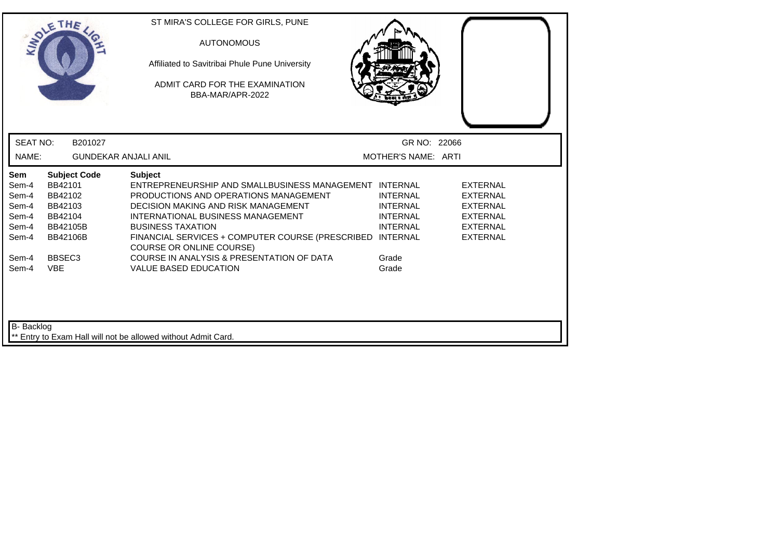|                                                           | THE                                                                                            | ST MIRA'S COLLEGE FOR GIRLS, PUNE<br><b>AUTONOMOUS</b><br>Affiliated to Savitribai Phule Pune University<br>ADMIT CARD FOR THE EXAMINATION<br>BBA-MAR/APR-2022                                                                                                                                                     |                                                                          |                                                                                                                |
|-----------------------------------------------------------|------------------------------------------------------------------------------------------------|--------------------------------------------------------------------------------------------------------------------------------------------------------------------------------------------------------------------------------------------------------------------------------------------------------------------|--------------------------------------------------------------------------|----------------------------------------------------------------------------------------------------------------|
| <b>SEAT NO:</b>                                           | B201027                                                                                        |                                                                                                                                                                                                                                                                                                                    | GR NO: 22066                                                             |                                                                                                                |
| NAME:                                                     | <b>GUNDEKAR ANJALI ANIL</b>                                                                    |                                                                                                                                                                                                                                                                                                                    | MOTHER'S NAME: ARTI                                                      |                                                                                                                |
| Sem<br>Sem-4<br>Sem-4<br>Sem-4<br>Sem-4<br>Sem-4<br>Sem-4 | <b>Subject Code</b><br>BB42101<br>BB42102<br>BB42103<br>BB42104<br>BB42105B<br><b>BB42106B</b> | <b>Subject</b><br>ENTREPRENEURSHIP AND SMALLBUSINESS MANAGEMENT INTERNAL<br>PRODUCTIONS AND OPERATIONS MANAGEMENT<br>DECISION MAKING AND RISK MANAGEMENT<br>INTERNATIONAL BUSINESS MANAGEMENT<br><b>BUSINESS TAXATION</b><br>FINANCIAL SERVICES + COMPUTER COURSE (PRESCRIBED INTERNAL<br>COURSE OR ONLINE COURSE) | <b>INTERNAL</b><br><b>INTERNAL</b><br><b>INTERNAL</b><br><b>INTERNAL</b> | <b>EXTERNAL</b><br><b>EXTERNAL</b><br><b>EXTERNAL</b><br><b>EXTERNAL</b><br><b>EXTERNAL</b><br><b>EXTERNAL</b> |
| Sem-4<br>Sem-4                                            | BBSEC <sub>3</sub><br><b>VBE</b>                                                               | COURSE IN ANALYSIS & PRESENTATION OF DATA<br><b>VALUE BASED EDUCATION</b>                                                                                                                                                                                                                                          | Grade<br>Grade                                                           |                                                                                                                |
| B- Backlog                                                |                                                                                                | ** Entry to Exam Hall will not be allowed without Admit Card.                                                                                                                                                                                                                                                      |                                                                          |                                                                                                                |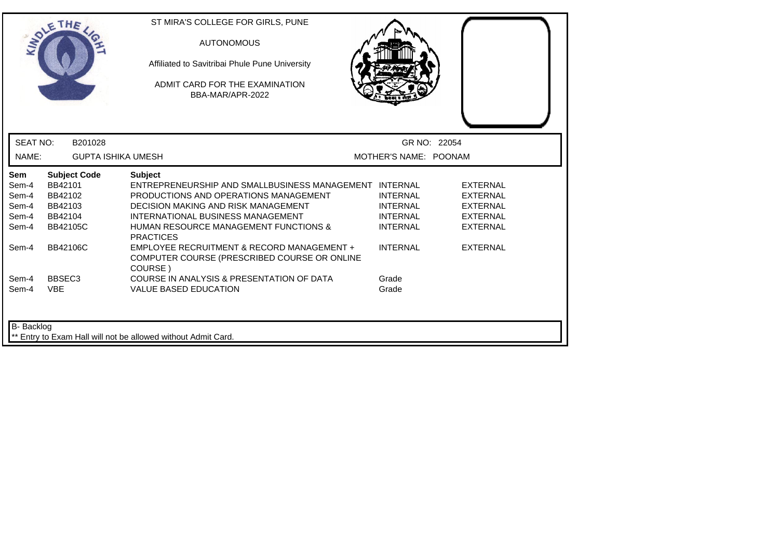| <b>INTO</b>                                               | THE                                                                                            | ST MIRA'S COLLEGE FOR GIRLS, PUNE<br><b>AUTONOMOUS</b><br>Affiliated to Savitribai Phule Pune University<br>ADMIT CARD FOR THE EXAMINATION<br>BBA-MAR/APR-2022                                                                                                                                                             |                                                                                             |                                                                                                                |
|-----------------------------------------------------------|------------------------------------------------------------------------------------------------|----------------------------------------------------------------------------------------------------------------------------------------------------------------------------------------------------------------------------------------------------------------------------------------------------------------------------|---------------------------------------------------------------------------------------------|----------------------------------------------------------------------------------------------------------------|
| <b>SEAT NO:</b>                                           | B201028                                                                                        |                                                                                                                                                                                                                                                                                                                            |                                                                                             | GR NO: 22054                                                                                                   |
| NAME:                                                     | <b>GUPTA ISHIKA UMESH</b>                                                                      |                                                                                                                                                                                                                                                                                                                            | MOTHER'S NAME: POONAM                                                                       |                                                                                                                |
| Sem<br>Sem-4<br>Sem-4<br>Sem-4<br>Sem-4<br>Sem-4<br>Sem-4 | <b>Subject Code</b><br>BB42101<br>BB42102<br>BB42103<br>BB42104<br><b>BB42105C</b><br>BB42106C | <b>Subject</b><br>ENTREPRENEURSHIP AND SMALLBUSINESS MANAGEMENT INTERNAL<br>PRODUCTIONS AND OPERATIONS MANAGEMENT<br><b>DECISION MAKING AND RISK MANAGEMENT</b><br>INTERNATIONAL BUSINESS MANAGEMENT<br><b>HUMAN RESOURCE MANAGEMENT FUNCTIONS &amp;</b><br><b>PRACTICES</b><br>EMPLOYEE RECRUITMENT & RECORD MANAGEMENT + | <b>INTERNAL</b><br><b>INTERNAL</b><br><b>INTERNAL</b><br><b>INTERNAL</b><br><b>INTERNAL</b> | <b>EXTERNAL</b><br><b>EXTERNAL</b><br><b>EXTERNAL</b><br><b>EXTERNAL</b><br><b>EXTERNAL</b><br><b>EXTERNAL</b> |
|                                                           |                                                                                                | COMPUTER COURSE (PRESCRIBED COURSE OR ONLINE<br>COURSE)                                                                                                                                                                                                                                                                    |                                                                                             |                                                                                                                |
| Sem-4<br>Sem-4                                            | BBSEC <sub>3</sub><br><b>VBE</b>                                                               | COURSE IN ANALYSIS & PRESENTATION OF DATA<br><b>VALUE BASED EDUCATION</b>                                                                                                                                                                                                                                                  | Grade<br>Grade                                                                              |                                                                                                                |
| B- Backlog                                                |                                                                                                | Entry to Exam Hall will not be allowed without Admit Card.                                                                                                                                                                                                                                                                 |                                                                                             |                                                                                                                |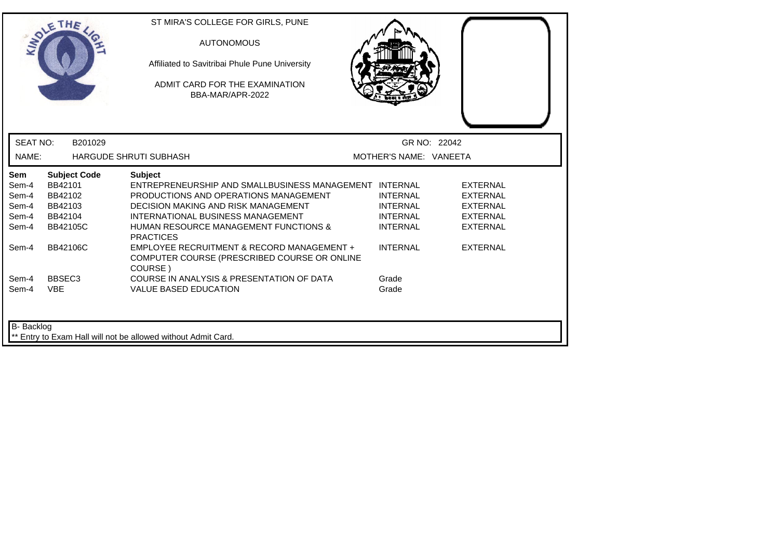|                                                           | THE                                                                                            | ST MIRA'S COLLEGE FOR GIRLS, PUNE<br><b>AUTONOMOUS</b><br>Affiliated to Savitribai Phule Pune University<br>ADMIT CARD FOR THE EXAMINATION<br>BBA-MAR/APR-2022                                                                                                                                                             |                                                                                             |                                                                                                                |
|-----------------------------------------------------------|------------------------------------------------------------------------------------------------|----------------------------------------------------------------------------------------------------------------------------------------------------------------------------------------------------------------------------------------------------------------------------------------------------------------------------|---------------------------------------------------------------------------------------------|----------------------------------------------------------------------------------------------------------------|
| <b>SEAT NO:</b>                                           | B201029                                                                                        |                                                                                                                                                                                                                                                                                                                            | GR NO: 22042                                                                                |                                                                                                                |
| NAME:                                                     |                                                                                                | <b>HARGUDE SHRUTI SUBHASH</b>                                                                                                                                                                                                                                                                                              | MOTHER'S NAME: VANEETA                                                                      |                                                                                                                |
| Sem<br>Sem-4<br>Sem-4<br>Sem-4<br>Sem-4<br>Sem-4<br>Sem-4 | <b>Subject Code</b><br>BB42101<br>BB42102<br>BB42103<br>BB42104<br><b>BB42105C</b><br>BB42106C | <b>Subject</b><br>ENTREPRENEURSHIP AND SMALLBUSINESS MANAGEMENT INTERNAL<br>PRODUCTIONS AND OPERATIONS MANAGEMENT<br><b>DECISION MAKING AND RISK MANAGEMENT</b><br>INTERNATIONAL BUSINESS MANAGEMENT<br><b>HUMAN RESOURCE MANAGEMENT FUNCTIONS &amp;</b><br><b>PRACTICES</b><br>EMPLOYEE RECRUITMENT & RECORD MANAGEMENT + | <b>INTERNAL</b><br><b>INTERNAL</b><br><b>INTERNAL</b><br><b>INTERNAL</b><br><b>INTERNAL</b> | <b>EXTERNAL</b><br><b>EXTERNAL</b><br><b>EXTERNAL</b><br><b>EXTERNAL</b><br><b>EXTERNAL</b><br><b>EXTERNAL</b> |
| Sem-4<br>Sem-4                                            | BBSEC <sub>3</sub><br><b>VBE</b>                                                               | COMPUTER COURSE (PRESCRIBED COURSE OR ONLINE<br>COURSE)<br>COURSE IN ANALYSIS & PRESENTATION OF DATA<br><b>VALUE BASED EDUCATION</b>                                                                                                                                                                                       | Grade<br>Grade                                                                              |                                                                                                                |
| B- Backlog                                                |                                                                                                | Entry to Exam Hall will not be allowed without Admit Card.                                                                                                                                                                                                                                                                 |                                                                                             |                                                                                                                |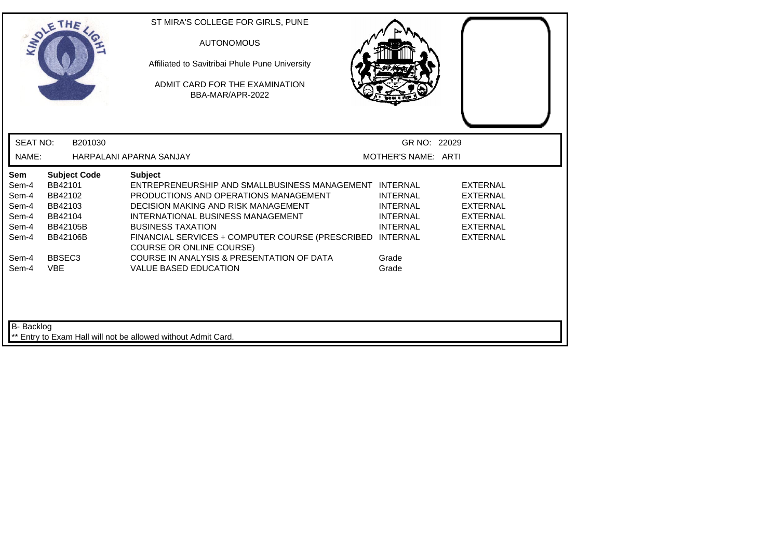|                                                           | THE                                                                                            | ST MIRA'S COLLEGE FOR GIRLS, PUNE<br><b>AUTONOMOUS</b><br>Affiliated to Savitribai Phule Pune University<br>ADMIT CARD FOR THE EXAMINATION<br>BBA-MAR/APR-2022                                                                                                                                                            |                                                                          |                                                                                                                |
|-----------------------------------------------------------|------------------------------------------------------------------------------------------------|---------------------------------------------------------------------------------------------------------------------------------------------------------------------------------------------------------------------------------------------------------------------------------------------------------------------------|--------------------------------------------------------------------------|----------------------------------------------------------------------------------------------------------------|
| <b>SEAT NO:</b>                                           | B201030                                                                                        |                                                                                                                                                                                                                                                                                                                           | GR NO: 22029                                                             |                                                                                                                |
| NAME:                                                     |                                                                                                | HARPALANI APARNA SANJAY                                                                                                                                                                                                                                                                                                   | MOTHER'S NAME: ARTI                                                      |                                                                                                                |
| Sem<br>Sem-4<br>Sem-4<br>Sem-4<br>Sem-4<br>Sem-4<br>Sem-4 | <b>Subject Code</b><br>BB42101<br>BB42102<br>BB42103<br>BB42104<br>BB42105B<br><b>BB42106B</b> | <b>Subject</b><br>ENTREPRENEURSHIP AND SMALLBUSINESS MANAGEMENT INTERNAL<br>PRODUCTIONS AND OPERATIONS MANAGEMENT<br>DECISION MAKING AND RISK MANAGEMENT<br>INTERNATIONAL BUSINESS MANAGEMENT<br><b>BUSINESS TAXATION</b><br>FINANCIAL SERVICES + COMPUTER COURSE (PRESCRIBED INTERNAL<br><b>COURSE OR ONLINE COURSE)</b> | <b>INTERNAL</b><br><b>INTERNAL</b><br><b>INTERNAL</b><br><b>INTERNAL</b> | <b>EXTERNAL</b><br><b>EXTERNAL</b><br><b>EXTERNAL</b><br><b>EXTERNAL</b><br><b>EXTERNAL</b><br><b>EXTERNAL</b> |
| Sem-4<br>Sem-4<br>B- Backlog                              | BBSEC <sub>3</sub><br><b>VBE</b>                                                               | COURSE IN ANALYSIS & PRESENTATION OF DATA<br><b>VALUE BASED EDUCATION</b>                                                                                                                                                                                                                                                 | Grade<br>Grade                                                           |                                                                                                                |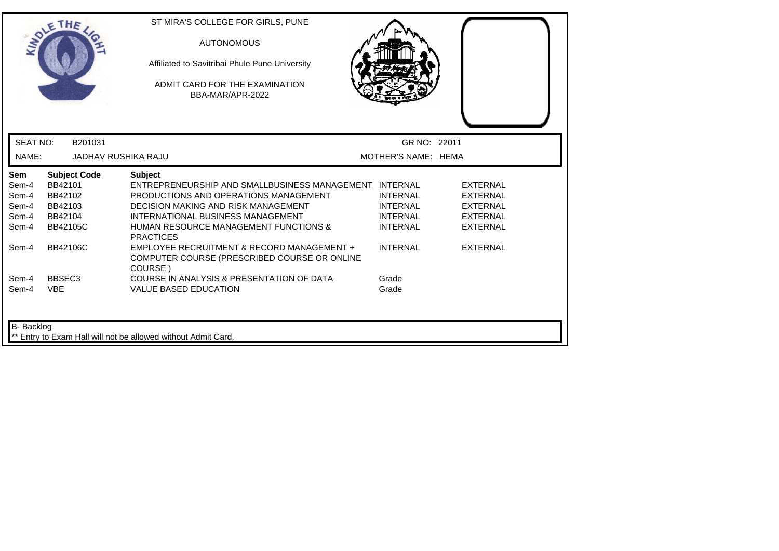| <b>INTI</b>                                             | THE                                                                                | ST MIRA'S COLLEGE FOR GIRLS, PUNE<br><b>AUTONOMOUS</b><br>Affiliated to Savitribai Phule Pune University<br>ADMIT CARD FOR THE EXAMINATION<br>BBA-MAR/APR-2022                                                                                                               |                                                                          |                                                                                             |  |
|---------------------------------------------------------|------------------------------------------------------------------------------------|------------------------------------------------------------------------------------------------------------------------------------------------------------------------------------------------------------------------------------------------------------------------------|--------------------------------------------------------------------------|---------------------------------------------------------------------------------------------|--|
| <b>SEAT NO:</b>                                         | B201031                                                                            |                                                                                                                                                                                                                                                                              | GR NO: 22011                                                             |                                                                                             |  |
| NAME:                                                   | <b>JADHAV RUSHIKA RAJU</b>                                                         |                                                                                                                                                                                                                                                                              | MOTHER'S NAME: HEMA                                                      |                                                                                             |  |
| <b>Sem</b><br>Sem-4<br>Sem-4<br>Sem-4<br>Sem-4<br>Sem-4 | <b>Subject Code</b><br>BB42101<br>BB42102<br>BB42103<br>BB42104<br><b>BB42105C</b> | <b>Subject</b><br>ENTREPRENEURSHIP AND SMALLBUSINESS MANAGEMENT INTERNAL<br>PRODUCTIONS AND OPERATIONS MANAGEMENT<br><b>DECISION MAKING AND RISK MANAGEMENT</b><br>INTERNATIONAL BUSINESS MANAGEMENT<br><b>HUMAN RESOURCE MANAGEMENT FUNCTIONS &amp;</b><br><b>PRACTICES</b> | <b>INTERNAL</b><br><b>INTERNAL</b><br><b>INTERNAL</b><br><b>INTERNAL</b> | <b>EXTERNAL</b><br><b>EXTERNAL</b><br><b>EXTERNAL</b><br><b>EXTERNAL</b><br><b>EXTERNAL</b> |  |
| Sem-4                                                   | <b>BB42106C</b>                                                                    | EMPLOYEE RECRUITMENT & RECORD MANAGEMENT +<br>COMPUTER COURSE (PRESCRIBED COURSE OR ONLINE<br>COURSE)                                                                                                                                                                        | <b>INTERNAL</b>                                                          | <b>EXTERNAL</b>                                                                             |  |
| Sem-4<br>Sem-4                                          | BBSEC <sub>3</sub><br><b>VBE</b>                                                   | COURSE IN ANALYSIS & PRESENTATION OF DATA<br><b>VALUE BASED EDUCATION</b>                                                                                                                                                                                                    | Grade<br>Grade                                                           |                                                                                             |  |
| B- Backlog                                              |                                                                                    | ** Entry to Exam Hall will not be allowed without Admit Card.                                                                                                                                                                                                                |                                                                          |                                                                                             |  |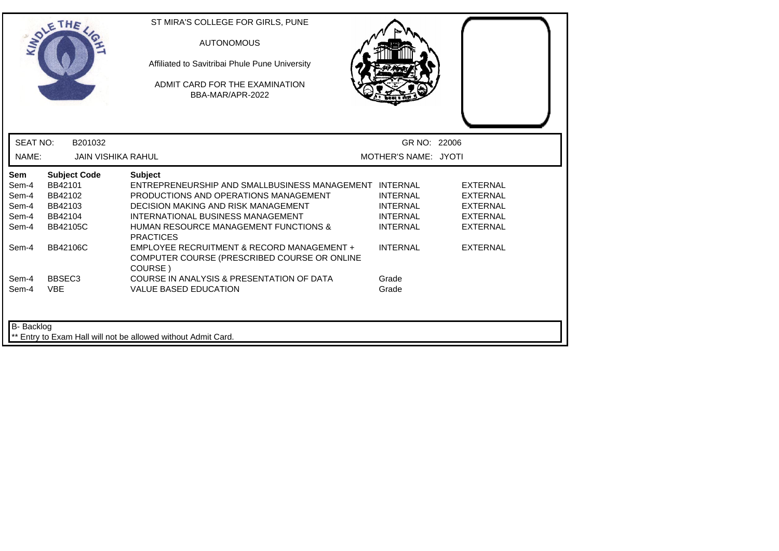|                                                                  | THE                                                                                                   | ST MIRA'S COLLEGE FOR GIRLS, PUNE<br><b>AUTONOMOUS</b><br>Affiliated to Savitribai Phule Pune University<br>ADMIT CARD FOR THE EXAMINATION<br>BBA-MAR/APR-2022                                                                                                                                                             |                                                                                             |                                                                                                                |
|------------------------------------------------------------------|-------------------------------------------------------------------------------------------------------|----------------------------------------------------------------------------------------------------------------------------------------------------------------------------------------------------------------------------------------------------------------------------------------------------------------------------|---------------------------------------------------------------------------------------------|----------------------------------------------------------------------------------------------------------------|
| <b>SEAT NO:</b>                                                  | B201032                                                                                               |                                                                                                                                                                                                                                                                                                                            | GR NO: 22006                                                                                |                                                                                                                |
| NAME:                                                            | <b>JAIN VISHIKA RAHUL</b>                                                                             |                                                                                                                                                                                                                                                                                                                            | MOTHER'S NAME: JYOTI                                                                        |                                                                                                                |
| <b>Sem</b><br>Sem-4<br>Sem-4<br>Sem-4<br>Sem-4<br>Sem-4<br>Sem-4 | <b>Subject Code</b><br>BB42101<br>BB42102<br>BB42103<br>BB42104<br><b>BB42105C</b><br><b>BB42106C</b> | <b>Subject</b><br>ENTREPRENEURSHIP AND SMALLBUSINESS MANAGEMENT INTERNAL<br>PRODUCTIONS AND OPERATIONS MANAGEMENT<br><b>DECISION MAKING AND RISK MANAGEMENT</b><br>INTERNATIONAL BUSINESS MANAGEMENT<br><b>HUMAN RESOURCE MANAGEMENT FUNCTIONS &amp;</b><br><b>PRACTICES</b><br>EMPLOYEE RECRUITMENT & RECORD MANAGEMENT + | <b>INTERNAL</b><br><b>INTERNAL</b><br><b>INTERNAL</b><br><b>INTERNAL</b><br><b>INTERNAL</b> | <b>EXTERNAL</b><br><b>EXTERNAL</b><br><b>EXTERNAL</b><br><b>EXTERNAL</b><br><b>EXTERNAL</b><br><b>EXTERNAL</b> |
| Sem-4<br>Sem-4                                                   | BBSEC <sub>3</sub><br><b>VBE</b>                                                                      | COMPUTER COURSE (PRESCRIBED COURSE OR ONLINE<br>COURSE)<br>COURSE IN ANALYSIS & PRESENTATION OF DATA<br><b>VALUE BASED EDUCATION</b>                                                                                                                                                                                       | Grade<br>Grade                                                                              |                                                                                                                |
| B- Backlog                                                       |                                                                                                       | Entry to Exam Hall will not be allowed without Admit Card.                                                                                                                                                                                                                                                                 |                                                                                             |                                                                                                                |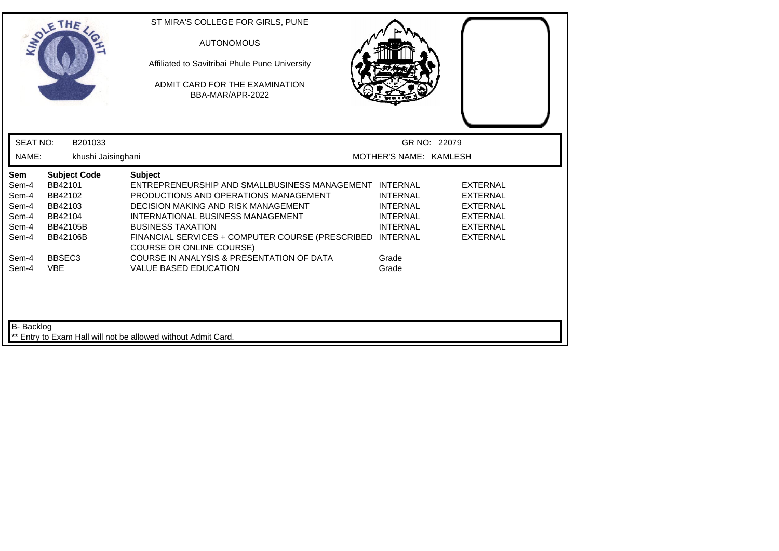|                                                                  | SOLETHE                                                                                        | ST MIRA'S COLLEGE FOR GIRLS, PUNE<br><b>AUTONOMOUS</b><br>Affiliated to Savitribai Phule Pune University<br>ADMIT CARD FOR THE EXAMINATION<br>BBA-MAR/APR-2022                                                                                                                                                   |                                                                                             |                                                                                                                |
|------------------------------------------------------------------|------------------------------------------------------------------------------------------------|------------------------------------------------------------------------------------------------------------------------------------------------------------------------------------------------------------------------------------------------------------------------------------------------------------------|---------------------------------------------------------------------------------------------|----------------------------------------------------------------------------------------------------------------|
| <b>SEAT NO:</b>                                                  | B201033                                                                                        |                                                                                                                                                                                                                                                                                                                  | GR NO: 22079                                                                                |                                                                                                                |
| NAME:                                                            | khushi Jaisinghani                                                                             |                                                                                                                                                                                                                                                                                                                  | MOTHER'S NAME: KAMLESH                                                                      |                                                                                                                |
| <b>Sem</b><br>Sem-4<br>Sem-4<br>Sem-4<br>Sem-4<br>Sem-4<br>Sem-4 | <b>Subject Code</b><br>BB42101<br>BB42102<br>BB42103<br>BB42104<br>BB42105B<br><b>BB42106B</b> | <b>Subject</b><br>ENTREPRENEURSHIP AND SMALLBUSINESS MANAGEMENT INTERNAL<br>PRODUCTIONS AND OPERATIONS MANAGEMENT<br><b>DECISION MAKING AND RISK MANAGEMENT</b><br>INTERNATIONAL BUSINESS MANAGEMENT<br><b>BUSINESS TAXATION</b><br>FINANCIAL SERVICES + COMPUTER COURSE (PRESCRIBED<br>COURSE OR ONLINE COURSE) | <b>INTERNAL</b><br><b>INTERNAL</b><br><b>INTERNAL</b><br><b>INTERNAL</b><br><b>INTERNAL</b> | <b>EXTERNAL</b><br><b>EXTERNAL</b><br><b>EXTERNAL</b><br><b>EXTERNAL</b><br><b>EXTERNAL</b><br><b>EXTERNAL</b> |
| Sem-4<br>Sem-4                                                   | BBSEC <sub>3</sub><br><b>VBE</b>                                                               | COURSE IN ANALYSIS & PRESENTATION OF DATA<br><b>VALUE BASED EDUCATION</b>                                                                                                                                                                                                                                        | Grade<br>Grade                                                                              |                                                                                                                |
| <b>B-</b> Backlog                                                |                                                                                                | ** Entry to Exam Hall will not be allowed without Admit Card.                                                                                                                                                                                                                                                    |                                                                                             |                                                                                                                |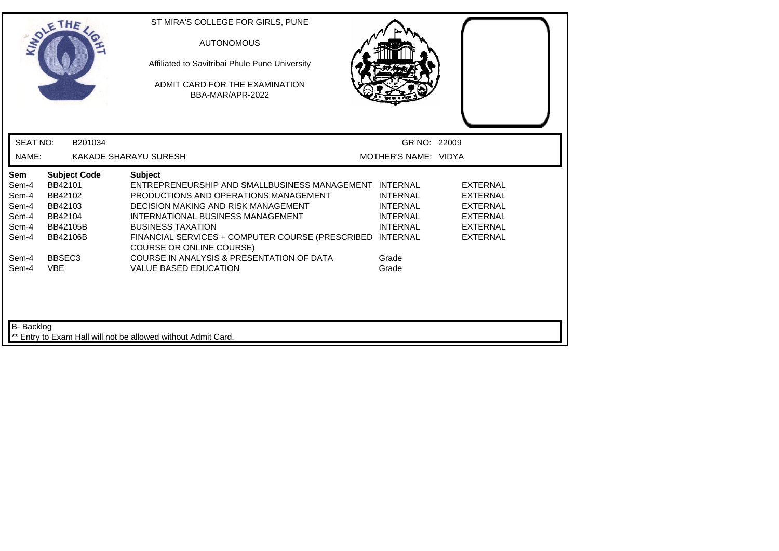|                                                           | THE                                                                                            | ST MIRA'S COLLEGE FOR GIRLS, PUNE<br><b>AUTONOMOUS</b><br>Affiliated to Savitribai Phule Pune University<br>ADMIT CARD FOR THE EXAMINATION<br>BBA-MAR/APR-2022                                                                                                                                                            |                                                                          |                                                                                                                |
|-----------------------------------------------------------|------------------------------------------------------------------------------------------------|---------------------------------------------------------------------------------------------------------------------------------------------------------------------------------------------------------------------------------------------------------------------------------------------------------------------------|--------------------------------------------------------------------------|----------------------------------------------------------------------------------------------------------------|
| <b>SEAT NO:</b>                                           | B201034                                                                                        |                                                                                                                                                                                                                                                                                                                           | GR NO: 22009                                                             |                                                                                                                |
| NAME:                                                     |                                                                                                | KAKADE SHARAYU SURESH                                                                                                                                                                                                                                                                                                     | MOTHER'S NAME: VIDYA                                                     |                                                                                                                |
| Sem<br>Sem-4<br>Sem-4<br>Sem-4<br>Sem-4<br>Sem-4<br>Sem-4 | <b>Subject Code</b><br>BB42101<br>BB42102<br>BB42103<br>BB42104<br>BB42105B<br><b>BB42106B</b> | <b>Subject</b><br>ENTREPRENEURSHIP AND SMALLBUSINESS MANAGEMENT INTERNAL<br>PRODUCTIONS AND OPERATIONS MANAGEMENT<br>DECISION MAKING AND RISK MANAGEMENT<br>INTERNATIONAL BUSINESS MANAGEMENT<br><b>BUSINESS TAXATION</b><br>FINANCIAL SERVICES + COMPUTER COURSE (PRESCRIBED INTERNAL<br><b>COURSE OR ONLINE COURSE)</b> | <b>INTERNAL</b><br><b>INTERNAL</b><br><b>INTERNAL</b><br><b>INTERNAL</b> | <b>EXTERNAL</b><br><b>EXTERNAL</b><br><b>EXTERNAL</b><br><b>EXTERNAL</b><br><b>EXTERNAL</b><br><b>EXTERNAL</b> |
| Sem-4<br>Sem-4<br>B- Backlog                              | BBSEC <sub>3</sub><br><b>VBE</b>                                                               | COURSE IN ANALYSIS & PRESENTATION OF DATA<br><b>VALUE BASED EDUCATION</b>                                                                                                                                                                                                                                                 | Grade<br>Grade                                                           |                                                                                                                |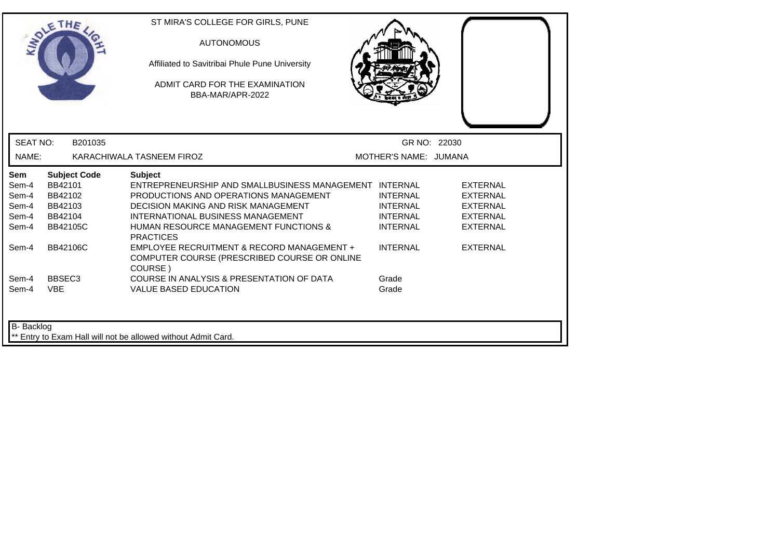| LADLE                                                   | THE                                                                                | ST MIRA'S COLLEGE FOR GIRLS, PUNE<br><b>AUTONOMOUS</b><br>Affiliated to Savitribai Phule Pune University<br>ADMIT CARD FOR THE EXAMINATION<br>BBA-MAR/APR-2022                                                                                                               |                                                                          |                                                                                             |  |
|---------------------------------------------------------|------------------------------------------------------------------------------------|------------------------------------------------------------------------------------------------------------------------------------------------------------------------------------------------------------------------------------------------------------------------------|--------------------------------------------------------------------------|---------------------------------------------------------------------------------------------|--|
| <b>SEAT NO:</b>                                         | B201035                                                                            |                                                                                                                                                                                                                                                                              | GR NO: 22030                                                             |                                                                                             |  |
| NAME:                                                   |                                                                                    | KARACHIWALA TASNEEM FIROZ                                                                                                                                                                                                                                                    | MOTHER'S NAME: JUMANA                                                    |                                                                                             |  |
| <b>Sem</b><br>Sem-4<br>Sem-4<br>Sem-4<br>Sem-4<br>Sem-4 | <b>Subject Code</b><br>BB42101<br>BB42102<br>BB42103<br>BB42104<br><b>BB42105C</b> | <b>Subject</b><br>ENTREPRENEURSHIP AND SMALLBUSINESS MANAGEMENT INTERNAL<br>PRODUCTIONS AND OPERATIONS MANAGEMENT<br><b>DECISION MAKING AND RISK MANAGEMENT</b><br>INTERNATIONAL BUSINESS MANAGEMENT<br><b>HUMAN RESOURCE MANAGEMENT FUNCTIONS &amp;</b><br><b>PRACTICES</b> | <b>INTERNAL</b><br><b>INTERNAL</b><br><b>INTERNAL</b><br><b>INTERNAL</b> | <b>EXTERNAL</b><br><b>EXTERNAL</b><br><b>EXTERNAL</b><br><b>EXTERNAL</b><br><b>EXTERNAL</b> |  |
| Sem-4                                                   | BB42106C                                                                           | EMPLOYEE RECRUITMENT & RECORD MANAGEMENT +<br>COMPUTER COURSE (PRESCRIBED COURSE OR ONLINE<br>COURSE)                                                                                                                                                                        | <b>INTERNAL</b>                                                          | <b>EXTERNAL</b>                                                                             |  |
| Sem-4<br>Sem-4                                          | BBSEC <sub>3</sub><br><b>VBE</b>                                                   | COURSE IN ANALYSIS & PRESENTATION OF DATA<br><b>VALUE BASED EDUCATION</b>                                                                                                                                                                                                    | Grade<br>Grade                                                           |                                                                                             |  |
| B- Backlog                                              |                                                                                    | Entry to Exam Hall will not be allowed without Admit Card.                                                                                                                                                                                                                   |                                                                          |                                                                                             |  |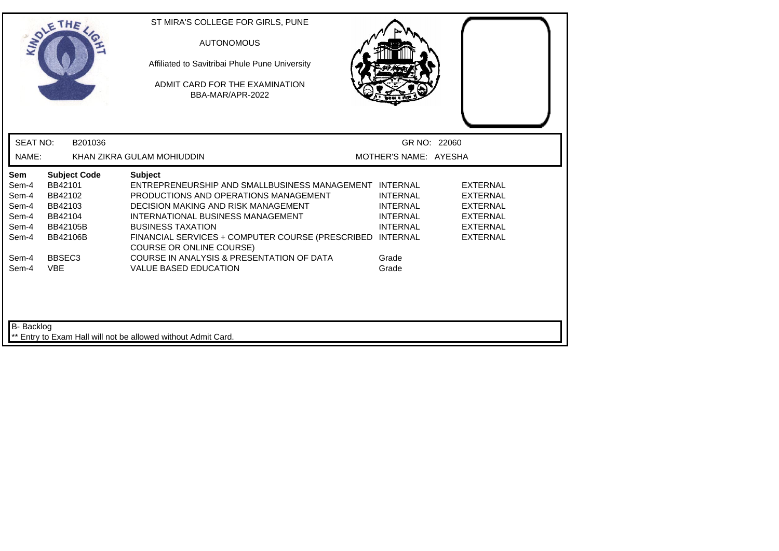|                                                           | THE                                                                                            | ST MIRA'S COLLEGE FOR GIRLS, PUNE<br><b>AUTONOMOUS</b><br>Affiliated to Savitribai Phule Pune University<br>ADMIT CARD FOR THE EXAMINATION<br>BBA-MAR/APR-2022                                                                                                                                                   |                                                                                             |                                                                                                                |  |
|-----------------------------------------------------------|------------------------------------------------------------------------------------------------|------------------------------------------------------------------------------------------------------------------------------------------------------------------------------------------------------------------------------------------------------------------------------------------------------------------|---------------------------------------------------------------------------------------------|----------------------------------------------------------------------------------------------------------------|--|
| <b>SEAT NO:</b>                                           | B201036                                                                                        |                                                                                                                                                                                                                                                                                                                  | GR NO: 22060                                                                                |                                                                                                                |  |
| NAME:                                                     |                                                                                                | KHAN ZIKRA GULAM MOHIUDDIN                                                                                                                                                                                                                                                                                       | MOTHER'S NAME: AYESHA                                                                       |                                                                                                                |  |
| Sem<br>Sem-4<br>Sem-4<br>Sem-4<br>Sem-4<br>Sem-4<br>Sem-4 | <b>Subject Code</b><br>BB42101<br>BB42102<br>BB42103<br>BB42104<br>BB42105B<br><b>BB42106B</b> | <b>Subject</b><br>ENTREPRENEURSHIP AND SMALLBUSINESS MANAGEMENT INTERNAL<br>PRODUCTIONS AND OPERATIONS MANAGEMENT<br>DECISION MAKING AND RISK MANAGEMENT<br>INTERNATIONAL BUSINESS MANAGEMENT<br><b>BUSINESS TAXATION</b><br>FINANCIAL SERVICES + COMPUTER COURSE (PRESCRIBED<br><b>COURSE OR ONLINE COURSE)</b> | <b>INTERNAL</b><br><b>INTERNAL</b><br><b>INTERNAL</b><br><b>INTERNAL</b><br><b>INTERNAL</b> | <b>EXTERNAL</b><br><b>EXTERNAL</b><br><b>EXTERNAL</b><br><b>EXTERNAL</b><br><b>EXTERNAL</b><br><b>EXTERNAL</b> |  |
| Sem-4<br>Sem-4<br>B- Backlog                              | BBSEC <sub>3</sub><br><b>VBE</b>                                                               | COURSE IN ANALYSIS & PRESENTATION OF DATA<br><b>VALUE BASED EDUCATION</b>                                                                                                                                                                                                                                        | Grade<br>Grade                                                                              |                                                                                                                |  |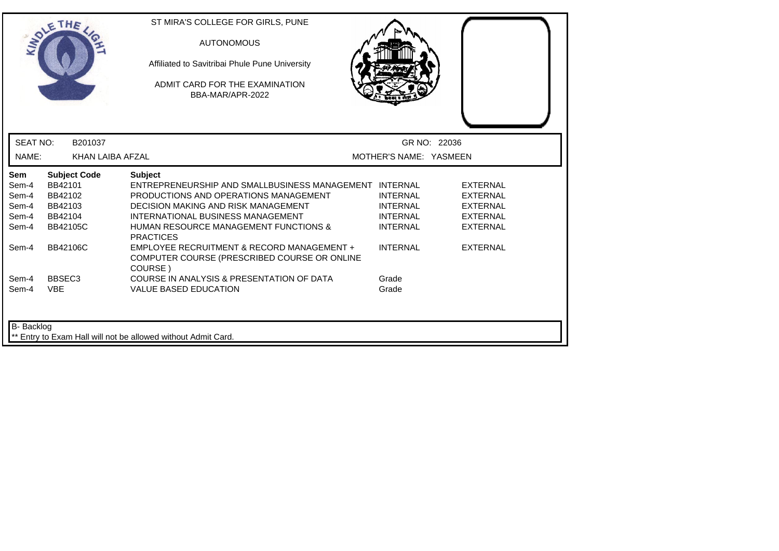| ADLE                                                             | THE                                                                                                   | ST MIRA'S COLLEGE FOR GIRLS, PUNE<br><b>AUTONOMOUS</b><br>Affiliated to Savitribai Phule Pune University<br>ADMIT CARD FOR THE EXAMINATION<br>BBA-MAR/APR-2022                                                                                                                                                      |                                                                                             |                                                                                                                |
|------------------------------------------------------------------|-------------------------------------------------------------------------------------------------------|---------------------------------------------------------------------------------------------------------------------------------------------------------------------------------------------------------------------------------------------------------------------------------------------------------------------|---------------------------------------------------------------------------------------------|----------------------------------------------------------------------------------------------------------------|
| <b>SEAT NO:</b>                                                  | B201037                                                                                               |                                                                                                                                                                                                                                                                                                                     |                                                                                             | GR NO: 22036                                                                                                   |
| NAME:                                                            | KHAN LAIBA AFZAL                                                                                      |                                                                                                                                                                                                                                                                                                                     | MOTHER'S NAME: YASMEEN                                                                      |                                                                                                                |
| <b>Sem</b><br>Sem-4<br>Sem-4<br>Sem-4<br>Sem-4<br>Sem-4<br>Sem-4 | <b>Subject Code</b><br>BB42101<br>BB42102<br>BB42103<br>BB42104<br><b>BB42105C</b><br><b>BB42106C</b> | <b>Subject</b><br>ENTREPRENEURSHIP AND SMALLBUSINESS MANAGEMENT INTERNAL<br>PRODUCTIONS AND OPERATIONS MANAGEMENT<br>DECISION MAKING AND RISK MANAGEMENT<br>INTERNATIONAL BUSINESS MANAGEMENT<br><b>HUMAN RESOURCE MANAGEMENT FUNCTIONS &amp;</b><br><b>PRACTICES</b><br>EMPLOYEE RECRUITMENT & RECORD MANAGEMENT + | <b>INTERNAL</b><br><b>INTERNAL</b><br><b>INTERNAL</b><br><b>INTERNAL</b><br><b>INTERNAL</b> | <b>EXTERNAL</b><br><b>EXTERNAL</b><br><b>EXTERNAL</b><br><b>EXTERNAL</b><br><b>EXTERNAL</b><br><b>EXTERNAL</b> |
| Sem-4                                                            | BBSEC <sub>3</sub>                                                                                    | COMPUTER COURSE (PRESCRIBED COURSE OR ONLINE<br>COURSE)<br>COURSE IN ANALYSIS & PRESENTATION OF DATA                                                                                                                                                                                                                | Grade                                                                                       |                                                                                                                |
| Sem-4<br>B- Backlog                                              | <b>VBE</b>                                                                                            | <b>VALUE BASED EDUCATION</b><br>Entry to Exam Hall will not be allowed without Admit Card.                                                                                                                                                                                                                          | Grade                                                                                       |                                                                                                                |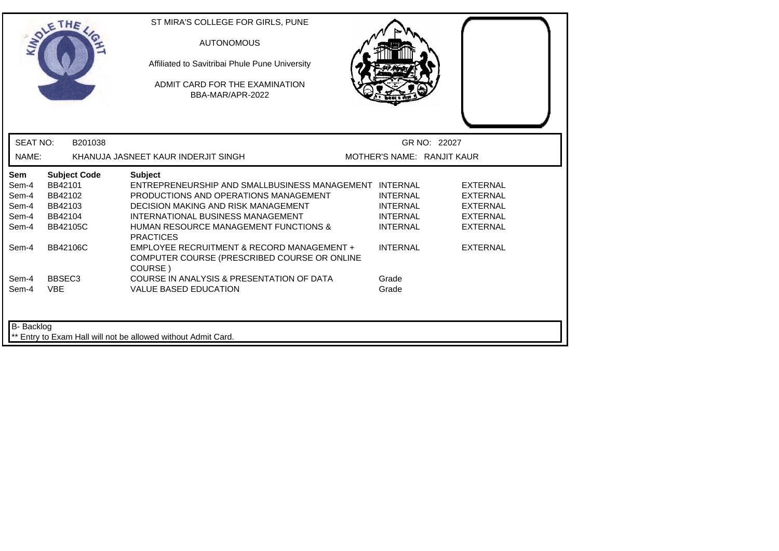| <b>INDI</b>                                             | THE                                                                                | ST MIRA'S COLLEGE FOR GIRLS, PUNE<br><b>AUTONOMOUS</b><br>Affiliated to Savitribai Phule Pune University<br>ADMIT CARD FOR THE EXAMINATION<br>BBA-MAR/APR-2022                                                                                                               |                                                                          |                                                                                             |  |
|---------------------------------------------------------|------------------------------------------------------------------------------------|------------------------------------------------------------------------------------------------------------------------------------------------------------------------------------------------------------------------------------------------------------------------------|--------------------------------------------------------------------------|---------------------------------------------------------------------------------------------|--|
| <b>SEAT NO:</b>                                         | B201038                                                                            |                                                                                                                                                                                                                                                                              |                                                                          | GR NO: 22027                                                                                |  |
| NAME:                                                   |                                                                                    | KHANUJA JASNEET KAUR INDERJIT SINGH                                                                                                                                                                                                                                          | MOTHER'S NAME: RANJIT KAUR                                               |                                                                                             |  |
| <b>Sem</b><br>Sem-4<br>Sem-4<br>Sem-4<br>Sem-4<br>Sem-4 | <b>Subject Code</b><br>BB42101<br>BB42102<br>BB42103<br>BB42104<br><b>BB42105C</b> | <b>Subject</b><br>ENTREPRENEURSHIP AND SMALLBUSINESS MANAGEMENT INTERNAL<br>PRODUCTIONS AND OPERATIONS MANAGEMENT<br><b>DECISION MAKING AND RISK MANAGEMENT</b><br>INTERNATIONAL BUSINESS MANAGEMENT<br><b>HUMAN RESOURCE MANAGEMENT FUNCTIONS &amp;</b><br><b>PRACTICES</b> | <b>INTERNAL</b><br><b>INTERNAL</b><br><b>INTERNAL</b><br><b>INTERNAL</b> | <b>EXTERNAL</b><br><b>EXTERNAL</b><br><b>EXTERNAL</b><br><b>EXTERNAL</b><br><b>EXTERNAL</b> |  |
| Sem-4                                                   | BB42106C                                                                           | EMPLOYEE RECRUITMENT & RECORD MANAGEMENT +<br>COMPUTER COURSE (PRESCRIBED COURSE OR ONLINE<br>COURSE)                                                                                                                                                                        | <b>INTERNAL</b>                                                          | <b>EXTERNAL</b>                                                                             |  |
| Sem-4<br>Sem-4                                          | BBSEC <sub>3</sub><br><b>VBE</b>                                                   | COURSE IN ANALYSIS & PRESENTATION OF DATA<br><b>VALUE BASED EDUCATION</b>                                                                                                                                                                                                    | Grade<br>Grade                                                           |                                                                                             |  |
| B- Backlog                                              |                                                                                    | Entry to Exam Hall will not be allowed without Admit Card.                                                                                                                                                                                                                   |                                                                          |                                                                                             |  |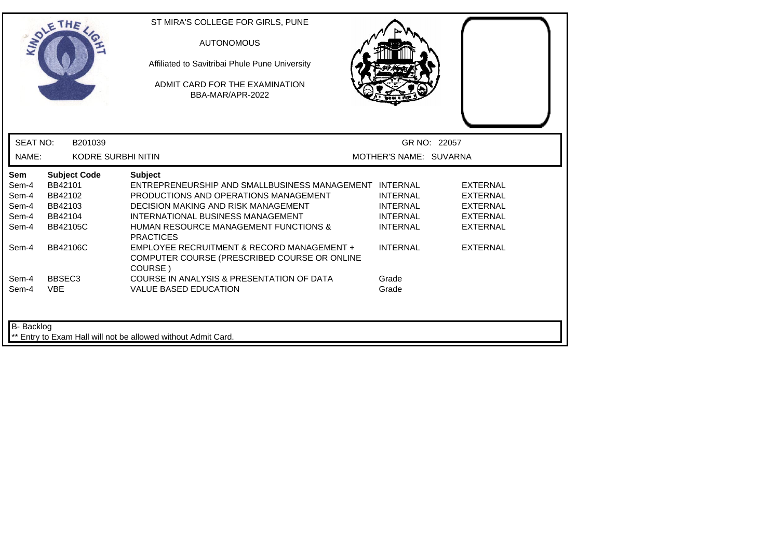|                              | THE                                       | ST MIRA'S COLLEGE FOR GIRLS, PUNE<br><b>AUTONOMOUS</b><br>Affiliated to Savitribai Phule Pune University                                                |                                                       |                                                       |
|------------------------------|-------------------------------------------|---------------------------------------------------------------------------------------------------------------------------------------------------------|-------------------------------------------------------|-------------------------------------------------------|
|                              |                                           | ADMIT CARD FOR THE EXAMINATION<br>BBA-MAR/APR-2022                                                                                                      |                                                       |                                                       |
| <b>SEAT NO:</b>              | B201039                                   |                                                                                                                                                         |                                                       | GR NO: 22057                                          |
| NAME:                        | <b>KODRE SURBHI NITIN</b>                 |                                                                                                                                                         | MOTHER'S NAME: SUVARNA                                |                                                       |
| <b>Sem</b><br>Sem-4<br>Sem-4 | <b>Subject Code</b><br>BB42101<br>BB42102 | <b>Subject</b><br>ENTREPRENEURSHIP AND SMALLBUSINESS MANAGEMENT INTERNAL<br>PRODUCTIONS AND OPERATIONS MANAGEMENT                                       | <b>INTERNAL</b>                                       | <b>EXTERNAL</b><br><b>EXTERNAL</b>                    |
| Sem-4<br>Sem-4<br>Sem-4      | BB42103<br>BB42104<br><b>BB42105C</b>     | <b>DECISION MAKING AND RISK MANAGEMENT</b><br>INTERNATIONAL BUSINESS MANAGEMENT<br><b>HUMAN RESOURCE MANAGEMENT FUNCTIONS &amp;</b><br><b>PRACTICES</b> | <b>INTERNAL</b><br><b>INTERNAL</b><br><b>INTERNAL</b> | <b>EXTERNAL</b><br><b>EXTERNAL</b><br><b>EXTERNAL</b> |
| Sem-4                        | BB42106C                                  | EMPLOYEE RECRUITMENT & RECORD MANAGEMENT +<br>COMPUTER COURSE (PRESCRIBED COURSE OR ONLINE<br>COURSE)                                                   | <b>INTERNAL</b>                                       | <b>EXTERNAL</b>                                       |
| Sem-4<br>Sem-4               | BBSEC <sub>3</sub><br><b>VBE</b>          | COURSE IN ANALYSIS & PRESENTATION OF DATA<br><b>VALUE BASED EDUCATION</b>                                                                               | Grade<br>Grade                                        |                                                       |
| B- Backlog                   |                                           | ** Entry to Exam Hall will not be allowed without Admit Card.                                                                                           |                                                       |                                                       |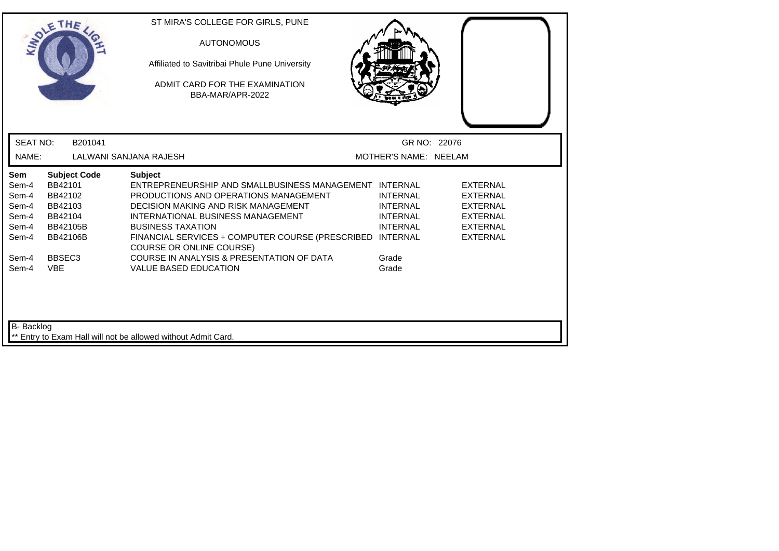|                                                           | THE                                                                                                   | ST MIRA'S COLLEGE FOR GIRLS, PUNE<br><b>AUTONOMOUS</b><br>Affiliated to Savitribai Phule Pune University<br>ADMIT CARD FOR THE EXAMINATION<br>BBA-MAR/APR-2022                                                                                                                                                   |                                                                                             |                                                                                                                |
|-----------------------------------------------------------|-------------------------------------------------------------------------------------------------------|------------------------------------------------------------------------------------------------------------------------------------------------------------------------------------------------------------------------------------------------------------------------------------------------------------------|---------------------------------------------------------------------------------------------|----------------------------------------------------------------------------------------------------------------|
| <b>SEAT NO:</b>                                           | B201041                                                                                               |                                                                                                                                                                                                                                                                                                                  | GR NO: 22076                                                                                |                                                                                                                |
| NAME:                                                     |                                                                                                       | LALWANI SANJANA RAJESH                                                                                                                                                                                                                                                                                           | MOTHER'S NAME: NEELAM                                                                       |                                                                                                                |
| Sem<br>Sem-4<br>Sem-4<br>Sem-4<br>Sem-4<br>Sem-4<br>Sem-4 | <b>Subject Code</b><br>BB42101<br>BB42102<br>BB42103<br>BB42104<br><b>BB42105B</b><br><b>BB42106B</b> | <b>Subject</b><br>ENTREPRENEURSHIP AND SMALLBUSINESS MANAGEMENT INTERNAL<br>PRODUCTIONS AND OPERATIONS MANAGEMENT<br>DECISION MAKING AND RISK MANAGEMENT<br>INTERNATIONAL BUSINESS MANAGEMENT<br><b>BUSINESS TAXATION</b><br>FINANCIAL SERVICES + COMPUTER COURSE (PRESCRIBED<br><b>COURSE OR ONLINE COURSE)</b> | <b>INTERNAL</b><br><b>INTERNAL</b><br><b>INTERNAL</b><br><b>INTERNAL</b><br><b>INTERNAL</b> | <b>EXTERNAL</b><br><b>EXTERNAL</b><br><b>EXTERNAL</b><br><b>EXTERNAL</b><br><b>EXTERNAL</b><br><b>EXTERNAL</b> |
| Sem-4<br>Sem-4<br>B- Backlog                              | BBSEC <sub>3</sub><br><b>VBE</b>                                                                      | COURSE IN ANALYSIS & PRESENTATION OF DATA<br><b>VALUE BASED EDUCATION</b><br>** Entry to Exam Hall will not be allowed without Admit Card.                                                                                                                                                                       | Grade<br>Grade                                                                              |                                                                                                                |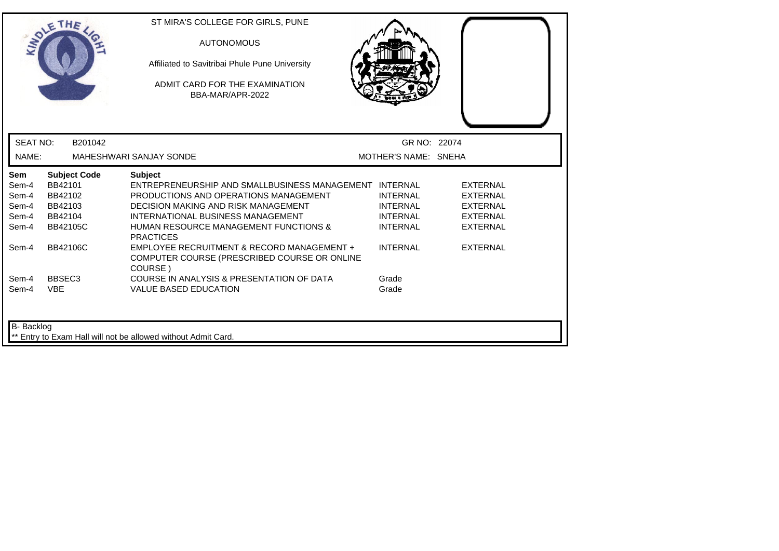| <b>MAY</b>                                                       | THE                                                                                                   | ST MIRA'S COLLEGE FOR GIRLS, PUNE<br><b>AUTONOMOUS</b><br>Affiliated to Savitribai Phule Pune University<br>ADMIT CARD FOR THE EXAMINATION<br>BBA-MAR/APR-2022                                                                                                                                                                                                             |                                                                                             |                                                                                                                |
|------------------------------------------------------------------|-------------------------------------------------------------------------------------------------------|----------------------------------------------------------------------------------------------------------------------------------------------------------------------------------------------------------------------------------------------------------------------------------------------------------------------------------------------------------------------------|---------------------------------------------------------------------------------------------|----------------------------------------------------------------------------------------------------------------|
| <b>SEAT NO:</b>                                                  | B201042                                                                                               |                                                                                                                                                                                                                                                                                                                                                                            | GR NO: 22074                                                                                |                                                                                                                |
| NAME:                                                            |                                                                                                       | <b>MAHESHWARI SANJAY SONDE</b>                                                                                                                                                                                                                                                                                                                                             | MOTHER'S NAME: SNEHA                                                                        |                                                                                                                |
| <b>Sem</b><br>Sem-4<br>Sem-4<br>Sem-4<br>Sem-4<br>Sem-4<br>Sem-4 | <b>Subject Code</b><br>BB42101<br>BB42102<br>BB42103<br>BB42104<br><b>BB42105C</b><br><b>BB42106C</b> | <b>Subject</b><br>ENTREPRENEURSHIP AND SMALLBUSINESS MANAGEMENT INTERNAL<br>PRODUCTIONS AND OPERATIONS MANAGEMENT<br><b>DECISION MAKING AND RISK MANAGEMENT</b><br>INTERNATIONAL BUSINESS MANAGEMENT<br><b>HUMAN RESOURCE MANAGEMENT FUNCTIONS &amp;</b><br><b>PRACTICES</b><br>EMPLOYEE RECRUITMENT & RECORD MANAGEMENT +<br>COMPUTER COURSE (PRESCRIBED COURSE OR ONLINE | <b>INTERNAL</b><br><b>INTERNAL</b><br><b>INTERNAL</b><br><b>INTERNAL</b><br><b>INTERNAL</b> | <b>EXTERNAL</b><br><b>EXTERNAL</b><br><b>EXTERNAL</b><br><b>EXTERNAL</b><br><b>EXTERNAL</b><br><b>EXTERNAL</b> |
| Sem-4<br>Sem-4<br><b>B-</b> Backlog                              | BBSEC <sub>3</sub><br><b>VBE</b>                                                                      | COURSE)<br>COURSE IN ANALYSIS & PRESENTATION OF DATA<br><b>VALUE BASED EDUCATION</b>                                                                                                                                                                                                                                                                                       | Grade<br>Grade                                                                              |                                                                                                                |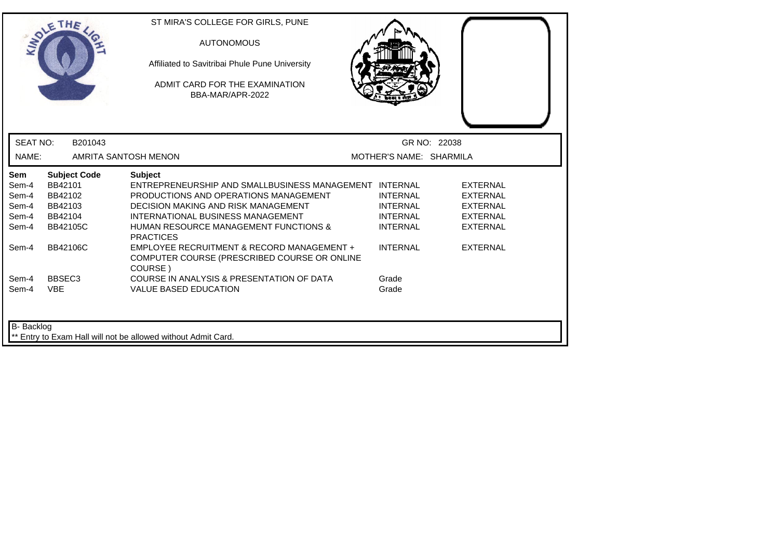| <b>INDI</b>                                             | THE                                                                                | ST MIRA'S COLLEGE FOR GIRLS, PUNE<br><b>AUTONOMOUS</b><br>Affiliated to Savitribai Phule Pune University<br>ADMIT CARD FOR THE EXAMINATION<br>BBA-MAR/APR-2022                                                                                                        |                                                                          |                                                                                             |
|---------------------------------------------------------|------------------------------------------------------------------------------------|-----------------------------------------------------------------------------------------------------------------------------------------------------------------------------------------------------------------------------------------------------------------------|--------------------------------------------------------------------------|---------------------------------------------------------------------------------------------|
| <b>SEAT NO:</b>                                         | B201043                                                                            |                                                                                                                                                                                                                                                                       |                                                                          | GR NO: 22038                                                                                |
| NAME:                                                   |                                                                                    | AMRITA SANTOSH MENON                                                                                                                                                                                                                                                  | MOTHER'S NAME: SHARMILA                                                  |                                                                                             |
| <b>Sem</b><br>Sem-4<br>Sem-4<br>Sem-4<br>Sem-4<br>Sem-4 | <b>Subject Code</b><br>BB42101<br>BB42102<br>BB42103<br>BB42104<br><b>BB42105C</b> | <b>Subject</b><br>ENTREPRENEURSHIP AND SMALLBUSINESS MANAGEMENT INTERNAL<br>PRODUCTIONS AND OPERATIONS MANAGEMENT<br>DECISION MAKING AND RISK MANAGEMENT<br>INTERNATIONAL BUSINESS MANAGEMENT<br><b>HUMAN RESOURCE MANAGEMENT FUNCTIONS &amp;</b><br><b>PRACTICES</b> | <b>INTERNAL</b><br><b>INTERNAL</b><br><b>INTERNAL</b><br><b>INTERNAL</b> | <b>EXTERNAL</b><br><b>EXTERNAL</b><br><b>EXTERNAL</b><br><b>EXTERNAL</b><br><b>EXTERNAL</b> |
| Sem-4                                                   | <b>BB42106C</b>                                                                    | EMPLOYEE RECRUITMENT & RECORD MANAGEMENT +<br>COMPUTER COURSE (PRESCRIBED COURSE OR ONLINE<br>COURSE)                                                                                                                                                                 | <b>INTERNAL</b>                                                          | <b>EXTERNAL</b>                                                                             |
| Sem-4<br>Sem-4                                          | BBSEC <sub>3</sub><br><b>VBE</b>                                                   | COURSE IN ANALYSIS & PRESENTATION OF DATA<br><b>VALUE BASED EDUCATION</b>                                                                                                                                                                                             | Grade<br>Grade                                                           |                                                                                             |
| <b>B-</b> Backlog                                       |                                                                                    | ** Entry to Exam Hall will not be allowed without Admit Card.                                                                                                                                                                                                         |                                                                          |                                                                                             |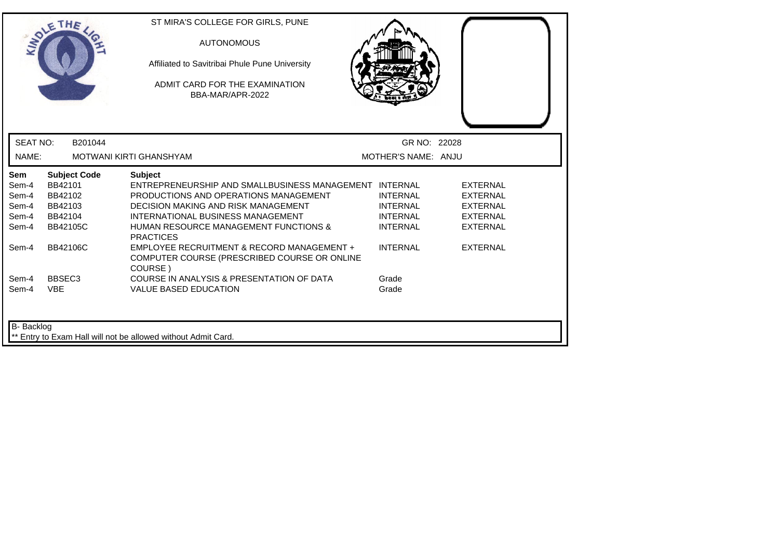| LADLE                                                   | THE                                                                                | ST MIRA'S COLLEGE FOR GIRLS, PUNE<br><b>AUTONOMOUS</b><br>Affiliated to Savitribai Phule Pune University<br>ADMIT CARD FOR THE EXAMINATION<br>BBA-MAR/APR-2022                                                                                                               |                                                                          |                                                                                             |  |
|---------------------------------------------------------|------------------------------------------------------------------------------------|------------------------------------------------------------------------------------------------------------------------------------------------------------------------------------------------------------------------------------------------------------------------------|--------------------------------------------------------------------------|---------------------------------------------------------------------------------------------|--|
| <b>SEAT NO:</b>                                         | B201044                                                                            |                                                                                                                                                                                                                                                                              | GR NO: 22028                                                             |                                                                                             |  |
| NAME:                                                   |                                                                                    | <b>MOTWANI KIRTI GHANSHYAM</b>                                                                                                                                                                                                                                               | MOTHER'S NAME: ANJU                                                      |                                                                                             |  |
| <b>Sem</b><br>Sem-4<br>Sem-4<br>Sem-4<br>Sem-4<br>Sem-4 | <b>Subject Code</b><br>BB42101<br>BB42102<br>BB42103<br>BB42104<br><b>BB42105C</b> | <b>Subject</b><br>ENTREPRENEURSHIP AND SMALLBUSINESS MANAGEMENT INTERNAL<br>PRODUCTIONS AND OPERATIONS MANAGEMENT<br><b>DECISION MAKING AND RISK MANAGEMENT</b><br>INTERNATIONAL BUSINESS MANAGEMENT<br><b>HUMAN RESOURCE MANAGEMENT FUNCTIONS &amp;</b><br><b>PRACTICES</b> | <b>INTERNAL</b><br><b>INTERNAL</b><br><b>INTERNAL</b><br><b>INTERNAL</b> | <b>EXTERNAL</b><br><b>EXTERNAL</b><br><b>EXTERNAL</b><br><b>EXTERNAL</b><br><b>EXTERNAL</b> |  |
| Sem-4                                                   | BB42106C                                                                           | EMPLOYEE RECRUITMENT & RECORD MANAGEMENT +<br>COMPUTER COURSE (PRESCRIBED COURSE OR ONLINE<br>COURSE)                                                                                                                                                                        | <b>INTERNAL</b>                                                          | <b>EXTERNAL</b>                                                                             |  |
| Sem-4<br>Sem-4                                          | BBSEC <sub>3</sub><br><b>VBE</b>                                                   | COURSE IN ANALYSIS & PRESENTATION OF DATA<br><b>VALUE BASED EDUCATION</b>                                                                                                                                                                                                    | Grade<br>Grade                                                           |                                                                                             |  |
| B- Backlog                                              |                                                                                    | Entry to Exam Hall will not be allowed without Admit Card.                                                                                                                                                                                                                   |                                                                          |                                                                                             |  |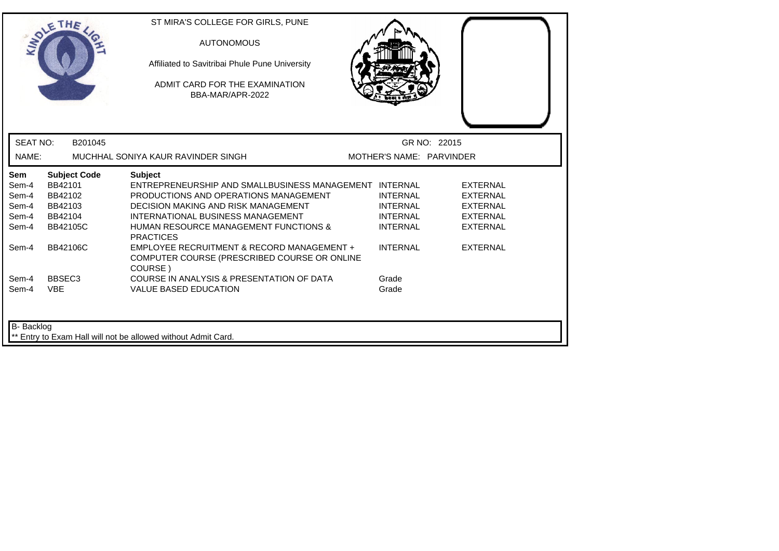| LADLE           | THE                 | ST MIRA'S COLLEGE FOR GIRLS, PUNE<br><b>AUTONOMOUS</b><br>Affiliated to Savitribai Phule Pune University<br>ADMIT CARD FOR THE EXAMINATION<br>BBA-MAR/APR-2022 |                          |                 |  |
|-----------------|---------------------|----------------------------------------------------------------------------------------------------------------------------------------------------------------|--------------------------|-----------------|--|
| <b>SEAT NO:</b> | B201045             |                                                                                                                                                                |                          | GR NO: 22015    |  |
| NAME:           |                     | MUCHHAL SONIYA KAUR RAVINDER SINGH                                                                                                                             | MOTHER'S NAME: PARVINDER |                 |  |
| Sem             | <b>Subject Code</b> | <b>Subject</b>                                                                                                                                                 |                          |                 |  |
| Sem-4           | BB42101             | ENTREPRENEURSHIP AND SMALLBUSINESS MANAGEMENT INTERNAL                                                                                                         |                          | <b>EXTERNAL</b> |  |
| Sem-4           | BB42102             | PRODUCTIONS AND OPERATIONS MANAGEMENT                                                                                                                          | <b>INTERNAL</b>          | <b>EXTERNAL</b> |  |
| Sem-4           | BB42103             | DECISION MAKING AND RISK MANAGEMENT                                                                                                                            | <b>INTERNAL</b>          | <b>EXTERNAL</b> |  |
| Sem-4           | BB42104             | INTERNATIONAL BUSINESS MANAGEMENT                                                                                                                              | <b>INTERNAL</b>          | <b>EXTERNAL</b> |  |
| Sem-4           | <b>BB42105C</b>     | <b>HUMAN RESOURCE MANAGEMENT FUNCTIONS &amp;</b><br><b>PRACTICES</b>                                                                                           | <b>INTERNAL</b>          | <b>EXTERNAL</b> |  |
| Sem-4           | <b>BB42106C</b>     | EMPLOYEE RECRUITMENT & RECORD MANAGEMENT +<br>COMPUTER COURSE (PRESCRIBED COURSE OR ONLINE<br>COURSE)                                                          | <b>INTERNAL</b>          | <b>EXTERNAL</b> |  |
| Sem-4           | BBSEC <sub>3</sub>  | COURSE IN ANALYSIS & PRESENTATION OF DATA                                                                                                                      | Grade                    |                 |  |
| Sem-4           | <b>VBE</b>          | <b>VALUE BASED EDUCATION</b>                                                                                                                                   | Grade                    |                 |  |
| B- Backlog      |                     | Entry to Exam Hall will not be allowed without Admit Card.                                                                                                     |                          |                 |  |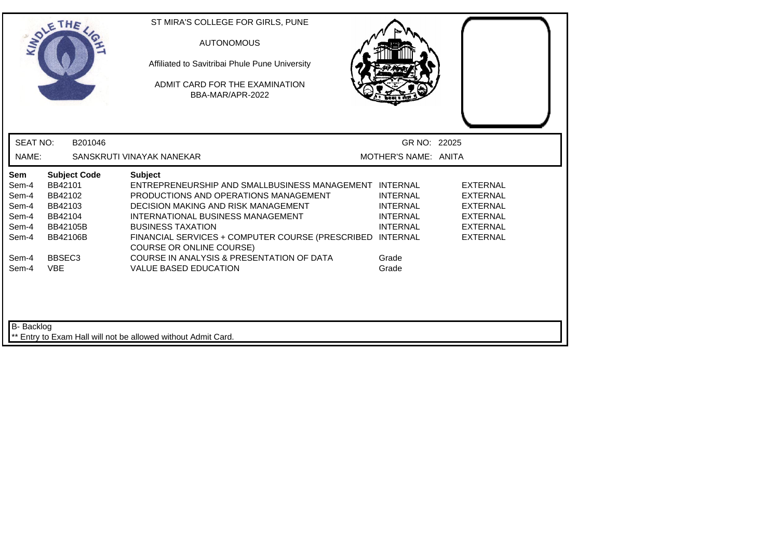|                                                           | THE                                                                                                   | ST MIRA'S COLLEGE FOR GIRLS, PUNE<br><b>AUTONOMOUS</b><br>Affiliated to Savitribai Phule Pune University<br>ADMIT CARD FOR THE EXAMINATION<br>BBA-MAR/APR-2022                                                                                                                                                     |                                                                          |                                                                                                                |
|-----------------------------------------------------------|-------------------------------------------------------------------------------------------------------|--------------------------------------------------------------------------------------------------------------------------------------------------------------------------------------------------------------------------------------------------------------------------------------------------------------------|--------------------------------------------------------------------------|----------------------------------------------------------------------------------------------------------------|
| <b>SEAT NO:</b>                                           | B201046                                                                                               |                                                                                                                                                                                                                                                                                                                    | GR NO: 22025                                                             |                                                                                                                |
| NAME:                                                     |                                                                                                       | SANSKRUTI VINAYAK NANEKAR                                                                                                                                                                                                                                                                                          | MOTHER'S NAME: ANITA                                                     |                                                                                                                |
| Sem<br>Sem-4<br>Sem-4<br>Sem-4<br>Sem-4<br>Sem-4<br>Sem-4 | <b>Subject Code</b><br>BB42101<br>BB42102<br>BB42103<br>BB42104<br><b>BB42105B</b><br><b>BB42106B</b> | <b>Subject</b><br>ENTREPRENEURSHIP AND SMALLBUSINESS MANAGEMENT INTERNAL<br>PRODUCTIONS AND OPERATIONS MANAGEMENT<br>DECISION MAKING AND RISK MANAGEMENT<br>INTERNATIONAL BUSINESS MANAGEMENT<br><b>BUSINESS TAXATION</b><br>FINANCIAL SERVICES + COMPUTER COURSE (PRESCRIBED INTERNAL<br>COURSE OR ONLINE COURSE) | <b>INTERNAL</b><br><b>INTERNAL</b><br><b>INTERNAL</b><br><b>INTERNAL</b> | <b>EXTERNAL</b><br><b>EXTERNAL</b><br><b>EXTERNAL</b><br><b>EXTERNAL</b><br><b>EXTERNAL</b><br><b>EXTERNAL</b> |
| Sem-4<br>Sem-4                                            | BBSEC <sub>3</sub><br><b>VBE</b>                                                                      | COURSE IN ANALYSIS & PRESENTATION OF DATA<br><b>VALUE BASED EDUCATION</b>                                                                                                                                                                                                                                          | Grade<br>Grade                                                           |                                                                                                                |
| <b>B-</b> Backlog                                         |                                                                                                       | ** Entry to Exam Hall will not be allowed without Admit Card.                                                                                                                                                                                                                                                      |                                                                          |                                                                                                                |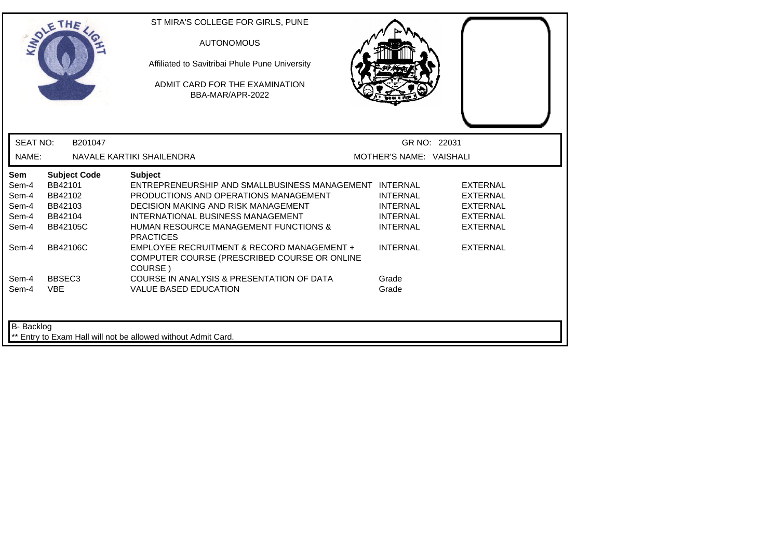| LADLE                                                   |                                                                             | <b>AUTONOMOUS</b><br>Affiliated to Savitribai Phule Pune University<br>ADMIT CARD FOR THE EXAMINATION<br>BBA-MAR/APR-2022                                                                                                                                                    |                                                                          |                                                                                             |  |
|---------------------------------------------------------|-----------------------------------------------------------------------------|------------------------------------------------------------------------------------------------------------------------------------------------------------------------------------------------------------------------------------------------------------------------------|--------------------------------------------------------------------------|---------------------------------------------------------------------------------------------|--|
| <b>SEAT NO:</b>                                         | B201047                                                                     |                                                                                                                                                                                                                                                                              | GR NO: 22031                                                             |                                                                                             |  |
| NAME:                                                   |                                                                             | NAVALE KARTIKI SHAILENDRA                                                                                                                                                                                                                                                    | MOTHER'S NAME: VAISHALI                                                  |                                                                                             |  |
| <b>Sem</b><br>Sem-4<br>Sem-4<br>Sem-4<br>Sem-4<br>Sem-4 | <b>Subject Code</b><br>BB42101<br>BB42102<br>BB42103<br>BB42104<br>BB42105C | <b>Subject</b><br>ENTREPRENEURSHIP AND SMALLBUSINESS MANAGEMENT INTERNAL<br>PRODUCTIONS AND OPERATIONS MANAGEMENT<br><b>DECISION MAKING AND RISK MANAGEMENT</b><br>INTERNATIONAL BUSINESS MANAGEMENT<br><b>HUMAN RESOURCE MANAGEMENT FUNCTIONS &amp;</b><br><b>PRACTICES</b> | <b>INTERNAL</b><br><b>INTERNAL</b><br><b>INTERNAL</b><br><b>INTERNAL</b> | <b>EXTERNAL</b><br><b>EXTERNAL</b><br><b>EXTERNAL</b><br><b>EXTERNAL</b><br><b>EXTERNAL</b> |  |
| Sem-4                                                   | BB42106C                                                                    | EMPLOYEE RECRUITMENT & RECORD MANAGEMENT +<br>COMPUTER COURSE (PRESCRIBED COURSE OR ONLINE<br>COURSE)                                                                                                                                                                        | <b>INTERNAL</b>                                                          | <b>EXTERNAL</b>                                                                             |  |
| Sem-4<br>Sem-4                                          | BBSEC <sub>3</sub><br><b>VBE</b>                                            | COURSE IN ANALYSIS & PRESENTATION OF DATA<br><b>VALUE BASED EDUCATION</b>                                                                                                                                                                                                    | Grade<br>Grade                                                           |                                                                                             |  |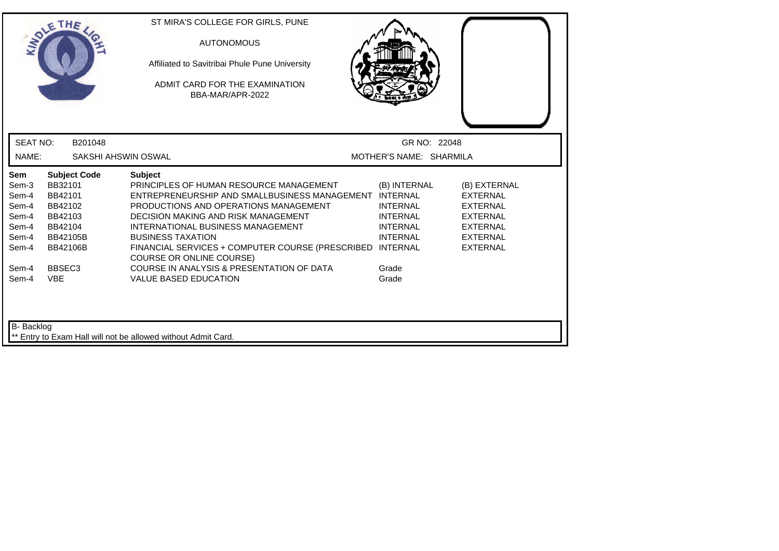|                                                                                      | THE                                                                                                                                           | ST MIRA'S COLLEGE FOR GIRLS, PUNE<br><b>AUTONOMOUS</b><br>Affiliated to Savitribai Phule Pune University<br>ADMIT CARD FOR THE EXAMINATION<br>BBA-MAR/APR-2022                                                                                                                                                                                                                                                                                           |                                                                                                            |                                                                                                                         |
|--------------------------------------------------------------------------------------|-----------------------------------------------------------------------------------------------------------------------------------------------|----------------------------------------------------------------------------------------------------------------------------------------------------------------------------------------------------------------------------------------------------------------------------------------------------------------------------------------------------------------------------------------------------------------------------------------------------------|------------------------------------------------------------------------------------------------------------|-------------------------------------------------------------------------------------------------------------------------|
| <b>SEAT NO:</b>                                                                      | B201048                                                                                                                                       |                                                                                                                                                                                                                                                                                                                                                                                                                                                          | GR NO: 22048                                                                                               |                                                                                                                         |
| NAME:                                                                                |                                                                                                                                               | SAKSHI AHSWIN OSWAL                                                                                                                                                                                                                                                                                                                                                                                                                                      | MOTHER'S NAME: SHARMILA                                                                                    |                                                                                                                         |
| Sem<br>Sem-3<br>Sem-4<br>Sem-4<br>Sem-4<br>Sem-4<br>Sem-4<br>Sem-4<br>Sem-4<br>Sem-4 | <b>Subject Code</b><br>BB32101<br>BB42101<br>BB42102<br>BB42103<br>BB42104<br>BB42105B<br><b>BB42106B</b><br>BBSEC <sub>3</sub><br><b>VBE</b> | <b>Subject</b><br>PRINCIPLES OF HUMAN RESOURCE MANAGEMENT<br>ENTREPRENEURSHIP AND SMALLBUSINESS MANAGEMENT INTERNAL<br>PRODUCTIONS AND OPERATIONS MANAGEMENT<br><b>DECISION MAKING AND RISK MANAGEMENT</b><br>INTERNATIONAL BUSINESS MANAGEMENT<br><b>BUSINESS TAXATION</b><br>FINANCIAL SERVICES + COMPUTER COURSE (PRESCRIBED INTERNAL<br><b>COURSE OR ONLINE COURSE)</b><br>COURSE IN ANALYSIS & PRESENTATION OF DATA<br><b>VALUE BASED EDUCATION</b> | (B) INTERNAL<br><b>INTERNAL</b><br><b>INTERNAL</b><br><b>INTERNAL</b><br><b>INTERNAL</b><br>Grade<br>Grade | (B) EXTERNAL<br><b>EXTERNAL</b><br>EXTERNAL<br><b>EXTERNAL</b><br><b>EXTERNAL</b><br><b>EXTERNAL</b><br><b>EXTERNAL</b> |
| B- Backlog                                                                           |                                                                                                                                               | ** Entry to Exam Hall will not be allowed without Admit Card.                                                                                                                                                                                                                                                                                                                                                                                            |                                                                                                            |                                                                                                                         |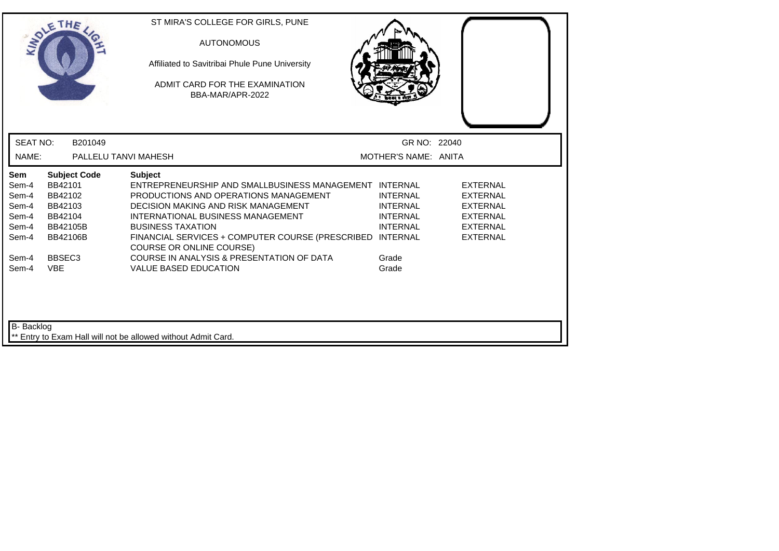|                                                           | THE                                                                                                   | ST MIRA'S COLLEGE FOR GIRLS, PUNE<br><b>AUTONOMOUS</b><br>Affiliated to Savitribai Phule Pune University<br>ADMIT CARD FOR THE EXAMINATION<br>BBA-MAR/APR-2022                                                                                                                                                            |                                                                          |                                                                                                                |
|-----------------------------------------------------------|-------------------------------------------------------------------------------------------------------|---------------------------------------------------------------------------------------------------------------------------------------------------------------------------------------------------------------------------------------------------------------------------------------------------------------------------|--------------------------------------------------------------------------|----------------------------------------------------------------------------------------------------------------|
| <b>SEAT NO:</b>                                           | B201049                                                                                               |                                                                                                                                                                                                                                                                                                                           | GR NO: 22040                                                             |                                                                                                                |
| NAME:                                                     | PALLELU TANVI MAHESH                                                                                  |                                                                                                                                                                                                                                                                                                                           | MOTHER'S NAME: ANITA                                                     |                                                                                                                |
| Sem<br>Sem-4<br>Sem-4<br>Sem-4<br>Sem-4<br>Sem-4<br>Sem-4 | <b>Subject Code</b><br>BB42101<br>BB42102<br>BB42103<br>BB42104<br><b>BB42105B</b><br><b>BB42106B</b> | <b>Subject</b><br>ENTREPRENEURSHIP AND SMALLBUSINESS MANAGEMENT INTERNAL<br>PRODUCTIONS AND OPERATIONS MANAGEMENT<br>DECISION MAKING AND RISK MANAGEMENT<br>INTERNATIONAL BUSINESS MANAGEMENT<br><b>BUSINESS TAXATION</b><br>FINANCIAL SERVICES + COMPUTER COURSE (PRESCRIBED INTERNAL<br><b>COURSE OR ONLINE COURSE)</b> | <b>INTERNAL</b><br><b>INTERNAL</b><br><b>INTERNAL</b><br><b>INTERNAL</b> | <b>EXTERNAL</b><br><b>EXTERNAL</b><br><b>EXTERNAL</b><br><b>EXTERNAL</b><br><b>EXTERNAL</b><br><b>EXTERNAL</b> |
| Sem-4<br>Sem-4<br><b>B-</b> Backlog                       | BBSEC <sub>3</sub><br><b>VBE</b>                                                                      | COURSE IN ANALYSIS & PRESENTATION OF DATA<br><b>VALUE BASED EDUCATION</b>                                                                                                                                                                                                                                                 | Grade<br>Grade                                                           |                                                                                                                |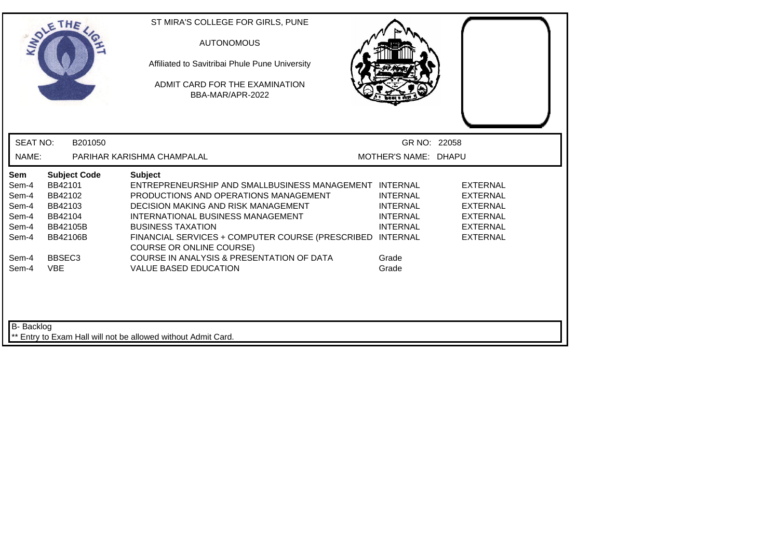|                                                                  | THE                                                                                            | ST MIRA'S COLLEGE FOR GIRLS, PUNE<br><b>AUTONOMOUS</b><br>Affiliated to Savitribai Phule Pune University<br>ADMIT CARD FOR THE EXAMINATION<br>BBA-MAR/APR-2022                                                                                                                                                     |                                                                          |                                                                                                                |
|------------------------------------------------------------------|------------------------------------------------------------------------------------------------|--------------------------------------------------------------------------------------------------------------------------------------------------------------------------------------------------------------------------------------------------------------------------------------------------------------------|--------------------------------------------------------------------------|----------------------------------------------------------------------------------------------------------------|
| <b>SEAT NO:</b>                                                  | B201050                                                                                        |                                                                                                                                                                                                                                                                                                                    | GR NO: 22058                                                             |                                                                                                                |
| NAME:                                                            |                                                                                                | PARIHAR KARISHMA CHAMPALAL                                                                                                                                                                                                                                                                                         | MOTHER'S NAME: DHAPU                                                     |                                                                                                                |
| <b>Sem</b><br>Sem-4<br>Sem-4<br>Sem-4<br>Sem-4<br>Sem-4<br>Sem-4 | <b>Subject Code</b><br>BB42101<br>BB42102<br>BB42103<br>BB42104<br>BB42105B<br><b>BB42106B</b> | <b>Subject</b><br>ENTREPRENEURSHIP AND SMALLBUSINESS MANAGEMENT INTERNAL<br>PRODUCTIONS AND OPERATIONS MANAGEMENT<br>DECISION MAKING AND RISK MANAGEMENT<br>INTERNATIONAL BUSINESS MANAGEMENT<br><b>BUSINESS TAXATION</b><br>FINANCIAL SERVICES + COMPUTER COURSE (PRESCRIBED INTERNAL<br>COURSE OR ONLINE COURSE) | <b>INTERNAL</b><br><b>INTERNAL</b><br><b>INTERNAL</b><br><b>INTERNAL</b> | <b>EXTERNAL</b><br><b>EXTERNAL</b><br><b>EXTERNAL</b><br><b>EXTERNAL</b><br><b>EXTERNAL</b><br><b>EXTERNAL</b> |
| Sem-4<br>Sem-4                                                   | BBSEC <sub>3</sub><br><b>VBE</b>                                                               | COURSE IN ANALYSIS & PRESENTATION OF DATA<br><b>VALUE BASED EDUCATION</b>                                                                                                                                                                                                                                          | Grade<br>Grade                                                           |                                                                                                                |
| B- Backlog                                                       |                                                                                                | ** Entry to Exam Hall will not be allowed without Admit Card.                                                                                                                                                                                                                                                      |                                                                          |                                                                                                                |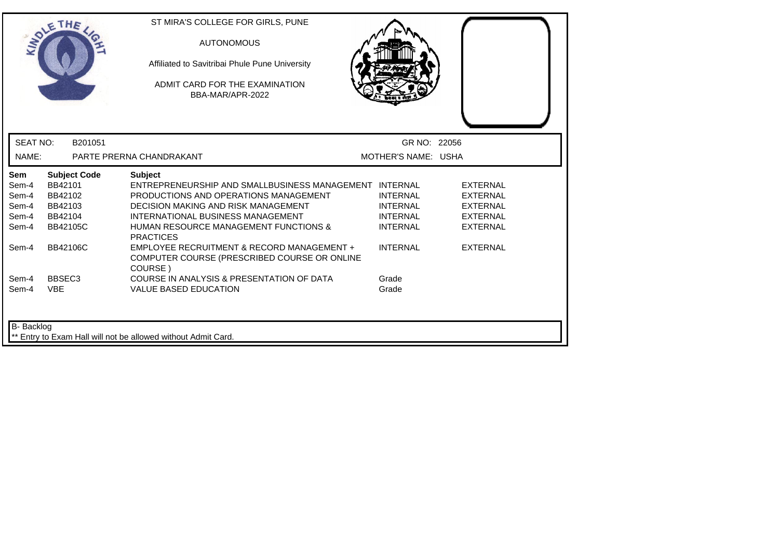|                 | THE                 | ST MIRA'S COLLEGE FOR GIRLS, PUNE<br><b>AUTONOMOUS</b><br>Affiliated to Savitribai Phule Pune University<br>ADMIT CARD FOR THE EXAMINATION<br>BBA-MAR/APR-2022 |                     |                 |
|-----------------|---------------------|----------------------------------------------------------------------------------------------------------------------------------------------------------------|---------------------|-----------------|
| <b>SEAT NO:</b> | B201051             |                                                                                                                                                                | GR NO: 22056        |                 |
| NAME:           |                     | PARTE PRERNA CHANDRAKANT                                                                                                                                       | MOTHER'S NAME: USHA |                 |
| Sem             | <b>Subject Code</b> | <b>Subject</b>                                                                                                                                                 |                     |                 |
| Sem-4           | BB42101             | ENTREPRENEURSHIP AND SMALLBUSINESS MANAGEMENT INTERNAL                                                                                                         |                     | <b>EXTERNAL</b> |
| Sem-4           | BB42102             | PRODUCTIONS AND OPERATIONS MANAGEMENT                                                                                                                          | <b>INTERNAL</b>     | <b>EXTERNAL</b> |
| Sem-4           | BB42103             | <b>DECISION MAKING AND RISK MANAGEMENT</b>                                                                                                                     | <b>INTERNAL</b>     | <b>EXTERNAL</b> |
| Sem-4           | BB42104             | INTERNATIONAL BUSINESS MANAGEMENT                                                                                                                              | <b>INTERNAL</b>     | <b>EXTERNAL</b> |
| Sem-4           | <b>BB42105C</b>     | <b>HUMAN RESOURCE MANAGEMENT FUNCTIONS &amp;</b><br><b>PRACTICES</b>                                                                                           | <b>INTERNAL</b>     | <b>EXTERNAL</b> |
| Sem-4           | <b>BB42106C</b>     | EMPLOYEE RECRUITMENT & RECORD MANAGEMENT +<br>COMPUTER COURSE (PRESCRIBED COURSE OR ONLINE<br>COURSE)                                                          | <b>INTERNAL</b>     | <b>EXTERNAL</b> |
| Sem-4           | BBSEC <sub>3</sub>  | COURSE IN ANALYSIS & PRESENTATION OF DATA                                                                                                                      | Grade               |                 |
| Sem-4           | <b>VBE</b>          | <b>VALUE BASED EDUCATION</b>                                                                                                                                   | Grade               |                 |
| B- Backlog      |                     | Entry to Exam Hall will not be allowed without Admit Card.                                                                                                     |                     |                 |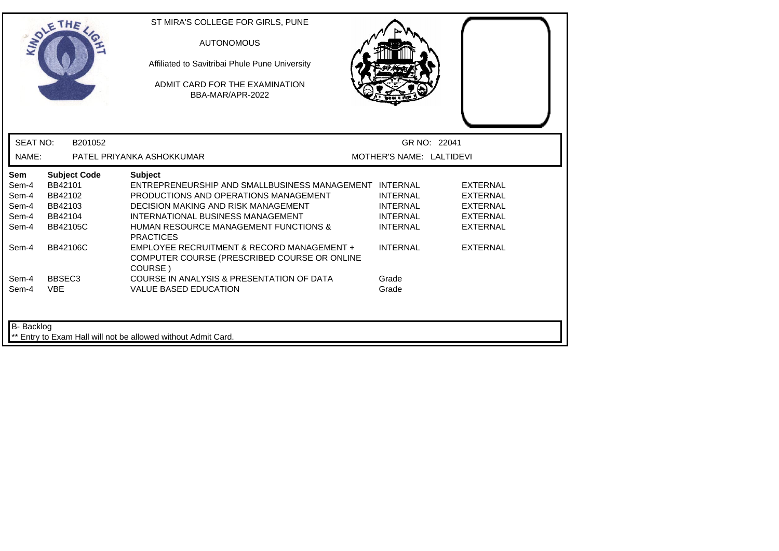| <b>INTO</b>     | THE                 | ST MIRA'S COLLEGE FOR GIRLS, PUNE<br><b>AUTONOMOUS</b><br>Affiliated to Savitribai Phule Pune University<br>ADMIT CARD FOR THE EXAMINATION<br>BBA-MAR/APR-2022 |                          |                 |
|-----------------|---------------------|----------------------------------------------------------------------------------------------------------------------------------------------------------------|--------------------------|-----------------|
| <b>SEAT NO:</b> | B201052             |                                                                                                                                                                | GR NO: 22041             |                 |
| NAME:           |                     | PATEL PRIYANKA ASHOKKUMAR                                                                                                                                      | MOTHER'S NAME: LALTIDEVI |                 |
| Sem             | <b>Subject Code</b> | <b>Subject</b>                                                                                                                                                 |                          |                 |
| Sem-4           | BB42101             | ENTREPRENEURSHIP AND SMALLBUSINESS MANAGEMENT INTERNAL                                                                                                         |                          | <b>EXTERNAL</b> |
| Sem-4           | BB42102             | PRODUCTIONS AND OPERATIONS MANAGEMENT                                                                                                                          | <b>INTERNAL</b>          | <b>EXTERNAL</b> |
| Sem-4           | BB42103             | <b>DECISION MAKING AND RISK MANAGEMENT</b>                                                                                                                     | <b>INTERNAL</b>          | <b>EXTERNAL</b> |
| Sem-4           | BB42104             | INTERNATIONAL BUSINESS MANAGEMENT                                                                                                                              | <b>INTERNAL</b>          | <b>EXTERNAL</b> |
| Sem-4           | <b>BB42105C</b>     | <b>HUMAN RESOURCE MANAGEMENT FUNCTIONS &amp;</b><br><b>PRACTICES</b>                                                                                           | <b>INTERNAL</b>          | <b>EXTERNAL</b> |
| Sem-4           | BB42106C            | EMPLOYEE RECRUITMENT & RECORD MANAGEMENT +<br>COMPUTER COURSE (PRESCRIBED COURSE OR ONLINE<br>COURSE)                                                          | <b>INTERNAL</b>          | <b>EXTERNAL</b> |
| Sem-4           | BBSEC <sub>3</sub>  | COURSE IN ANALYSIS & PRESENTATION OF DATA                                                                                                                      | Grade                    |                 |
| Sem-4           | <b>VBE</b>          | <b>VALUE BASED EDUCATION</b>                                                                                                                                   | Grade                    |                 |
| B- Backlog      |                     | Entry to Exam Hall will not be allowed without Admit Card.                                                                                                     |                          |                 |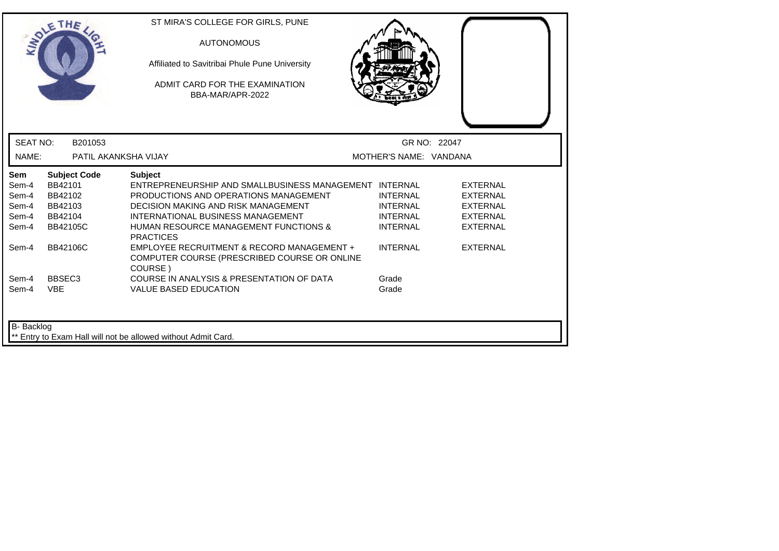| <b>INTO</b>     | THE                  | ST MIRA'S COLLEGE FOR GIRLS, PUNE<br><b>AUTONOMOUS</b><br>Affiliated to Savitribai Phule Pune University<br>ADMIT CARD FOR THE EXAMINATION<br>BBA-MAR/APR-2022 |                        |                 |
|-----------------|----------------------|----------------------------------------------------------------------------------------------------------------------------------------------------------------|------------------------|-----------------|
| <b>SEAT NO:</b> | B201053              |                                                                                                                                                                | GR NO: 22047           |                 |
| NAME:           | PATIL AKANKSHA VIJAY |                                                                                                                                                                | MOTHER'S NAME: VANDANA |                 |
| Sem             | <b>Subject Code</b>  | <b>Subject</b>                                                                                                                                                 |                        |                 |
| Sem-4           | BB42101              | ENTREPRENEURSHIP AND SMALLBUSINESS MANAGEMENT INTERNAL                                                                                                         |                        | <b>EXTERNAL</b> |
| Sem-4           | BB42102              | PRODUCTIONS AND OPERATIONS MANAGEMENT                                                                                                                          | <b>INTERNAL</b>        | <b>EXTERNAL</b> |
| Sem-4           | BB42103              | <b>DECISION MAKING AND RISK MANAGEMENT</b>                                                                                                                     | <b>INTERNAL</b>        | <b>EXTERNAL</b> |
| Sem-4           | BB42104              | INTERNATIONAL BUSINESS MANAGEMENT                                                                                                                              | <b>INTERNAL</b>        | <b>EXTERNAL</b> |
| Sem-4           | <b>BB42105C</b>      | <b>HUMAN RESOURCE MANAGEMENT FUNCTIONS &amp;</b><br><b>PRACTICES</b>                                                                                           | <b>INTERNAL</b>        | <b>EXTERNAL</b> |
| Sem-4           | BB42106C             | EMPLOYEE RECRUITMENT & RECORD MANAGEMENT +<br>COMPUTER COURSE (PRESCRIBED COURSE OR ONLINE<br>COURSE)                                                          | <b>INTERNAL</b>        | <b>EXTERNAL</b> |
| Sem-4           | BBSEC <sub>3</sub>   | COURSE IN ANALYSIS & PRESENTATION OF DATA                                                                                                                      | Grade                  |                 |
| Sem-4           | <b>VBE</b>           | <b>VALUE BASED EDUCATION</b>                                                                                                                                   | Grade                  |                 |
| B- Backlog      |                      | Entry to Exam Hall will not be allowed without Admit Card.                                                                                                     |                        |                 |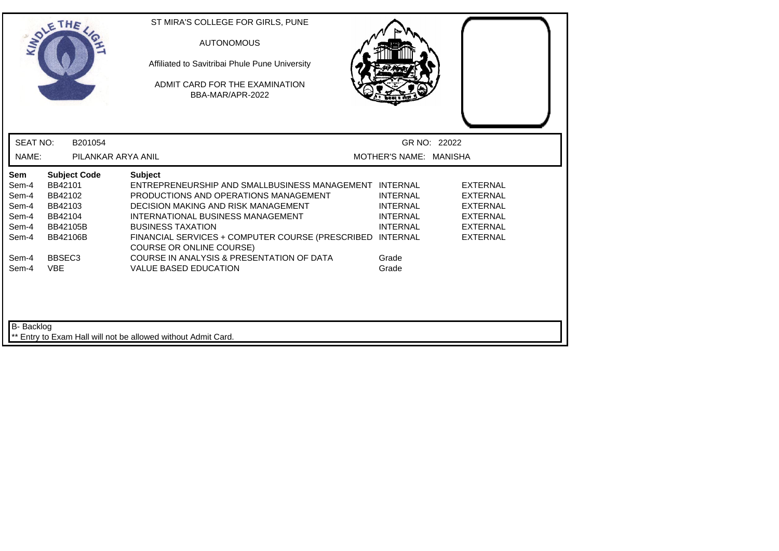| THE                                                                                                                                  |                     | ST MIRA'S COLLEGE FOR GIRLS, PUNE<br><b>AUTONOMOUS</b><br>Affiliated to Savitribai Phule Pune University<br>ADMIT CARD FOR THE EXAMINATION<br>BBA-MAR/APR-2022                                                                                                                                                     |                                                                          |                                                                                                                |
|--------------------------------------------------------------------------------------------------------------------------------------|---------------------|--------------------------------------------------------------------------------------------------------------------------------------------------------------------------------------------------------------------------------------------------------------------------------------------------------------------|--------------------------------------------------------------------------|----------------------------------------------------------------------------------------------------------------|
| <b>SEAT NO:</b>                                                                                                                      | B201054             |                                                                                                                                                                                                                                                                                                                    | GR NO: 22022                                                             |                                                                                                                |
| NAME:                                                                                                                                | PILANKAR ARYA ANIL  |                                                                                                                                                                                                                                                                                                                    | MOTHER'S NAME: MANISHA                                                   |                                                                                                                |
| Sem<br>BB42101<br>Sem-4<br>BB42102<br>Sem-4<br>Sem-4<br>BB42103<br>Sem-4<br>BB42104<br>Sem-4<br>BB42105B<br><b>BB42106B</b><br>Sem-4 | <b>Subject Code</b> | <b>Subject</b><br>ENTREPRENEURSHIP AND SMALLBUSINESS MANAGEMENT INTERNAL<br>PRODUCTIONS AND OPERATIONS MANAGEMENT<br>DECISION MAKING AND RISK MANAGEMENT<br>INTERNATIONAL BUSINESS MANAGEMENT<br><b>BUSINESS TAXATION</b><br>FINANCIAL SERVICES + COMPUTER COURSE (PRESCRIBED INTERNAL<br>COURSE OR ONLINE COURSE) | <b>INTERNAL</b><br><b>INTERNAL</b><br><b>INTERNAL</b><br><b>INTERNAL</b> | <b>EXTERNAL</b><br><b>EXTERNAL</b><br><b>EXTERNAL</b><br><b>EXTERNAL</b><br><b>EXTERNAL</b><br><b>EXTERNAL</b> |
| BBSEC <sub>3</sub><br>Sem-4<br><b>VBE</b><br>Sem-4<br>B- Backlog                                                                     |                     | COURSE IN ANALYSIS & PRESENTATION OF DATA<br><b>VALUE BASED EDUCATION</b>                                                                                                                                                                                                                                          | Grade<br>Grade                                                           |                                                                                                                |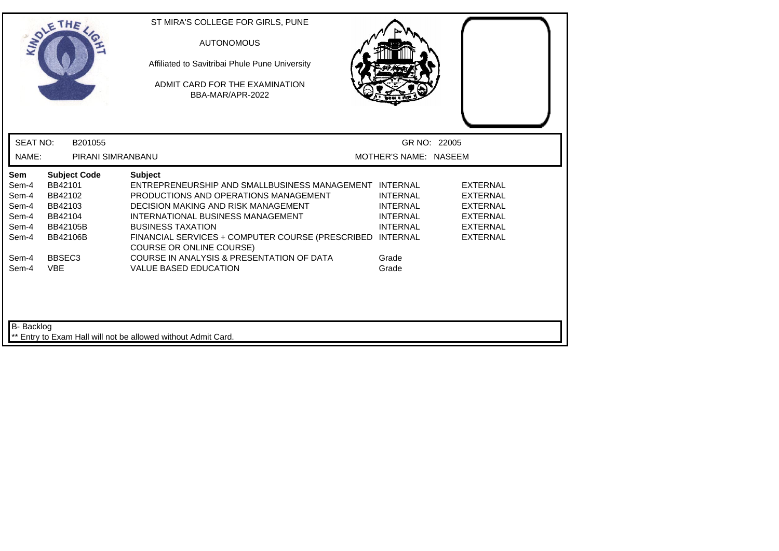|                                                           | THE                                                                                                   | ST MIRA'S COLLEGE FOR GIRLS, PUNE<br><b>AUTONOMOUS</b><br>Affiliated to Savitribai Phule Pune University<br>ADMIT CARD FOR THE EXAMINATION<br>BBA-MAR/APR-2022                                                                                                                                                   |                                                                                             |                                                                                                                |
|-----------------------------------------------------------|-------------------------------------------------------------------------------------------------------|------------------------------------------------------------------------------------------------------------------------------------------------------------------------------------------------------------------------------------------------------------------------------------------------------------------|---------------------------------------------------------------------------------------------|----------------------------------------------------------------------------------------------------------------|
| <b>SEAT NO:</b>                                           | B201055                                                                                               |                                                                                                                                                                                                                                                                                                                  | GR NO: 22005                                                                                |                                                                                                                |
| NAME:                                                     | PIRANI SIMRANBANU                                                                                     |                                                                                                                                                                                                                                                                                                                  | MOTHER'S NAME: NASEEM                                                                       |                                                                                                                |
| Sem<br>Sem-4<br>Sem-4<br>Sem-4<br>Sem-4<br>Sem-4<br>Sem-4 | <b>Subject Code</b><br>BB42101<br>BB42102<br>BB42103<br>BB42104<br><b>BB42105B</b><br><b>BB42106B</b> | <b>Subject</b><br>ENTREPRENEURSHIP AND SMALLBUSINESS MANAGEMENT INTERNAL<br>PRODUCTIONS AND OPERATIONS MANAGEMENT<br>DECISION MAKING AND RISK MANAGEMENT<br>INTERNATIONAL BUSINESS MANAGEMENT<br><b>BUSINESS TAXATION</b><br>FINANCIAL SERVICES + COMPUTER COURSE (PRESCRIBED<br><b>COURSE OR ONLINE COURSE)</b> | <b>INTERNAL</b><br><b>INTERNAL</b><br><b>INTERNAL</b><br><b>INTERNAL</b><br><b>INTERNAL</b> | <b>EXTERNAL</b><br><b>EXTERNAL</b><br><b>EXTERNAL</b><br><b>EXTERNAL</b><br><b>EXTERNAL</b><br><b>EXTERNAL</b> |
| Sem-4<br>Sem-4<br><b>B-</b> Backlog                       | BBSEC <sub>3</sub><br><b>VBE</b>                                                                      | COURSE IN ANALYSIS & PRESENTATION OF DATA<br><b>VALUE BASED EDUCATION</b>                                                                                                                                                                                                                                        | Grade<br>Grade                                                                              |                                                                                                                |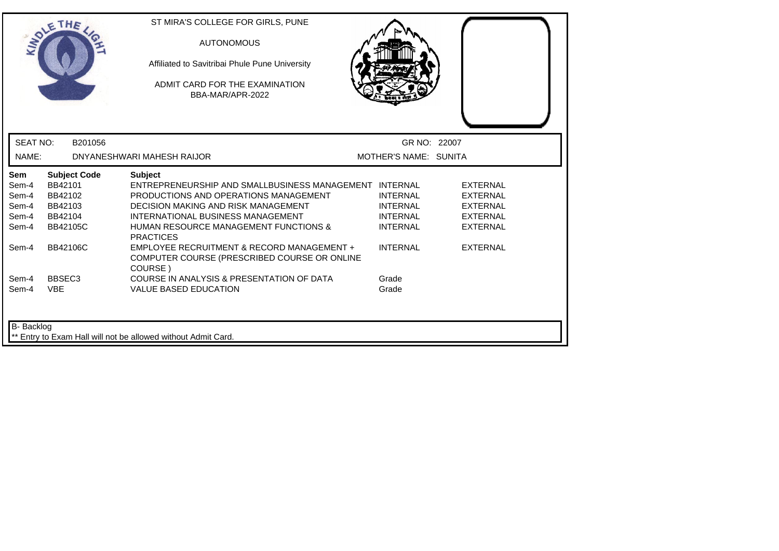|                                                  | THE                                                                                | ST MIRA'S COLLEGE FOR GIRLS, PUNE<br><b>AUTONOMOUS</b><br>Affiliated to Savitribai Phule Pune University<br>ADMIT CARD FOR THE EXAMINATION<br>BBA-MAR/APR-2022                                                                                                               |                                                                          |                                                                                             |
|--------------------------------------------------|------------------------------------------------------------------------------------|------------------------------------------------------------------------------------------------------------------------------------------------------------------------------------------------------------------------------------------------------------------------------|--------------------------------------------------------------------------|---------------------------------------------------------------------------------------------|
| <b>SEAT NO:</b>                                  | B201056                                                                            |                                                                                                                                                                                                                                                                              | GR NO: 22007                                                             |                                                                                             |
| NAME:                                            |                                                                                    | DNYANESHWARI MAHESH RAIJOR                                                                                                                                                                                                                                                   | MOTHER'S NAME: SUNITA                                                    |                                                                                             |
| Sem<br>Sem-4<br>Sem-4<br>Sem-4<br>Sem-4<br>Sem-4 | <b>Subject Code</b><br>BB42101<br>BB42102<br>BB42103<br>BB42104<br><b>BB42105C</b> | <b>Subject</b><br>ENTREPRENEURSHIP AND SMALLBUSINESS MANAGEMENT INTERNAL<br>PRODUCTIONS AND OPERATIONS MANAGEMENT<br><b>DECISION MAKING AND RISK MANAGEMENT</b><br>INTERNATIONAL BUSINESS MANAGEMENT<br><b>HUMAN RESOURCE MANAGEMENT FUNCTIONS &amp;</b><br><b>PRACTICES</b> | <b>INTERNAL</b><br><b>INTERNAL</b><br><b>INTERNAL</b><br><b>INTERNAL</b> | <b>EXTERNAL</b><br><b>EXTERNAL</b><br><b>EXTERNAL</b><br><b>EXTERNAL</b><br><b>EXTERNAL</b> |
| Sem-4                                            | <b>BB42106C</b>                                                                    | EMPLOYEE RECRUITMENT & RECORD MANAGEMENT +<br>COMPUTER COURSE (PRESCRIBED COURSE OR ONLINE<br>COURSE)                                                                                                                                                                        | <b>INTERNAL</b>                                                          | <b>EXTERNAL</b>                                                                             |
| Sem-4<br>Sem-4                                   | BBSEC <sub>3</sub><br><b>VBE</b>                                                   | COURSE IN ANALYSIS & PRESENTATION OF DATA<br><b>VALUE BASED EDUCATION</b>                                                                                                                                                                                                    | Grade<br>Grade                                                           |                                                                                             |
| B- Backlog                                       |                                                                                    | ** Entry to Exam Hall will not be allowed without Admit Card.                                                                                                                                                                                                                |                                                                          |                                                                                             |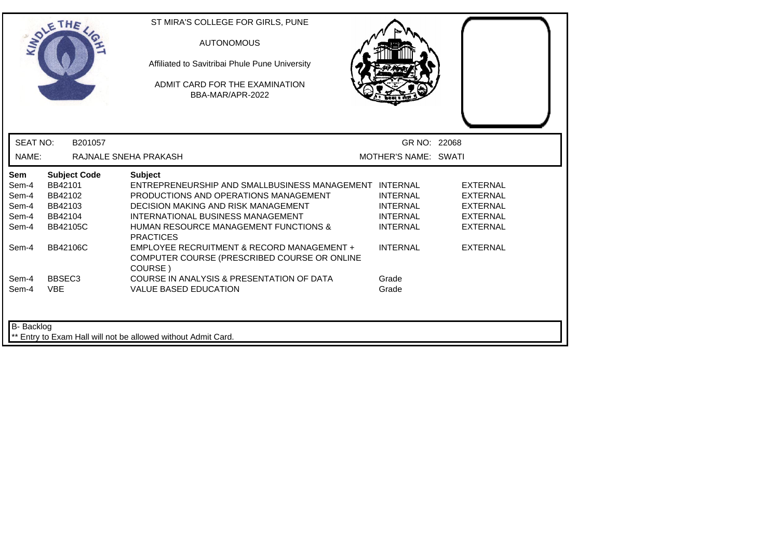| <b>INDI</b>                                      | THE                                                         |                     | ST MIRA'S COLLEGE FOR GIRLS, PUNE<br><b>AUTONOMOUS</b><br>Affiliated to Savitribai Phule Pune University<br>ADMIT CARD FOR THE EXAMINATION<br>BBA-MAR/APR-2022                                                                                                        |                                                                          |                                                                                             |
|--------------------------------------------------|-------------------------------------------------------------|---------------------|-----------------------------------------------------------------------------------------------------------------------------------------------------------------------------------------------------------------------------------------------------------------------|--------------------------------------------------------------------------|---------------------------------------------------------------------------------------------|
| <b>SEAT NO:</b>                                  |                                                             | B201057             |                                                                                                                                                                                                                                                                       | GR NO: 22068                                                             |                                                                                             |
| NAME:                                            |                                                             |                     | RAJNALE SNEHA PRAKASH                                                                                                                                                                                                                                                 | MOTHER'S NAME: SWATI                                                     |                                                                                             |
| Sem<br>Sem-4<br>Sem-4<br>Sem-4<br>Sem-4<br>Sem-4 | BB42101<br>BB42102<br>BB42103<br>BB42104<br><b>BB42105C</b> | <b>Subject Code</b> | <b>Subject</b><br>ENTREPRENEURSHIP AND SMALLBUSINESS MANAGEMENT INTERNAL<br>PRODUCTIONS AND OPERATIONS MANAGEMENT<br>DECISION MAKING AND RISK MANAGEMENT<br>INTERNATIONAL BUSINESS MANAGEMENT<br><b>HUMAN RESOURCE MANAGEMENT FUNCTIONS &amp;</b><br><b>PRACTICES</b> | <b>INTERNAL</b><br><b>INTERNAL</b><br><b>INTERNAL</b><br><b>INTERNAL</b> | <b>EXTERNAL</b><br><b>EXTERNAL</b><br><b>EXTERNAL</b><br><b>EXTERNAL</b><br><b>EXTERNAL</b> |
| Sem-4                                            | <b>BB42106C</b>                                             |                     | EMPLOYEE RECRUITMENT & RECORD MANAGEMENT +<br>COMPUTER COURSE (PRESCRIBED COURSE OR ONLINE<br>COURSE)                                                                                                                                                                 | <b>INTERNAL</b>                                                          | <b>EXTERNAL</b>                                                                             |
| Sem-4<br>Sem-4                                   | BBSEC <sub>3</sub><br><b>VBE</b>                            |                     | COURSE IN ANALYSIS & PRESENTATION OF DATA<br><b>VALUE BASED EDUCATION</b>                                                                                                                                                                                             | Grade<br>Grade                                                           |                                                                                             |
| B- Backlog                                       |                                                             |                     | ** Entry to Exam Hall will not be allowed without Admit Card.                                                                                                                                                                                                         |                                                                          |                                                                                             |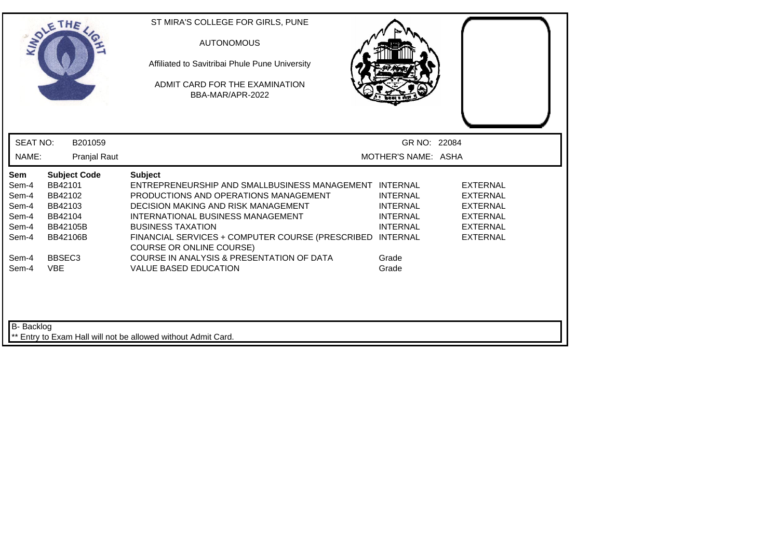| THE                                                                                                   | ST MIRA'S COLLEGE FOR GIRLS, PUNE<br><b>AUTONOMOUS</b><br>Affiliated to Savitribai Phule Pune University<br>ADMIT CARD FOR THE EXAMINATION<br>BBA-MAR/APR-2022                                     |                                                                                             |                                                                                                                |                                     |
|-------------------------------------------------------------------------------------------------------|----------------------------------------------------------------------------------------------------------------------------------------------------------------------------------------------------|---------------------------------------------------------------------------------------------|----------------------------------------------------------------------------------------------------------------|-------------------------------------|
| <b>SEAT NO:</b><br>B201059                                                                            |                                                                                                                                                                                                    |                                                                                             |                                                                                                                |                                     |
| <b>Pranjal Raut</b>                                                                                   |                                                                                                                                                                                                    |                                                                                             |                                                                                                                |                                     |
| <b>Subject Code</b><br>BB42101<br>BB42102<br>BB42103<br>BB42104<br><b>BB42105B</b><br><b>BB42106B</b> | <b>Subject</b><br>PRODUCTIONS AND OPERATIONS MANAGEMENT<br>DECISION MAKING AND RISK MANAGEMENT<br>INTERNATIONAL BUSINESS MANAGEMENT<br><b>BUSINESS TAXATION</b><br><b>COURSE OR ONLINE COURSE)</b> | <b>INTERNAL</b><br><b>INTERNAL</b><br><b>INTERNAL</b><br><b>INTERNAL</b><br><b>INTERNAL</b> | <b>EXTERNAL</b><br><b>EXTERNAL</b><br><b>EXTERNAL</b><br><b>EXTERNAL</b><br><b>EXTERNAL</b><br><b>EXTERNAL</b> |                                     |
| BBSEC <sub>3</sub><br><b>VBE</b>                                                                      | COURSE IN ANALYSIS & PRESENTATION OF DATA<br><b>VALUE BASED EDUCATION</b>                                                                                                                          | Grade<br>Grade                                                                              |                                                                                                                |                                     |
|                                                                                                       | B- Backlog                                                                                                                                                                                         |                                                                                             | ENTREPRENEURSHIP AND SMALLBUSINESS MANAGEMENT INTERNAL<br>FINANCIAL SERVICES + COMPUTER COURSE (PRESCRIBED     | GR NO: 22084<br>MOTHER'S NAME: ASHA |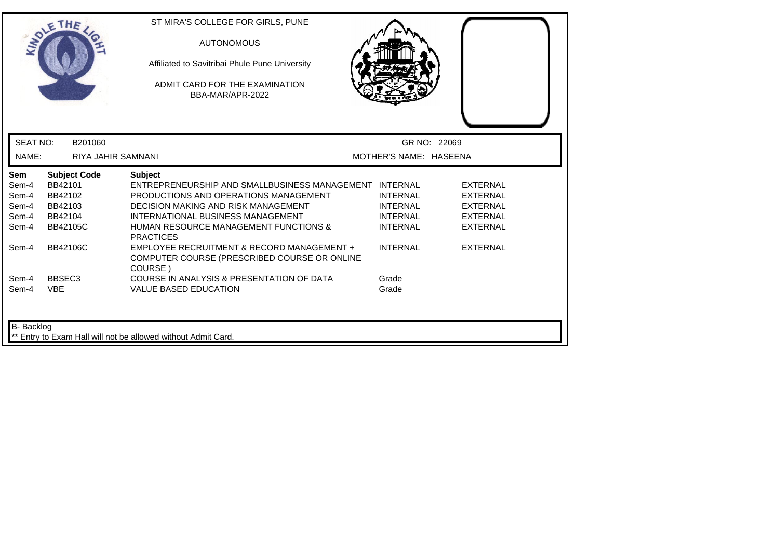|                 | THE                       | ST MIRA'S COLLEGE FOR GIRLS, PUNE<br><b>AUTONOMOUS</b><br>Affiliated to Savitribai Phule Pune University<br>ADMIT CARD FOR THE EXAMINATION<br>BBA-MAR/APR-2022 |                        |                 |  |
|-----------------|---------------------------|----------------------------------------------------------------------------------------------------------------------------------------------------------------|------------------------|-----------------|--|
| <b>SEAT NO:</b> | B201060                   |                                                                                                                                                                |                        | GR NO: 22069    |  |
| NAME:           | <b>RIYA JAHIR SAMNANI</b> |                                                                                                                                                                | MOTHER'S NAME: HASEENA |                 |  |
| <b>Sem</b>      | <b>Subject Code</b>       | <b>Subject</b>                                                                                                                                                 |                        |                 |  |
| Sem-4           | BB42101                   | ENTREPRENEURSHIP AND SMALLBUSINESS MANAGEMENT INTERNAL                                                                                                         |                        | <b>EXTERNAL</b> |  |
| Sem-4           | BB42102                   | PRODUCTIONS AND OPERATIONS MANAGEMENT                                                                                                                          | <b>INTERNAL</b>        | EXTERNAL        |  |
| Sem-4           | BB42103                   | DECISION MAKING AND RISK MANAGEMENT                                                                                                                            | <b>INTERNAL</b>        | <b>EXTERNAL</b> |  |
| Sem-4           | BB42104                   | INTERNATIONAL BUSINESS MANAGEMENT                                                                                                                              | <b>INTERNAL</b>        | <b>EXTERNAL</b> |  |
| Sem-4           | <b>BB42105C</b>           | <b>HUMAN RESOURCE MANAGEMENT FUNCTIONS &amp;</b><br><b>PRACTICES</b>                                                                                           | <b>INTERNAL</b>        | <b>EXTERNAL</b> |  |
| Sem-4           | BB42106C                  | EMPLOYEE RECRUITMENT & RECORD MANAGEMENT +<br>COMPUTER COURSE (PRESCRIBED COURSE OR ONLINE<br>COURSE)                                                          | <b>INTERNAL</b>        | <b>EXTERNAL</b> |  |
| Sem-4           | BBSEC <sub>3</sub>        | COURSE IN ANALYSIS & PRESENTATION OF DATA                                                                                                                      | Grade                  |                 |  |
| Sem-4           | <b>VBE</b>                | <b>VALUE BASED EDUCATION</b>                                                                                                                                   | Grade                  |                 |  |
| B- Backlog      |                           | ** Entry to Exam Hall will not be allowed without Admit Card.                                                                                                  |                        |                 |  |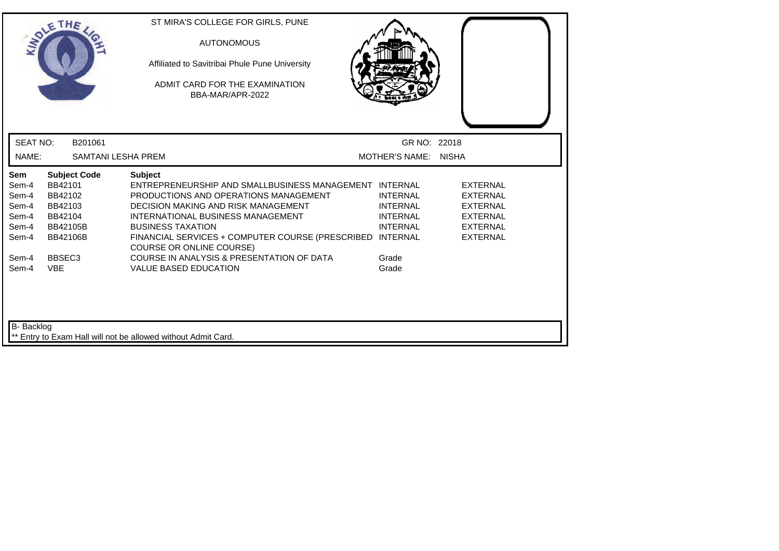|                                                                  | THE                                                                                                   | ST MIRA'S COLLEGE FOR GIRLS, PUNE<br><b>AUTONOMOUS</b><br>Affiliated to Savitribai Phule Pune University<br>ADMIT CARD FOR THE EXAMINATION<br>BBA-MAR/APR-2022                                                                                                                                                            |                                                                          |                                                                                                                |
|------------------------------------------------------------------|-------------------------------------------------------------------------------------------------------|---------------------------------------------------------------------------------------------------------------------------------------------------------------------------------------------------------------------------------------------------------------------------------------------------------------------------|--------------------------------------------------------------------------|----------------------------------------------------------------------------------------------------------------|
| <b>SEAT NO:</b>                                                  | B201061                                                                                               |                                                                                                                                                                                                                                                                                                                           | GR NO: 22018                                                             |                                                                                                                |
| NAME:                                                            | <b>SAMTANI LESHA PREM</b>                                                                             |                                                                                                                                                                                                                                                                                                                           | MOTHER'S NAME: NISHA                                                     |                                                                                                                |
| <b>Sem</b><br>Sem-4<br>Sem-4<br>Sem-4<br>Sem-4<br>Sem-4<br>Sem-4 | <b>Subject Code</b><br>BB42101<br>BB42102<br>BB42103<br>BB42104<br><b>BB42105B</b><br><b>BB42106B</b> | <b>Subject</b><br>ENTREPRENEURSHIP AND SMALLBUSINESS MANAGEMENT INTERNAL<br>PRODUCTIONS AND OPERATIONS MANAGEMENT<br>DECISION MAKING AND RISK MANAGEMENT<br>INTERNATIONAL BUSINESS MANAGEMENT<br><b>BUSINESS TAXATION</b><br>FINANCIAL SERVICES + COMPUTER COURSE (PRESCRIBED INTERNAL<br><b>COURSE OR ONLINE COURSE)</b> | <b>INTERNAL</b><br><b>INTERNAL</b><br><b>INTERNAL</b><br><b>INTERNAL</b> | <b>EXTERNAL</b><br><b>EXTERNAL</b><br><b>EXTERNAL</b><br><b>EXTERNAL</b><br><b>EXTERNAL</b><br><b>EXTERNAL</b> |
| Sem-4<br>Sem-4<br>B- Backlog                                     | BBSEC <sub>3</sub><br><b>VBE</b>                                                                      | COURSE IN ANALYSIS & PRESENTATION OF DATA<br><b>VALUE BASED EDUCATION</b>                                                                                                                                                                                                                                                 | Grade<br>Grade                                                           |                                                                                                                |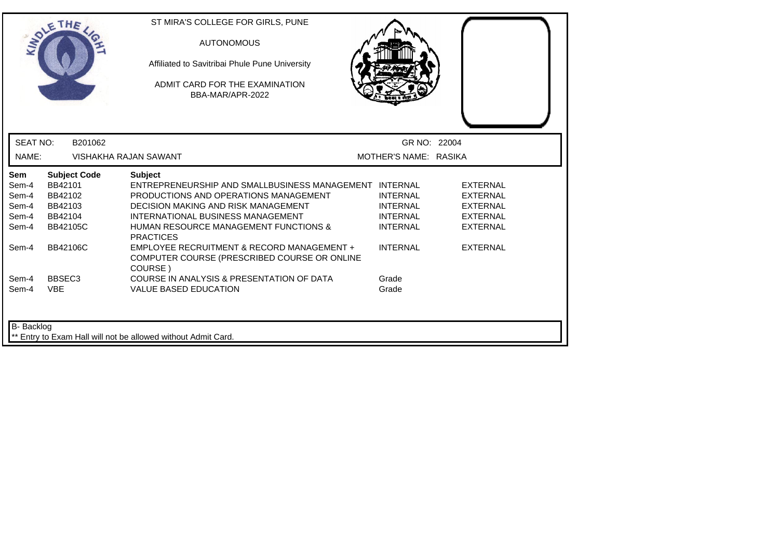|                 | THE                 | ST MIRA'S COLLEGE FOR GIRLS, PUNE<br><b>AUTONOMOUS</b><br>Affiliated to Savitribai Phule Pune University<br>ADMIT CARD FOR THE EXAMINATION<br>BBA-MAR/APR-2022 |                       |                 |  |
|-----------------|---------------------|----------------------------------------------------------------------------------------------------------------------------------------------------------------|-----------------------|-----------------|--|
| <b>SEAT NO:</b> | B201062             |                                                                                                                                                                | GR NO: 22004          |                 |  |
| NAME:           |                     | VISHAKHA RAJAN SAWANT                                                                                                                                          | MOTHER'S NAME: RASIKA |                 |  |
| Sem             | <b>Subject Code</b> | <b>Subject</b>                                                                                                                                                 |                       |                 |  |
| Sem-4           | BB42101             | ENTREPRENEURSHIP AND SMALLBUSINESS MANAGEMENT INTERNAL                                                                                                         |                       | <b>EXTERNAL</b> |  |
| Sem-4           | BB42102             | PRODUCTIONS AND OPERATIONS MANAGEMENT                                                                                                                          | <b>INTERNAL</b>       | <b>EXTERNAL</b> |  |
| Sem-4           | BB42103             | <b>DECISION MAKING AND RISK MANAGEMENT</b>                                                                                                                     | <b>INTERNAL</b>       | <b>EXTERNAL</b> |  |
| Sem-4           | BB42104             | INTERNATIONAL BUSINESS MANAGEMENT                                                                                                                              | <b>INTERNAL</b>       | <b>EXTERNAL</b> |  |
| Sem-4           | <b>BB42105C</b>     | <b>HUMAN RESOURCE MANAGEMENT FUNCTIONS &amp;</b><br><b>PRACTICES</b>                                                                                           | <b>INTERNAL</b>       | <b>EXTERNAL</b> |  |
| Sem-4           | BB42106C            | EMPLOYEE RECRUITMENT & RECORD MANAGEMENT +<br>COMPUTER COURSE (PRESCRIBED COURSE OR ONLINE<br>COURSE)                                                          | <b>INTERNAL</b>       | <b>EXTERNAL</b> |  |
| Sem-4           | BBSEC <sub>3</sub>  | COURSE IN ANALYSIS & PRESENTATION OF DATA                                                                                                                      | Grade                 |                 |  |
| Sem-4           | <b>VBE</b>          | <b>VALUE BASED EDUCATION</b>                                                                                                                                   | Grade                 |                 |  |
| B- Backlog      |                     | ** Entry to Exam Hall will not be allowed without Admit Card.                                                                                                  |                       |                 |  |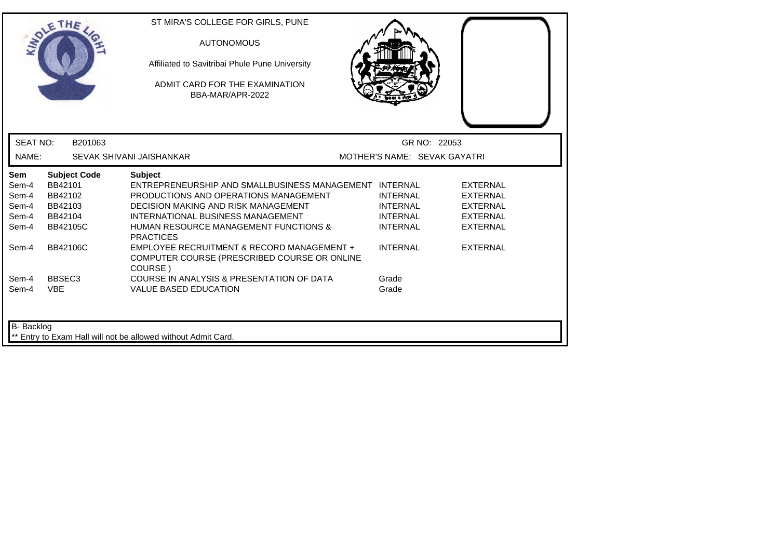|                                                                    | THE                                                                                                                  | ST MIRA'S COLLEGE FOR GIRLS, PUNE<br><b>AUTONOMOUS</b><br>Affiliated to Savitribai Phule Pune University<br>ADMIT CARD FOR THE EXAMINATION<br>BBA-MAR/APR-2022                                                                                                                                                                                                                                                                     |                                                                                                      |                                                                                                                |
|--------------------------------------------------------------------|----------------------------------------------------------------------------------------------------------------------|------------------------------------------------------------------------------------------------------------------------------------------------------------------------------------------------------------------------------------------------------------------------------------------------------------------------------------------------------------------------------------------------------------------------------------|------------------------------------------------------------------------------------------------------|----------------------------------------------------------------------------------------------------------------|
| <b>SEAT NO:</b>                                                    | B201063                                                                                                              |                                                                                                                                                                                                                                                                                                                                                                                                                                    | GR NO: 22053                                                                                         |                                                                                                                |
| NAME:                                                              |                                                                                                                      | SEVAK SHIVANI JAISHANKAR                                                                                                                                                                                                                                                                                                                                                                                                           | MOTHER'S NAME: SEVAK GAYATRI                                                                         |                                                                                                                |
| Sem<br>Sem-4<br>Sem-4<br>Sem-4<br>Sem-4<br>Sem-4<br>Sem-4<br>Sem-4 | <b>Subject Code</b><br>BB42101<br>BB42102<br>BB42103<br>BB42104<br><b>BB42105C</b><br>BB42106C<br>BBSEC <sub>3</sub> | <b>Subject</b><br>ENTREPRENEURSHIP AND SMALLBUSINESS MANAGEMENT INTERNAL<br>PRODUCTIONS AND OPERATIONS MANAGEMENT<br><b>DECISION MAKING AND RISK MANAGEMENT</b><br>INTERNATIONAL BUSINESS MANAGEMENT<br><b>HUMAN RESOURCE MANAGEMENT FUNCTIONS &amp;</b><br><b>PRACTICES</b><br>EMPLOYEE RECRUITMENT & RECORD MANAGEMENT +<br>COMPUTER COURSE (PRESCRIBED COURSE OR ONLINE<br>COURSE)<br>COURSE IN ANALYSIS & PRESENTATION OF DATA | <b>INTERNAL</b><br><b>INTERNAL</b><br><b>INTERNAL</b><br><b>INTERNAL</b><br><b>INTERNAL</b><br>Grade | <b>EXTERNAL</b><br><b>EXTERNAL</b><br><b>EXTERNAL</b><br><b>EXTERNAL</b><br><b>EXTERNAL</b><br><b>EXTERNAL</b> |
| Sem-4<br>B- Backlog                                                | <b>VBE</b>                                                                                                           | <b>VALUE BASED EDUCATION</b><br>Entry to Exam Hall will not be allowed without Admit Card.                                                                                                                                                                                                                                                                                                                                         | Grade                                                                                                |                                                                                                                |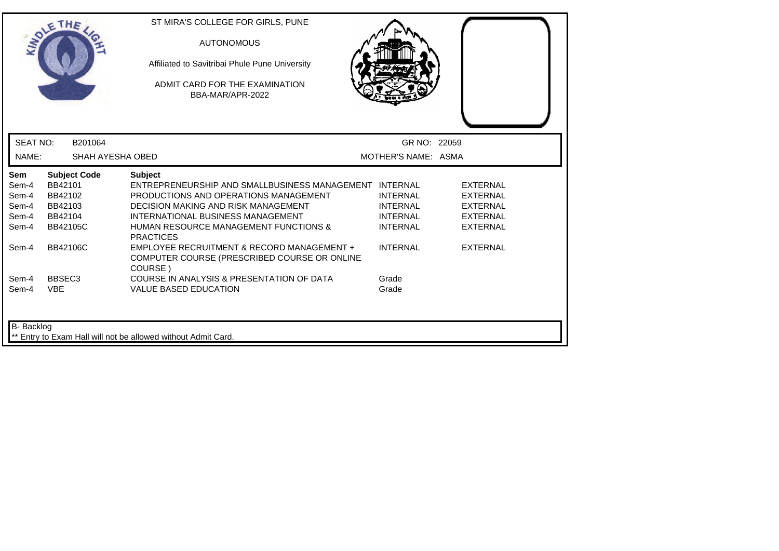| <b>INTI</b>                                             | THE                                                         |                     | ST MIRA'S COLLEGE FOR GIRLS, PUNE<br><b>AUTONOMOUS</b><br>Affiliated to Savitribai Phule Pune University<br>ADMIT CARD FOR THE EXAMINATION<br>BBA-MAR/APR-2022                                                                                                        |                                                                          |                                                                                      |
|---------------------------------------------------------|-------------------------------------------------------------|---------------------|-----------------------------------------------------------------------------------------------------------------------------------------------------------------------------------------------------------------------------------------------------------------------|--------------------------------------------------------------------------|--------------------------------------------------------------------------------------|
| <b>SEAT NO:</b>                                         |                                                             | B201064             |                                                                                                                                                                                                                                                                       | GR NO: 22059                                                             |                                                                                      |
| NAME:                                                   |                                                             | SHAH AYESHA OBED    |                                                                                                                                                                                                                                                                       | MOTHER'S NAME: ASMA                                                      |                                                                                      |
| <b>Sem</b><br>Sem-4<br>Sem-4<br>Sem-4<br>Sem-4<br>Sem-4 | BB42101<br>BB42102<br>BB42103<br>BB42104<br><b>BB42105C</b> | <b>Subject Code</b> | <b>Subject</b><br>ENTREPRENEURSHIP AND SMALLBUSINESS MANAGEMENT INTERNAL<br>PRODUCTIONS AND OPERATIONS MANAGEMENT<br>DECISION MAKING AND RISK MANAGEMENT<br>INTERNATIONAL BUSINESS MANAGEMENT<br><b>HUMAN RESOURCE MANAGEMENT FUNCTIONS &amp;</b><br><b>PRACTICES</b> | <b>INTERNAL</b><br><b>INTERNAL</b><br><b>INTERNAL</b><br><b>INTERNAL</b> | <b>EXTERNAL</b><br><b>EXTERNAL</b><br><b>EXTERNAL</b><br>EXTERNAL<br><b>EXTERNAL</b> |
| Sem-4                                                   | <b>BB42106C</b>                                             |                     | EMPLOYEE RECRUITMENT & RECORD MANAGEMENT +<br>COMPUTER COURSE (PRESCRIBED COURSE OR ONLINE<br>COURSE)                                                                                                                                                                 | <b>INTERNAL</b>                                                          | <b>EXTERNAL</b>                                                                      |
| Sem-4<br>Sem-4                                          | BBSEC <sub>3</sub><br><b>VBE</b>                            |                     | COURSE IN ANALYSIS & PRESENTATION OF DATA<br><b>VALUE BASED EDUCATION</b>                                                                                                                                                                                             | Grade<br>Grade                                                           |                                                                                      |
| B- Backlog                                              |                                                             |                     | ** Entry to Exam Hall will not be allowed without Admit Card.                                                                                                                                                                                                         |                                                                          |                                                                                      |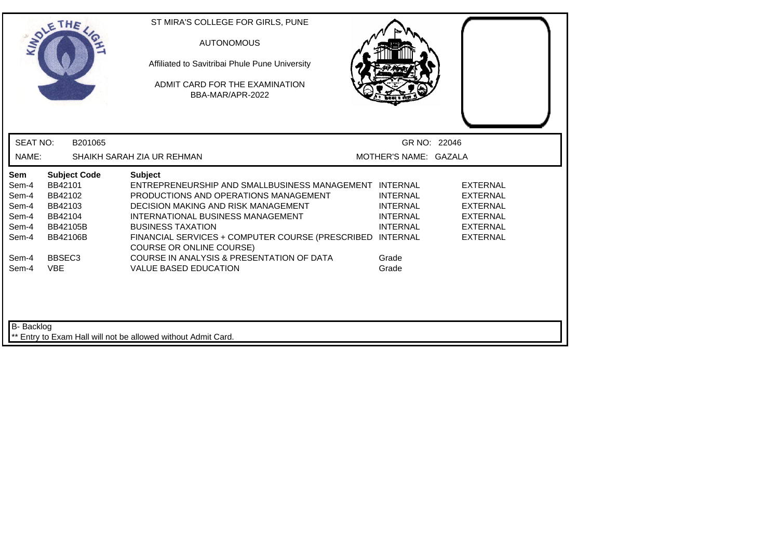|                                                                  | THE                                                                                            | ST MIRA'S COLLEGE FOR GIRLS, PUNE<br><b>AUTONOMOUS</b><br>Affiliated to Savitribai Phule Pune University<br>ADMIT CARD FOR THE EXAMINATION<br>BBA-MAR/APR-2022                                                                                                                                                     |                                                                          |                                                                                                                |
|------------------------------------------------------------------|------------------------------------------------------------------------------------------------|--------------------------------------------------------------------------------------------------------------------------------------------------------------------------------------------------------------------------------------------------------------------------------------------------------------------|--------------------------------------------------------------------------|----------------------------------------------------------------------------------------------------------------|
| <b>SEAT NO:</b>                                                  | B201065                                                                                        |                                                                                                                                                                                                                                                                                                                    | GR NO: 22046                                                             |                                                                                                                |
| NAME:                                                            |                                                                                                | SHAIKH SARAH ZIA UR REHMAN                                                                                                                                                                                                                                                                                         | MOTHER'S NAME: GAZALA                                                    |                                                                                                                |
| <b>Sem</b><br>Sem-4<br>Sem-4<br>Sem-4<br>Sem-4<br>Sem-4<br>Sem-4 | <b>Subject Code</b><br>BB42101<br>BB42102<br>BB42103<br>BB42104<br>BB42105B<br><b>BB42106B</b> | <b>Subject</b><br>ENTREPRENEURSHIP AND SMALLBUSINESS MANAGEMENT INTERNAL<br>PRODUCTIONS AND OPERATIONS MANAGEMENT<br>DECISION MAKING AND RISK MANAGEMENT<br>INTERNATIONAL BUSINESS MANAGEMENT<br><b>BUSINESS TAXATION</b><br>FINANCIAL SERVICES + COMPUTER COURSE (PRESCRIBED INTERNAL<br>COURSE OR ONLINE COURSE) | <b>INTERNAL</b><br><b>INTERNAL</b><br><b>INTERNAL</b><br><b>INTERNAL</b> | <b>EXTERNAL</b><br><b>EXTERNAL</b><br><b>EXTERNAL</b><br><b>EXTERNAL</b><br><b>EXTERNAL</b><br><b>EXTERNAL</b> |
| Sem-4<br>Sem-4<br><b>B-</b> Backlog                              | BBSEC <sub>3</sub><br><b>VBE</b>                                                               | COURSE IN ANALYSIS & PRESENTATION OF DATA<br><b>VALUE BASED EDUCATION</b>                                                                                                                                                                                                                                          | Grade<br>Grade                                                           |                                                                                                                |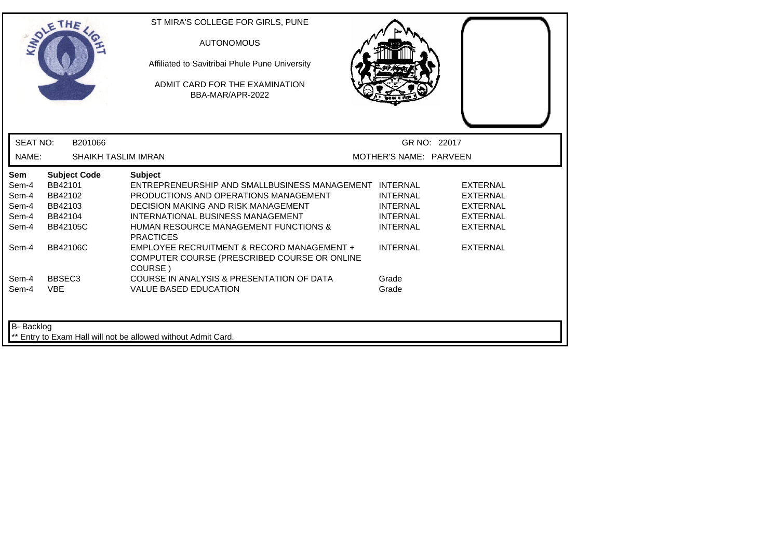|                          | THE                 | ST MIRA'S COLLEGE FOR GIRLS, PUNE<br><b>AUTONOMOUS</b><br>Affiliated to Savitribai Phule Pune University<br>ADMIT CARD FOR THE EXAMINATION<br>BBA-MAR/APR-2022 |                        |                 |
|--------------------------|---------------------|----------------------------------------------------------------------------------------------------------------------------------------------------------------|------------------------|-----------------|
| <b>SEAT NO:</b><br>NAME: | B201066             | <b>SHAIKH TASLIM IMRAN</b>                                                                                                                                     | MOTHER'S NAME: PARVEEN | GR NO: 22017    |
| <b>Sem</b>               | <b>Subject Code</b> | <b>Subject</b>                                                                                                                                                 |                        |                 |
| Sem-4                    | BB42101             | ENTREPRENEURSHIP AND SMALLBUSINESS MANAGEMENT INTERNAL                                                                                                         |                        | <b>EXTERNAL</b> |
| Sem-4                    | BB42102             | PRODUCTIONS AND OPERATIONS MANAGEMENT                                                                                                                          | <b>INTERNAL</b>        | <b>EXTERNAL</b> |
| Sem-4                    | BB42103             | DECISION MAKING AND RISK MANAGEMENT                                                                                                                            | <b>INTERNAL</b>        | <b>EXTERNAL</b> |
| Sem-4                    | BB42104             | INTERNATIONAL BUSINESS MANAGEMENT                                                                                                                              | <b>INTERNAL</b>        | <b>EXTERNAL</b> |
| Sem-4                    | BB42105C            | <b>HUMAN RESOURCE MANAGEMENT FUNCTIONS &amp;</b><br><b>PRACTICES</b>                                                                                           | <b>INTERNAL</b>        | <b>EXTERNAL</b> |
| Sem-4                    | <b>BB42106C</b>     | EMPLOYEE RECRUITMENT & RECORD MANAGEMENT +<br>COMPUTER COURSE (PRESCRIBED COURSE OR ONLINE<br>COURSE)                                                          | <b>INTERNAL</b>        | <b>EXTERNAL</b> |
| Sem-4                    | BBSEC <sub>3</sub>  | COURSE IN ANALYSIS & PRESENTATION OF DATA                                                                                                                      | Grade                  |                 |
| Sem-4                    | <b>VBE</b>          | <b>VALUE BASED EDUCATION</b>                                                                                                                                   | Grade                  |                 |
| B- Backlog               |                     | ** Entry to Exam Hall will not be allowed without Admit Card.                                                                                                  |                        |                 |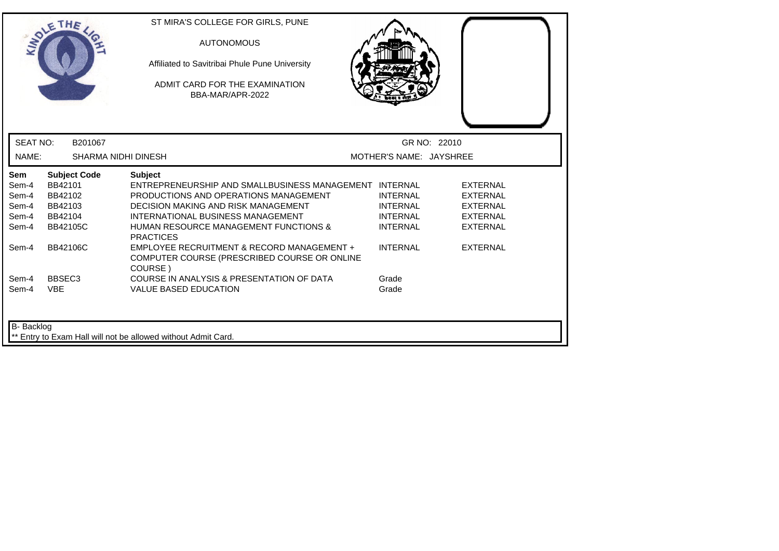| <b>IDY</b>                                       | THE                                                                                | ST MIRA'S COLLEGE FOR GIRLS, PUNE<br><b>AUTONOMOUS</b><br>Affiliated to Savitribai Phule Pune University<br>ADMIT CARD FOR THE EXAMINATION<br>BBA-MAR/APR-2022                                                                                                               |                                                                          |                                                                                             |  |
|--------------------------------------------------|------------------------------------------------------------------------------------|------------------------------------------------------------------------------------------------------------------------------------------------------------------------------------------------------------------------------------------------------------------------------|--------------------------------------------------------------------------|---------------------------------------------------------------------------------------------|--|
| <b>SEAT NO:</b>                                  | B201067                                                                            |                                                                                                                                                                                                                                                                              |                                                                          | GR NO: 22010                                                                                |  |
| NAME:                                            | SHARMA NIDHI DINESH                                                                |                                                                                                                                                                                                                                                                              | MOTHER'S NAME: JAYSHREE                                                  |                                                                                             |  |
| Sem<br>Sem-4<br>Sem-4<br>Sem-4<br>Sem-4<br>Sem-4 | <b>Subject Code</b><br>BB42101<br>BB42102<br>BB42103<br>BB42104<br><b>BB42105C</b> | <b>Subject</b><br>ENTREPRENEURSHIP AND SMALLBUSINESS MANAGEMENT INTERNAL<br>PRODUCTIONS AND OPERATIONS MANAGEMENT<br><b>DECISION MAKING AND RISK MANAGEMENT</b><br>INTERNATIONAL BUSINESS MANAGEMENT<br><b>HUMAN RESOURCE MANAGEMENT FUNCTIONS &amp;</b><br><b>PRACTICES</b> | <b>INTERNAL</b><br><b>INTERNAL</b><br><b>INTERNAL</b><br><b>INTERNAL</b> | <b>EXTERNAL</b><br><b>EXTERNAL</b><br><b>EXTERNAL</b><br><b>EXTERNAL</b><br><b>EXTERNAL</b> |  |
| Sem-4                                            | <b>BB42106C</b>                                                                    | EMPLOYEE RECRUITMENT & RECORD MANAGEMENT +<br>COMPUTER COURSE (PRESCRIBED COURSE OR ONLINE<br>COURSE)                                                                                                                                                                        | <b>INTERNAL</b>                                                          | <b>EXTERNAL</b>                                                                             |  |
| Sem-4<br>Sem-4                                   | BBSEC <sub>3</sub><br><b>VBE</b>                                                   | COURSE IN ANALYSIS & PRESENTATION OF DATA<br><b>VALUE BASED EDUCATION</b>                                                                                                                                                                                                    | Grade<br>Grade                                                           |                                                                                             |  |
| B- Backlog                                       |                                                                                    | Entry to Exam Hall will not be allowed without Admit Card.                                                                                                                                                                                                                   |                                                                          |                                                                                             |  |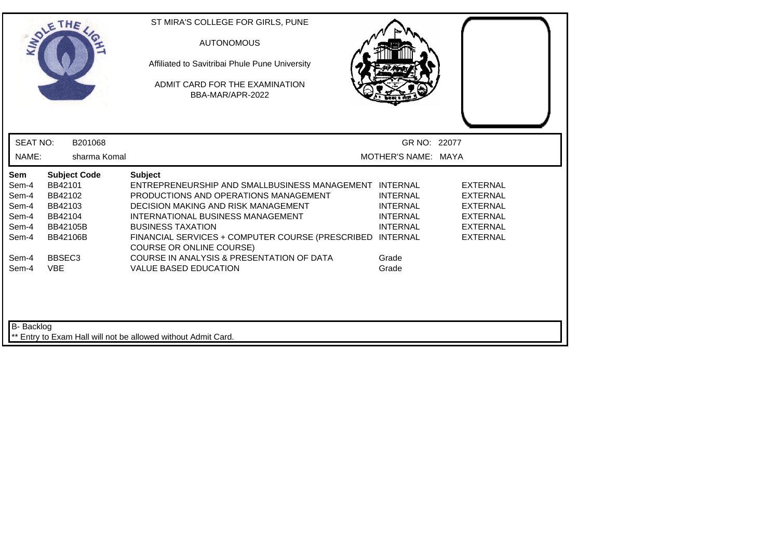|                                                           |                                                                                | THE                 | ST MIRA'S COLLEGE FOR GIRLS, PUNE<br><b>AUTONOMOUS</b><br>Affiliated to Savitribai Phule Pune University<br>ADMIT CARD FOR THE EXAMINATION<br>BBA-MAR/APR-2022                                                                                                                                                            |                                                                          |                                                                                                                |  |
|-----------------------------------------------------------|--------------------------------------------------------------------------------|---------------------|---------------------------------------------------------------------------------------------------------------------------------------------------------------------------------------------------------------------------------------------------------------------------------------------------------------------------|--------------------------------------------------------------------------|----------------------------------------------------------------------------------------------------------------|--|
| <b>SEAT NO:</b>                                           |                                                                                | B201068             |                                                                                                                                                                                                                                                                                                                           | GR NO: 22077                                                             |                                                                                                                |  |
| NAME:                                                     |                                                                                | sharma Komal        |                                                                                                                                                                                                                                                                                                                           | MOTHER'S NAME: MAYA                                                      |                                                                                                                |  |
| Sem<br>Sem-4<br>Sem-4<br>Sem-4<br>Sem-4<br>Sem-4<br>Sem-4 | BB42101<br>BB42102<br>BB42103<br>BB42104<br><b>BB42105B</b><br><b>BB42106B</b> | <b>Subject Code</b> | <b>Subject</b><br>ENTREPRENEURSHIP AND SMALLBUSINESS MANAGEMENT INTERNAL<br>PRODUCTIONS AND OPERATIONS MANAGEMENT<br>DECISION MAKING AND RISK MANAGEMENT<br>INTERNATIONAL BUSINESS MANAGEMENT<br><b>BUSINESS TAXATION</b><br>FINANCIAL SERVICES + COMPUTER COURSE (PRESCRIBED INTERNAL<br><b>COURSE OR ONLINE COURSE)</b> | <b>INTERNAL</b><br><b>INTERNAL</b><br><b>INTERNAL</b><br><b>INTERNAL</b> | <b>EXTERNAL</b><br><b>EXTERNAL</b><br><b>EXTERNAL</b><br><b>EXTERNAL</b><br><b>EXTERNAL</b><br><b>EXTERNAL</b> |  |
| Sem-4<br>Sem-4<br>B- Backlog                              | BBSEC <sub>3</sub><br><b>VBE</b>                                               |                     | COURSE IN ANALYSIS & PRESENTATION OF DATA<br><b>VALUE BASED EDUCATION</b>                                                                                                                                                                                                                                                 | Grade<br>Grade                                                           |                                                                                                                |  |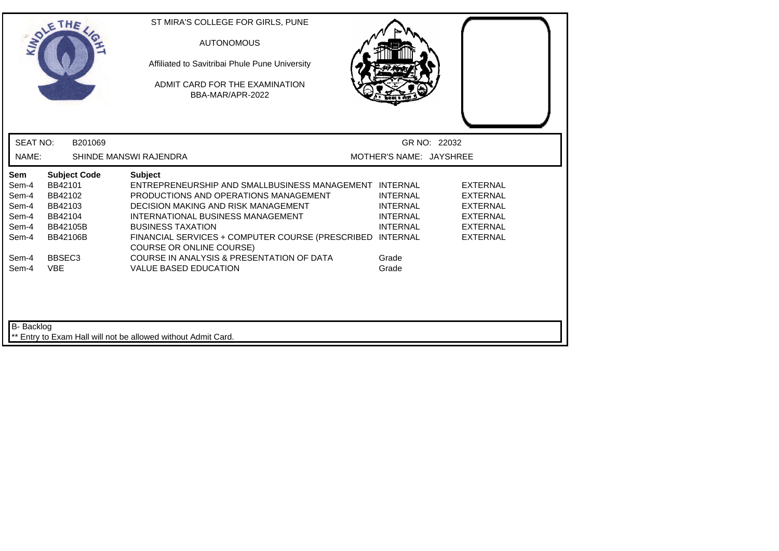|                                                           | THE                                                                                            | ST MIRA'S COLLEGE FOR GIRLS, PUNE<br><b>AUTONOMOUS</b><br>Affiliated to Savitribai Phule Pune University<br>ADMIT CARD FOR THE EXAMINATION<br>BBA-MAR/APR-2022                                                                                                                                                     |                                                                          |                                                                                                                |
|-----------------------------------------------------------|------------------------------------------------------------------------------------------------|--------------------------------------------------------------------------------------------------------------------------------------------------------------------------------------------------------------------------------------------------------------------------------------------------------------------|--------------------------------------------------------------------------|----------------------------------------------------------------------------------------------------------------|
| <b>SEAT NO:</b>                                           | B201069                                                                                        |                                                                                                                                                                                                                                                                                                                    |                                                                          | GR NO: 22032                                                                                                   |
| NAME:                                                     |                                                                                                | SHINDE MANSWI RAJENDRA                                                                                                                                                                                                                                                                                             | MOTHER'S NAME: JAYSHREE                                                  |                                                                                                                |
| Sem<br>Sem-4<br>Sem-4<br>Sem-4<br>Sem-4<br>Sem-4<br>Sem-4 | <b>Subject Code</b><br>BB42101<br>BB42102<br>BB42103<br>BB42104<br>BB42105B<br><b>BB42106B</b> | <b>Subject</b><br>ENTREPRENEURSHIP AND SMALLBUSINESS MANAGEMENT INTERNAL<br>PRODUCTIONS AND OPERATIONS MANAGEMENT<br>DECISION MAKING AND RISK MANAGEMENT<br>INTERNATIONAL BUSINESS MANAGEMENT<br><b>BUSINESS TAXATION</b><br>FINANCIAL SERVICES + COMPUTER COURSE (PRESCRIBED INTERNAL<br>COURSE OR ONLINE COURSE) | <b>INTERNAL</b><br><b>INTERNAL</b><br><b>INTERNAL</b><br><b>INTERNAL</b> | <b>EXTERNAL</b><br><b>EXTERNAL</b><br><b>EXTERNAL</b><br><b>EXTERNAL</b><br><b>EXTERNAL</b><br><b>EXTERNAL</b> |
| Sem-4<br>Sem-4                                            | BBSEC <sub>3</sub><br><b>VBE</b>                                                               | COURSE IN ANALYSIS & PRESENTATION OF DATA<br><b>VALUE BASED EDUCATION</b>                                                                                                                                                                                                                                          | Grade<br>Grade                                                           |                                                                                                                |
| <b>B-</b> Backlog                                         |                                                                                                | ** Entry to Exam Hall will not be allowed without Admit Card.                                                                                                                                                                                                                                                      |                                                                          |                                                                                                                |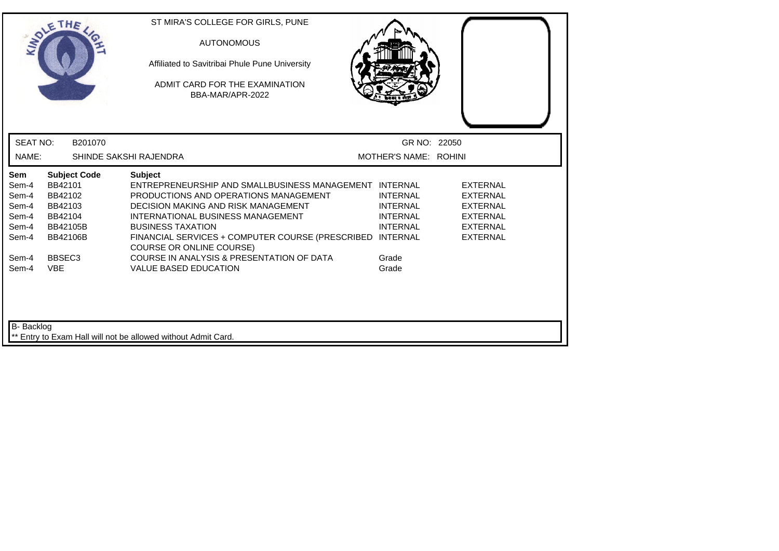| <b>MADY</b>                                                      | THE                                                                                            | ST MIRA'S COLLEGE FOR GIRLS, PUNE<br><b>AUTONOMOUS</b><br>Affiliated to Savitribai Phule Pune University<br>ADMIT CARD FOR THE EXAMINATION<br>BBA-MAR/APR-2022                                                                                                                                                     |                                                                          |                                                                                                                |
|------------------------------------------------------------------|------------------------------------------------------------------------------------------------|--------------------------------------------------------------------------------------------------------------------------------------------------------------------------------------------------------------------------------------------------------------------------------------------------------------------|--------------------------------------------------------------------------|----------------------------------------------------------------------------------------------------------------|
| <b>SEAT NO:</b>                                                  | B201070                                                                                        |                                                                                                                                                                                                                                                                                                                    | GR NO: 22050                                                             |                                                                                                                |
| NAME:                                                            |                                                                                                | SHINDE SAKSHI RAJENDRA                                                                                                                                                                                                                                                                                             | MOTHER'S NAME: ROHINI                                                    |                                                                                                                |
| <b>Sem</b><br>Sem-4<br>Sem-4<br>Sem-4<br>Sem-4<br>Sem-4<br>Sem-4 | <b>Subject Code</b><br>BB42101<br>BB42102<br>BB42103<br>BB42104<br>BB42105B<br><b>BB42106B</b> | <b>Subject</b><br>ENTREPRENEURSHIP AND SMALLBUSINESS MANAGEMENT INTERNAL<br>PRODUCTIONS AND OPERATIONS MANAGEMENT<br>DECISION MAKING AND RISK MANAGEMENT<br>INTERNATIONAL BUSINESS MANAGEMENT<br><b>BUSINESS TAXATION</b><br>FINANCIAL SERVICES + COMPUTER COURSE (PRESCRIBED INTERNAL<br>COURSE OR ONLINE COURSE) | <b>INTERNAL</b><br><b>INTERNAL</b><br><b>INTERNAL</b><br><b>INTERNAL</b> | <b>EXTERNAL</b><br><b>EXTERNAL</b><br><b>EXTERNAL</b><br><b>EXTERNAL</b><br><b>EXTERNAL</b><br><b>EXTERNAL</b> |
| Sem-4<br><b>VBE</b><br>Sem-4<br>B- Backlog                       | BBSEC <sub>3</sub>                                                                             | COURSE IN ANALYSIS & PRESENTATION OF DATA<br><b>VALUE BASED EDUCATION</b>                                                                                                                                                                                                                                          | Grade<br>Grade                                                           |                                                                                                                |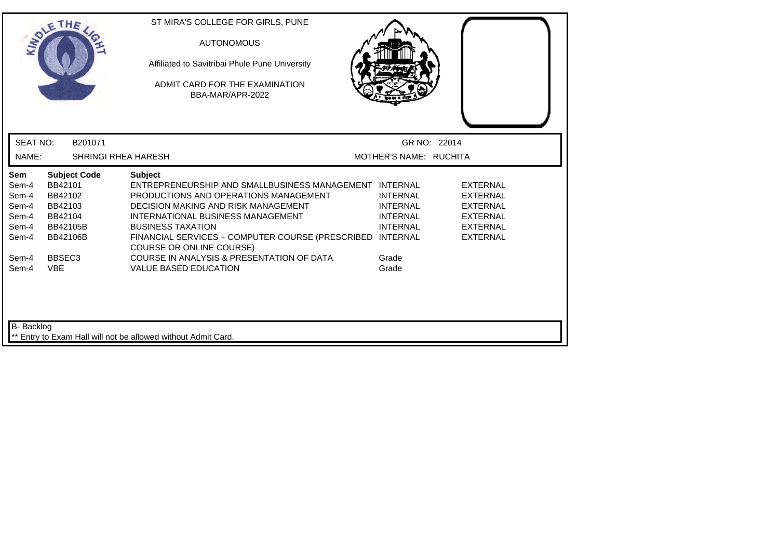|                                                           | THE                                                                                                   | ST MIRA'S COLLEGE FOR GIRLS, PUNE<br><b>AUTONOMOUS</b><br>Affiliated to Savitribai Phule Pune University<br>ADMIT CARD FOR THE EXAMINATION<br>BBA-MAR/APR-2022                                                                                                                                                            |                                                                          |                                                                                                                |
|-----------------------------------------------------------|-------------------------------------------------------------------------------------------------------|---------------------------------------------------------------------------------------------------------------------------------------------------------------------------------------------------------------------------------------------------------------------------------------------------------------------------|--------------------------------------------------------------------------|----------------------------------------------------------------------------------------------------------------|
| <b>SEAT NO:</b>                                           | B201071                                                                                               |                                                                                                                                                                                                                                                                                                                           | GR NO: 22014                                                             |                                                                                                                |
| NAME:                                                     | <b>SHRINGI RHEA HARESH</b>                                                                            |                                                                                                                                                                                                                                                                                                                           | MOTHER'S NAME: RUCHITA                                                   |                                                                                                                |
| Sem<br>Sem-4<br>Sem-4<br>Sem-4<br>Sem-4<br>Sem-4<br>Sem-4 | <b>Subject Code</b><br>BB42101<br>BB42102<br>BB42103<br>BB42104<br><b>BB42105B</b><br><b>BB42106B</b> | <b>Subject</b><br>ENTREPRENEURSHIP AND SMALLBUSINESS MANAGEMENT INTERNAL<br>PRODUCTIONS AND OPERATIONS MANAGEMENT<br>DECISION MAKING AND RISK MANAGEMENT<br>INTERNATIONAL BUSINESS MANAGEMENT<br><b>BUSINESS TAXATION</b><br>FINANCIAL SERVICES + COMPUTER COURSE (PRESCRIBED INTERNAL<br><b>COURSE OR ONLINE COURSE)</b> | <b>INTERNAL</b><br><b>INTERNAL</b><br><b>INTERNAL</b><br><b>INTERNAL</b> | <b>EXTERNAL</b><br><b>EXTERNAL</b><br><b>EXTERNAL</b><br><b>EXTERNAL</b><br><b>EXTERNAL</b><br><b>EXTERNAL</b> |
| Sem-4<br>Sem-4<br>B- Backlog                              | BBSEC <sub>3</sub><br><b>VBE</b>                                                                      | COURSE IN ANALYSIS & PRESENTATION OF DATA<br><b>VALUE BASED EDUCATION</b><br>** Entry to Exam Hall will not be allowed without Admit Card.                                                                                                                                                                                | Grade<br>Grade                                                           |                                                                                                                |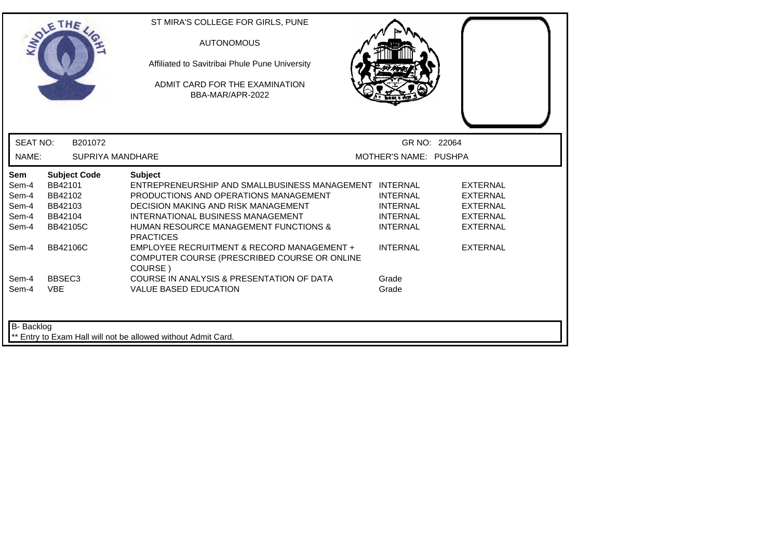| <b>INTO</b>                                      | THE                                                                                | ST MIRA'S COLLEGE FOR GIRLS, PUNE<br><b>AUTONOMOUS</b><br>Affiliated to Savitribai Phule Pune University<br>ADMIT CARD FOR THE EXAMINATION<br>BBA-MAR/APR-2022                                                                                                               |                                                                          |                                                                                             |
|--------------------------------------------------|------------------------------------------------------------------------------------|------------------------------------------------------------------------------------------------------------------------------------------------------------------------------------------------------------------------------------------------------------------------------|--------------------------------------------------------------------------|---------------------------------------------------------------------------------------------|
| <b>SEAT NO:</b>                                  | B201072                                                                            |                                                                                                                                                                                                                                                                              | GR NO: 22064                                                             |                                                                                             |
| NAME:                                            | <b>SUPRIYA MANDHARE</b>                                                            |                                                                                                                                                                                                                                                                              | MOTHER'S NAME: PUSHPA                                                    |                                                                                             |
| Sem<br>Sem-4<br>Sem-4<br>Sem-4<br>Sem-4<br>Sem-4 | <b>Subject Code</b><br>BB42101<br>BB42102<br>BB42103<br>BB42104<br><b>BB42105C</b> | <b>Subject</b><br>ENTREPRENEURSHIP AND SMALLBUSINESS MANAGEMENT INTERNAL<br>PRODUCTIONS AND OPERATIONS MANAGEMENT<br><b>DECISION MAKING AND RISK MANAGEMENT</b><br>INTERNATIONAL BUSINESS MANAGEMENT<br><b>HUMAN RESOURCE MANAGEMENT FUNCTIONS &amp;</b><br><b>PRACTICES</b> | <b>INTERNAL</b><br><b>INTERNAL</b><br><b>INTERNAL</b><br><b>INTERNAL</b> | <b>EXTERNAL</b><br><b>EXTERNAL</b><br><b>EXTERNAL</b><br><b>EXTERNAL</b><br><b>EXTERNAL</b> |
| Sem-4                                            | <b>BB42106C</b>                                                                    | EMPLOYEE RECRUITMENT & RECORD MANAGEMENT +<br>COMPUTER COURSE (PRESCRIBED COURSE OR ONLINE<br>COURSE)                                                                                                                                                                        | <b>INTERNAL</b>                                                          | <b>EXTERNAL</b>                                                                             |
| Sem-4<br>Sem-4                                   | BBSEC <sub>3</sub><br><b>VBE</b>                                                   | COURSE IN ANALYSIS & PRESENTATION OF DATA<br><b>VALUE BASED EDUCATION</b>                                                                                                                                                                                                    | Grade<br>Grade                                                           |                                                                                             |
| B- Backlog                                       |                                                                                    | Entry to Exam Hall will not be allowed without Admit Card.                                                                                                                                                                                                                   |                                                                          |                                                                                             |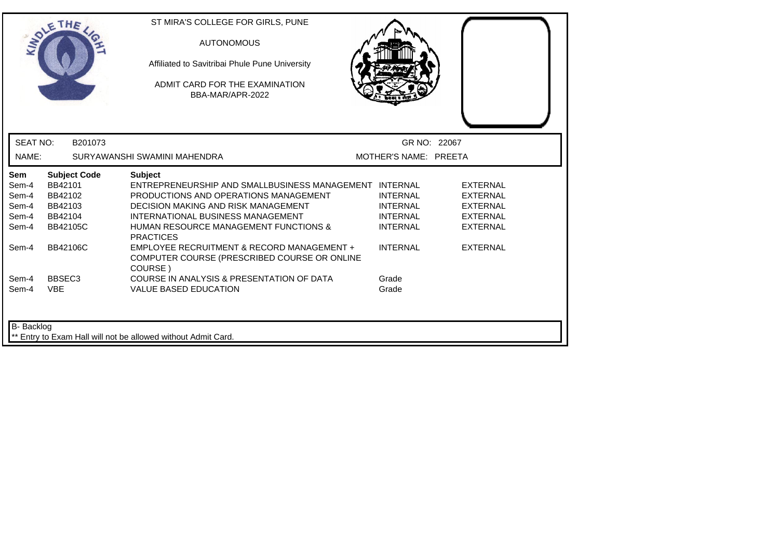| LADLE                                                   | THE                                                                                | ST MIRA'S COLLEGE FOR GIRLS, PUNE<br><b>AUTONOMOUS</b><br>Affiliated to Savitribai Phule Pune University<br>ADMIT CARD FOR THE EXAMINATION<br>BBA-MAR/APR-2022                                                                                                               |                                                                          |                                                                                             |
|---------------------------------------------------------|------------------------------------------------------------------------------------|------------------------------------------------------------------------------------------------------------------------------------------------------------------------------------------------------------------------------------------------------------------------------|--------------------------------------------------------------------------|---------------------------------------------------------------------------------------------|
| <b>SEAT NO:</b>                                         | B201073                                                                            |                                                                                                                                                                                                                                                                              | GR NO: 22067                                                             |                                                                                             |
| NAME:                                                   |                                                                                    | SURYAWANSHI SWAMINI MAHENDRA                                                                                                                                                                                                                                                 | MOTHER'S NAME: PREETA                                                    |                                                                                             |
| <b>Sem</b><br>Sem-4<br>Sem-4<br>Sem-4<br>Sem-4<br>Sem-4 | <b>Subject Code</b><br>BB42101<br>BB42102<br>BB42103<br>BB42104<br><b>BB42105C</b> | <b>Subject</b><br>ENTREPRENEURSHIP AND SMALLBUSINESS MANAGEMENT INTERNAL<br>PRODUCTIONS AND OPERATIONS MANAGEMENT<br><b>DECISION MAKING AND RISK MANAGEMENT</b><br>INTERNATIONAL BUSINESS MANAGEMENT<br><b>HUMAN RESOURCE MANAGEMENT FUNCTIONS &amp;</b><br><b>PRACTICES</b> | <b>INTERNAL</b><br><b>INTERNAL</b><br><b>INTERNAL</b><br><b>INTERNAL</b> | <b>EXTERNAL</b><br><b>EXTERNAL</b><br><b>EXTERNAL</b><br><b>EXTERNAL</b><br><b>EXTERNAL</b> |
| Sem-4                                                   | <b>BB42106C</b>                                                                    | EMPLOYEE RECRUITMENT & RECORD MANAGEMENT +<br>COMPUTER COURSE (PRESCRIBED COURSE OR ONLINE<br>COURSE)                                                                                                                                                                        | <b>INTERNAL</b>                                                          | <b>EXTERNAL</b>                                                                             |
| Sem-4<br>Sem-4                                          | BBSEC <sub>3</sub><br><b>VBE</b>                                                   | COURSE IN ANALYSIS & PRESENTATION OF DATA<br><b>VALUE BASED EDUCATION</b>                                                                                                                                                                                                    | Grade<br>Grade                                                           |                                                                                             |
| <b>B-</b> Backlog                                       |                                                                                    | ** Entry to Exam Hall will not be allowed without Admit Card.                                                                                                                                                                                                                |                                                                          |                                                                                             |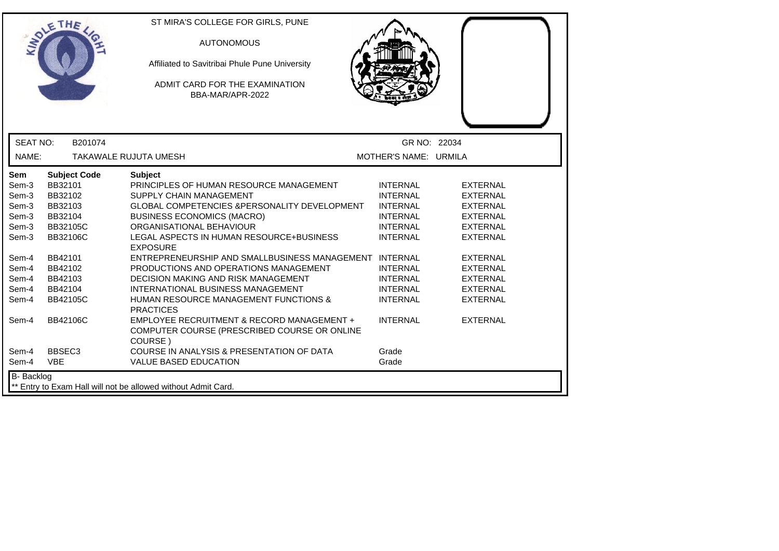|                                                                                                               | ETHE                                                                                                                                            | ST MIRA'S COLLEGE FOR GIRLS, PUNE<br><b>AUTONOMOUS</b><br>Affiliated to Savitribai Phule Pune University<br>ADMIT CARD FOR THE EXAMINATION<br>BBA-MAR/APR-2022                                                                                                                                                                                                                                                                                                                                                               |                                                                                                                                                                                            |                                                                                                                                                                                                               |  |
|---------------------------------------------------------------------------------------------------------------|-------------------------------------------------------------------------------------------------------------------------------------------------|------------------------------------------------------------------------------------------------------------------------------------------------------------------------------------------------------------------------------------------------------------------------------------------------------------------------------------------------------------------------------------------------------------------------------------------------------------------------------------------------------------------------------|--------------------------------------------------------------------------------------------------------------------------------------------------------------------------------------------|---------------------------------------------------------------------------------------------------------------------------------------------------------------------------------------------------------------|--|
| <b>SEAT NO:</b>                                                                                               | B201074                                                                                                                                         |                                                                                                                                                                                                                                                                                                                                                                                                                                                                                                                              | GR NO: 22034                                                                                                                                                                               |                                                                                                                                                                                                               |  |
| NAME:                                                                                                         |                                                                                                                                                 | <b>TAKAWALE RUJUTA UMESH</b>                                                                                                                                                                                                                                                                                                                                                                                                                                                                                                 | MOTHER'S NAME: URMILA                                                                                                                                                                      |                                                                                                                                                                                                               |  |
| <b>Sem</b><br>Sem-3<br>Sem-3<br>Sem-3<br>Sem-3<br>Sem-3<br>Sem-3<br>Sem-4<br>Sem-4<br>Sem-4<br>Sem-4<br>Sem-4 | <b>Subject Code</b><br>BB32101<br>BB32102<br>BB32103<br>BB32104<br>BB32105C<br>BB32106C<br>BB42101<br>BB42102<br>BB42103<br>BB42104<br>BB42105C | <b>Subject</b><br>PRINCIPLES OF HUMAN RESOURCE MANAGEMENT<br>SUPPLY CHAIN MANAGEMENT<br>GLOBAL COMPETENCIES & PERSONALITY DEVELOPMENT<br><b>BUSINESS ECONOMICS (MACRO)</b><br>ORGANISATIONAL BEHAVIOUR<br>LEGAL ASPECTS IN HUMAN RESOURCE+BUSINESS<br><b>EXPOSURE</b><br>ENTREPRENEURSHIP AND SMALLBUSINESS MANAGEMENT INTERNAL<br>PRODUCTIONS AND OPERATIONS MANAGEMENT<br>DECISION MAKING AND RISK MANAGEMENT<br>INTERNATIONAL BUSINESS MANAGEMENT<br><b>HUMAN RESOURCE MANAGEMENT FUNCTIONS &amp;</b><br><b>PRACTICES</b> | <b>INTERNAL</b><br><b>INTERNAL</b><br><b>INTERNAL</b><br><b>INTERNAL</b><br><b>INTERNAL</b><br><b>INTERNAL</b><br><b>INTERNAL</b><br><b>INTERNAL</b><br><b>INTERNAL</b><br><b>INTERNAL</b> | <b>EXTERNAL</b><br><b>EXTERNAL</b><br><b>EXTERNAL</b><br><b>EXTERNAL</b><br><b>EXTERNAL</b><br><b>EXTERNAL</b><br><b>EXTERNAL</b><br><b>EXTERNAL</b><br><b>EXTERNAL</b><br><b>EXTERNAL</b><br><b>EXTERNAL</b> |  |
| Sem-4<br>Sem-4                                                                                                | <b>BB42106C</b><br>BBSEC <sub>3</sub>                                                                                                           | EMPLOYEE RECRUITMENT & RECORD MANAGEMENT +<br>COMPUTER COURSE (PRESCRIBED COURSE OR ONLINE<br>COURSE)<br>COURSE IN ANALYSIS & PRESENTATION OF DATA                                                                                                                                                                                                                                                                                                                                                                           | <b>INTERNAL</b><br>Grade                                                                                                                                                                   | <b>EXTERNAL</b>                                                                                                                                                                                               |  |
| Sem-4<br><b>B-</b> Backlog                                                                                    | <b>VBE</b>                                                                                                                                      | VALUE BASED EDUCATION<br>** Entry to Exam Hall will not be allowed without Admit Card.                                                                                                                                                                                                                                                                                                                                                                                                                                       | Grade                                                                                                                                                                                      |                                                                                                                                                                                                               |  |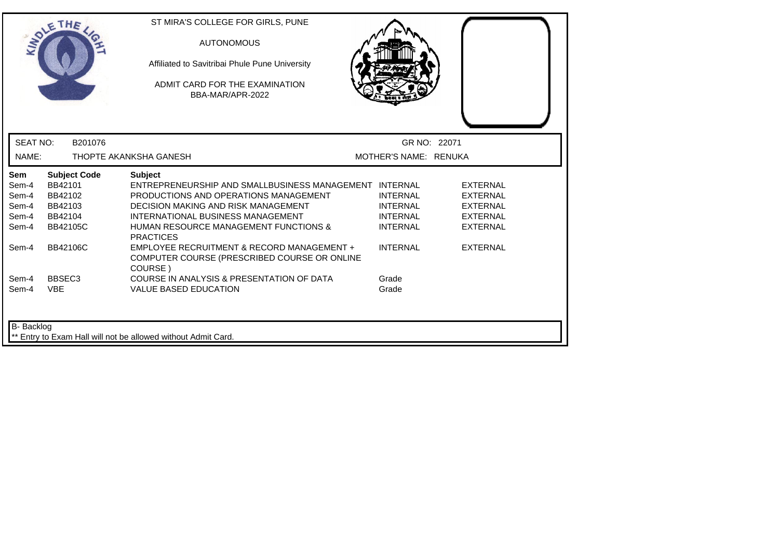| <b>INTI</b>                                             | THE                                                                         | ST MIRA'S COLLEGE FOR GIRLS, PUNE<br><b>AUTONOMOUS</b><br>Affiliated to Savitribai Phule Pune University<br>ADMIT CARD FOR THE EXAMINATION<br>BBA-MAR/APR-2022                                                                                                               |                                                                          |                                                                                             |
|---------------------------------------------------------|-----------------------------------------------------------------------------|------------------------------------------------------------------------------------------------------------------------------------------------------------------------------------------------------------------------------------------------------------------------------|--------------------------------------------------------------------------|---------------------------------------------------------------------------------------------|
| <b>SEAT NO:</b>                                         | B201076                                                                     |                                                                                                                                                                                                                                                                              | GR NO: 22071                                                             |                                                                                             |
| NAME:                                                   |                                                                             | THOPTE AKANKSHA GANESH                                                                                                                                                                                                                                                       | MOTHER'S NAME: RENUKA                                                    |                                                                                             |
| <b>Sem</b><br>Sem-4<br>Sem-4<br>Sem-4<br>Sem-4<br>Sem-4 | <b>Subject Code</b><br>BB42101<br>BB42102<br>BB42103<br>BB42104<br>BB42105C | <b>Subject</b><br>ENTREPRENEURSHIP AND SMALLBUSINESS MANAGEMENT INTERNAL<br>PRODUCTIONS AND OPERATIONS MANAGEMENT<br><b>DECISION MAKING AND RISK MANAGEMENT</b><br>INTERNATIONAL BUSINESS MANAGEMENT<br><b>HUMAN RESOURCE MANAGEMENT FUNCTIONS &amp;</b><br><b>PRACTICES</b> | <b>INTERNAL</b><br><b>INTERNAL</b><br><b>INTERNAL</b><br><b>INTERNAL</b> | <b>EXTERNAL</b><br><b>EXTERNAL</b><br><b>EXTERNAL</b><br><b>EXTERNAL</b><br><b>EXTERNAL</b> |
| Sem-4                                                   | <b>BB42106C</b>                                                             | EMPLOYEE RECRUITMENT & RECORD MANAGEMENT +<br>COMPUTER COURSE (PRESCRIBED COURSE OR ONLINE<br>COURSE)                                                                                                                                                                        | <b>INTERNAL</b>                                                          | <b>EXTERNAL</b>                                                                             |
| Sem-4<br>Sem-4                                          | BBSEC <sub>3</sub><br><b>VBE</b>                                            | COURSE IN ANALYSIS & PRESENTATION OF DATA<br><b>VALUE BASED EDUCATION</b>                                                                                                                                                                                                    | Grade<br>Grade                                                           |                                                                                             |
| B- Backlog                                              |                                                                             | Entry to Exam Hall will not be allowed without Admit Card.                                                                                                                                                                                                                   |                                                                          |                                                                                             |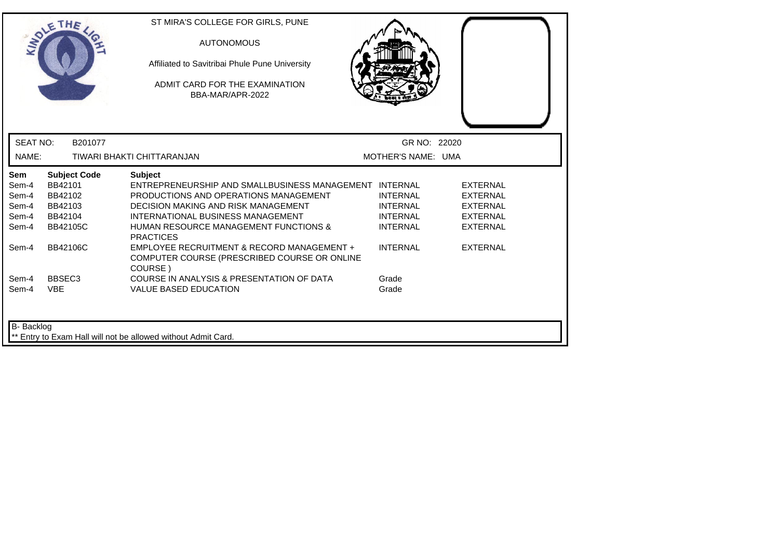|                              | THE                                       | ST MIRA'S COLLEGE FOR GIRLS, PUNE<br><b>AUTONOMOUS</b><br>Affiliated to Savitribai Phule Pune University<br>ADMIT CARD FOR THE EXAMINATION<br>BBA-MAR/APR-2022 |                                                       |                                                       |
|------------------------------|-------------------------------------------|----------------------------------------------------------------------------------------------------------------------------------------------------------------|-------------------------------------------------------|-------------------------------------------------------|
| <b>SEAT NO:</b><br>NAME:     | B201077                                   | TIWARI BHAKTI CHITTARANJAN                                                                                                                                     | GR NO: 22020<br>MOTHER'S NAME: UMA                    |                                                       |
| <b>Sem</b><br>Sem-4<br>Sem-4 | <b>Subject Code</b><br>BB42101<br>BB42102 | <b>Subject</b><br>ENTREPRENEURSHIP AND SMALLBUSINESS MANAGEMENT INTERNAL<br>PRODUCTIONS AND OPERATIONS MANAGEMENT                                              | <b>INTERNAL</b>                                       | <b>EXTERNAL</b><br>EXTERNAL                           |
| Sem-4<br>Sem-4<br>Sem-4      | BB42103<br>BB42104<br><b>BB42105C</b>     | DECISION MAKING AND RISK MANAGEMENT<br>INTERNATIONAL BUSINESS MANAGEMENT<br><b>HUMAN RESOURCE MANAGEMENT FUNCTIONS &amp;</b><br><b>PRACTICES</b>               | <b>INTERNAL</b><br><b>INTERNAL</b><br><b>INTERNAL</b> | <b>EXTERNAL</b><br><b>EXTERNAL</b><br><b>EXTERNAL</b> |
| Sem-4                        | <b>BB42106C</b>                           | EMPLOYEE RECRUITMENT & RECORD MANAGEMENT +<br>COMPUTER COURSE (PRESCRIBED COURSE OR ONLINE<br>COURSE)                                                          | <b>INTERNAL</b>                                       | <b>EXTERNAL</b>                                       |
| Sem-4<br>Sem-4               | BBSEC <sub>3</sub><br><b>VBE</b>          | COURSE IN ANALYSIS & PRESENTATION OF DATA<br><b>VALUE BASED EDUCATION</b>                                                                                      | Grade<br>Grade                                        |                                                       |
| B- Backlog                   |                                           | ** Entry to Exam Hall will not be allowed without Admit Card.                                                                                                  |                                                       |                                                       |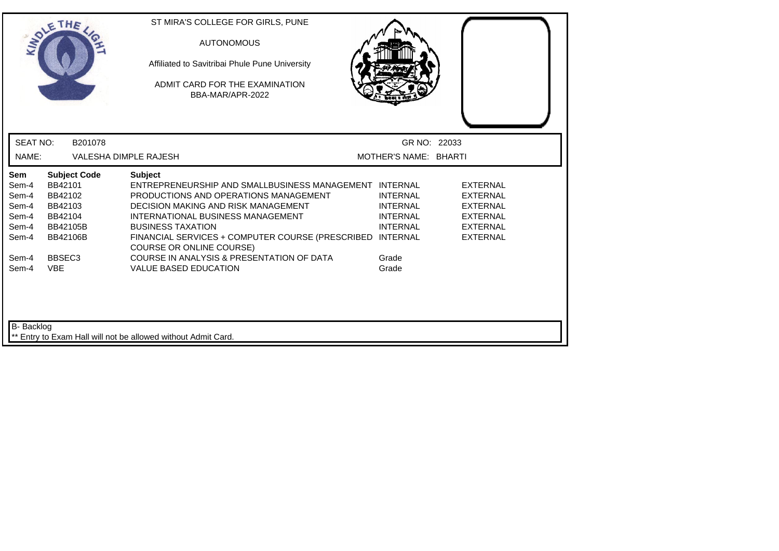|                                                                  | THE                                                                                                   | ST MIRA'S COLLEGE FOR GIRLS, PUNE<br><b>AUTONOMOUS</b><br>Affiliated to Savitribai Phule Pune University<br>ADMIT CARD FOR THE EXAMINATION<br>BBA-MAR/APR-2022                                                                                                                                                            |                                                                          |                                                                                                                |  |
|------------------------------------------------------------------|-------------------------------------------------------------------------------------------------------|---------------------------------------------------------------------------------------------------------------------------------------------------------------------------------------------------------------------------------------------------------------------------------------------------------------------------|--------------------------------------------------------------------------|----------------------------------------------------------------------------------------------------------------|--|
| <b>SEAT NO:</b>                                                  | B201078                                                                                               |                                                                                                                                                                                                                                                                                                                           | GR NO: 22033                                                             |                                                                                                                |  |
| NAME:                                                            |                                                                                                       | <b>VALESHA DIMPLE RAJESH</b>                                                                                                                                                                                                                                                                                              | MOTHER'S NAME: BHARTI                                                    |                                                                                                                |  |
| <b>Sem</b><br>Sem-4<br>Sem-4<br>Sem-4<br>Sem-4<br>Sem-4<br>Sem-4 | <b>Subject Code</b><br>BB42101<br>BB42102<br>BB42103<br>BB42104<br><b>BB42105B</b><br><b>BB42106B</b> | <b>Subject</b><br>ENTREPRENEURSHIP AND SMALLBUSINESS MANAGEMENT INTERNAL<br>PRODUCTIONS AND OPERATIONS MANAGEMENT<br>DECISION MAKING AND RISK MANAGEMENT<br>INTERNATIONAL BUSINESS MANAGEMENT<br><b>BUSINESS TAXATION</b><br>FINANCIAL SERVICES + COMPUTER COURSE (PRESCRIBED INTERNAL<br><b>COURSE OR ONLINE COURSE)</b> | <b>INTERNAL</b><br><b>INTERNAL</b><br><b>INTERNAL</b><br><b>INTERNAL</b> | <b>EXTERNAL</b><br><b>EXTERNAL</b><br><b>EXTERNAL</b><br><b>EXTERNAL</b><br><b>EXTERNAL</b><br><b>EXTERNAL</b> |  |
| Sem-4<br>Sem-4<br>B- Backlog                                     | BBSEC <sub>3</sub><br><b>VBE</b>                                                                      | COURSE IN ANALYSIS & PRESENTATION OF DATA<br><b>VALUE BASED EDUCATION</b>                                                                                                                                                                                                                                                 | Grade<br>Grade                                                           |                                                                                                                |  |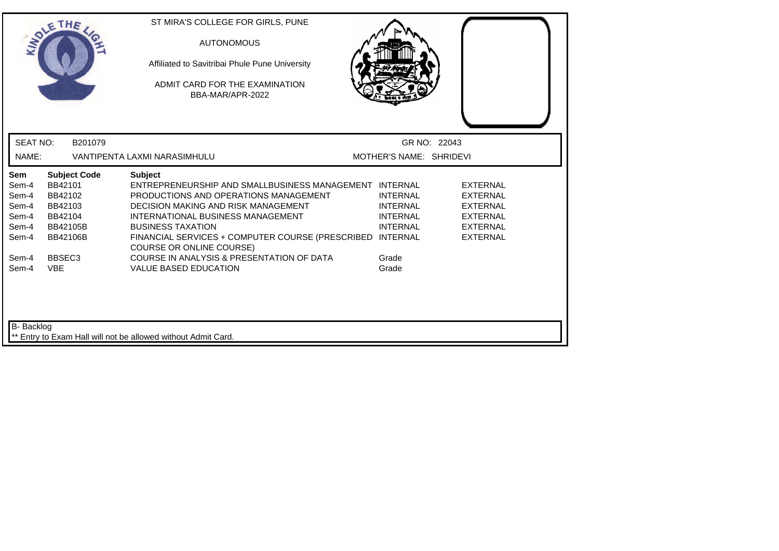|                                                           | THE                                                                                            | ST MIRA'S COLLEGE FOR GIRLS, PUNE<br><b>AUTONOMOUS</b><br>Affiliated to Savitribai Phule Pune University<br>ADMIT CARD FOR THE EXAMINATION<br>BBA-MAR/APR-2022                                                                                                                                                            |                                                                          |                                                                                                                |
|-----------------------------------------------------------|------------------------------------------------------------------------------------------------|---------------------------------------------------------------------------------------------------------------------------------------------------------------------------------------------------------------------------------------------------------------------------------------------------------------------------|--------------------------------------------------------------------------|----------------------------------------------------------------------------------------------------------------|
| <b>SEAT NO:</b>                                           | B201079                                                                                        |                                                                                                                                                                                                                                                                                                                           | GR NO: 22043                                                             |                                                                                                                |
| NAME:                                                     |                                                                                                | VANTIPENTA LAXMI NARASIMHULU                                                                                                                                                                                                                                                                                              | MOTHER'S NAME: SHRIDEVI                                                  |                                                                                                                |
| Sem<br>Sem-4<br>Sem-4<br>Sem-4<br>Sem-4<br>Sem-4<br>Sem-4 | <b>Subject Code</b><br>BB42101<br>BB42102<br>BB42103<br>BB42104<br>BB42105B<br><b>BB42106B</b> | <b>Subject</b><br>ENTREPRENEURSHIP AND SMALLBUSINESS MANAGEMENT INTERNAL<br>PRODUCTIONS AND OPERATIONS MANAGEMENT<br>DECISION MAKING AND RISK MANAGEMENT<br>INTERNATIONAL BUSINESS MANAGEMENT<br><b>BUSINESS TAXATION</b><br>FINANCIAL SERVICES + COMPUTER COURSE (PRESCRIBED INTERNAL<br><b>COURSE OR ONLINE COURSE)</b> | <b>INTERNAL</b><br><b>INTERNAL</b><br><b>INTERNAL</b><br><b>INTERNAL</b> | <b>EXTERNAL</b><br><b>EXTERNAL</b><br><b>EXTERNAL</b><br><b>EXTERNAL</b><br><b>EXTERNAL</b><br><b>EXTERNAL</b> |
| Sem-4<br>Sem-4                                            | BBSEC <sub>3</sub><br><b>VBE</b>                                                               | COURSE IN ANALYSIS & PRESENTATION OF DATA<br><b>VALUE BASED EDUCATION</b>                                                                                                                                                                                                                                                 | Grade<br>Grade                                                           |                                                                                                                |
| B- Backlog                                                |                                                                                                | ** Entry to Exam Hall will not be allowed without Admit Card.                                                                                                                                                                                                                                                             |                                                                          |                                                                                                                |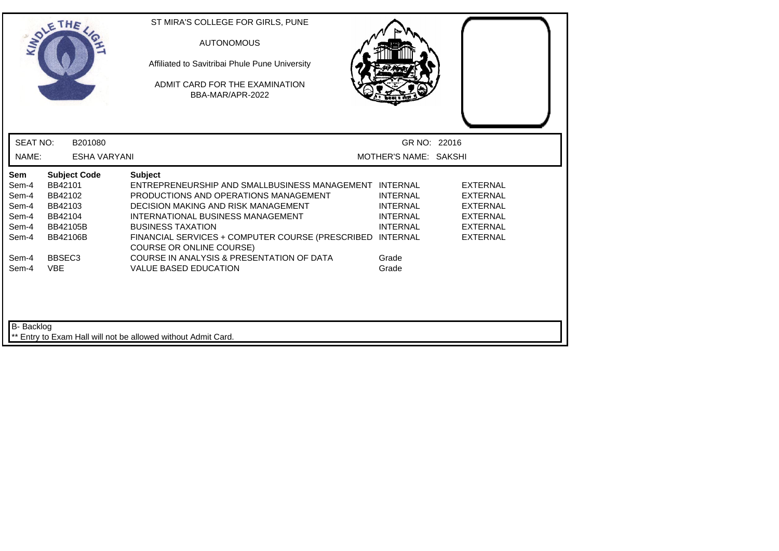|                                                           | THE                                                                                            | ST MIRA'S COLLEGE FOR GIRLS, PUNE<br><b>AUTONOMOUS</b><br>Affiliated to Savitribai Phule Pune University<br>ADMIT CARD FOR THE EXAMINATION<br>BBA-MAR/APR-2022                                                                                                                                                            |                                                                          |                                                                                                                |
|-----------------------------------------------------------|------------------------------------------------------------------------------------------------|---------------------------------------------------------------------------------------------------------------------------------------------------------------------------------------------------------------------------------------------------------------------------------------------------------------------------|--------------------------------------------------------------------------|----------------------------------------------------------------------------------------------------------------|
| <b>SEAT NO:</b>                                           | B201080                                                                                        |                                                                                                                                                                                                                                                                                                                           | GR NO: 22016                                                             |                                                                                                                |
| NAME:                                                     | <b>ESHA VARYANI</b>                                                                            |                                                                                                                                                                                                                                                                                                                           | MOTHER'S NAME: SAKSHI                                                    |                                                                                                                |
| Sem<br>Sem-4<br>Sem-4<br>Sem-4<br>Sem-4<br>Sem-4<br>Sem-4 | <b>Subject Code</b><br>BB42101<br>BB42102<br>BB42103<br>BB42104<br>BB42105B<br><b>BB42106B</b> | <b>Subject</b><br>ENTREPRENEURSHIP AND SMALLBUSINESS MANAGEMENT INTERNAL<br>PRODUCTIONS AND OPERATIONS MANAGEMENT<br>DECISION MAKING AND RISK MANAGEMENT<br>INTERNATIONAL BUSINESS MANAGEMENT<br><b>BUSINESS TAXATION</b><br>FINANCIAL SERVICES + COMPUTER COURSE (PRESCRIBED INTERNAL<br><b>COURSE OR ONLINE COURSE)</b> | <b>INTERNAL</b><br><b>INTERNAL</b><br><b>INTERNAL</b><br><b>INTERNAL</b> | <b>EXTERNAL</b><br><b>EXTERNAL</b><br><b>EXTERNAL</b><br><b>EXTERNAL</b><br><b>EXTERNAL</b><br><b>EXTERNAL</b> |
| Sem-4<br>Sem-4                                            | BBSEC <sub>3</sub><br><b>VBE</b>                                                               | COURSE IN ANALYSIS & PRESENTATION OF DATA<br><b>VALUE BASED EDUCATION</b>                                                                                                                                                                                                                                                 | Grade<br>Grade                                                           |                                                                                                                |
| <b>B-</b> Backlog                                         |                                                                                                | ** Entry to Exam Hall will not be allowed without Admit Card.                                                                                                                                                                                                                                                             |                                                                          |                                                                                                                |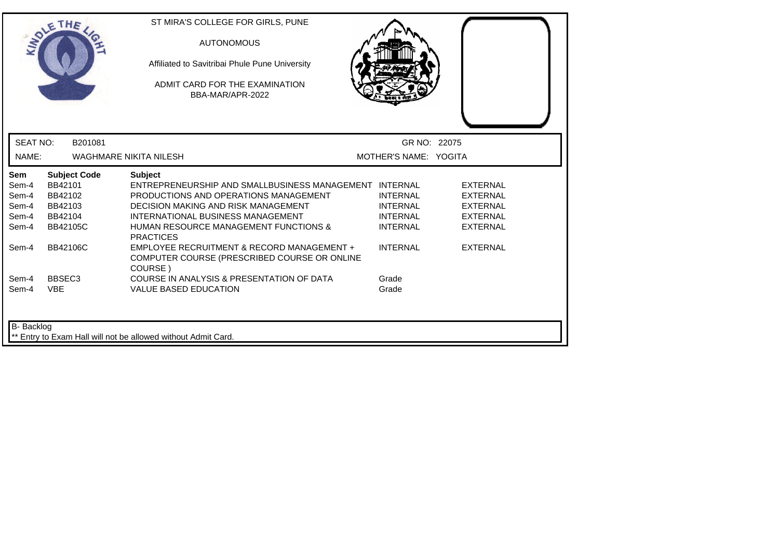| <b>INDI</b>                                      | THE                                                                                | ST MIRA'S COLLEGE FOR GIRLS, PUNE<br><b>AUTONOMOUS</b><br>Affiliated to Savitribai Phule Pune University<br>ADMIT CARD FOR THE EXAMINATION<br>BBA-MAR/APR-2022                                                                                                               |                                                                          |                                                                                             |
|--------------------------------------------------|------------------------------------------------------------------------------------|------------------------------------------------------------------------------------------------------------------------------------------------------------------------------------------------------------------------------------------------------------------------------|--------------------------------------------------------------------------|---------------------------------------------------------------------------------------------|
| <b>SEAT NO:</b>                                  | B201081                                                                            |                                                                                                                                                                                                                                                                              | GR NO: 22075                                                             |                                                                                             |
| NAME:                                            |                                                                                    | <b>WAGHMARE NIKITA NILESH</b>                                                                                                                                                                                                                                                | MOTHER'S NAME: YOGITA                                                    |                                                                                             |
| Sem<br>Sem-4<br>Sem-4<br>Sem-4<br>Sem-4<br>Sem-4 | <b>Subject Code</b><br>BB42101<br>BB42102<br>BB42103<br>BB42104<br><b>BB42105C</b> | <b>Subject</b><br>ENTREPRENEURSHIP AND SMALLBUSINESS MANAGEMENT INTERNAL<br>PRODUCTIONS AND OPERATIONS MANAGEMENT<br><b>DECISION MAKING AND RISK MANAGEMENT</b><br>INTERNATIONAL BUSINESS MANAGEMENT<br><b>HUMAN RESOURCE MANAGEMENT FUNCTIONS &amp;</b><br><b>PRACTICES</b> | <b>INTERNAL</b><br><b>INTERNAL</b><br><b>INTERNAL</b><br><b>INTERNAL</b> | <b>EXTERNAL</b><br><b>EXTERNAL</b><br><b>EXTERNAL</b><br><b>EXTERNAL</b><br><b>EXTERNAL</b> |
| Sem-4                                            | <b>BB42106C</b>                                                                    | EMPLOYEE RECRUITMENT & RECORD MANAGEMENT +<br>COMPUTER COURSE (PRESCRIBED COURSE OR ONLINE<br>COURSE)                                                                                                                                                                        | <b>INTERNAL</b>                                                          | <b>EXTERNAL</b>                                                                             |
| Sem-4<br>Sem-4                                   | BBSEC <sub>3</sub><br><b>VBE</b>                                                   | COURSE IN ANALYSIS & PRESENTATION OF DATA<br><b>VALUE BASED EDUCATION</b>                                                                                                                                                                                                    | Grade<br>Grade                                                           |                                                                                             |
| B- Backlog                                       |                                                                                    | Entry to Exam Hall will not be allowed without Admit Card.                                                                                                                                                                                                                   |                                                                          |                                                                                             |